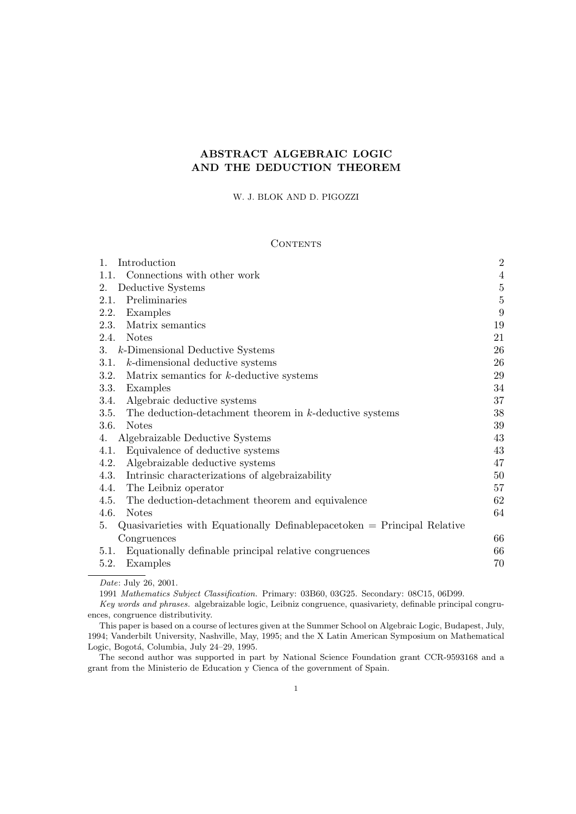## ABSTRACT ALGEBRAIC LOGIC AND THE DEDUCTION THEOREM

### W. J. BLOK AND D. PIGOZZI

### **CONTENTS**

| 1.<br>Introduction                                                                 | $\overline{2}$ |
|------------------------------------------------------------------------------------|----------------|
| Connections with other work<br>1.1.                                                | $\overline{4}$ |
| Deductive Systems<br>2.                                                            | $\bf 5$        |
| Preliminaries<br>2.1.                                                              | $\bf 5$        |
| Examples<br>2.2.                                                                   | 9              |
| 2.3.<br>Matrix semantics                                                           | 19             |
| 2.4.<br><b>Notes</b>                                                               | 21             |
| 3.<br>k-Dimensional Deductive Systems                                              | 26             |
| k-dimensional deductive systems<br>3.1.                                            | 26             |
| 3.2.<br>Matrix semantics for $k$ -deductive systems                                | 29             |
| 3.3.<br>Examples                                                                   | 34             |
| 3.4.<br>Algebraic deductive systems                                                | 37             |
| 3.5.<br>The deduction-detachment theorem in $k$ -deductive systems                 | 38             |
| 3.6.<br><b>Notes</b>                                                               | 39             |
| Algebraizable Deductive Systems<br>4.                                              | 43             |
| Equivalence of deductive systems<br>4.1.                                           | 43             |
| Algebraizable deductive systems<br>4.2.                                            | 47             |
| 4.3.<br>Intrinsic characterizations of algebraizability                            | 50             |
| The Leibniz operator<br>4.4.                                                       | 57             |
| 4.5.<br>The deduction-detachment theorem and equivalence                           | 62             |
| 4.6.<br><b>Notes</b>                                                               | 64             |
| Quasivarieties with Equationally Definable pace token $=$ Principal Relative<br>5. |                |
| Congruences                                                                        | 66             |
| Equationally definable principal relative congruences<br>5.1.                      | 66             |
| 5.2.<br>Examples                                                                   | 70             |
|                                                                                    |                |

1991 Mathematics Subject Classification. Primary: 03B60, 03G25. Secondary: 08C15, 06D99.

Key words and phrases. algebraizable logic, Leibniz congruence, quasivariety, definable principal congruences, congruence distributivity.

This paper is based on a course of lectures given at the Summer School on Algebraic Logic, Budapest, July, 1994; Vanderbilt University, Nashville, May, 1995; and the X Latin American Symposium on Mathematical Logic, Bogotá, Columbia, July 24–29, 1995.

The second author was supported in part by National Science Foundation grant CCR-9593168 and a grant from the Ministerio de Education y Cienca of the government of Spain.

Date: July 26, 2001.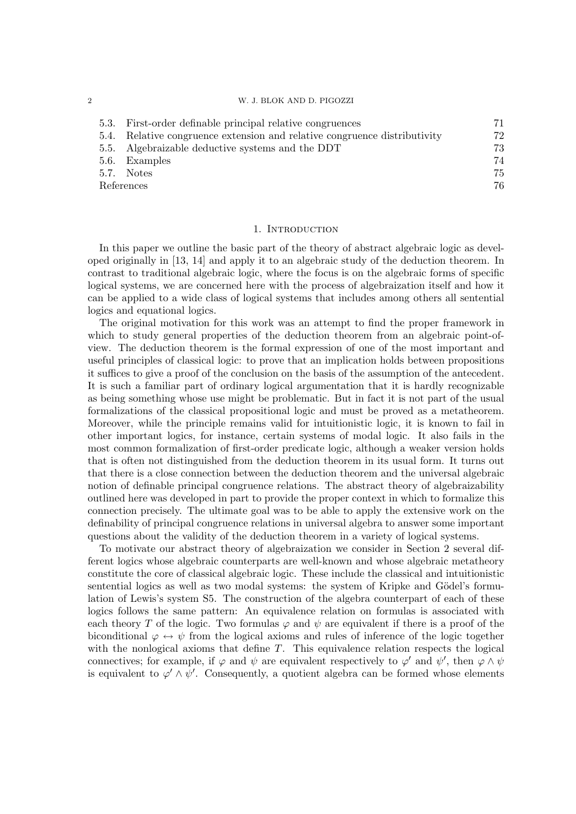### 2 W. J. BLOK AND D. PIGOZZI

| 5.3. | First-order definable principal relative congruences                      | 71 |
|------|---------------------------------------------------------------------------|----|
|      | 5.4. Relative congruence extension and relative congruence distributivity | 72 |
|      | 5.5. Algebraizable deductive systems and the DDT                          | 73 |
|      | 5.6. Examples                                                             | 74 |
|      | 5.7. Notes                                                                | 75 |
|      | References                                                                | 76 |

### 1. INTRODUCTION

In this paper we outline the basic part of the theory of abstract algebraic logic as developed originally in [13, 14] and apply it to an algebraic study of the deduction theorem. In contrast to traditional algebraic logic, where the focus is on the algebraic forms of specific logical systems, we are concerned here with the process of algebraization itself and how it can be applied to a wide class of logical systems that includes among others all sentential logics and equational logics.

The original motivation for this work was an attempt to find the proper framework in which to study general properties of the deduction theorem from an algebraic point-ofview. The deduction theorem is the formal expression of one of the most important and useful principles of classical logic: to prove that an implication holds between propositions it suffices to give a proof of the conclusion on the basis of the assumption of the antecedent. It is such a familiar part of ordinary logical argumentation that it is hardly recognizable as being something whose use might be problematic. But in fact it is not part of the usual formalizations of the classical propositional logic and must be proved as a metatheorem. Moreover, while the principle remains valid for intuitionistic logic, it is known to fail in other important logics, for instance, certain systems of modal logic. It also fails in the most common formalization of first-order predicate logic, although a weaker version holds that is often not distinguished from the deduction theorem in its usual form. It turns out that there is a close connection between the deduction theorem and the universal algebraic notion of definable principal congruence relations. The abstract theory of algebraizability outlined here was developed in part to provide the proper context in which to formalize this connection precisely. The ultimate goal was to be able to apply the extensive work on the definability of principal congruence relations in universal algebra to answer some important questions about the validity of the deduction theorem in a variety of logical systems.

To motivate our abstract theory of algebraization we consider in Section 2 several different logics whose algebraic counterparts are well-known and whose algebraic metatheory constitute the core of classical algebraic logic. These include the classical and intuitionistic sentential logics as well as two modal systems: the system of Kripke and Gödel's formulation of Lewis's system S5. The construction of the algebra counterpart of each of these logics follows the same pattern: An equivalence relation on formulas is associated with each theory T of the logic. Two formulas  $\varphi$  and  $\psi$  are equivalent if there is a proof of the biconditional  $\varphi \leftrightarrow \psi$  from the logical axioms and rules of inference of the logic together with the nonlogical axioms that define  $T$ . This equivalence relation respects the logical connectives; for example, if  $\varphi$  and  $\psi$  are equivalent respectively to  $\varphi'$  and  $\psi'$ , then  $\varphi \wedge \psi$ is equivalent to  $\varphi' \wedge \psi'$ . Consequently, a quotient algebra can be formed whose elements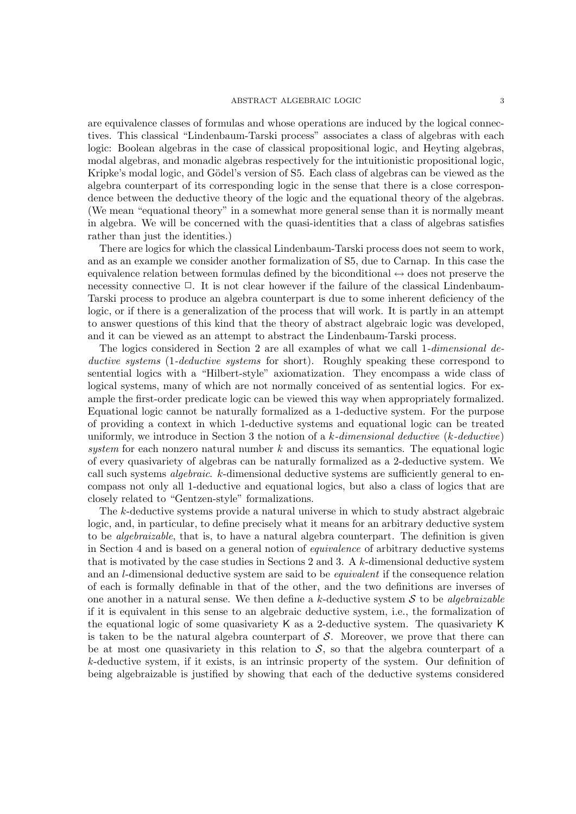are equivalence classes of formulas and whose operations are induced by the logical connectives. This classical "Lindenbaum-Tarski process" associates a class of algebras with each logic: Boolean algebras in the case of classical propositional logic, and Heyting algebras, modal algebras, and monadic algebras respectively for the intuitionistic propositional logic, Kripke's modal logic, and Gödel's version of S5. Each class of algebras can be viewed as the algebra counterpart of its corresponding logic in the sense that there is a close correspondence between the deductive theory of the logic and the equational theory of the algebras. (We mean "equational theory" in a somewhat more general sense than it is normally meant in algebra. We will be concerned with the quasi-identities that a class of algebras satisfies rather than just the identities.)

There are logics for which the classical Lindenbaum-Tarski process does not seem to work, and as an example we consider another formalization of S5, due to Carnap. In this case the equivalence relation between formulas defined by the biconditional  $\leftrightarrow$  does not preserve the necessity connective  $\Box$ . It is not clear however if the failure of the classical Lindenbaum-Tarski process to produce an algebra counterpart is due to some inherent deficiency of the logic, or if there is a generalization of the process that will work. It is partly in an attempt to answer questions of this kind that the theory of abstract algebraic logic was developed, and it can be viewed as an attempt to abstract the Lindenbaum-Tarski process.

The logics considered in Section 2 are all examples of what we call 1-dimensional deductive systems (1-deductive systems for short). Roughly speaking these correspond to sentential logics with a "Hilbert-style" axiomatization. They encompass a wide class of logical systems, many of which are not normally conceived of as sentential logics. For example the first-order predicate logic can be viewed this way when appropriately formalized. Equational logic cannot be naturally formalized as a 1-deductive system. For the purpose of providing a context in which 1-deductive systems and equational logic can be treated uniformly, we introduce in Section 3 the notion of a  $k$ -dimensional deductive  $(k$ -deductive) system for each nonzero natural number  $k$  and discuss its semantics. The equational logic of every quasivariety of algebras can be naturally formalized as a 2-deductive system. We call such systems *algebraic.* k-dimensional deductive systems are sufficiently general to encompass not only all 1-deductive and equational logics, but also a class of logics that are closely related to "Gentzen-style" formalizations.

The k-deductive systems provide a natural universe in which to study abstract algebraic logic, and, in particular, to define precisely what it means for an arbitrary deductive system to be algebraizable, that is, to have a natural algebra counterpart. The definition is given in Section 4 and is based on a general notion of equivalence of arbitrary deductive systems that is motivated by the case studies in Sections 2 and 3. A k-dimensional deductive system and an l-dimensional deductive system are said to be equivalent if the consequence relation of each is formally definable in that of the other, and the two definitions are inverses of one another in a natural sense. We then define a k-deductive system  $S$  to be algebraizable if it is equivalent in this sense to an algebraic deductive system, i.e., the formalization of the equational logic of some quasivariety K as a 2-deductive system. The quasivariety K is taken to be the natural algebra counterpart of  $S$ . Moreover, we prove that there can be at most one quasivariety in this relation to  $S$ , so that the algebra counterpart of a k-deductive system, if it exists, is an intrinsic property of the system. Our definition of being algebraizable is justified by showing that each of the deductive systems considered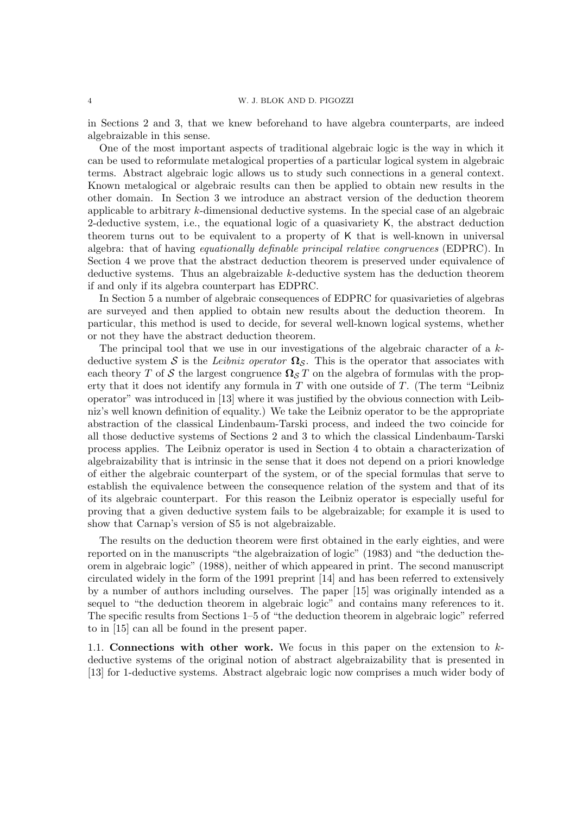in Sections 2 and 3, that we knew beforehand to have algebra counterparts, are indeed algebraizable in this sense.

One of the most important aspects of traditional algebraic logic is the way in which it can be used to reformulate metalogical properties of a particular logical system in algebraic terms. Abstract algebraic logic allows us to study such connections in a general context. Known metalogical or algebraic results can then be applied to obtain new results in the other domain. In Section 3 we introduce an abstract version of the deduction theorem applicable to arbitrary k-dimensional deductive systems. In the special case of an algebraic 2-deductive system, i.e., the equational logic of a quasivariety K, the abstract deduction theorem turns out to be equivalent to a property of K that is well-known in universal algebra: that of having equationally definable principal relative congruences (EDPRC). In Section 4 we prove that the abstract deduction theorem is preserved under equivalence of deductive systems. Thus an algebraizable k-deductive system has the deduction theorem if and only if its algebra counterpart has EDPRC.

In Section 5 a number of algebraic consequences of EDPRC for quasivarieties of algebras are surveyed and then applied to obtain new results about the deduction theorem. In particular, this method is used to decide, for several well-known logical systems, whether or not they have the abstract deduction theorem.

The principal tool that we use in our investigations of the algebraic character of a kdeductive system S is the Leibniz operator  $\Omega_{\mathcal{S}}$ . This is the operator that associates with each theory T of S the largest congruence  $\Omega_{\mathcal{S}} T$  on the algebra of formulas with the property that it does not identify any formula in  $T$  with one outside of  $T$ . (The term "Leibniz operator" was introduced in [13] where it was justified by the obvious connection with Leibniz's well known definition of equality.) We take the Leibniz operator to be the appropriate abstraction of the classical Lindenbaum-Tarski process, and indeed the two coincide for all those deductive systems of Sections 2 and 3 to which the classical Lindenbaum-Tarski process applies. The Leibniz operator is used in Section 4 to obtain a characterization of algebraizability that is intrinsic in the sense that it does not depend on a priori knowledge of either the algebraic counterpart of the system, or of the special formulas that serve to establish the equivalence between the consequence relation of the system and that of its of its algebraic counterpart. For this reason the Leibniz operator is especially useful for proving that a given deductive system fails to be algebraizable; for example it is used to show that Carnap's version of S5 is not algebraizable.

The results on the deduction theorem were first obtained in the early eighties, and were reported on in the manuscripts "the algebraization of logic" (1983) and "the deduction theorem in algebraic logic" (1988), neither of which appeared in print. The second manuscript circulated widely in the form of the 1991 preprint [14] and has been referred to extensively by a number of authors including ourselves. The paper [15] was originally intended as a sequel to "the deduction theorem in algebraic logic" and contains many references to it. The specific results from Sections 1–5 of "the deduction theorem in algebraic logic" referred to in [15] can all be found in the present paper.

1.1. Connections with other work. We focus in this paper on the extension to  $k$ deductive systems of the original notion of abstract algebraizability that is presented in [13] for 1-deductive systems. Abstract algebraic logic now comprises a much wider body of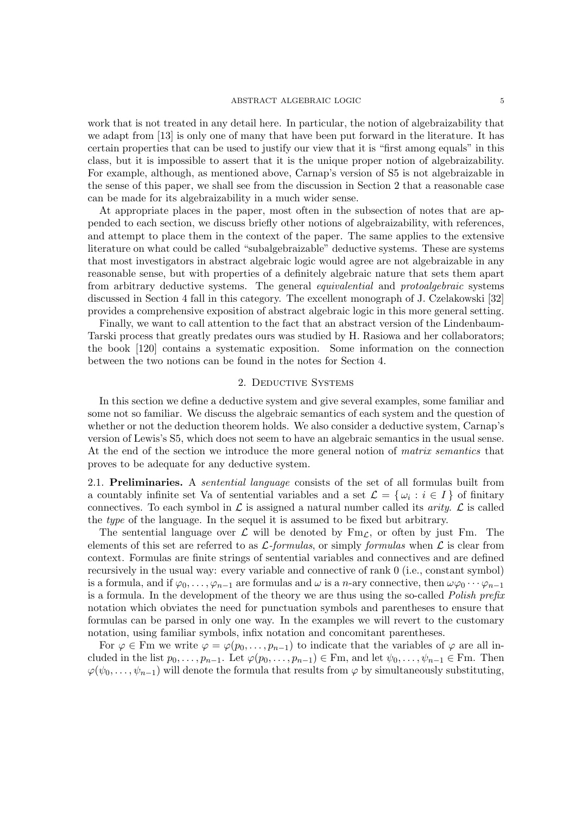### ${\large\bf ABSTRACT\ ALGEBRAIC\ LOGIC} {\large\bf 5}$

work that is not treated in any detail here. In particular, the notion of algebraizability that we adapt from [13] is only one of many that have been put forward in the literature. It has certain properties that can be used to justify our view that it is "first among equals" in this class, but it is impossible to assert that it is the unique proper notion of algebraizability. For example, although, as mentioned above, Carnap's version of S5 is not algebraizable in the sense of this paper, we shall see from the discussion in Section 2 that a reasonable case can be made for its algebraizability in a much wider sense.

At appropriate places in the paper, most often in the subsection of notes that are appended to each section, we discuss briefly other notions of algebraizability, with references, and attempt to place them in the context of the paper. The same applies to the extensive literature on what could be called "subalgebraizable" deductive systems. These are systems that most investigators in abstract algebraic logic would agree are not algebraizable in any reasonable sense, but with properties of a definitely algebraic nature that sets them apart from arbitrary deductive systems. The general *equivalential* and *protoalgebraic* systems discussed in Section 4 fall in this category. The excellent monograph of J. Czelakowski [32] provides a comprehensive exposition of abstract algebraic logic in this more general setting.

Finally, we want to call attention to the fact that an abstract version of the Lindenbaum-Tarski process that greatly predates ours was studied by H. Rasiowa and her collaborators; the book [120] contains a systematic exposition. Some information on the connection between the two notions can be found in the notes for Section 4.

### 2. Deductive Systems

In this section we define a deductive system and give several examples, some familiar and some not so familiar. We discuss the algebraic semantics of each system and the question of whether or not the deduction theorem holds. We also consider a deductive system, Carnap's version of Lewis's S5, which does not seem to have an algebraic semantics in the usual sense. At the end of the section we introduce the more general notion of *matrix semantics* that proves to be adequate for any deductive system.

2.1. Preliminaries. A *sentential language* consists of the set of all formulas built from a countably infinite set Va of sentential variables and a set  $\mathcal{L} = \{\omega_i : i \in I\}$  of finitary connectives. To each symbol in  $\mathcal L$  is assigned a natural number called its *arity.*  $\mathcal L$  is called the type of the language. In the sequel it is assumed to be fixed but arbitrary.

The sentential language over  $\mathcal L$  will be denoted by  $Fm_{\mathcal L}$ , or often by just Fm. The elements of this set are referred to as  $\mathcal{L}$ -formulas, or simply formulas when  $\mathcal{L}$  is clear from context. Formulas are finite strings of sentential variables and connectives and are defined recursively in the usual way: every variable and connective of rank 0 (i.e., constant symbol) is a formula, and if  $\varphi_0, \ldots, \varphi_{n-1}$  are formulas and  $\omega$  is a n-ary connective, then  $\omega\varphi_0 \cdots \varphi_{n-1}$ is a formula. In the development of the theory we are thus using the so-called Polish prefix notation which obviates the need for punctuation symbols and parentheses to ensure that formulas can be parsed in only one way. In the examples we will revert to the customary notation, using familiar symbols, infix notation and concomitant parentheses.

For  $\varphi \in \mathrm{Fm}$  we write  $\varphi = \varphi(p_0, \ldots, p_{n-1})$  to indicate that the variables of  $\varphi$  are all included in the list  $p_0, \ldots, p_{n-1}$ . Let  $\varphi(p_0, \ldots, p_{n-1}) \in \mathbb{F}_m$ , and let  $\psi_0, \ldots, \psi_{n-1} \in \mathbb{F}_m$ . Then  $\varphi(\psi_0,\ldots,\psi_{n-1})$  will denote the formula that results from  $\varphi$  by simultaneously substituting,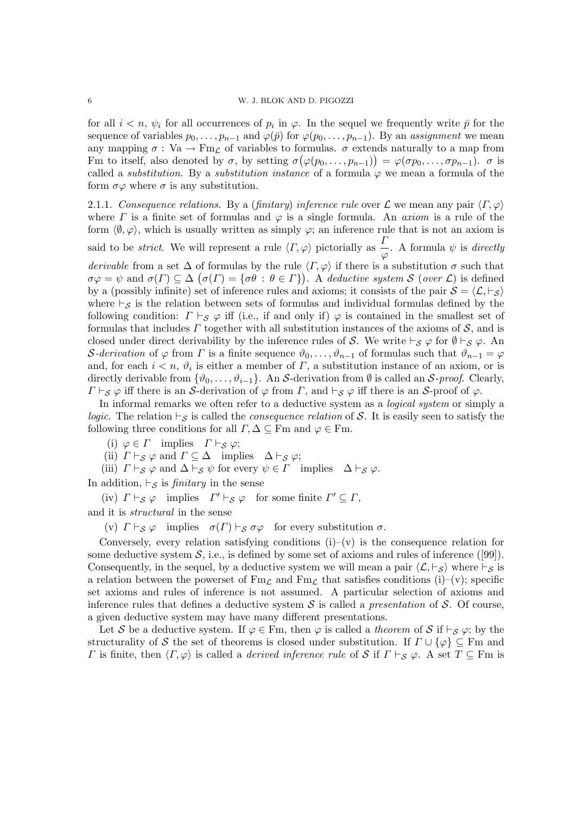for all  $i < n$ ,  $\psi_i$  for all occurrences of  $p_i$  in  $\varphi$ . In the sequel we frequently write  $\bar{p}$  for the sequence of variables  $p_0, \ldots, p_{n-1}$  and  $\varphi(\bar{p})$  for  $\varphi(p_0, \ldots, p_{n-1})$ . By an assignment we mean any mapping  $\sigma : \text{Va} \to \text{Fm}_{\mathcal{L}}$  of variables to formulas.  $\sigma$  extends naturally to a map from Fm to itself, also denoted by  $\sigma$ , by setting  $\sigma(\varphi(p_0,\ldots,p_{n-1})) = \varphi(\sigma p_0,\ldots,\sigma p_{n-1})$ .  $\sigma$  is called a *substitution*. By a *substitution instance* of a formula  $\varphi$  we mean a formula of the form  $\sigma\varphi$  where  $\sigma$  is any substitution.

2.1.1. Consequence relations. By a (finitary) inference rule over  $\mathcal L$  we mean any pair  $\langle \Gamma, \varphi \rangle$ where  $\Gamma$  is a finite set of formulas and  $\varphi$  is a single formula. An *axiom* is a rule of the form  $\langle \emptyset, \varphi \rangle$ , which is usually written as simply  $\varphi$ ; an inference rule that is not an axiom is said to be *strict*. We will represent a rule  $\langle \Gamma, \varphi \rangle$  pictorially as  $\frac{\Gamma}{\varphi}$ . A formula  $\psi$  is *directly* derivable from a set  $\Delta$  of formulas by the rule  $\langle \Gamma, \varphi \rangle$  if there is a substitution  $\sigma$  such that  $\sigma\varphi = \psi$  and  $\sigma(\Gamma) \subseteq \Delta$   $(\sigma(\Gamma) = {\sigma\theta : \theta \in \Gamma})$ . A deductive system S (over L) is defined by a (possibly infinite) set of inference rules and axioms; it consists of the pair  $S = \langle \mathcal{L}, \vdash_S \rangle$ where  $\vdash_S$  is the relation between sets of formulas and individual formulas defined by the following condition:  $\Gamma \vdash_S \varphi$  iff (i.e., if and only if)  $\varphi$  is contained in the smallest set of formulas that includes  $\Gamma$  together with all substitution instances of the axioms of  $\mathcal{S}$ , and is closed under direct derivability by the inference rules of S. We write  $\vdash_S \varphi$  for  $\emptyset \vdash_S \varphi$ . An S-derivation of  $\varphi$  from  $\Gamma$  is a finite sequence  $\vartheta_0, \ldots, \vartheta_{n-1}$  of formulas such that  $\vartheta_{n-1} = \varphi$ and, for each  $i < n$ ,  $\vartheta_i$  is either a member of  $\Gamma$ , a substitution instance of an axiom, or is directly derivable from  $\{\vartheta_0, \ldots, \vartheta_{i-1}\}$ . An S-derivation from  $\emptyset$  is called an S-proof. Clearly,  $\Gamma \vdash_S \varphi$  iff there is an S-derivation of  $\varphi$  from  $\Gamma$ , and  $\vdash_S \varphi$  iff there is an S-proof of  $\varphi$ .

In informal remarks we often refer to a deductive system as a *logical system* or simply a logic. The relation  $\vdash_S$  is called the *consequence relation* of S. It is easily seen to satisfy the following three conditions for all  $\Gamma, \Delta \subseteq \text{Fm}$  and  $\varphi \in \text{Fm}$ .

(i) 
$$
\varphi \in \Gamma
$$
 implies  $\Gamma \vdash_{\mathcal{S}} \varphi$ ;

(ii)  $\Gamma \vdash_{\mathcal{S}} \varphi$  and  $\Gamma \subseteq \Delta$  implies  $\Delta \vdash_{\mathcal{S}} \varphi$ ;

(iii)  $\Gamma \vdash_S \varphi$  and  $\Delta \vdash_S \psi$  for every  $\psi \in \Gamma$  implies  $\Delta \vdash_S \varphi$ .

In addition,  $\vdash_S$  is *finitary* in the sense

(iv)  $\Gamma \vdash_S \varphi$  implies  $\Gamma' \vdash_S \varphi$  for some finite  $\Gamma' \subseteq \Gamma$ , and it is structural in the sense

(v)  $\Gamma \vdash_S \varphi$  implies  $\sigma(\Gamma) \vdash_S \sigma \varphi$  for every substitution  $\sigma$ .

Conversely, every relation satisfying conditions  $(i)-(v)$  is the consequence relation for some deductive system  $S$ , i.e., is defined by some set of axioms and rules of inference ([99]). Consequently, in the sequel, by a deductive system we will mean a pair  $\langle \mathcal{L}, \vdash_S \rangle$  where  $\vdash_S$  is a relation between the powerset of  $Fm<sub>C</sub>$  and  $Fm<sub>C</sub>$  that satisfies conditions (i)–(v); specific set axioms and rules of inference is not assumed. A particular selection of axioms and inference rules that defines a deductive system  $S$  is called a *presentation* of  $S$ . Of course, a given deductive system may have many different presentations.

Let S be a deductive system. If  $\varphi \in \text{Fm}$ , then  $\varphi$  is called a theorem of S if  $\vdash_S \varphi$ ; by the structurality of S the set of theorems is closed under substitution. If  $\Gamma \cup \{\varphi\} \subseteq \text{Fm}$  and Γ is finite, then  $\langle \Gamma, \varphi \rangle$  is called a *derived inference rule* of S if  $\Gamma \vdash_S \varphi$ . A set  $T \subseteq \text{Fm}$  is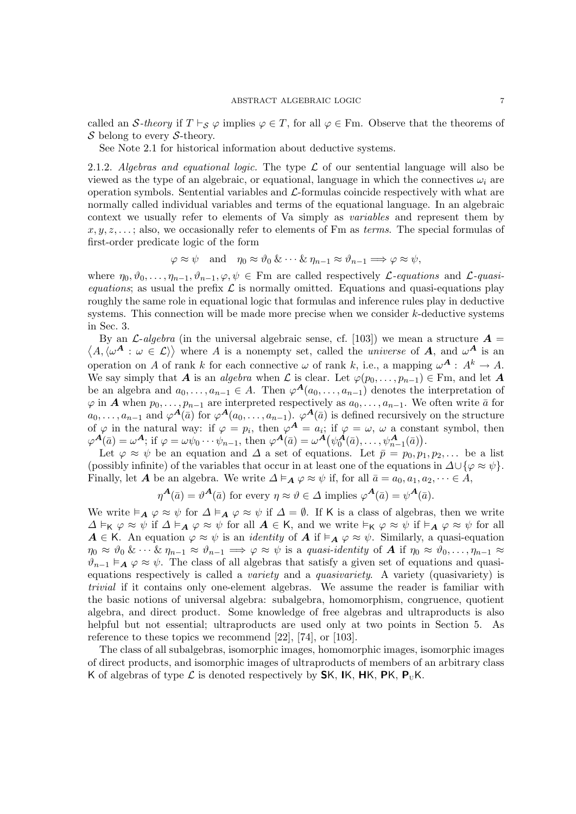called an S-theory if  $T \vdash_S \varphi$  implies  $\varphi \in T$ , for all  $\varphi \in \text{Fm}$ . Observe that the theorems of  $\mathcal S$  belong to every  $\mathcal S$ -theory.

See Note 2.1 for historical information about deductive systems.

2.1.2. Algebras and equational logic. The type  $\mathcal L$  of our sentential language will also be viewed as the type of an algebraic, or equational, language in which the connectives  $\omega_i$  are operation symbols. Sentential variables and  $\mathcal{L}$ -formulas coincide respectively with what are normally called individual variables and terms of the equational language. In an algebraic context we usually refer to elements of Va simply as variables and represent them by  $x, y, z, \ldots$ ; also, we occasionally refer to elements of Fm as *terms*. The special formulas of first-order predicate logic of the form

$$
\varphi \approx \psi \text{ and } \eta_0 \approx \vartheta_0 \& \cdots \& \eta_{n-1} \approx \vartheta_{n-1} \Longrightarrow \varphi \approx \psi,
$$

where  $\eta_0, \vartheta_0, \ldots, \eta_{n-1}, \vartheta_{n-1}, \varphi, \psi \in \mathbb{F}$  are called respectively *L*-equations and *L*-quasiequations; as usual the prefix  $\mathcal L$  is normally omitted. Equations and quasi-equations play roughly the same role in equational logic that formulas and inference rules play in deductive systems. This connection will be made more precise when we consider k-deductive systems in Sec. 3.

By an  $\mathcal{L}\text{-}algebra$  (in the universal algebraic sense, cf. [103]) we mean a structure  $\mathcal{A} =$  $\langle A, \langle \omega^{\mathbf{A}} : \omega \in \mathcal{L} \rangle \rangle$  where A is a nonempty set, called the *universe* of A, and  $\omega^{\mathbf{A}}$  is an operation on A of rank k for each connective  $\omega$  of rank k, i.e., a mapping  $\omega^{\mathbf{A}}: A^k \to A$ . We say simply that A is an algebra when L is clear. Let  $\varphi(p_0, \ldots, p_{n-1}) \in \mathbb{F}_m$ , and let A be an algebra and  $a_0, \ldots, a_{n-1} \in A$ . Then  $\varphi^{\mathbf{A}}(a_0, \ldots, a_{n-1})$  denotes the interpretation of  $\varphi$  in **A** when  $p_0, \ldots, p_{n-1}$  are interpreted respectively as  $a_0, \ldots, a_{n-1}$ . We often write  $\bar{a}$  for  $a_0, \ldots, a_{n-1}$  and  $\varphi^{\mathbf{A}}(\bar{a})$  for  $\varphi^{\mathbf{A}}(a_0, \ldots, a_{n-1})$ .  $\varphi^{\mathbf{A}}(\bar{a})$  is defined recursively on the structure of  $\varphi$  in the natural way: if  $\varphi = p_i$ , then  $\varphi^A = a_i$ ; if  $\varphi = \omega$ ,  $\omega$  a constant symbol, then  $\varphi^{\mathbf{A}}(\bar{a}) = \omega^{\mathbf{A}}$ ; if  $\varphi = \omega \psi_0 \cdots \psi_{n-1}$ , then  $\varphi^{\mathbf{A}}(\bar{a}) = \omega^{\mathbf{A}}(\psi_0^{\mathbf{A}}(\bar{a}), \ldots, \psi_{n-1}^{\mathbf{A}}(\bar{a}))$ .

Let  $\varphi \approx \psi$  be an equation and  $\Delta$  a set of equations. Let  $\bar{p} = p_0, p_1, p_2, \dots$  be a list (possibly infinite) of the variables that occur in at least one of the equations in  $\Delta \cup \{\varphi \approx \psi\}.$ Finally, let **A** be an algebra. We write  $\Delta \models_{\mathbf{A}} \varphi \approx \psi$  if, for all  $\bar{a} = a_0, a_1, a_2, \dots \in A$ ,

$$
\eta^{\mathbf{A}}(\bar{a}) = \vartheta^{\mathbf{A}}(\bar{a})
$$
 for every  $\eta \approx \vartheta \in \Delta$  implies  $\varphi^{\mathbf{A}}(\bar{a}) = \psi^{\mathbf{A}}(\bar{a})$ .

We write  $\vdash_{\mathbf{A}} \varphi \approx \psi$  for  $\Delta \vdash_{\mathbf{A}} \varphi \approx \psi$  if  $\Delta = \emptyset$ . If K is a class of algebras, then we write  $\Delta \vDash_K \varphi \approx \psi$  if  $\Delta \vDash_A \varphi \approx \psi$  for all  $A \in K$ , and we write  $\vDash_K \varphi \approx \psi$  if  $\vDash_A \varphi \approx \psi$  for all  $A \in K$ . An equation  $\varphi \approx \psi$  is an *identity* of  $A$  if  $\vDash_{A} \varphi \approx \psi$ . Similarly, a quasi-equation  $\eta_0 \approx \vartheta_0 \&\cdots \& \eta_{n-1} \approx \vartheta_{n-1} \Longrightarrow \varphi \approx \psi$  is a quasi-identity of **A** if  $\eta_0 \approx \vartheta_0, \ldots, \eta_{n-1} \approx \vartheta$  $\vartheta_{n-1} \models_{\mathbf{A}} \varphi \approx \psi$ . The class of all algebras that satisfy a given set of equations and quasiequations respectively is called a variety and a quasivariety. A variety (quasivariety) is trivial if it contains only one-element algebras. We assume the reader is familiar with the basic notions of universal algebra: subalgebra, homomorphism, congruence, quotient algebra, and direct product. Some knowledge of free algebras and ultraproducts is also helpful but not essential; ultraproducts are used only at two points in Section 5. As reference to these topics we recommend [22], [74], or [103].

The class of all subalgebras, isomorphic images, homomorphic images, isomorphic images of direct products, and isomorphic images of ultraproducts of members of an arbitrary class K of algebras of type  $\mathcal L$  is denoted respectively by **SK, IK, HK, PK, P**<sub>U</sub>K.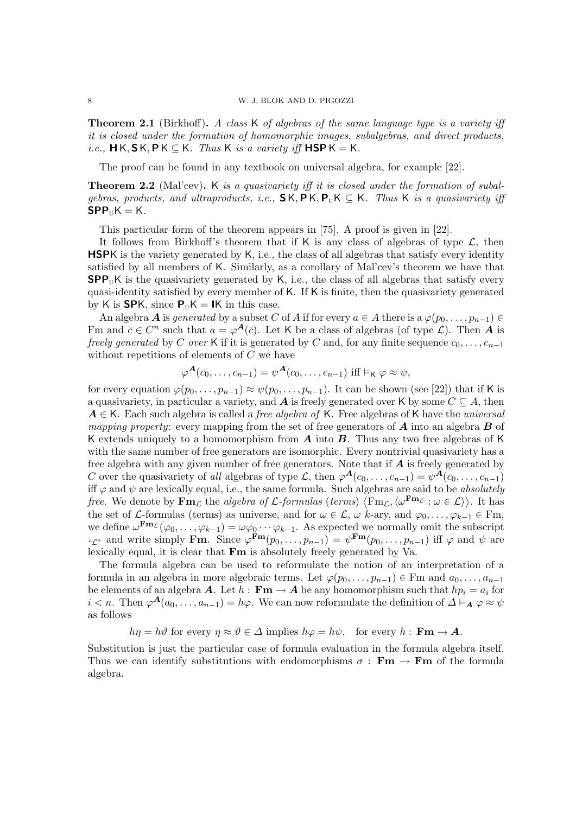**Theorem 2.1** (Birkhoff). A class K of algebras of the same language type is a variety iff it is closed under the formation of homomorphic images, subalgebras, and direct products, i.e.,  $\mathsf{HK}, \mathsf{SK}, \mathsf{PK} \subseteq \mathsf{K}$ . Thus K is a variety iff  $\mathsf{HSPK} = \mathsf{K}$ .

The proof can be found in any textbook on universal algebra, for example [22].

Theorem 2.2 (Mal'cev). K is a quasivariety iff it is closed under the formation of subalgebras, products, and ultraproducts, i.e.,  $\mathsf{SK}, \mathsf{PK}, \mathsf{P}_{\text{U}}\mathsf{K} \subset \mathsf{K}$ . Thus K is a quasivariety iff  $SPP_{II}K = K$ .

This particular form of the theorem appears in [75]. A proof is given in [22].

It follows from Birkhoff's theorem that if K is any class of algebras of type  $\mathcal{L}$ , then HSPK is the variety generated by K, i.e., the class of all algebras that satisfy every identity satisfied by all members of K. Similarly, as a corollary of Mal'cev's theorem we have that  $SPP_UK$  is the quasivariety generated by K, i.e., the class of all algebras that satisfy every quasi-identity satisfied by every member of K. If K is finite, then the quasivariety generated by K is **SP**K, since  $P_{U}K = IK$  in this case.

An algebra A is generated by a subset C of A if for every  $a \in A$  there is a  $\varphi(p_0, \ldots, p_{n-1}) \in$ Fm and  $\bar{c} \in C^n$  such that  $a = \varphi^{\mathbf{A}}(\bar{c})$ . Let K be a class of algebras (of type  $\mathcal{L}$ ). Then A is freely generated by C over K if it is generated by C and, for any finite sequence  $c_0, \ldots, c_{n-1}$ without repetitions of elements of C we have

$$
\varphi^{\mathbf{A}}(c_0,\ldots,c_{n-1})=\psi^{\mathbf{A}}(c_0,\ldots,c_{n-1}) \text{ iff }\vDash_{\mathsf{K}} \varphi \approx \psi,
$$

for every equation  $\varphi(p_0, \ldots, p_{n-1}) \approx \psi(p_0, \ldots, p_{n-1})$ . It can be shown (see [22]) that if K is a quasivariety, in particular a variety, and **A** is freely generated over K by some  $C \subseteq A$ , then  $A \in \mathsf{K}$ . Each such algebra is called a *free algebra of*  $\mathsf{K}$ . Free algebras of  $\mathsf{K}$  have the *universal mapping property:* every mapping from the set of free generators of  $\boldsymbol{A}$  into an algebra  $\boldsymbol{B}$  of K extends uniquely to a homomorphism from  $\vec{A}$  into  $\vec{B}$ . Thus any two free algebras of K with the same number of free generators are isomorphic. Every nontrivial quasivariety has a free algebra with any given number of free generators. Note that if  $A$  is freely generated by C over the quasivariety of all algebras of type L, then  $\varphi^{\mathbf{A}}(c_0,\ldots,c_{n-1}) = \psi^{\mathbf{A}}(c_0,\ldots,c_{n-1})$ iff  $\varphi$  and  $\psi$  are lexically equal, i.e., the same formula. Such algebras are said to be *absolutely free.* We denote by  $\mathbf{Fm}_{\mathcal{L}}$  the *algebra of L-formulas (terms)*  $\langle \mathrm{Fm}_{\mathcal{L}}, \langle \omega^{\mathbf{Fm}_{\mathcal{L}}} : \omega \in \mathcal{L} \rangle$ ). It has the set of *L*-formulas (terms) as universe, and for  $\omega \in \mathcal{L}$ ,  $\omega$  k-ary, and  $\varphi_0, \ldots, \varphi_{k-1} \in \mathrm{Fm}$ , we define  $\omega^{\mathbf{Fm}_{\mathcal{L}}}(\varphi_0,\ldots,\varphi_{k-1})=\omega\varphi_0\cdots\varphi_{k-1}$ . As expected we normally omit the subscript " $\mathcal{L}^n$  and write simply **Fm**. Since  $\varphi^{\mathbf{Fm}}(p_0,\ldots,p_{n-1}) = \psi^{\mathbf{Fm}}(p_0,\ldots,p_{n-1})$  iff  $\varphi$  and  $\psi$  are lexically equal, it is clear that Fm is absolutely freely generated by Va.

The formula algebra can be used to reformulate the notion of an interpretation of a formula in an algebra in more algebraic terms. Let  $\varphi(p_0, \ldots, p_{n-1}) \in \mathbb{F}$ m and  $a_0, \ldots, a_{n-1}$ be elements of an algebra **A**. Let  $h : \mathbf{Fm} \to \mathbf{A}$  be any homomorphism such that  $hp_i = a_i$  for  $i < n$ . Then  $\varphi^{\mathbf{A}}(a_0, \ldots, a_{n-1}) = h\varphi$ . We can now reformulate the definition of  $\Delta \models_{\mathbf{A}} \varphi \approx \psi$ as follows

$$
h\eta = h\vartheta
$$
 for every  $\eta \approx \vartheta \in \Delta$  implies  $h\varphi = h\psi$ , for every  $h : \mathbf{Fm} \to \mathbf{A}$ .

Substitution is just the particular case of formula evaluation in the formula algebra itself. Thus we can identify substitutions with endomorphisms  $\sigma : \mathbf{Fm} \to \mathbf{Fm}$  of the formula algebra.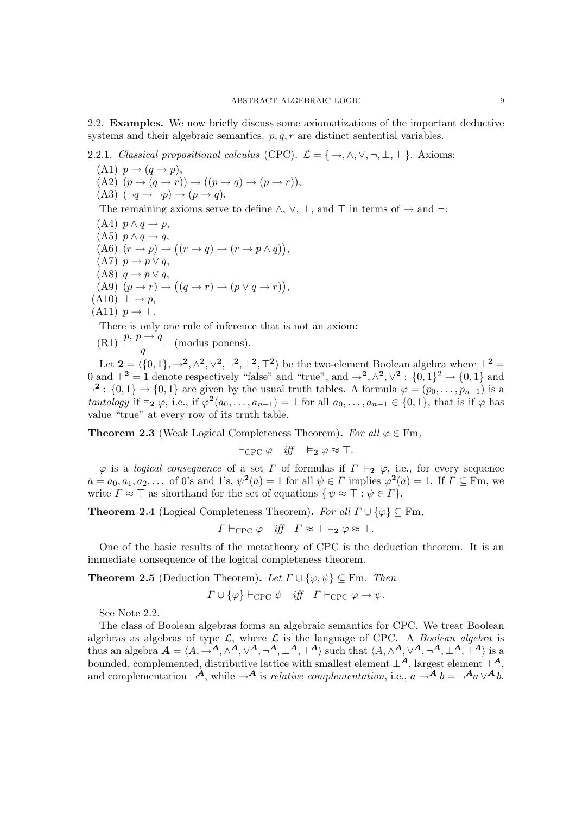2.2. Examples. We now briefly discuss some axiomatizations of the important deductive systems and their algebraic semantics.  $p, q, r$  are distinct sentential variables.

2.2.1. Classical propositional calculus (CPC).  $\mathcal{L} = \{ \rightarrow, \wedge, \vee, \neg, \bot, \top \}$ . Axioms:

 $(A1)$   $p \rightarrow (q \rightarrow p),$ (A2)  $(p \rightarrow (q \rightarrow r)) \rightarrow ((p \rightarrow q) \rightarrow (p \rightarrow r)),$  $(A3)$   $(\neg q \rightarrow \neg p) \rightarrow (p \rightarrow q)$ . The remaining axioms serve to define  $\land$ ,  $\lor$ ,  $\bot$ , and  $\top$  in terms of  $\rightarrow$  and  $\neg$ :  $(A4)$   $p \wedge q \rightarrow p$ , (A5)  $p \wedge q \rightarrow q$ ,  $(A6)$   $(r \rightarrow p) \rightarrow ((r \rightarrow q) \rightarrow (r \rightarrow p \land q)),$  $(A7)$   $p \rightarrow p \vee q$ , (A8)  $q \rightarrow p \vee q$ , (A9)  $(p \rightarrow r) \rightarrow ((q \rightarrow r) \rightarrow (p \vee q \rightarrow r)),$  $(A10) \perp \rightarrow p$ ,  $(A11)$   $p \rightarrow \top$ . There is only one rule of inference that is not an axiom:

(R1) 
$$
\frac{p, p \rightarrow q}{q}
$$
 (modus ponens).

Let  $\mathbf{2} = \langle \{0, 1\}, \rightarrow^2, \wedge^2, \vee^2, \neg^2, \perp^2, \top^2 \rangle$  be the two-element Boolean algebra where  $\perp^2$ 0 and  $\mathcal{T}^2 = 1$  denote respectively "false" and "true", and  $\rightarrow^2, \wedge^2, \vee^2 : \{0,1\}^2 \rightarrow \{0,1\}$  and  $\neg^2: \{0,1\} \rightarrow \{0,1\}$  are given by the usual truth tables. A formula  $\varphi = (p_0, \ldots, p_{n-1})$  is a tautology if  $\vDash_2 \varphi$ , i.e., if  $\varphi^2(a_0, \ldots, a_{n-1}) = 1$  for all  $a_0, \ldots, a_{n-1} \in \{0, 1\}$ , that is if  $\varphi$  has value "true" at every row of its truth table.

**Theorem 2.3** (Weak Logical Completeness Theorem). For all  $\varphi \in \text{Fm}$ ,

 $\vdash_{\text{CPC}} \varphi \quad \text{iff} \quad \vDash_2 \varphi \approx \top.$ 

 $\varphi$  is a logical consequence of a set  $\Gamma$  of formulas if  $\Gamma \vDash_2 \varphi$ , i.e., for every sequence  $\bar{a} = a_0, a_1, a_2, \dots$  of 0's and 1's,  $\psi^2(\bar{a}) = 1$  for all  $\psi \in \Gamma$  implies  $\varphi^2(\bar{a}) = 1$ . If  $\Gamma \subseteq \text{Fm}$ , we write  $\Gamma \approx \top$  as shorthand for the set of equations  $\{ \psi \approx \top : \psi \in \Gamma \}.$ 

**Theorem 2.4** (Logical Completeness Theorem). For all  $\Gamma \cup {\varphi} \subseteq \text{Fm}$ ,

 $\Gamma \vdash_{\text{CPC}} \varphi \quad \text{iff} \quad \Gamma \approx \top \vDash_2 \varphi \approx \top.$ 

One of the basic results of the metatheory of CPC is the deduction theorem. It is an immediate consequence of the logical completeness theorem.

**Theorem 2.5** (Deduction Theorem). Let  $\Gamma \cup {\varphi, \psi} \subseteq \text{Fm}$ . Then

$$
\Gamma \cup \{\varphi\} \vdash_{\text{CPC}} \psi \quad \text{iff} \quad \Gamma \vdash_{\text{CPC}} \varphi \to \psi.
$$

See Note 2.2.

The class of Boolean algebras forms an algebraic semantics for CPC. We treat Boolean algebras as algebras of type  $\mathcal{L}$ , where  $\mathcal{L}$  is the language of CPC. A *Boolean algebra* is thus an algebra  $A = \langle A, \to^A, \wedge^A, \vee^A, \neg^A, \perp^A, \top^A \rangle$  such that  $\langle A, \wedge^A, \vee^A, \neg^A, \perp^A, \top^A \rangle$  is a bounded, complemented, distributive lattice with smallest element  $\perp^A$ , largest element  $\perp^A$ . and complementation  $\neg^A$ , while  $\neg^A$  is *relative complementation*, i.e.,  $a \rightarrow^A b = \neg^A a \lor^A b$ .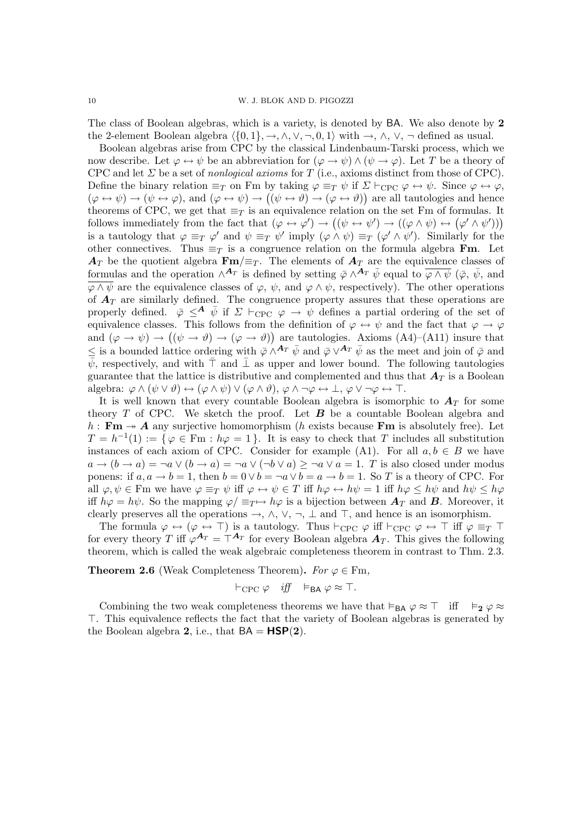The class of Boolean algebras, which is a variety, is denoted by BA. We also denote by 2 the 2-element Boolean algebra  $\langle \{0, 1\}, \rightarrow, \land, \lor, \neg, 0, 1\rangle$  with  $\rightarrow, \land, \lor, \neg$  defined as usual.

Boolean algebras arise from CPC by the classical Lindenbaum-Tarski process, which we now describe. Let  $\varphi \leftrightarrow \psi$  be an abbreviation for  $(\varphi \to \psi) \wedge (\psi \to \varphi)$ . Let T be a theory of CPC and let  $\Sigma$  be a set of nonlogical axioms for T (i.e., axioms distinct from those of CPC). Define the binary relation  $\equiv_T$  on Fm by taking  $\varphi \equiv_T \psi$  if  $\Sigma \vdash_{\text{CPC}} \varphi \leftrightarrow \psi$ . Since  $\varphi \leftrightarrow \varphi$ ,  $(\varphi \leftrightarrow \psi) \rightarrow (\psi \leftrightarrow \varphi)$ , and  $(\varphi \leftrightarrow \psi) \rightarrow ((\psi \leftrightarrow \vartheta) \rightarrow (\varphi \leftrightarrow \vartheta))$  are all tautologies and hence theorems of CPC, we get that  $\equiv_T$  is an equivalence relation on the set Fm of formulas. It follows immediately from the fact that  $(\varphi \leftrightarrow \varphi') \rightarrow ((\psi \leftrightarrow \psi') \rightarrow ((\varphi \land \psi) \leftrightarrow (\varphi' \land \psi')))$ is a tautology that  $\varphi \equiv_T \varphi'$  and  $\psi \equiv_T \psi'$  imply  $(\varphi \wedge \psi) \equiv_T (\varphi' \wedge \psi')$ . Similarly for the other connectives. Thus  $\equiv_T$  is a congruence relation on the formula algebra **Fm**. Let  $A_T$  be the quotient algebra  $\text{Fm}/\equiv_T$ . The elements of  $A_T$  are the equivalence classes of formulas and the operation  $\wedge^{A_T}$  is defined by setting  $\bar{\varphi} \wedge^{A_T} \bar{\psi}$  equal to  $\bar{\varphi} \wedge \bar{\psi}$  ( $\bar{\varphi}$ ,  $\bar{\psi}$ , and  $\overline{\varphi \wedge \psi}$  are the equivalence classes of  $\varphi$ ,  $\psi$ , and  $\varphi \wedge \psi$ , respectively). The other operations of  $A_T$  are similarly defined. The congruence property assures that these operations are properly defined.  $\bar{\varphi} \leq^{\mathbf{A}} \bar{\psi}$  if  $\Sigma \vdash_{\text{CPC}} \varphi \rightarrow \psi$  defines a partial ordering of the set of equivalence classes. This follows from the definition of  $\varphi \leftrightarrow \psi$  and the fact that  $\varphi \rightarrow \varphi$ and  $(\varphi \to \psi) \to ((\psi \to \vartheta) \to (\varphi \to \vartheta))$  are tautologies. Axioms (A4)–(A11) insure that ≤ is a bounded lattice ordering with  $\bar{\varphi} \wedge^{A_T} \bar{\psi}$  and  $\bar{\varphi} \vee^{A_T} \bar{\psi}$  as the meet and join of  $\bar{\varphi}$  and  $\bar{\psi}$ , respectively, and with  $\bar{\top}$  and  $\bar{\bot}$  as upper and lower bound. The following tautologies guarantee that the lattice is distributive and complemented and thus that  $A_T$  is a Boolean algebra:  $\varphi \wedge (\psi \vee \vartheta) \leftrightarrow (\varphi \wedge \psi) \vee (\varphi \wedge \vartheta), \varphi \wedge \neg \varphi \leftrightarrow \bot, \varphi \vee \neg \varphi \leftrightarrow \top.$ 

It is well known that every countable Boolean algebra is isomorphic to  $A_T$  for some theory  $T$  of CPC. We sketch the proof. Let  $B$  be a countable Boolean algebra and  $h : \mathbf{Fm} \rightarrow \mathbf{A}$  any surjective homomorphism (h exists because  $\mathbf{Fm}$  is absolutely free). Let  $T = h^{-1}(1) := \{ \varphi \in \mathbb{F}m : h\varphi = 1 \}.$  It is easy to check that T includes all substitution instances of each axiom of CPC. Consider for example (A1). For all  $a, b \in B$  we have  $a \to (b \to a) = \neg a \lor (b \to a) = \neg a \lor (\neg b \lor a) \geq \neg a \lor a = 1$ . T is also closed under modus ponens: if  $a, a \to b = 1$ , then  $b = 0 \lor b = \neg a \lor b = a \to b = 1$ . So T is a theory of CPC. For all  $\varphi, \psi \in \mathbb{F}$ m we have  $\varphi \equiv_T \psi$  iff  $\varphi \leftrightarrow \psi \in T$  iff  $h\varphi \leftrightarrow h\psi = 1$  iff  $h\varphi \leq h\psi$  and  $h\psi \leq h\varphi$ iff  $h\varphi = h\psi$ . So the mapping  $\varphi = \psi + h\varphi$  is a bijection between  $A_T$  and B. Moreover, it clearly preserves all the operations  $\rightarrow$ ,  $\land$ ,  $\lor$ ,  $\neg$ ,  $\bot$  and  $\top$ , and hence is an isomorphism.

The formula  $\varphi \leftrightarrow (\varphi \leftrightarrow \top)$  is a tautology. Thus  $\vdash_{\text{CPC}} \varphi$  iff  $\vdash_{\text{CPC}} \varphi \leftrightarrow \top$  iff  $\varphi \equiv_T \top$ for every theory T iff  $\varphi^{A_T} = \top^{A_T}$  for every Boolean algebra  $A_T$ . This gives the following theorem, which is called the weak algebraic completeness theorem in contrast to Thm. 2.3.

**Theorem 2.6** (Weak Completeness Theorem). For  $\varphi \in \text{Fm}$ ,

$$
\vdash_{\text{CPC}} \varphi \quad \text{iff} \quad \vDash_{\textbf{BA}} \varphi \approx \top.
$$

Combining the two weak completeness theorems we have that  $\vdash_{\mathsf{BA}} \varphi \approx \top$  iff  $\vdash_2 \varphi \approx$ >. This equivalence reflects the fact that the variety of Boolean algebras is generated by the Boolean algebra 2, i.e., that  $BA = HSP(2)$ .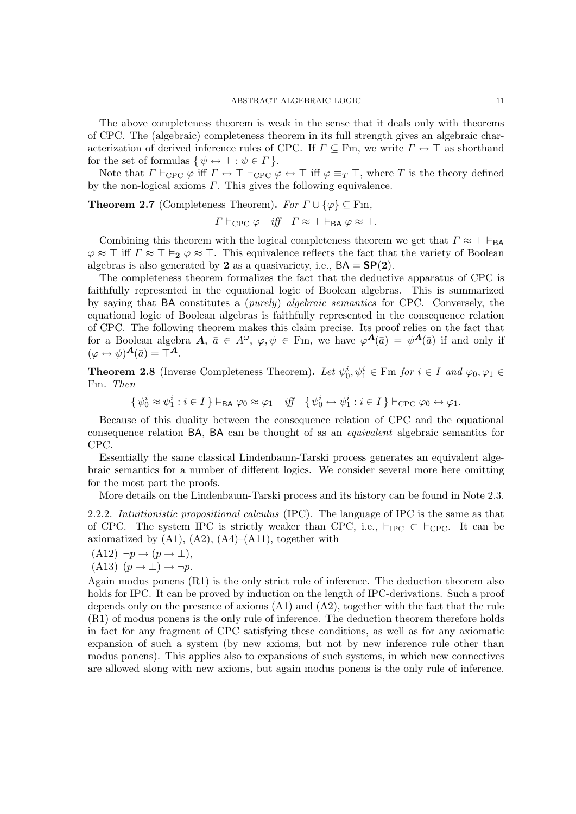The above completeness theorem is weak in the sense that it deals only with theorems of CPC. The (algebraic) completeness theorem in its full strength gives an algebraic characterization of derived inference rules of CPC. If  $\Gamma \subseteq \text{Fm}$ , we write  $\Gamma \leftrightarrow \top$  as shorthand for the set of formulas  $\{ \psi \leftrightarrow \top : \psi \in \Gamma \}.$ 

Note that  $\Gamma \vdash_{\text{CPC}} \varphi$  iff  $\Gamma \leftrightarrow \top \vdash_{\text{CPC}} \varphi \leftrightarrow \top$  iff  $\varphi \equiv_T \top$ , where T is the theory defined by the non-logical axioms  $\Gamma$ . This gives the following equivalence.

**Theorem 2.7** (Completeness Theorem). For  $\Gamma \cup {\varphi} \subseteq \text{Fm}$ ,

$$
\Gamma \vdash_{\text{CPC}} \varphi \quad \text{iff} \quad \Gamma \approx \top \vDash_{\text{BA}} \varphi \approx \top.
$$

Combining this theorem with the logical completeness theorem we get that  $\Gamma \approx \top \vDash_{BA}$  $\varphi \approx \top$  iff  $\Gamma \approx \top \vDash_2 \varphi \approx \top$ . This equivalence reflects the fact that the variety of Boolean algebras is also generated by 2 as a quasivariety, i.e.,  $BA = SP(2)$ .

The completeness theorem formalizes the fact that the deductive apparatus of CPC is faithfully represented in the equational logic of Boolean algebras. This is summarized by saying that BA constitutes a (purely) algebraic semantics for CPC. Conversely, the equational logic of Boolean algebras is faithfully represented in the consequence relation of CPC. The following theorem makes this claim precise. Its proof relies on the fact that for a Boolean algebra  $A, \bar{a} \in A^{\omega}, \varphi, \psi \in \mathbb{F}m$ , we have  $\varphi^{\mathbf{A}}(\bar{a}) = \psi^{\mathbf{A}}(\bar{a})$  if and only if  $(\varphi \leftrightarrow \psi)^{\mathbf{A}}(\bar{a}) = \top^{\mathbf{A}}$ .

**Theorem 2.8** (Inverse Completeness Theorem). Let  $\psi_0^i, \psi_1^i \in \text{Fm}$  for  $i \in I$  and  $\varphi_0, \varphi_1 \in$ Fm. Then

 $\{\psi_0^i \approx \psi_1^i : i \in I\} \vDash_{\mathsf{BA}} \varphi_0 \approx \varphi_1 \quad \text{iff} \quad \{\psi_0^i \leftrightarrow \psi_1^i : i \in I\} \vdash_{\text{CPC}} \varphi_0 \leftrightarrow \varphi_1.$ 

Because of this duality between the consequence relation of CPC and the equational consequence relation BA, BA can be thought of as an equivalent algebraic semantics for CPC.

Essentially the same classical Lindenbaum-Tarski process generates an equivalent algebraic semantics for a number of different logics. We consider several more here omitting for the most part the proofs.

More details on the Lindenbaum-Tarski process and its history can be found in Note 2.3.

2.2.2. Intuitionistic propositional calculus (IPC). The language of IPC is the same as that of CPC. The system IPC is strictly weaker than CPC, i.e.,  $\vdash_{\text{IPC}} \subset \vdash_{\text{CPC}}$ . It can be axiomatized by  $(A1)$ ,  $(A2)$ ,  $(A4)$ – $(A11)$ , together with

 $(A12) \neg p \rightarrow (p \rightarrow \perp),$ (A13)  $(p \rightarrow \bot) \rightarrow \neg p$ .

Again modus ponens  $(R1)$  is the only strict rule of inference. The deduction theorem also holds for IPC. It can be proved by induction on the length of IPC-derivations. Such a proof depends only on the presence of axioms (A1) and (A2), together with the fact that the rule (R1) of modus ponens is the only rule of inference. The deduction theorem therefore holds in fact for any fragment of CPC satisfying these conditions, as well as for any axiomatic expansion of such a system (by new axioms, but not by new inference rule other than modus ponens). This applies also to expansions of such systems, in which new connectives are allowed along with new axioms, but again modus ponens is the only rule of inference.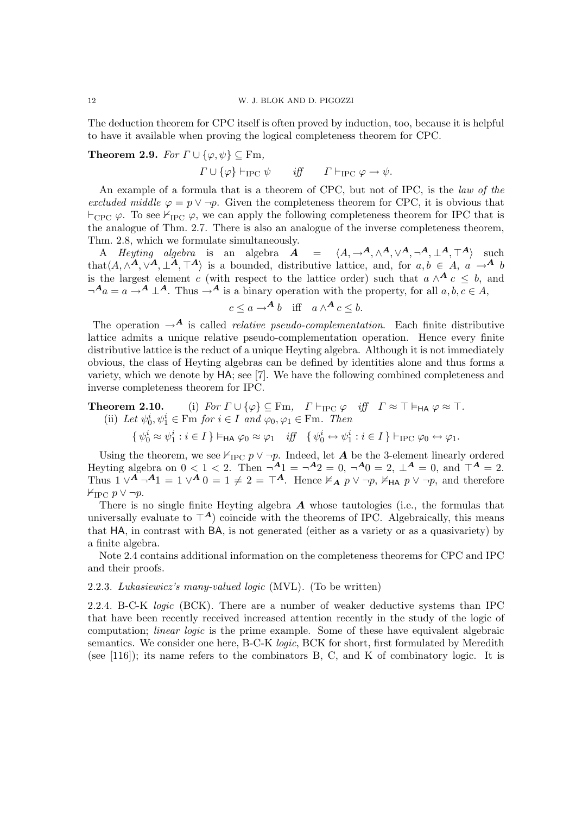The deduction theorem for CPC itself is often proved by induction, too, because it is helpful to have it available when proving the logical completeness theorem for CPC.

### **Theorem 2.9.** For  $\Gamma \cup {\varphi, \psi} \subseteq \text{Fm}$ ,

 $\Gamma \cup \{\varphi\} \vdash_{\text{IPC}} \psi \qquad \text{iff} \qquad \Gamma \vdash_{\text{IPC}} \varphi \to \psi.$ 

An example of a formula that is a theorem of CPC, but not of IPC, is the law of the excluded middle  $\varphi = p \vee \neg p$ . Given the completeness theorem for CPC, it is obvious that  $\vdash_{\text{CPC}} \varphi$ . To see  $\vdash_{\text{IPC}} \varphi$ , we can apply the following completeness theorem for IPC that is the analogue of Thm. 2.7. There is also an analogue of the inverse completeness theorem, Thm. 2.8, which we formulate simultaneously.

A Heyting algebra is an algebra  $A = \langle A, \rightarrow A, \wedge^{A}, \vee^{A}, \neg^{A}, \perp^{A}, \top^{A} \rangle$  such that $\langle A, \wedge^{\mathbf{A}}, \vee^{\mathbf{A}}, \perp^{\mathbf{A}}, \top^{\mathbf{A}} \rangle$  is a bounded, distributive lattice, and, for  $a, b \in A$ ,  $a \to^{\mathbf{A}} b$ is the largest element c (with respect to the lattice order) such that  $a \wedge^{\mathbf{A}} c \leq b$ , and  $\neg^A a = a \rightarrow^A \perp^A$ . Thus  $\neg^A$  is a binary operation with the property, for all  $a, b, c \in A$ ,

$$
c \le a \to^{\mathbf{A}} b \quad \text{iff} \quad a \wedge^{\mathbf{A}} c \le b.
$$

The operation  $\rightarrow$ <sup>A</sup> is called *relative pseudo-complementation*. Each finite distributive lattice admits a unique relative pseudo-complementation operation. Hence every finite distributive lattice is the reduct of a unique Heyting algebra. Although it is not immediately obvious, the class of Heyting algebras can be defined by identities alone and thus forms a variety, which we denote by HA; see [7]. We have the following combined completeness and inverse completeness theorem for IPC.

## **Theorem 2.10.** (i) For  $\Gamma \cup \{\varphi\} \subseteq \text{Fm}$ ,  $\Gamma \vdash_{\text{IPC}} \varphi$  iff  $\Gamma \approx \top \vDash_{\text{HA}} \varphi \approx \top$ . (ii) Let  $\psi_0^i, \psi_1^i \in \text{Fm}$  for  $i \in I$  and  $\varphi_0, \varphi_1 \in \text{Fm}$ . Then

$$
\{\,\psi_0^i\approx\psi_1^i: i\in I\,\}\vDash_{\mathsf{HA}}\varphi_0\approx\varphi_1\quad\textit{iff}\quad\{\,\psi_0^i\leftrightarrow\psi_1^i: i\in I\,\}\vdash_{\mathsf{IPC}}\varphi_0\leftrightarrow\varphi_1.
$$

Using the theorem, we see  $\nvDash_{\text{IPC}} p \vee \neg p$ . Indeed, let **A** be the 3-element linearly ordered Heyting algebra on  $0 < 1 < 2$ . Then  $\neg A_1 = \neg A_2 = 0$ ,  $\neg A_0 = 2$ ,  $\bot A = 0$ , and  $\top A = 2$ . Thus  $1 \vee^{A} \neg^{A} 1 = 1 \vee^{A} 0 = 1 \neq 2 = \top^{A}$ . Hence  $\nvDash_{A} p \vee \neg p$ ,  $\nvDash_{H_{A}} p \vee \neg p$ , and therefore  $\nvDash_{\text{IPC}} p \vee \neg p$ .

There is no single finite Heyting algebra  $\boldsymbol{A}$  whose tautologies (i.e., the formulas that universally evaluate to  $\mathcal{T}^{A}$  coincide with the theorems of IPC. Algebraically, this means that HA, in contrast with BA, is not generated (either as a variety or as a quasivariety) by a finite algebra.

Note 2.4 contains additional information on the completeness theorems for CPC and IPC and their proofs.

### 2.2.3. Lukasiewicz's many-valued logic (MVL). (To be written)

2.2.4. B-C-K logic (BCK). There are a number of weaker deductive systems than IPC that have been recently received increased attention recently in the study of the logic of computation; *linear logic* is the prime example. Some of these have equivalent algebraic semantics. We consider one here, B-C-K *logic*, BCK for short, first formulated by Meredith (see  $[116]$ ); its name refers to the combinators B, C, and K of combinatory logic. It is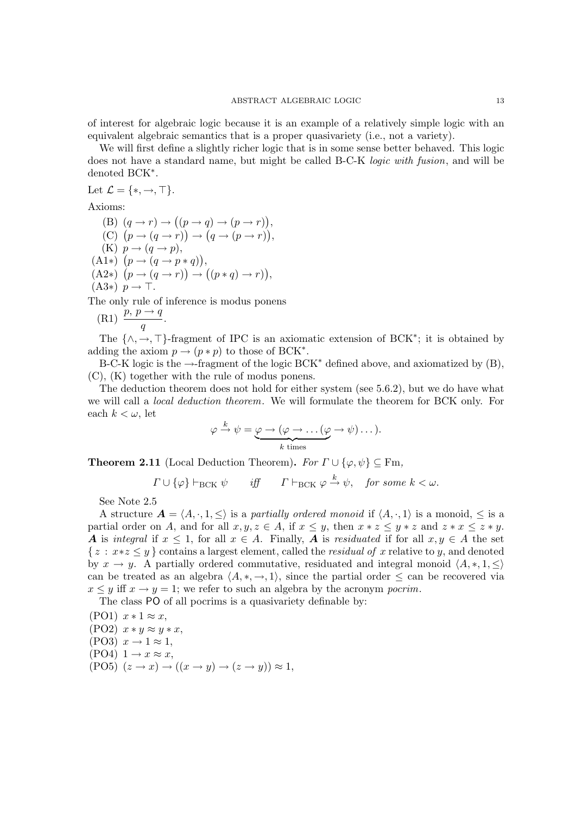of interest for algebraic logic because it is an example of a relatively simple logic with an equivalent algebraic semantics that is a proper quasivariety (i.e., not a variety).

We will first define a slightly richer logic that is in some sense better behaved. This logic does not have a standard name, but might be called B-C-K logic with fusion, and will be denoted BCK<sup>∗</sup> .

Let  $\mathcal{L} = \{*, \rightarrow, \top\}.$ 

Axioms:

(B)  $(q \rightarrow r) \rightarrow ((p \rightarrow q) \rightarrow (p \rightarrow r)),$ (C)  $(p \rightarrow (q \rightarrow r)) \rightarrow (q \rightarrow (p \rightarrow r)),$ (K)  $p \rightarrow (q \rightarrow p)$ ,  $(A1*)$   $(p \rightarrow (q \rightarrow p * q)),$  $(A2*)$   $(p \rightarrow (q \rightarrow r)) \rightarrow ((p * q) \rightarrow r)),$  $(A3*)$   $p \rightarrow \top$ .

The only rule of inference is modus ponens

(R1) 
$$
\frac{p, p \to q}{q}.
$$

The  $\{\wedge, \rightarrow, \top\}$ -fragment of IPC is an axiomatic extension of BCK<sup>\*</sup>; it is obtained by adding the axiom  $p \to (p * p)$  to those of BCK<sup>\*</sup>.

B-C-K logic is the  $\rightarrow$ -fragment of the logic BCK<sup>\*</sup> defined above, and axiomatized by (B), (C), (K) together with the rule of modus ponens.

The deduction theorem does not hold for either system (see 5.6.2), but we do have what we will call a local deduction theorem. We will formulate the theorem for BCK only. For each  $k < \omega$ , let

$$
\varphi \xrightarrow{k} \psi = \underbrace{\varphi \to (\varphi \to \dots (\varphi \to \psi) \dots)}_{k \text{ times}}.
$$

**Theorem 2.11** (Local Deduction Theorem). For  $\Gamma \cup \{\varphi, \psi\} \subseteq \text{Fm}$ ,

$$
\Gamma \cup \{\varphi\} \vdash_{\text{BCK}} \psi
$$
 iff  $\Gamma \vdash_{\text{BCK}} \varphi \xrightarrow{k} \psi$ , for some  $k < \omega$ .

See Note 2.5

A structure  $A = \langle A, \cdot, 1, \le \rangle$  is a partially ordered monoid if  $\langle A, \cdot, 1 \rangle$  is a monoid,  $\le$  is a partial order on A, and for all  $x, y, z \in A$ , if  $x \leq y$ , then  $x * z \leq y * z$  and  $z * x \leq z * y$ . A is integral if  $x \leq 1$ , for all  $x \in A$ . Finally, A is residuated if for all  $x, y \in A$  the set  $\{z : x \cdot z \leq y\}$  contains a largest element, called the *residual of* x relative to y, and denoted by  $x \to y$ . A partially ordered commutative, residuated and integral monoid  $\langle A, *, 1, \leq \rangle$ can be treated as an algebra  $\langle A, *, \rightarrow, 1 \rangle$ , since the partial order  $\leq$  can be recovered via  $x \leq y$  iff  $x \to y = 1$ ; we refer to such an algebra by the acronym pocrim.

The class PO of all pocrims is a quasivariety definable by:

 $(PO1)$   $x * 1 \approx x$ ,  $(PO2)$   $x * y \approx y * x$ .  $(PO3)$   $x \rightarrow 1 \approx 1$ ,  $(PO4)$  1  $\rightarrow$   $x \approx x$ ,  $(PO5)(z \rightarrow x) \rightarrow ((x \rightarrow y) \rightarrow (z \rightarrow y)) \approx 1,$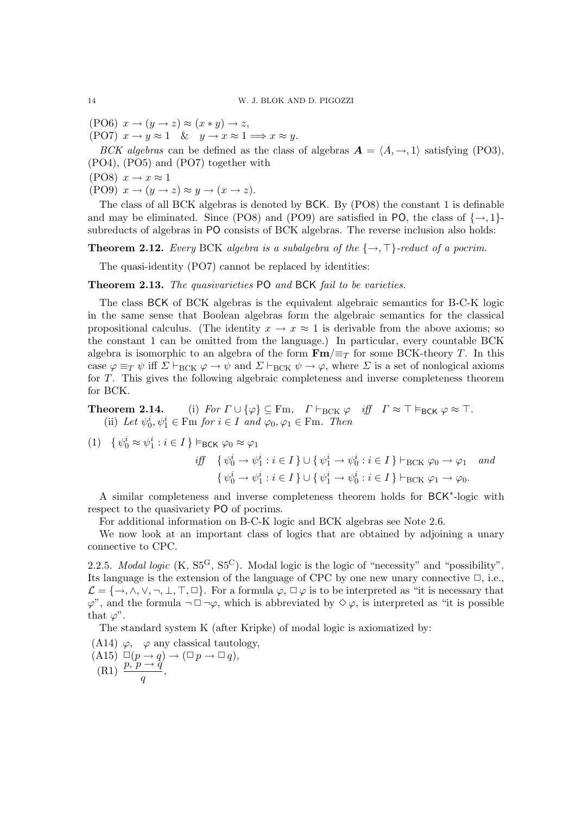(PO6)  $x \to (y \to z) \approx (x * y) \to z$ , (PO7)  $x \to y \approx 1$  &  $y \to x \approx 1 \implies x \approx y$ .

BCK algebras can be defined as the class of algebras  $A = \langle A, \rightarrow, 1 \rangle$  satisfying (PO3), (PO4), (PO5) and (PO7) together with

 $(PO8)$   $x \rightarrow x \approx 1$ 

(PO9)  $x \to (y \to z) \approx y \to (x \to z)$ .

The class of all BCK algebras is denoted by BCK. By (PO8) the constant 1 is definable and may be eliminated. Since (PO8) and (PO9) are satisfied in PO, the class of  $\{\rightarrow, 1\}$ subreducts of algebras in PO consists of BCK algebras. The reverse inclusion also holds:

**Theorem 2.12.** Every BCK algebra is a subalgebra of the  $\{\rightarrow, \top\}$ -reduct of a pocrim.

The quasi-identity (PO7) cannot be replaced by identities:

Theorem 2.13. The quasivarieties PO and BCK fail to be varieties.

The class BCK of BCK algebras is the equivalent algebraic semantics for B-C-K logic in the same sense that Boolean algebras form the algebraic semantics for the classical propositional calculus. (The identity  $x \to x \approx 1$  is derivable from the above axioms; so the constant 1 can be omitted from the language.) In particular, every countable BCK algebra is isomorphic to an algebra of the form  $\mathbf{Fm} / \equiv_T$  for some BCK-theory T. In this case  $\varphi \equiv_T \psi$  iff  $\Sigma \vdash_{\text{BCK}} \varphi \to \psi$  and  $\Sigma \vdash_{\text{BCK}} \psi \to \varphi$ , where  $\Sigma$  is a set of nonlogical axioms for T. This gives the following algebraic completeness and inverse completeness theorem for BCK.

**Theorem 2.14.** (i) For  $\Gamma \cup \{\varphi\} \subseteq \text{Fm}$ ,  $\Gamma \vdash_{\text{BCK}} \varphi$  iff  $\Gamma \approx \top \vDash_{\text{BCK}} \varphi \approx \top$ . (ii) Let  $\psi_0^i, \psi_1^i \in \text{Fm}$  for  $i \in I$  and  $\varphi_0, \varphi_1 \in \text{Fm}$ . Then

$$
(1) \quad \{ \psi_0^i \approx \psi_1^i : i \in I \} \vDash_{\text{BCK}} \varphi_0 \approx \varphi_1
$$

$$
\begin{aligned}\n\text{iff} \quad \{ \psi_0^i \to \psi_1^i : i \in I \} \cup \{ \psi_1^i \to \psi_0^i : i \in I \} \vdash_{\text{BCK}} \varphi_0 \to \varphi_1 \quad \text{and} \\
\{ \psi_0^i \to \psi_1^i : i \in I \} \cup \{ \psi_1^i \to \psi_0^i : i \in I \} \vdash_{\text{BCK}} \varphi_1 \to \varphi_0.\n\end{aligned}
$$

A similar completeness and inverse completeness theorem holds for BCK<sup>\*</sup>-logic with respect to the quasivariety PO of pocrims.

For additional information on B-C-K logic and BCK algebras see Note 2.6.

We now look at an important class of logics that are obtained by adjoining a unary connective to CPC.

2.2.5. Modal logic  $(K, S5^G, S5^C)$ . Modal logic is the logic of "necessity" and "possibility". Its language is the extension of the language of CPC by one new unary connective  $\Box$ , i.e.,  $\mathcal{L} = \{\rightarrow, \wedge, \vee, \neg, \bot, \top, \Box\}$ . For a formula  $\varphi, \Box \varphi$  is to be interpreted as "it is necessary that  $\varphi$ ", and the formula  $\neg \Box \neg \varphi$ , which is abbreviated by  $\diamond \varphi$ , is interpreted as "it is possible that  $\varphi$ ".

The standard system K (after Kripke) of modal logic is axiomatized by:

- (A14)  $\varphi$ ,  $\varphi$  any classical tautology,
- $(A15) \Box (p \rightarrow q) \rightarrow (\Box p \rightarrow \Box q),$ (R1)  $\frac{p, p \rightarrow q'}{q}$ ,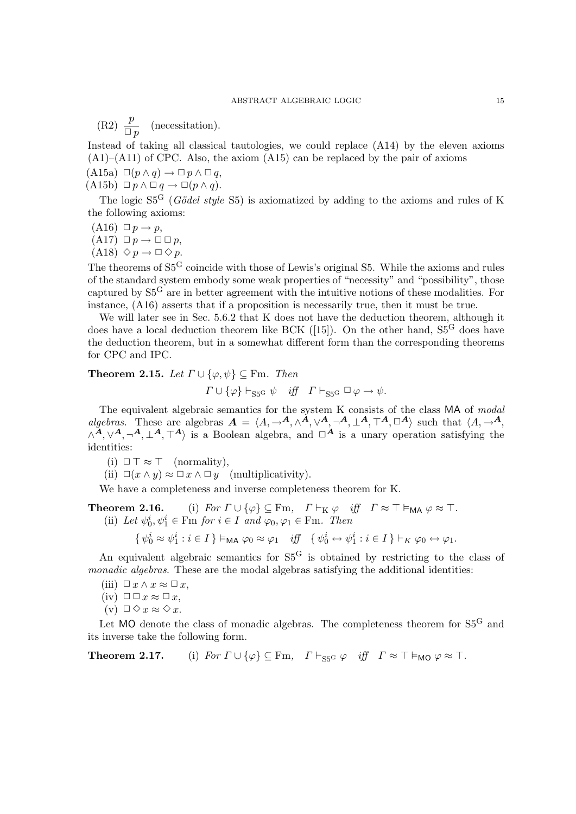(R2)  $\frac{p}{\Box p}$  (necessitation).

Instead of taking all classical tautologies, we could replace (A14) by the eleven axioms  $(A1)$ – $(A11)$  of CPC. Also, the axiom  $(A15)$  can be replaced by the pair of axioms  $(A15a) \Box (p \land q) \rightarrow \Box p \land \Box q,$ 

 $(A15b) \Box p \land \Box q \rightarrow \Box (p \land q).$ 

The logic  $S_5^G$  (Gödel style S5) is axiomatized by adding to the axioms and rules of K the following axioms:

 $(A16) \Box p \rightarrow p$ ,  $(A17) \Box p \rightarrow \Box \Box p$ ,  $(A18) \diamond p \rightarrow \square \diamond p.$ 

The theorems of S5<sup>G</sup> coincide with those of Lewis's original S5. While the axioms and rules of the standard system embody some weak properties of "necessity" and "possibility", those captured by S5<sup>G</sup> are in better agreement with the intuitive notions of these modalities. For instance, (A16) asserts that if a proposition is necessarily true, then it must be true.

We will later see in Sec. 5.6.2 that K does not have the deduction theorem, although it does have a local deduction theorem like BCK ([15]). On the other hand,  $S5<sup>G</sup>$  does have the deduction theorem, but in a somewhat different form than the corresponding theorems for CPC and IPC.

**Theorem 2.15.** Let  $\Gamma \cup \{\varphi, \psi\} \subseteq \text{Fm}$ . Then  $\Gamma \cup \{\varphi\} \vdash_{\text{S5G}} \psi \quad \text{iff} \quad \Gamma \vdash_{\text{S5G}} \Box \varphi \rightarrow \psi.$ 

The equivalent algebraic semantics for the system K consists of the class MA of modal algebras. These are algebras  $A = \langle A, \to^A, \wedge^A, \vee^A, \neg^A, \perp^A, \top^A, \Box^A \rangle$  such that  $\langle A, \to^A, \vee^A, \vee^A, \vee^A, \vee^A, \vee^A, \vee^A, \vee^A, \vee^A, \vee^A, \vee^A, \vee^A, \vee^A, \vee^A, \vee^A, \vee^A, \vee^A, \vee^A, \vee^A, \vee^A, \vee^A, \vee^$  $\wedge^{\mathcal{A}}, \vee^{\mathcal{A}}, \neg^{\mathcal{A}}, \bot^{\mathcal{A}}, \top^{\mathcal{A}}$  is a Boolean algebra, and  $\Box^{\mathcal{A}}$  is a unary operation satisfying the identities:

(i)  $\Box \top \approx \top$  (normality),

(ii)  $\Box(x \wedge y) \approx \Box x \wedge \Box y$  (multiplicativity).

We have a completeness and inverse completeness theorem for K.

**Theorem 2.16.** (i) For  $\Gamma \cup \{\varphi\} \subseteq \text{Fm}$ ,  $\Gamma \vdash_K \varphi$  iff  $\Gamma \approx \top \vDash_{\text{MA}} \varphi \approx \top$ . (ii) Let  $\psi_0^i, \psi_1^i \in \text{Fm}$  for  $i \in I$  and  $\varphi_0, \varphi_1 \in \text{Fm}$ . Then

 $\{ \psi_0^i \approx \psi_1^i : i \in I \} \vDash_{\mathsf{MA}} \varphi_0 \approx \varphi_1 \quad iff \quad \{ \psi_0^i \leftrightarrow \psi_1^i : i \in I \} \vdash_K \varphi_0 \leftrightarrow \varphi_1.$ 

An equivalent algebraic semantics for  $S5<sup>G</sup>$  is obtained by restricting to the class of monadic algebras. These are the modal algebras satisfying the additional identities:

- (iii)  $\Box x \wedge x \approx \Box x$ ,
- $(iv) \Box \Box x \approx \Box x,$
- (v)  $\Box \Diamond x \approx \Diamond x$ .

Let  $MO$  denote the class of monadic algebras. The completeness theorem for  $S5<sup>G</sup>$  and its inverse take the following form.

**Theorem 2.17.** (i) For  $\Gamma \cup \{\varphi\} \subseteq \text{Fm}$ ,  $\Gamma \vdash_{\text{SSG}} \varphi$  iff  $\Gamma \approx \top \vDash_{\text{MO}} \varphi \approx \top$ .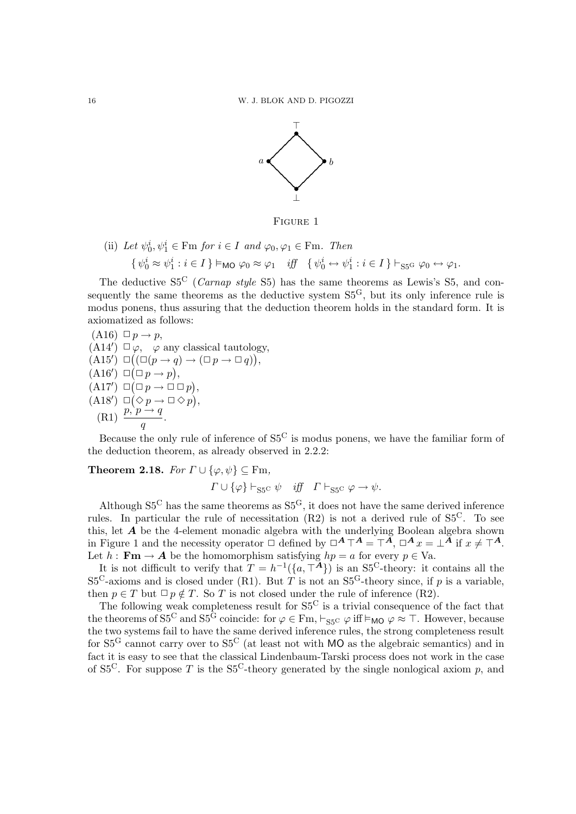

Figure 1

(ii) Let 
$$
\psi_0^i, \psi_1^i \in \text{Fm}
$$
 for  $i \in I$  and  $\varphi_0, \varphi_1 \in \text{Fm}$ . Then  
\n
$$
\{ \psi_0^i \approx \psi_1^i : i \in I \} \models_{\text{MO}} \varphi_0 \approx \varphi_1 \quad \text{iff} \quad \{ \psi_0^i \leftrightarrow \psi_1^i : i \in I \} \vdash_{\text{SSG}} \varphi_0 \leftrightarrow \varphi_1.
$$

The deductive  $S_5^C$  (*Carnap style*  $S_5^C$ ) has the same theorems as Lewis's S5, and consequently the same theorems as the deductive system  $S5<sup>G</sup>$ , but its only inference rule is modus ponens, thus assuring that the deduction theorem holds in the standard form. It is axiomatized as follows:

(A16) 
$$
\Box p \rightarrow p
$$
,  
\n(A14')  $\Box \varphi$ ,  $\varphi$  any classical tautology,  
\n(A15')  $\Box ((\Box (p \rightarrow q) \rightarrow (\Box p \rightarrow \Box q)))$ ,  
\n(A16')  $\Box (\Box p \rightarrow p)$ ,  
\n(A17')  $\Box (\Box p \rightarrow \Box \Box p)$ ,  
\n(A18')  $\Box (\Diamond p \rightarrow \Box \Diamond p)$ ,  
\n(A18')  $\Box (\Diamond p \rightarrow \Box \Diamond p)$ ,  
\n(R1)  $\frac{p, p \rightarrow q}{q}$ .

Because the only rule of inference of  $S_5^C$  is modus ponens, we have the familiar form of the deduction theorem, as already observed in 2.2.2:

**Theorem 2.18.** For  $\Gamma \cup \{\varphi, \psi\} \subseteq \text{Fm}$ ,

$$
\Gamma \cup \{\varphi\} \vdash_{\mathbf{S5}^{\mathbf{C}}} \psi \quad \text{iff} \quad \Gamma \vdash_{\mathbf{S5}^{\mathbf{C}}} \varphi \to \psi.
$$

Although  $S5<sup>C</sup>$  has the same theorems as  $S5<sup>G</sup>$ , it does not have the same derived inference rules. In particular the rule of necessitation  $(R2)$  is not a derived rule of  $S5<sup>C</sup>$ . To see this, let  $A$  be the 4-element monadic algebra with the underlying Boolean algebra shown in Figure 1 and the necessity operator  $\Box$  defined by  $\Box^{\mathbf{A}} \top^{\mathbf{A}} = \top^{\mathbf{A}}$ ,  $\Box^{\mathbf{A}} x = \bot^{\mathbf{A}}$  if  $x \neq \top^{\mathbf{A}}$ . Let  $h : \mathbf{Fm} \to \mathbf{A}$  be the homomorphism satisfying  $hp = a$  for every  $p \in Va$ .

It is not difficult to verify that  $T = h^{-1}(\{a, \mathcal{T}^{\mathbf{A}}\})$  is an S5<sup>C</sup>-theory: it contains all the  $S5<sup>C</sup>$ -axioms and is closed under (R1). But T is not an  $S5<sup>G</sup>$ -theory since, if p is a variable, then  $p \in T$  but  $\Box p \notin T$ . So T is not closed under the rule of inference (R2).

The following weak completeness result for  $S5<sup>C</sup>$  is a trivial consequence of the fact that the theorems of  $S5^C$  and  $S5^{\tilde{G}}$  coincide: for  $\varphi \in \text{Fm}, \vdash_{S5^C} \varphi$  iff  $\vDash_{\text{MO}} \varphi \approx \top$ . However, because the two systems fail to have the same derived inference rules, the strong completeness result for  $S5<sup>G</sup>$  cannot carry over to  $S5<sup>C</sup>$  (at least not with MO as the algebraic semantics) and in fact it is easy to see that the classical Lindenbaum-Tarski process does not work in the case of S5<sup>C</sup>. For suppose T is the S5<sup>C</sup>-theory generated by the single nonlogical axiom p, and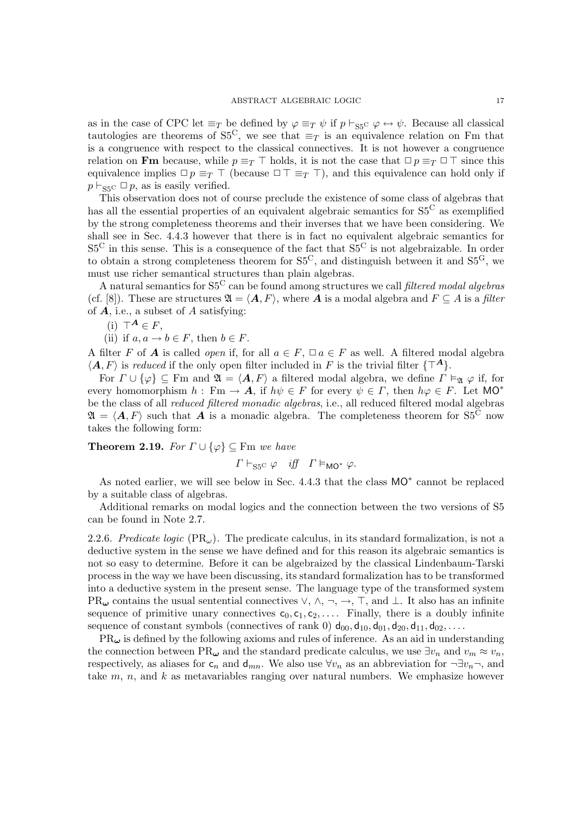as in the case of CPC let  $\equiv_T$  be defined by  $\varphi \equiv_T \psi$  if  $p \vdash_{\text{S5C}} \varphi \leftrightarrow \psi$ . Because all classical tautologies are theorems of S5<sup>C</sup>, we see that  $\equiv_T$  is an equivalence relation on Fm that is a congruence with respect to the classical connectives. It is not however a congruence relation on Fm because, while  $p \equiv_T \top$  holds, it is not the case that  $\Box p \equiv_T \Box \top$  since this equivalence implies  $\Box p \equiv_T \top$  (because  $\Box \top \equiv_T \top$ ), and this equivalence can hold only if  $p \vdash_{\text{S5C}} \Box p$ , as is easily verified.

This observation does not of course preclude the existence of some class of algebras that has all the essential properties of an equivalent algebraic semantics for  $S_5^C$  as exemplified by the strong completeness theorems and their inverses that we have been considering. We shall see in Sec. 4.4.3 however that there is in fact no equivalent algebraic semantics for  $S5<sup>C</sup>$  in this sense. This is a consequence of the fact that  $S5<sup>C</sup>$  is not algebraizable. In order to obtain a strong completeness theorem for  $S5^C$ , and distinguish between it and  $S5^G$ , we must use richer semantical structures than plain algebras.

A natural semantics for  $S5<sup>C</sup>$  can be found among structures we call filtered modal algebras (cf. [8]). These are structures  $\mathfrak{A} = \langle \mathbf{A}, F \rangle$ , where **A** is a modal algebra and  $F \subseteq A$  is a filter of  $A$ , i.e., a subset of  $A$  satisfying:

(i)  $\top^A \in F$ .

(ii) if  $a, a \rightarrow b \in F$ , then  $b \in F$ .

A filter F of **A** is called *open* if, for all  $a \in F$ ,  $\Box a \in F$  as well. A filtered modal algebra  $\langle A, F \rangle$  is reduced if the only open filter included in F is the trivial filter  $\{T^A\}$ .

For  $\Gamma \cup {\varphi} \subseteq F$ m and  $\mathfrak{A} = \langle A, F \rangle$  a filtered modal algebra, we define  $\Gamma \vDash_{\mathfrak{A}} \varphi$  if, for every homomorphism  $h : \text{Fm} \to \mathbf{A}$ , if  $h\psi \in F$  for every  $\psi \in \Gamma$ , then  $h\varphi \in F$ . Let MO<sup>\*</sup> be the class of all reduced filtered monadic algebras, i.e., all reduced filtered modal algebras  $\mathfrak{A} = \langle A, F \rangle$  such that A is a monadic algebra. The completeness theorem for S5<sup>C</sup> now takes the following form:

**Theorem 2.19.** For  $\Gamma \cup \{\varphi\} \subseteq \text{Fm}$  we have

$$
\Gamma \vdash_{\mathbf{S5}^{\mathbf{C}}} \varphi \quad \textit{iff} \quad \Gamma \vDash_{\mathbf{MO}^{*}} \varphi.
$$

As noted earlier, we will see below in Sec. 4.4.3 that the class  $MO^*$  cannot be replaced by a suitable class of algebras.

Additional remarks on modal logics and the connection between the two versions of S5 can be found in Note 2.7.

2.2.6. Predicate logic  $(\text{PR}_{\omega})$ . The predicate calculus, in its standard formalization, is not a deductive system in the sense we have defined and for this reason its algebraic semantics is not so easy to determine. Before it can be algebraized by the classical Lindenbaum-Tarski process in the way we have been discussing, its standard formalization has to be transformed into a deductive system in the present sense. The language type of the transformed system PR $\omega$  contains the usual sentential connectives  $\vee, \wedge, \neg, \rightarrow, \top$ , and  $\bot$ . It also has an infinite sequence of primitive unary connectives  $c_0, c_1, c_2, \ldots$ . Finally, there is a doubly infinite sequence of constant symbols (connectives of rank 0)  $d_{00}, d_{10}, d_{01}, d_{20}, d_{11}, d_{02}, \ldots$ 

 $PR_{\omega}$  is defined by the following axioms and rules of inference. As an aid in understanding the connection between PR<sub> $\omega$ </sub> and the standard predicate calculus, we use  $\exists v_n$  and  $v_m \approx v_n$ , respectively, as aliases for  $c_n$  and  $d_{mn}$ . We also use  $\forall v_n$  as an abbreviation for  $\neg \exists v_n \neg$ , and take  $m, n$ , and  $k$  as metavariables ranging over natural numbers. We emphasize however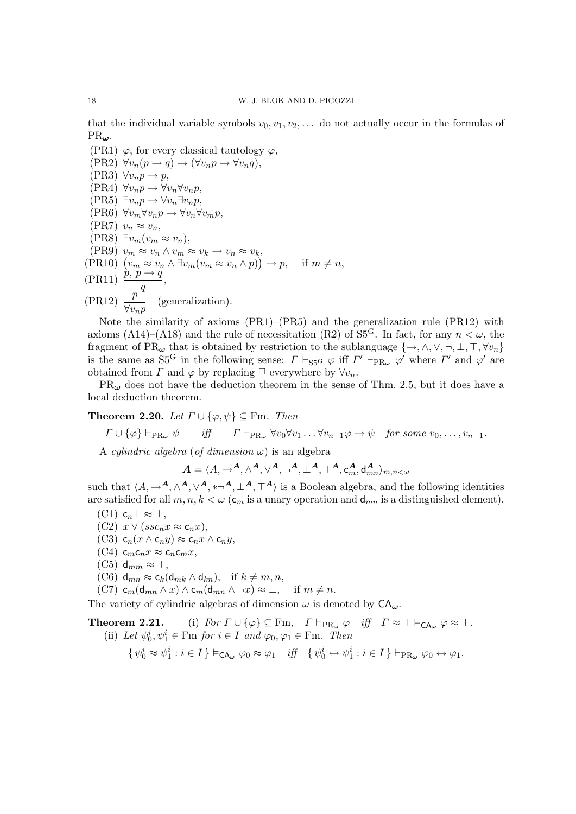that the individual variable symbols  $v_0, v_1, v_2, \ldots$  do not actually occur in the formulas of  $PR_{\omega}$ .

(PR1)  $\varphi$ , for every classical tautology  $\varphi$ ,  $(\text{PR2}) \ \forall v_n(p \to q) \to (\forall v_n p \to \forall v_n q),$  $(\text{PR3}) \forall v_n p \rightarrow p,$  $(\text{PR4}) \forall v_n p \rightarrow \forall v_n \forall v_n p,$  $(PR5) \exists v_n p \rightarrow \forall v_n \exists v_n p,$  $(\text{PR6}) \ \forall v_m \forall v_n p \rightarrow \forall v_n \forall v_m p,$ (PR7)  $v_n \approx v_n$ , (PR8)  $\exists v_m(v_m \approx v_n),$ (PR9)  $v_m \approx v_n \wedge v_m \approx v_k \rightarrow v_n \approx v_k$  $(\text{PR10}) \left( v_m \approx v_n \wedge \exists v_m (v_m \approx v_n \wedge p) \right) \to p, \quad \text{if } m \neq n,$  $(\text{PR11}) \stackrel{\cdot}{p} \stackrel{\cdot}{p} \stackrel{\cdot}{\rightarrow} \frac{q}{q}$ .  $\frac{q}{q}$  $(\text{PR12}) \frac{p}{\sqrt{p}}$  $\frac{P}{\forall v_n p}$  (generalization).

Note the similarity of axioms (PR1)–(PR5) and the generalization rule (PR12) with axioms (A14)–(A18) and the rule of necessitation (R2) of  $S5<sup>G</sup>$ . In fact, for any  $n < \omega$ , the fragment of PR $\omega$  that is obtained by restriction to the sublanguage  $\{\rightarrow, \land, \lor, \neg, \bot, \top, \forall v_n\}$ is the same as  $S_5^G$  in the following sense:  $\Gamma \vdash_{S_5^G} \varphi$  iff  $\Gamma' \vdash_{PR_\omega} \varphi'$  where  $\Gamma'$  and  $\varphi'$  are obtained from  $\Gamma$  and  $\varphi$  by replacing  $\Box$  everywhere by  $\forall v_n$ .

 $PR_{\omega}$  does not have the deduction theorem in the sense of Thm. 2.5, but it does have a local deduction theorem.

**Theorem 2.20.** Let  $\Gamma \cup \{\varphi, \psi\} \subseteq \text{Fm}$ . Then

$$
\Gamma \cup \{\varphi\} \vdash_{\text{PR}_{\omega}} \psi
$$
 iff  $\Gamma \vdash_{\text{PR}_{\omega}} \forall v_0 \forall v_1 \dots \forall v_{n-1} \varphi \to \psi$  for some  $v_0, \dots, v_{n-1}$ .

A *cylindric algebra* (*of dimension*  $\omega$ ) is an algebra

$$
\boldsymbol{A} = \langle A, \mathord{\rightarrow}^{\boldsymbol{A}}, \wedge^{\boldsymbol{A}}, \vee^{\boldsymbol{A}}, \neg^{\boldsymbol{A}}, \bot^{\boldsymbol{A}}, \top^{\boldsymbol{A}}, \mathsf{c}_m^{\boldsymbol{A}}, \mathsf{d}_{mn}^{\boldsymbol{A}} \rangle_{m,n < \omega}
$$

such that  $\langle A,\to^{\mathbf{A}}, \wedge^{\mathbf{A}}, \vee^{\mathbf{A}}, * \neg^{\mathbf{A}}, \perp^{\mathbf{A}}, \top^{\mathbf{A}} \rangle$  is a Boolean algebra, and the following identities are satisfied for all  $m, n, k < \omega$  ( $c_m$  is a unary operation and  $d_{mn}$  is a distinguished element).

- $(C1)$  c<sub>n</sub> $\perp \approx \perp$ ,
- (C2)  $x \vee (ssc_n x \approx c_n x),$
- $(C3)$  c<sub>n</sub> $(x \wedge c_n y) \approx c_n x \wedge c_n y$ ,
- $(C4)$  c<sub>m</sub>c<sub>n</sub>x  $\approx$  c<sub>n</sub>c<sub>m</sub>x,
- $(C5)$  d<sub>mm</sub>  $\approx$  T,
- (C6)  $d_{mn} \approx c_k(d_{mk} \wedge d_{kn}),$  if  $k \neq m, n$ ,
- (C7)  $c_m(d_{mn} \wedge x) \wedge c_m(d_{mn} \wedge \neg x) \approx \bot$ , if  $m \neq n$ .

The variety of cylindric algebras of dimension  $\omega$  is denoted by  $CA_{\omega}$ .

# **Theorem 2.21.** (i) For  $\Gamma \cup \{\varphi\} \subseteq \text{Fm}$ ,  $\Gamma \vdash_{\text{PR}_{\omega}} \varphi$  iff  $\Gamma \approx \top \vDash_{\text{CA}_{\omega}} \varphi \approx \top$ . (ii) Let  $\psi_0^i, \psi_1^i \in \text{Fm}$  for  $i \in I$  and  $\varphi_0, \varphi_1 \in \text{Fm}$ . Then

$$
\{\,\psi_0^i\approx\psi_1^i:i\in I\,\}\vDash_{\mathsf{CA}_{\pmb{\omega}}}\varphi_0\approx\varphi_1\quad\textit{iff}\quad\{\,\psi_0^i\leftrightarrow\psi_1^i:i\in I\,\}\vdash_{\mathsf{PR}_{\pmb{\omega}}}\varphi_0\leftrightarrow\varphi_1.
$$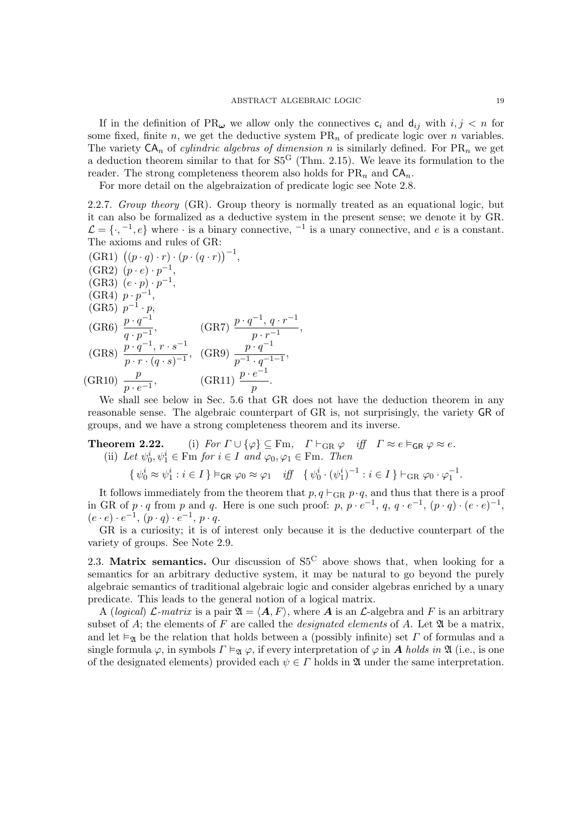If in the definition of  $PR_{\omega}$  we allow only the connectives  $c_i$  and  $d_{ij}$  with  $i, j < n$  for some fixed, finite n, we get the deductive system  $PR_n$  of predicate logic over n variables. The variety  $CA_n$  of *cylindric algebras of dimension* n is similarly defined. For  $PR_n$  we get a deduction theorem similar to that for  $S5<sup>G</sup>$  (Thm. 2.15). We leave its formulation to the reader. The strong completeness theorem also holds for  $PR_n$  and  $CA_n$ .

For more detail on the algebraization of predicate logic see Note 2.8.

2.2.7. Group theory (GR). Group theory is normally treated as an equational logic, but it can also be formalized as a deductive system in the present sense; we denote it by GR.  $\mathcal{L} = \{\cdot, ^{-1}, e\}$  where  $\cdot$  is a binary connective,  $^{-1}$  is a unary connective, and e is a constant. The axioms and rules of GR:

 $(GR1) ((p \cdot q) \cdot r) \cdot (p \cdot (q \cdot r))^{-1},$  $(GR2) (p \cdot e) \cdot p^{-1},$ (GR3)  $(e \cdot p) \cdot p^{-1}$ ,  $(GR4) p \cdot p^{-1},$  $(GR5) p^{-1} \cdot p$ ,  $(GR6)$   $\frac{p \cdot q^{-1}}{1}$  $\frac{p \cdot q^{-1}}{q \cdot p^{-1}},$  (GR7)  $\frac{p \cdot q^{-1}, q \cdot r^{-1}}{p \cdot r^{-1}}$  $\frac{1}{p \cdot r^{-1}},$  $(GR8) \frac{p \cdot q^{-1}, r \cdot s^{-1}}{(q+1) \cdot 1}$  $\frac{p\cdot q^{-1},\, r\cdot s^{-1}}{p\cdot r\cdot (q\cdot s)^{-1}},\ \ (\text{GR9})\ \frac{p\cdot q^{-1}}{p^{-1}\cdot q^{-1}}$  $\frac{P}{p^{-1} \cdot q^{-1-1}},$ (GR10)  $\frac{p}{p \cdot e^{-1}},$  (GR11)  $\frac{p \cdot e^{-1}}{p}$  $\frac{c}{p}$ .

We shall see below in Sec. 5.6 that GR does not have the deduction theorem in any reasonable sense. The algebraic counterpart of GR is, not surprisingly, the variety GR of groups, and we have a strong completeness theorem and its inverse.

**Theorem 2.22.** (i) For  $\Gamma \cup \{\varphi\} \subseteq \text{Fm}$ ,  $\Gamma \vdash_{\text{GR}} \varphi$  iff  $\Gamma \approx e \vDash_{\text{GR}} \varphi \approx e$ . (ii) Let  $\psi_0^i, \psi_1^i \in \text{Fm}$  for  $i \in I$  and  $\varphi_0, \varphi_1 \in \text{Fm}$ . Then

$$
\{\psi_0^i \approx \psi_1^i : i \in I\} \vDash_{\mathsf{GR}} \varphi_0 \approx \varphi_1 \quad \text{iff} \quad \{\psi_0^i \cdot (\psi_1^i)^{-1} : i \in I\} \vdash_{\mathsf{GR}} \varphi_0 \cdot \varphi_1^{-1}.
$$

It follows immediately from the theorem that p,  $q \vdash_{GR} p \cdot q$ , and thus that there is a proof in GR of  $p \cdot q$  from  $p$  and  $q$ . Here is one such proof:  $p, p \cdot e^{-1}, q, q \cdot e^{-1}, (p \cdot q) \cdot (e \cdot e)^{-1}$ ,  $(e \cdot e) \cdot e^{-1}, (p \cdot q) \cdot e^{-1}, p \cdot q.$ 

GR is a curiosity; it is of interest only because it is the deductive counterpart of the variety of groups. See Note 2.9.

2.3. Matrix semantics. Our discussion of  $S_5^C$  above shows that, when looking for a semantics for an arbitrary deductive system, it may be natural to go beyond the purely algebraic semantics of traditional algebraic logic and consider algebras enriched by a unary predicate. This leads to the general notion of a logical matrix.

A (logical) L-matrix is a pair  $\mathfrak{A} = \langle \mathbf{A}, F \rangle$ , where A is an L-algebra and F is an arbitrary subset of  $A$ ; the elements of  $F$  are called the *designated elements* of  $A$ . Let  $\mathfrak A$  be a matrix, and let  $\vdash_{\mathfrak{A}}$  be the relation that holds between a (possibly infinite) set T of formulas and a single formula  $\varphi$ , in symbols  $\Gamma \vDash_{\mathfrak{A}} \varphi$ , if every interpretation of  $\varphi$  in **A** holds in  $\mathfrak{A}$  (i.e., is one of the designated elements) provided each  $\psi \in \Gamma$  holds in  $\mathfrak{A}$  under the same interpretation.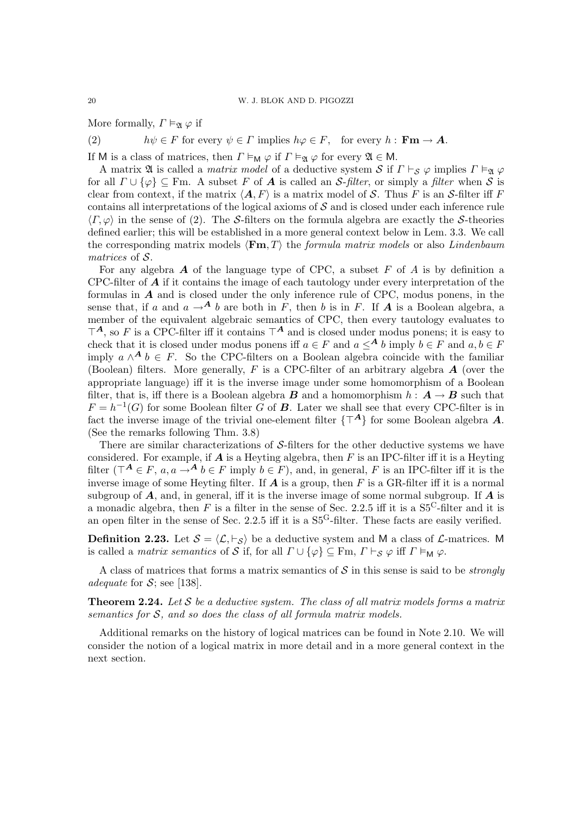More formally,  $\Gamma \vDash_{\mathfrak{A}} \varphi$  if

(2)  $h\psi \in F$  for every  $\psi \in \Gamma$  implies  $h\varphi \in F$ , for every  $h : \mathbf{Fm} \to \mathbf{A}$ .

If M is a class of matrices, then  $\Gamma \vDash_{\mathsf{M}} \varphi$  if  $\Gamma \vDash_{\mathfrak{A}} \varphi$  for every  $\mathfrak{A} \in \mathsf{M}$ .

A matrix  $\mathfrak A$  is called a *matrix model* of a deductive system S if  $\Gamma \vdash_S \varphi$  implies  $\Gamma \vDash_{\mathfrak A} \varphi$ for all  $\Gamma \cup \{\varphi\} \subseteq \text{Fm}$ . A subset F of **A** is called an S-filter, or simply a filter when S is clear from context, if the matrix  $\langle A, F \rangle$  is a matrix model of S. Thus F is an S-filter iff F contains all interpretations of the logical axioms of  $S$  and is closed under each inference rule  $\langle \Gamma, \varphi \rangle$  in the sense of (2). The S-filters on the formula algebra are exactly the S-theories defined earlier; this will be established in a more general context below in Lem. 3.3. We call the corresponding matrix models  $\langle \mathbf{Fm}, T \rangle$  the *formula matrix models* or also *Lindenbaum* matrices of S.

For any algebra  $\boldsymbol{A}$  of the language type of CPC, a subset  $F$  of  $\boldsymbol{A}$  is by definition a CPC-filter of  $\boldsymbol{A}$  if it contains the image of each tautology under every interpretation of the formulas in  $A$  and is closed under the only inference rule of CPC, modus ponens, in the sense that, if a and  $a \rightarrow A$  b are both in F, then b is in F. If A is a Boolean algebra, a member of the equivalent algebraic semantics of CPC, then every tautology evaluates to  $\mathsf{T}^{\mathbf{A}},$  so F is a CPC-filter iff it contains  $\mathsf{T}^{\mathbf{A}}$  and is closed under modus ponens; it is easy to check that it is closed under modus ponens iff  $a \in F$  and  $a \leq^A b$  imply  $b \in F$  and  $a, b \in F$ imply  $a \wedge^{\mathbf{A}} b \in F$ . So the CPC-filters on a Boolean algebra coincide with the familiar (Boolean) filters. More generally,  $F$  is a CPC-filter of an arbitrary algebra  $\boldsymbol{A}$  (over the appropriate language) iff it is the inverse image under some homomorphism of a Boolean filter, that is, iff there is a Boolean algebra **B** and a homomorphism  $h : A \rightarrow B$  such that  $F = h^{-1}(G)$  for some Boolean filter G of **B**. Later we shall see that every CPC-filter is in fact the inverse image of the trivial one-element filter  $\{T^A\}$  for some Boolean algebra A. (See the remarks following Thm. 3.8)

There are similar characterizations of  $S$ -filters for the other deductive systems we have considered. For example, if  $A$  is a Heyting algebra, then  $F$  is an IPC-filter iff it is a Heyting filter ( $\mathcal{T}^{\mathbf{A}} \in F$ ,  $a, a \rightarrow^{\mathbf{A}} b \in F$  imply  $b \in F$ ), and, in general, F is an IPC-filter iff it is the inverse image of some Heyting filter. If  $\boldsymbol{A}$  is a group, then  $F$  is a GR-filter iff it is a normal subgroup of  $A$ , and, in general, iff it is the inverse image of some normal subgroup. If  $A$  is a monadic algebra, then F is a filter in the sense of Sec. 2.2.5 iff it is a  $S_5^C$ -filter and it is an open filter in the sense of Sec. 2.2.5 iff it is a S5G-filter. These facts are easily verified.

**Definition 2.23.** Let  $S = \langle \mathcal{L}, \vdash_S \rangle$  be a deductive system and M a class of  $\mathcal{L}$ -matrices. M is called a *matrix semantics* of S if, for all  $\Gamma \cup \{\varphi\} \subseteq \text{Fm}$ ,  $\Gamma \vdash_S \varphi$  iff  $\Gamma \vDash_M \varphi$ .

A class of matrices that forms a matrix semantics of  $S$  in this sense is said to be *strongly* adequate for  $S$ ; see [138].

**Theorem 2.24.** Let S be a deductive system. The class of all matrix models forms a matrix semantics for S, and so does the class of all formula matrix models.

Additional remarks on the history of logical matrices can be found in Note 2.10. We will consider the notion of a logical matrix in more detail and in a more general context in the next section.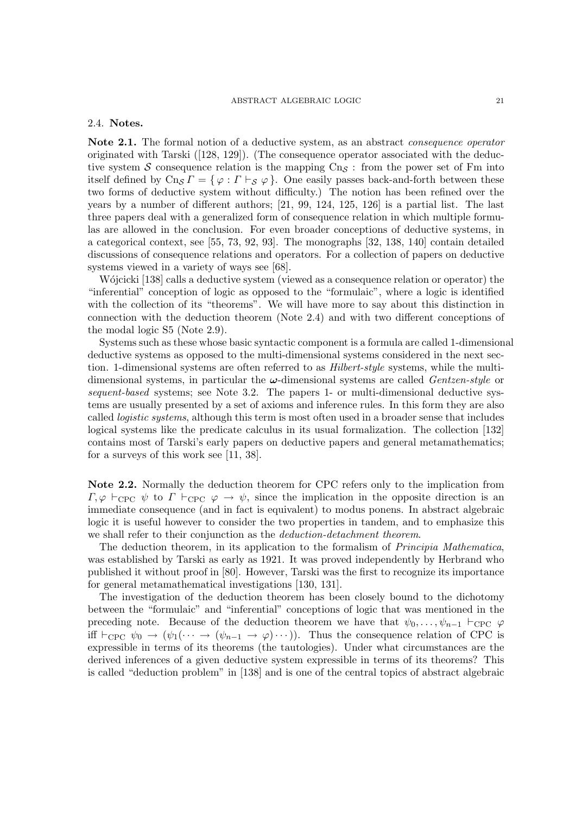### ABSTRACT ALGEBRAIC LOGIC 21

### 2.4. Notes.

Note 2.1. The formal notion of a deductive system, as an abstract *consequence operator* originated with Tarski ([128, 129]). (The consequence operator associated with the deductive system S consequence relation is the mapping  $\text{Cn}_\text{S}$ : from the power set of Fm into itself defined by  $\text{Cn}_{\mathcal{S}} \Gamma = \{ \varphi : \Gamma \vdash_{\mathcal{S}} \varphi \}.$  One easily passes back-and-forth between these two forms of deductive system without difficulty.) The notion has been refined over the years by a number of different authors; [21, 99, 124, 125, 126] is a partial list. The last three papers deal with a generalized form of consequence relation in which multiple formulas are allowed in the conclusion. For even broader conceptions of deductive systems, in a categorical context, see [55, 73, 92, 93]. The monographs [32, 138, 140] contain detailed discussions of consequence relations and operators. For a collection of papers on deductive systems viewed in a variety of ways see [68].

Wójcicki [138] calls a deductive system (viewed as a consequence relation or operator) the "inferential" conception of logic as opposed to the "formulaic", where a logic is identified with the collection of its "theorems". We will have more to say about this distinction in connection with the deduction theorem (Note 2.4) and with two different conceptions of the modal logic S5 (Note 2.9).

Systems such as these whose basic syntactic component is a formula are called 1-dimensional deductive systems as opposed to the multi-dimensional systems considered in the next section. 1-dimensional systems are often referred to as Hilbert-style systems, while the multidimensional systems, in particular the  $\omega$ -dimensional systems are called *Gentzen-style* or sequent-based systems; see Note 3.2. The papers 1- or multi-dimensional deductive systems are usually presented by a set of axioms and inference rules. In this form they are also called logistic systems, although this term is most often used in a broader sense that includes logical systems like the predicate calculus in its usual formalization. The collection [132] contains most of Tarski's early papers on deductive papers and general metamathematics; for a surveys of this work see [11, 38].

Note 2.2. Normally the deduction theorem for CPC refers only to the implication from  $\Gamma, \varphi \vdash_{\text{CPC}} \psi$  to  $\Gamma \vdash_{\text{CPC}} \varphi \to \psi$ , since the implication in the opposite direction is an immediate consequence (and in fact is equivalent) to modus ponens. In abstract algebraic logic it is useful however to consider the two properties in tandem, and to emphasize this we shall refer to their conjunction as the *deduction-detachment theorem*.

The deduction theorem, in its application to the formalism of Principia Mathematica, was established by Tarski as early as 1921. It was proved independently by Herbrand who published it without proof in [80]. However, Tarski was the first to recognize its importance for general metamathematical investigations [130, 131].

The investigation of the deduction theorem has been closely bound to the dichotomy between the "formulaic" and "inferential" conceptions of logic that was mentioned in the preceding note. Because of the deduction theorem we have that  $\psi_0, \ldots, \psi_{n-1} \vdash_{\text{CPC}} \varphi$ iff  $\vdash_{\text{CPC}} \psi_0 \to (\psi_1(\cdots \to (\psi_{n-1} \to \varphi) \cdots)).$  Thus the consequence relation of CPC is expressible in terms of its theorems (the tautologies). Under what circumstances are the derived inferences of a given deductive system expressible in terms of its theorems? This is called "deduction problem" in [138] and is one of the central topics of abstract algebraic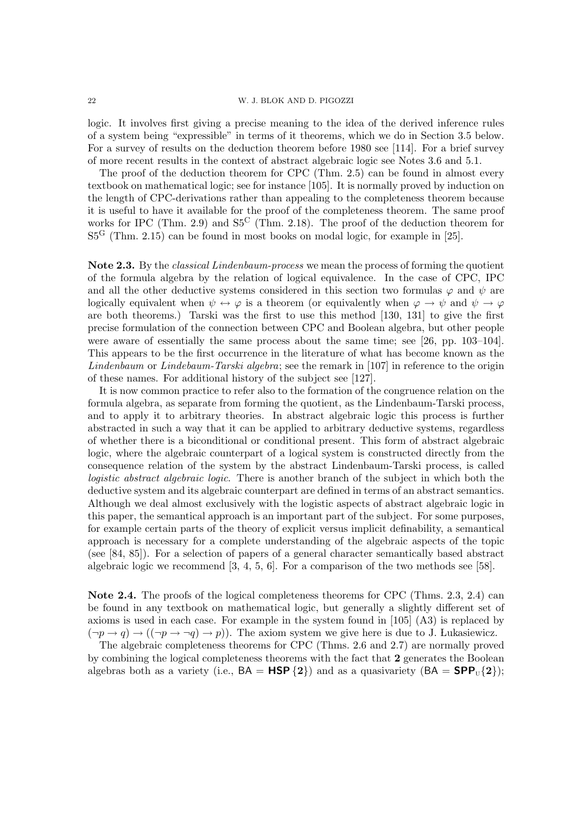22 W. J. BLOK AND D. PIGOZZI

logic. It involves first giving a precise meaning to the idea of the derived inference rules of a system being "expressible" in terms of it theorems, which we do in Section 3.5 below. For a survey of results on the deduction theorem before 1980 see [114]. For a brief survey of more recent results in the context of abstract algebraic logic see Notes 3.6 and 5.1.

The proof of the deduction theorem for CPC (Thm. 2.5) can be found in almost every textbook on mathematical logic; see for instance [105]. It is normally proved by induction on the length of CPC-derivations rather than appealing to the completeness theorem because it is useful to have it available for the proof of the completeness theorem. The same proof works for IPC (Thm. 2.9) and  $S5<sup>C</sup>$  (Thm. 2.18). The proof of the deduction theorem for  $S5<sup>G</sup>$  (Thm. 2.15) can be found in most books on modal logic, for example in [25].

Note 2.3. By the classical Lindenbaum-process we mean the process of forming the quotient of the formula algebra by the relation of logical equivalence. In the case of CPC, IPC and all the other deductive systems considered in this section two formulas  $\varphi$  and  $\psi$  are logically equivalent when  $\psi \leftrightarrow \varphi$  is a theorem (or equivalently when  $\varphi \rightarrow \psi$  and  $\psi \rightarrow \varphi$ are both theorems.) Tarski was the first to use this method [130, 131] to give the first precise formulation of the connection between CPC and Boolean algebra, but other people were aware of essentially the same process about the same time; see [26, pp. 103–104]. This appears to be the first occurrence in the literature of what has become known as the Lindenbaum or Lindebaum-Tarski algebra; see the remark in [107] in reference to the origin of these names. For additional history of the subject see [127].

It is now common practice to refer also to the formation of the congruence relation on the formula algebra, as separate from forming the quotient, as the Lindenbaum-Tarski process, and to apply it to arbitrary theories. In abstract algebraic logic this process is further abstracted in such a way that it can be applied to arbitrary deductive systems, regardless of whether there is a biconditional or conditional present. This form of abstract algebraic logic, where the algebraic counterpart of a logical system is constructed directly from the consequence relation of the system by the abstract Lindenbaum-Tarski process, is called logistic abstract algebraic logic. There is another branch of the subject in which both the deductive system and its algebraic counterpart are defined in terms of an abstract semantics. Although we deal almost exclusively with the logistic aspects of abstract algebraic logic in this paper, the semantical approach is an important part of the subject. For some purposes, for example certain parts of the theory of explicit versus implicit definability, a semantical approach is necessary for a complete understanding of the algebraic aspects of the topic (see [84, 85]). For a selection of papers of a general character semantically based abstract algebraic logic we recommend [3, 4, 5, 6]. For a comparison of the two methods see [58].

Note 2.4. The proofs of the logical completeness theorems for CPC (Thms. 2.3, 2.4) can be found in any textbook on mathematical logic, but generally a slightly different set of axioms is used in each case. For example in the system found in [105] (A3) is replaced by  $(\neg p \rightarrow q) \rightarrow ((\neg p \rightarrow \neg q) \rightarrow p)$ . The axiom system we give here is due to J. Lukasiewicz.

The algebraic completeness theorems for CPC (Thms. 2.6 and 2.7) are normally proved by combining the logical completeness theorems with the fact that 2 generates the Boolean algebras both as a variety (i.e.,  $BA = HSP\{2\}$ ) and as a quasivariety  $(BA = SPP<sub>U</sub>{2})$ ;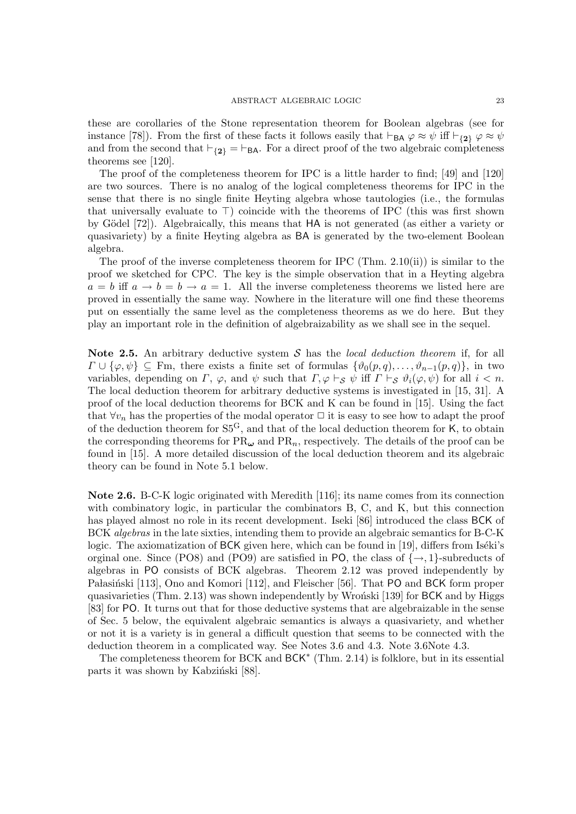these are corollaries of the Stone representation theorem for Boolean algebras (see for instance [78]). From the first of these facts it follows easily that  $\vdash_{BA} \varphi \approx \psi$  iff  $\vdash_{\{2\}} \varphi \approx \psi$ and from the second that  $\vdash_{\{2\}} = \vdash_{BA}$ . For a direct proof of the two algebraic completeness theorems see [120].

The proof of the completeness theorem for IPC is a little harder to find; [49] and [120] are two sources. There is no analog of the logical completeness theorems for IPC in the sense that there is no single finite Heyting algebra whose tautologies (i.e., the formulas that universally evaluate to  $\top$ ) coincide with the theorems of IPC (this was first shown by Gödel [72]). Algebraically, this means that HA is not generated (as either a variety or quasivariety) by a finite Heyting algebra as BA is generated by the two-element Boolean algebra.

The proof of the inverse completeness theorem for IPC (Thm. 2.10(ii)) is similar to the proof we sketched for CPC. The key is the simple observation that in a Heyting algebra  $a = b$  iff  $a \rightarrow b = b \rightarrow a = 1$ . All the inverse completeness theorems we listed here are proved in essentially the same way. Nowhere in the literature will one find these theorems put on essentially the same level as the completeness theorems as we do here. But they play an important role in the definition of algebraizability as we shall see in the sequel.

Note 2.5. An arbitrary deductive system  $S$  has the *local deduction theorem* if, for all  $\Gamma \cup \{\varphi, \psi\} \subseteq \mathbb{F}$ m, there exists a finite set of formulas  $\{\vartheta_0(p,q), \ldots, \vartheta_{n-1}(p,q)\},\$ in two variables, depending on  $\Gamma$ ,  $\varphi$ , and  $\psi$  such that  $\Gamma$ ,  $\varphi \vdash_{\mathcal{S}} \psi$  iff  $\Gamma \vdash_{\mathcal{S}} \vartheta_i(\varphi, \psi)$  for all  $i < n$ . The local deduction theorem for arbitrary deductive systems is investigated in [15, 31]. A proof of the local deduction theorems for BCK and K can be found in [15]. Using the fact that  $\forall v_n$  has the properties of the modal operator  $\Box$  it is easy to see how to adapt the proof of the deduction theorem for  $S5^G$ , and that of the local deduction theorem for K, to obtain the corresponding theorems for  $PR_{\omega}$  and  $PR_n$ , respectively. The details of the proof can be found in [15]. A more detailed discussion of the local deduction theorem and its algebraic theory can be found in Note 5.1 below.

Note 2.6. B-C-K logic originated with Meredith [116]; its name comes from its connection with combinatory logic, in particular the combinators B, C, and K, but this connection has played almost no role in its recent development. Iseki [86] introduced the class BCK of BCK algebras in the late sixties, intending them to provide an algebraic semantics for B-C-K logic. The axiomatization of BCK given here, which can be found in [19], differs from Iséki's orginal one. Since (PO8) and (PO9) are satisfied in PO, the class of  $\{\rightarrow, 1\}$ -subreducts of algebras in PO consists of BCK algebras. Theorem 2.12 was proved independently by Pałasiński [113], Ono and Komori [112], and Fleischer [56]. That PO and BCK form proper quasivarieties (Thm.  $2.13$ ) was shown independently by Wroński [139] for BCK and by Higgs [83] for PO. It turns out that for those deductive systems that are algebraizable in the sense of Sec. 5 below, the equivalent algebraic semantics is always a quasivariety, and whether or not it is a variety is in general a difficult question that seems to be connected with the deduction theorem in a complicated way. See Notes 3.6 and 4.3. Note 3.6Note 4.3.

The completeness theorem for BCK and BCK<sup>\*</sup> (Thm. 2.14) is folklore, but in its essential parts it was shown by Kabziński [88].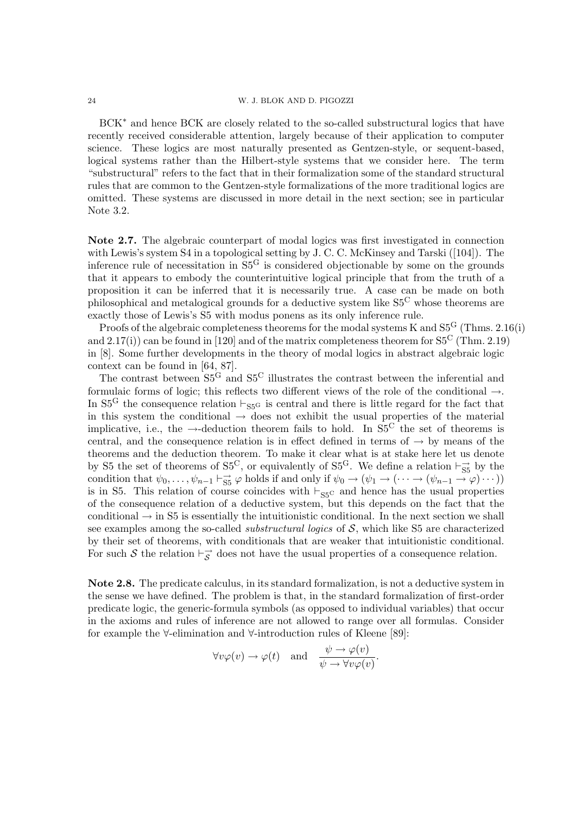BCK<sup>∗</sup> and hence BCK are closely related to the so-called substructural logics that have recently received considerable attention, largely because of their application to computer science. These logics are most naturally presented as Gentzen-style, or sequent-based, logical systems rather than the Hilbert-style systems that we consider here. The term "substructural" refers to the fact that in their formalization some of the standard structural rules that are common to the Gentzen-style formalizations of the more traditional logics are omitted. These systems are discussed in more detail in the next section; see in particular Note 3.2.

Note 2.7. The algebraic counterpart of modal logics was first investigated in connection with Lewis's system S4 in a topological setting by J. C. C. McKinsey and Tarski ([104]). The inference rule of necessitation in S5<sup>G</sup> is considered objectionable by some on the grounds that it appears to embody the counterintuitive logical principle that from the truth of a proposition it can be inferred that it is necessarily true. A case can be made on both philosophical and metalogical grounds for a deductive system like  $S_5^C$  whose theorems are exactly those of Lewis's S5 with modus ponens as its only inference rule.

Proofs of the algebraic completeness theorems for the modal systems K and  $S5<sup>G</sup>$  (Thms. 2.16(i) and  $2.17(i)$ ) can be found in [120] and of the matrix completeness theorem for  $S_5^C$  (Thm. 2.19) in [8]. Some further developments in the theory of modal logics in abstract algebraic logic context can be found in [64, 87].

The contrast between  $S_5^G$  and  $S_5^C$  illustrates the contrast between the inferential and formulaic forms of logic; this reflects two different views of the role of the conditional →. In  $S_5^G$  the consequence relation  $\vdash_{S_5G}$  is central and there is little regard for the fact that in this system the conditional  $\rightarrow$  does not exhibit the usual properties of the material implicative, i.e., the  $\rightarrow$ -deduction theorem fails to hold. In S5<sup>C</sup> the set of theorems is central, and the consequence relation is in effect defined in terms of  $\rightarrow$  by means of the theorems and the deduction theorem. To make it clear what is at stake here let us denote by S5 the set of theorems of  $S5^C$ , or equivalently of  $S5^G$ . We define a relation  $\vdash_{S5}^{\rightarrow}$  by the condition that  $\psi_0, \ldots, \psi_{n-1} \vdash_{\mathsf{SS}} \varphi$  holds if and only if  $\psi_0 \to (\psi_1 \to (\cdots \to (\psi_{n-1} \to \varphi) \cdots))$ is in S5. This relation of course coincides with  $\vdash_{\text{SSC}}$  and hence has the usual properties of the consequence relation of a deductive system, but this depends on the fact that the conditional  $\rightarrow$  in S5 is essentially the intuitionistic conditional. In the next section we shall see examples among the so-called *substructural logics* of  $S$ , which like S5 are characterized by their set of theorems, with conditionals that are weaker that intuitionistic conditional. For such S the relation  $\vdash_{\mathcal{S}}^{\rightarrow}$  does not have the usual properties of a consequence relation.

Note 2.8. The predicate calculus, in its standard formalization, is not a deductive system in the sense we have defined. The problem is that, in the standard formalization of first-order predicate logic, the generic-formula symbols (as opposed to individual variables) that occur in the axioms and rules of inference are not allowed to range over all formulas. Consider for example the ∀-elimination and ∀-introduction rules of Kleene [89]:

$$
\forall v \varphi(v) \to \varphi(t) \quad \text{and} \quad \frac{\psi \to \varphi(v)}{\psi \to \forall v \varphi(v)}.
$$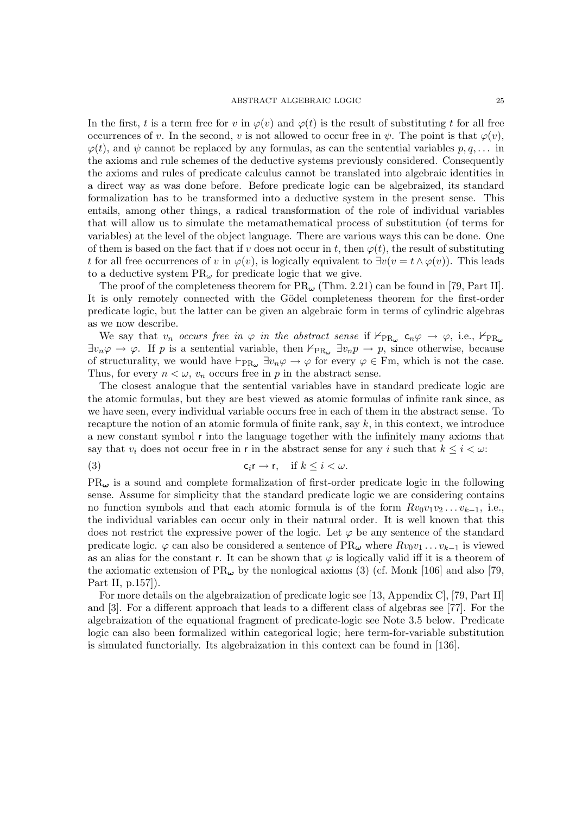In the first, t is a term free for v in  $\varphi(v)$  and  $\varphi(t)$  is the result of substituting t for all free occurrences of v. In the second, v is not allowed to occur free in  $\psi$ . The point is that  $\varphi(v)$ ,  $\varphi(t)$ , and  $\psi$  cannot be replaced by any formulas, as can the sentential variables  $p, q, \ldots$  in the axioms and rule schemes of the deductive systems previously considered. Consequently the axioms and rules of predicate calculus cannot be translated into algebraic identities in a direct way as was done before. Before predicate logic can be algebraized, its standard formalization has to be transformed into a deductive system in the present sense. This entails, among other things, a radical transformation of the role of individual variables that will allow us to simulate the metamathematical process of substitution (of terms for variables) at the level of the object language. There are various ways this can be done. One of them is based on the fact that if v does not occur in t, then  $\varphi(t)$ , the result of substituting t for all free occurrences of v in  $\varphi(v)$ , is logically equivalent to  $\exists v(v = t \land \varphi(v))$ . This leads to a deductive system  $PR_{\omega}$  for predicate logic that we give.

The proof of the completeness theorem for  $PR_{\omega}$  (Thm. 2.21) can be found in [79, Part II]. It is only remotely connected with the Gödel completeness theorem for the first-order predicate logic, but the latter can be given an algebraic form in terms of cylindric algebras as we now describe.

We say that  $v_n$  occurs free in  $\varphi$  in the abstract sense if  $\nvDash_{\text{PR}} \mathfrak{c}_n \varphi \to \varphi$ , i.e.,  $\nvdash_{\text{PR}} \varphi$  $\exists v_n \varphi \to \varphi$ . If p is a sentential variable, then  $\nvdash_{PR_\omega} \exists v_n p \to p$ , since otherwise, because of structurality, we would have  $\vdash_{PR_{\omega}} \exists v_n \varphi \to \varphi$  for every  $\varphi \in \text{Fm}$ , which is not the case. Thus, for every  $n < \omega$ ,  $v_n$  occurs free in p in the abstract sense.

The closest analogue that the sentential variables have in standard predicate logic are the atomic formulas, but they are best viewed as atomic formulas of infinite rank since, as we have seen, every individual variable occurs free in each of them in the abstract sense. To recapture the notion of an atomic formula of finite rank, say  $k$ , in this context, we introduce a new constant symbol r into the language together with the infinitely many axioms that say that  $v_i$  does not occur free in r in the abstract sense for any i such that  $k \leq i < \omega$ .

(3) 
$$
c_i r \to r, \quad \text{if } k \leq i < \omega.
$$

 $PR_{\omega}$  is a sound and complete formalization of first-order predicate logic in the following sense. Assume for simplicity that the standard predicate logic we are considering contains no function symbols and that each atomic formula is of the form  $Rv_0v_1v_2 \ldots v_{k-1}$ , i.e., the individual variables can occur only in their natural order. It is well known that this does not restrict the expressive power of the logic. Let  $\varphi$  be any sentence of the standard predicate logic.  $\varphi$  can also be considered a sentence of PR<sub>ω</sub> where  $Rv_0v_1 \ldots v_{k-1}$  is viewed as an alias for the constant r. It can be shown that  $\varphi$  is logically valid iff it is a theorem of the axiomatic extension of PR $_{\omega}$  by the nonlogical axioms (3) (cf. Monk [106] and also [79, Part II, p.157]).

For more details on the algebraization of predicate logic see [13, Appendix C], [79, Part II] and [3]. For a different approach that leads to a different class of algebras see [77]. For the algebraization of the equational fragment of predicate-logic see Note 3.5 below. Predicate logic can also been formalized within categorical logic; here term-for-variable substitution is simulated functorially. Its algebraization in this context can be found in [136].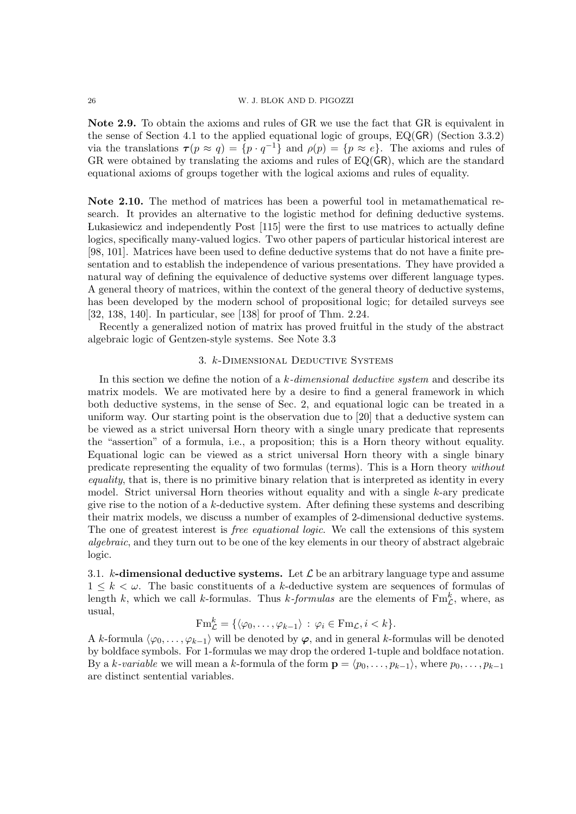Note 2.9. To obtain the axioms and rules of GR we use the fact that GR is equivalent in the sense of Section 4.1 to the applied equational logic of groups, EQ(GR) (Section 3.3.2) via the translations  $\tau(p \approx q) = \{p \cdot q^{-1}\}\$ and  $\rho(p) = \{p \approx e\}$ . The axioms and rules of GR were obtained by translating the axioms and rules of EQ(GR), which are the standard equational axioms of groups together with the logical axioms and rules of equality.

Note 2.10. The method of matrices has been a powerful tool in metamathematical research. It provides an alternative to the logistic method for defining deductive systems. Lukasiewicz and independently Post [115] were the first to use matrices to actually define logics, specifically many-valued logics. Two other papers of particular historical interest are [98, 101]. Matrices have been used to define deductive systems that do not have a finite presentation and to establish the independence of various presentations. They have provided a natural way of defining the equivalence of deductive systems over different language types. A general theory of matrices, within the context of the general theory of deductive systems, has been developed by the modern school of propositional logic; for detailed surveys see [32, 138, 140]. In particular, see [138] for proof of Thm. 2.24.

Recently a generalized notion of matrix has proved fruitful in the study of the abstract algebraic logic of Gentzen-style systems. See Note 3.3

### 3. k-Dimensional Deductive Systems

In this section we define the notion of a  $k$ -dimensional deductive system and describe its matrix models. We are motivated here by a desire to find a general framework in which both deductive systems, in the sense of Sec. 2, and equational logic can be treated in a uniform way. Our starting point is the observation due to [20] that a deductive system can be viewed as a strict universal Horn theory with a single unary predicate that represents the "assertion" of a formula, i.e., a proposition; this is a Horn theory without equality. Equational logic can be viewed as a strict universal Horn theory with a single binary predicate representing the equality of two formulas (terms). This is a Horn theory without equality, that is, there is no primitive binary relation that is interpreted as identity in every model. Strict universal Horn theories without equality and with a single k-ary predicate give rise to the notion of a  $k$ -deductive system. After defining these systems and describing their matrix models, we discuss a number of examples of 2-dimensional deductive systems. The one of greatest interest is *free equational logic*. We call the extensions of this system algebraic, and they turn out to be one of the key elements in our theory of abstract algebraic logic.

3.1. k-dimensional deductive systems. Let  $\mathcal L$  be an arbitrary language type and assume  $1 \leq k \leq \omega$ . The basic constituents of a k-deductive system are sequences of formulas of length k, which we call k-formulas. Thus k-formulas are the elements of  $\text{Fm}_{\mathcal{L}}^{k}$ , where, as usual,

$$
\mathrm{Fm}_{\mathcal{L}}^k = \{ \langle \varphi_0, \ldots, \varphi_{k-1} \rangle : \varphi_i \in \mathrm{Fm}_{\mathcal{L}}, i < k \}.
$$

A k-formula  $\langle \varphi_0, \ldots, \varphi_{k-1} \rangle$  will be denoted by  $\varphi$ , and in general k-formulas will be denoted by boldface symbols. For 1-formulas we may drop the ordered 1-tuple and boldface notation. By a k-variable we will mean a k-formula of the form  $\mathbf{p} = \langle p_0, \ldots, p_{k-1} \rangle$ , where  $p_0, \ldots, p_{k-1}$ are distinct sentential variables.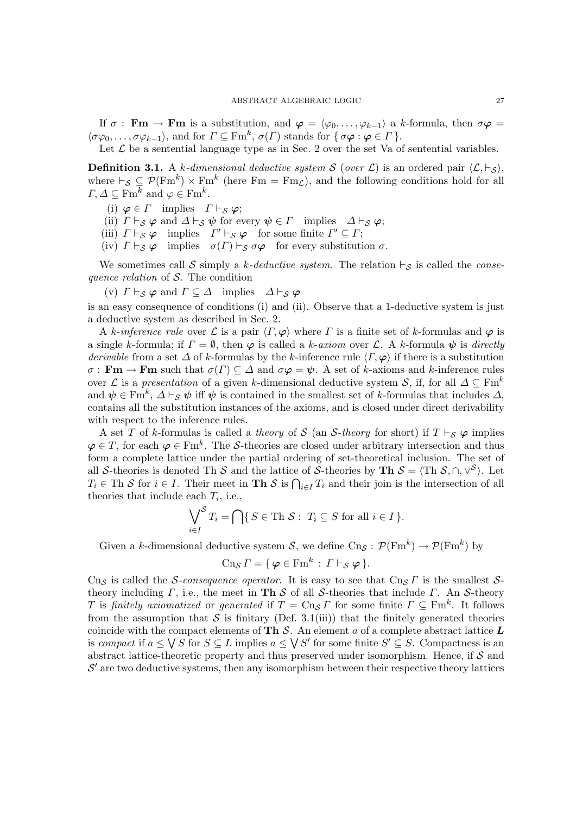If  $\sigma$ : **Fm**  $\rightarrow$  **Fm** is a substitution, and  $\varphi = \langle \varphi_0, \ldots, \varphi_{k-1} \rangle$  a k-formula, then  $\sigma \varphi =$  $\langle \sigma\varphi_0, \ldots, \sigma\varphi_{k-1} \rangle$ , and for  $\Gamma \subseteq \mathrm{Fm}^k$ ,  $\sigma(\Gamma)$  stands for  $\{\sigma\varphi : \varphi \in \Gamma\}$ .

Let  $\mathcal L$  be a sentential language type as in Sec. 2 over the set Va of sentential variables.

**Definition 3.1.** A k-dimensional deductive system S (over L) is an ordered pair  $\langle \mathcal{L}, \vdash_S \rangle$ , where  $\vdash_S \subseteq \mathcal{P}(\text{Fm}^k) \times \text{Fm}^k$  (here  $\text{Fm} = \text{Fm}_\mathcal{L}$ ), and the following conditions hold for all  $\Gamma, \Delta \subseteq \mathrm{Fm}^k$  and  $\varphi \in \mathrm{Fm}^k$ .

- (i)  $\varphi \in \Gamma$  implies  $\Gamma \vdash_S \varphi;$
- (ii)  $\Gamma \vdash_S \varphi$  and  $\Delta \vdash_S \psi$  for every  $\psi \in \Gamma$  implies  $\Delta \vdash_S \varphi$ ;
- (iii)  $\Gamma \vdash_S \varphi$  implies  $\Gamma' \vdash_S \varphi$  for some finite  $\Gamma' \subseteq \Gamma$ ;

(iv)  $\Gamma \vdash_S \varphi$  implies  $\sigma(\Gamma) \vdash_S \sigma \varphi$  for every substitution  $\sigma$ .

We sometimes call S simply a k-deductive system. The relation  $\vdash_S$  is called the consequence relation of  $S$ . The condition

(v)  $\Gamma \vdash_S \varphi$  and  $\Gamma \subseteq \Delta$  implies  $\Delta \vdash_S \varphi$ 

is an easy consequence of conditions (i) and (ii). Observe that a 1-deductive system is just a deductive system as described in Sec. 2.

A k-inference rule over L is a pair  $\langle \Gamma, \varphi \rangle$  where  $\Gamma$  is a finite set of k-formulas and  $\varphi$  is a single k-formula; if  $\Gamma = \emptyset$ , then  $\varphi$  is called a k-axiom over L. A k-formula  $\psi$  is directly derivable from a set  $\Delta$  of k-formulas by the k-inference rule  $\langle \Gamma, \varphi \rangle$  if there is a substitution  $\sigma : \mathbf{Fm} \to \mathbf{Fm}$  such that  $\sigma(\Gamma) \subseteq \Delta$  and  $\sigma\varphi = \psi$ . A set of k-axioms and k-inference rules over L is a presentation of a given k-dimensional deductive system S, if, for all  $\Delta \subseteq \text{Fm}^k$ and  $\psi \in \text{Fm}^k$ ,  $\Delta \vdash_{\mathcal{S}} \psi$  iff  $\psi$  is contained in the smallest set of k-formulas that includes  $\Delta$ , contains all the substitution instances of the axioms, and is closed under direct derivability with respect to the inference rules.

A set T of k-formulas is called a theory of S (an S-theory for short) if  $T \vdash_S \varphi$  implies  $\varphi \in T$ , for each  $\varphi \in \text{Fm}^k$ . The S-theories are closed under arbitrary intersection and thus form a complete lattice under the partial ordering of set-theoretical inclusion. The set of all S-theories is denoted Th S and the lattice of S-theories by Th  $S = \langle Th \mathcal{S}, \cap, \vee^{\mathcal{S}} \rangle$ . Let  $T_i \in \text{Th } S$  for  $i \in I$ . Their meet in **Th** S is  $\bigcap_{i \in I} T_i$  and their join is the intersection of all theories that include each  $T_i$ , i.e.,

$$
\bigvee_{i \in I}^{S} T_{i} = \bigcap \{ S \in \text{Th } S : T_{i} \subseteq S \text{ for all } i \in I \}.
$$

Given a k-dimensional deductive system  $S$ , we define  $\text{Cn}_{\mathcal{S}}: \mathcal{P}(\text{Fm}^k) \to \mathcal{P}(\text{Fm}^k)$  by

$$
\operatorname{Cn}_{\mathcal{S}}\Gamma = \{ \varphi \in \operatorname{Fm}^k : \Gamma \vdash_{\mathcal{S}} \varphi \}.
$$

Cns is called the S-consequence operator. It is easy to see that Cns  $\Gamma$  is the smallest Stheory including  $\Gamma$ , i.e., the meet in **Th** S of all S-theories that include  $\Gamma$ . An S-theory T is finitely axiomatized or generated if  $T = Cn_S \Gamma$  for some finite  $\Gamma \subseteq \text{Fm}^k$ . It follows from the assumption that  $S$  is finitary (Def. 3.1(iii)) that the finitely generated theories coincide with the compact elements of Th  $S$ . An element a of a complete abstract lattice  $L$ is compact if  $a \leq \sqrt{S}$  for  $S \subseteq L$  implies  $a \leq \sqrt{S'}$  for some finite  $S' \subseteq S$ . Compactness is an abstract lattice-theoretic property and thus preserved under isomorphism. Hence, if  $\mathcal S$  and  $\mathcal{S}'$  are two deductive systems, then any isomorphism between their respective theory lattices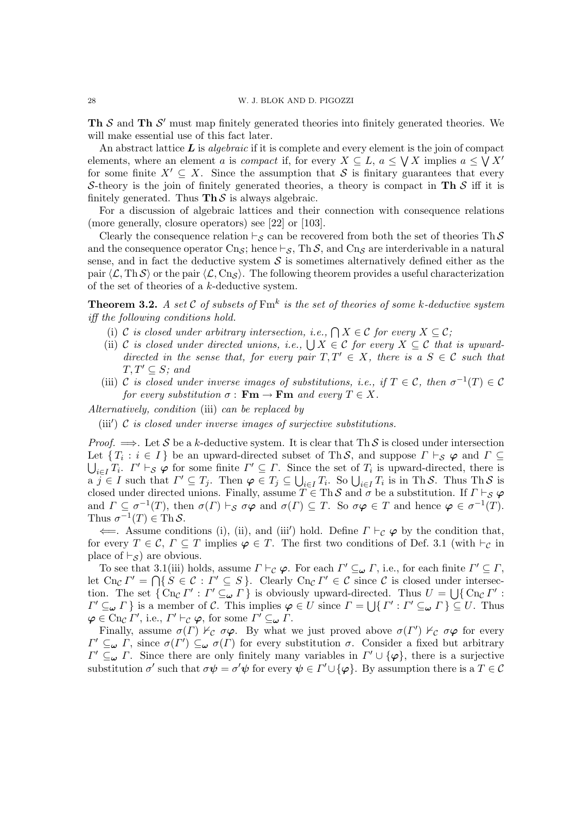Th  $S$  and Th  $S'$  must map finitely generated theories into finitely generated theories. We will make essential use of this fact later.

An abstract lattice  $\boldsymbol{L}$  is *algebraic* if it is complete and every element is the join of compact elements, where an element a is *compact* if, for every  $X \subseteq L$ ,  $a \le \bigvee X$  implies  $a \le \bigvee X'$ for some finite  $X' \subseteq X$ . Since the assumption that S is finitary guarantees that every S-theory is the join of finitely generated theories, a theory is compact in Th  $S$  iff it is finitely generated. Thus  $\text{Th } S$  is always algebraic.

For a discussion of algebraic lattices and their connection with consequence relations (more generally, closure operators) see [22] or [103].

Clearly the consequence relation  $\vdash_{\mathcal{S}}$  can be recovered from both the set of theories Th S and the consequence operator  $C_{\text{D},\mathcal{S}}$ ; hence  $\vdash_{\mathcal{S}}$ , Th S, and  $C_{\text{D},\mathcal{S}}$  are interderivable in a natural sense, and in fact the deductive system  $S$  is sometimes alternatively defined either as the pair  $\langle \mathcal{L}, \text{Th} \mathcal{S} \rangle$  or the pair  $\langle \mathcal{L}, \text{Cn}_{\mathcal{S}} \rangle$ . The following theorem provides a useful characterization of the set of theories of a k-deductive system.

**Theorem 3.2.** A set C of subsets of  $\text{Fm}^k$  is the set of theories of some k-deductive system iff the following conditions hold.

- (i) C is closed under arbitrary intersection, i.e.,  $\bigcap X \in \mathcal{C}$  for every  $X \subseteq \mathcal{C}$ ;
- (ii) C is closed under directed unions, i.e.,  $\bigcup X \in \mathcal{C}$  for every  $X \subseteq \mathcal{C}$  that is upwarddirected in the sense that, for every pair  $T, T' \in X$ , there is a  $S \in \mathcal{C}$  such that  $T, T' \subseteq S$ ; and
- (iii) C is closed under inverse images of substitutions, i.e., if  $T \in \mathcal{C}$ , then  $\sigma^{-1}(T) \in \mathcal{C}$ for every substitution  $\sigma : \mathbf{Fm} \to \mathbf{Fm}$  and every  $T \in X$ .

Alternatively, condition (iii) can be replaced by

(iii')  $C$  is closed under inverse images of surjective substitutions.

*Proof.*  $\implies$ . Let S be a k-deductive system. It is clear that Th S is closed under intersection Let  $\{T_i : i \in I\}$  be an upward-directed subset of ThS, and suppose  $\Gamma \vdash_S \varphi$  and  $\Gamma \subseteq$  $\bigcup_{i\in I} T_i$ .  $\Gamma' \vdash_{\mathcal{S}} \varphi$  for some finite  $\Gamma' \subseteq \Gamma$ . Since the set of  $T_i$  is upward-directed, there is  $a \, j \in I$  such that  $\Gamma' \subseteq T_j$ . Then  $\varphi \in T_j \subseteq \bigcup_{i \in I} T_i$ . So  $\bigcup_{i \in I} T_i$  is in Th S. Thus Th S is closed under directed unions. Finally, assume  $T \in Th \mathcal{S}$  and  $\sigma$  be a substitution. If  $\Gamma \vdash_{\mathcal{S}} \varphi$ and  $\Gamma \subseteq \sigma^{-1}(T)$ , then  $\sigma(\Gamma) \vdash_{\mathcal{S}} \sigma\varphi$  and  $\sigma(\Gamma) \subseteq T$ . So  $\sigma\varphi \in T$  and hence  $\varphi \in \sigma^{-1}(T)$ . Thus  $\sigma^{-1}(T) \in \text{Th } \mathcal{S}$ .

 $\leftarrow$ . Assume conditions (i), (ii), and (iii') hold. Define  $\Gamma \vdash_{\mathcal{C}} \varphi$  by the condition that, for every  $T \in \mathcal{C}$ ,  $\Gamma \subseteq T$  implies  $\varphi \in T$ . The first two conditions of Def. 3.1 (with  $\vdash_{\mathcal{C}}$  in place of  $\vdash_{\mathcal{S}}$ ) are obvious.

To see that 3.1(iii) holds, assume  $\Gamma \vdash_{\mathcal{C}} \varphi$ . For each  $\Gamma' \subseteq_{\omega} \Gamma$ , i.e., for each finite  $\Gamma' \subseteq \Gamma$ , let  $\text{Cn}_{\mathcal{C}}\Gamma' = \bigcap \{S \in \mathcal{C} : \Gamma' \subseteq S\}.$  Clearly  $\text{Cn}_{\mathcal{C}}\Gamma' \in \mathcal{C}$  since  $\mathcal{C}$  is closed under intersection. The set  $\{Cn_{\mathcal{C}}\Gamma': \Gamma' \subseteq_{\omega} \Gamma\}$  is obviously upward-directed. Thus  $U = \bigcup \{Cn_{\mathcal{C}}\Gamma':$  $\Gamma' \subseteq_{\omega} \Gamma$  } is a member of C. This implies  $\varphi \in U$  since  $\Gamma = \bigcup \{ \Gamma' : \Gamma' \subseteq_{\omega} \Gamma \} \subseteq U$ . Thus  $\boldsymbol{\varphi} \in \text{Cn}_{\mathcal{C}} \Gamma', \text{ i.e., } \Gamma' \vdash_{\mathcal{C}} \boldsymbol{\varphi}, \text{ for some } \Gamma' \subseteq_{\boldsymbol{\omega}} \Gamma.$ 

Finally, assume  $\sigma(\Gamma) \nvDash_{\mathcal{C}} \sigma\varphi$ . By what we just proved above  $\sigma(\Gamma') \nvDash_{\mathcal{C}} \sigma\varphi$  for every  $\Gamma' \subseteq_{\omega} \Gamma$ , since  $\sigma(\Gamma') \subseteq_{\omega} \sigma(\Gamma)$  for every substitution  $\sigma$ . Consider a fixed but arbitrary  $\Gamma' \subseteq_{\omega} \Gamma$ . Since there are only finitely many variables in  $\Gamma' \cup {\varphi}$ , there is a surjective substitution  $\sigma'$  such that  $\sigma\psi = \sigma'\psi$  for every  $\psi \in \Gamma' \cup {\{\varphi\}}$ . By assumption there is a  $T \in \mathcal{C}$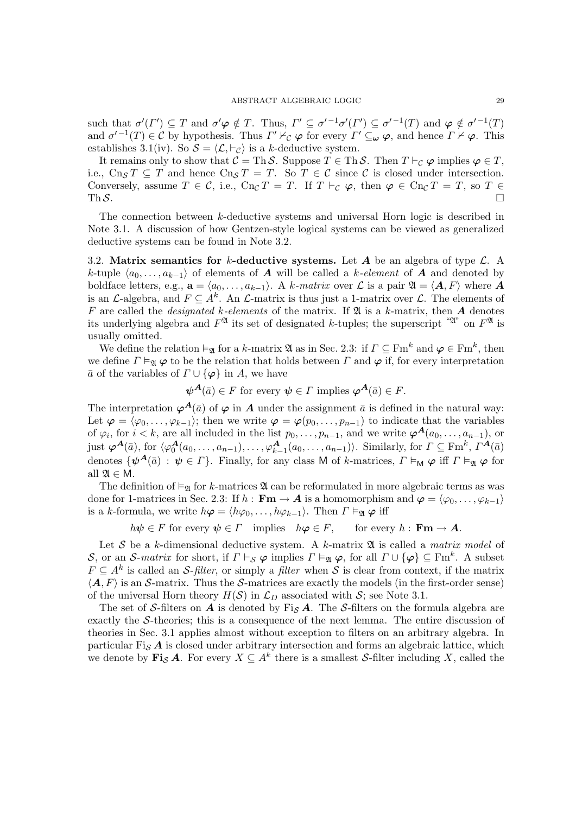such that  $\sigma'(I') \subseteq T$  and  $\sigma' \varphi \notin T$ . Thus,  $\Gamma' \subseteq \sigma'^{-1}\sigma'(\Gamma') \subseteq \sigma'^{-1}(T)$  and  $\varphi \notin \sigma'^{-1}(T)$ and  $\sigma'^{-1}(T) \in \mathcal{C}$  by hypothesis. Thus  $\Gamma' \nvdash_{\mathcal{C}} \varphi$  for every  $\Gamma' \subseteq_{\omega} \varphi$ , and hence  $\Gamma \nvdash \varphi$ . This establishes 3.1(iv). So  $S = \langle \mathcal{L}, \vdash_{\mathcal{C}} \rangle$  is a k-deductive system.

It remains only to show that  $C = Th \mathcal{S}$ . Suppose  $T \in Th \mathcal{S}$ . Then  $T \vdash_{\mathcal{C}} \varphi$  implies  $\varphi \in T$ , i.e.,  $C_{\text{D}s} T \subseteq T$  and hence  $C_{\text{D}s} T = T$ . So  $T \in \mathcal{C}$  since  $\mathcal{C}$  is closed under intersection. Conversely, assume  $T \in \mathcal{C}$ , i.e.,  $Cn_{\mathcal{C}} T = T$ . If  $T \vdash_{\mathcal{C}} \varphi$ , then  $\varphi \in Cn_{\mathcal{C}} T = T$ , so  $T \in$ Th  $S$ .

The connection between k-deductive systems and universal Horn logic is described in Note 3.1. A discussion of how Gentzen-style logical systems can be viewed as generalized deductive systems can be found in Note 3.2.

3.2. Matrix semantics for k-deductive systems. Let A be an algebra of type  $\mathcal{L}$ . A k-tuple  $\langle a_0, \ldots, a_{k-1} \rangle$  of elements of A will be called a k-element of A and denoted by boldface letters, e.g.,  $\mathbf{a} = \langle a_0, \ldots, a_{k-1} \rangle$ . A k-matrix over  $\mathcal{L}$  is a pair  $\mathfrak{A} = \langle \mathbf{A}, F \rangle$  where A is an L-algebra, and  $F \subseteq A^k$ . An L-matrix is thus just a 1-matrix over L. The elements of F are called the *designated k-elements* of the matrix. If  $\mathfrak A$  is a k-matrix, then A denotes its underlying algebra and  $F^{\mathfrak{A}}$  its set of designated k-tuples; the superscript " $\mathfrak{A}^{\mathfrak{A}}$ " on  $F^{\mathfrak{A}}$  is usually omitted.

We define the relation  $\vDash_{\mathfrak{A}}$  for a k-matrix  $\mathfrak{A}$  as in Sec. 2.3: if  $\Gamma \subseteq \mathrm{Fm}^k$  and  $\varphi \in \mathrm{Fm}^k$ , then we define  $\Gamma \vDash_{\mathfrak{A}} \varphi$  to be the relation that holds between  $\Gamma$  and  $\varphi$  if, for every interpretation  $\bar{a}$  of the variables of  $\Gamma \cup {\varphi}$  in A, we have

$$
\psi^{\mathbf{A}}(\bar{a}) \in F
$$
 for every  $\psi \in \Gamma$  implies  $\varphi^{\mathbf{A}}(\bar{a}) \in F$ .

The interpretation  $\varphi^{\mathbf{A}}(\bar{a})$  of  $\varphi$  in  $\mathbf{A}$  under the assignment  $\bar{a}$  is defined in the natural way: Let  $\varphi = \langle \varphi_0, \ldots, \varphi_{k-1} \rangle$ ; then we write  $\varphi = \varphi(p_0, \ldots, p_{n-1})$  to indicate that the variables of  $\varphi_i$ , for  $i < k$ , are all included in the list  $p_0, \ldots, p_{n-1}$ , and we write  $\varphi^{\mathbf{A}}(a_0, \ldots, a_{n-1})$ , or just  $\boldsymbol{\varphi}^{\boldsymbol{A}}(\bar{a})$ , for  $\langle \varphi_0^{\boldsymbol{A}}(a_0, \ldots, a_{n-1}), \ldots, \varphi_{k-1}^{\boldsymbol{A}}(a_0, \ldots, a_{n-1}) \rangle$ . Similarly, for  $\Gamma \subseteq \mathrm{Fm}^k$ ,  $\Gamma^{\boldsymbol{A}}(\bar{a})$ denotes  $\{\psi^{\mathbf{A}}(\bar{a}) : \psi \in \Gamma\}$ . Finally, for any class M of k-matrices,  $\Gamma \vDash_{\mathsf{M}} \varphi$  iff  $\Gamma \vDash_{\mathfrak{A}} \varphi$  for all  $\mathfrak{A} \in \mathsf{M}$ .

The definition of  $\models_{\mathfrak{A}}$  for k-matrices  $\mathfrak A$  can be reformulated in more algebraic terms as was done for 1-matrices in Sec. 2.3: If  $h : \mathbf{Fm} \to \mathbf{A}$  is a homomorphism and  $\boldsymbol{\varphi} = \langle \varphi_0, \ldots, \varphi_{k-1} \rangle$ is a k-formula, we write  $h\boldsymbol{\varphi} = \langle h\varphi_0, \ldots, h\varphi_{k-1} \rangle$ . Then  $\Gamma \vDash_{\mathfrak{A}} \boldsymbol{\varphi}$  iff

 $h\psi \in F$  for every  $\psi \in \Gamma$  implies  $h\varphi \in F$ , for every  $h : \mathbf{Fm} \to \mathbf{A}$ .

Let S be a k-dimensional deductive system. A k-matrix  $\mathfrak{A}$  is called a matrix model of S, or an S-matrix for short, if  $\Gamma \vdash_{\mathcal{S}} \varphi$  implies  $\Gamma \vDash_{\mathfrak{A}} \varphi$ , for all  $\Gamma \cup {\varphi} \subseteq \text{Fm}^k$ . A subset  $F \subseteq A^k$  is called an S-filter, or simply a filter when S is clear from context, if the matrix  $\langle A, F \rangle$  is an S-matrix. Thus the S-matrices are exactly the models (in the first-order sense) of the universal Horn theory  $H(S)$  in  $\mathcal{L}_D$  associated with S; see Note 3.1.

The set of S-filters on  $A$  is denoted by Fig. A. The S-filters on the formula algebra are exactly the S-theories; this is a consequence of the next lemma. The entire discussion of theories in Sec. 3.1 applies almost without exception to filters on an arbitrary algebra. In particular  $Fi_S A$  is closed under arbitrary intersection and forms an algebraic lattice, which we denote by  $\mathbf{Fi}_{\mathcal{S}}\mathbf{A}$ . For every  $X \subseteq A^k$  there is a smallest *S*-filter including X, called the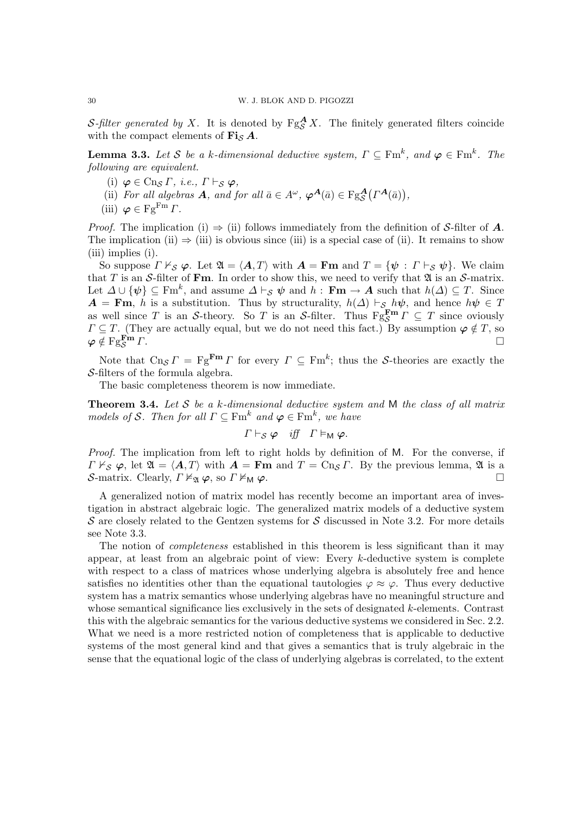S-filter generated by X. It is denoted by  $Fg^{\mathbf{A}}_{\mathcal{S}}X$ . The finitely generated filters coincide with the compact elements of  $\mathbf{Fi}_{\mathcal{S}}\mathbf{A}$ .

**Lemma 3.3.** Let S be a k-dimensional deductive system,  $\Gamma \subseteq \text{Fm}^k$ , and  $\varphi \in \text{Fm}^k$ . The following are equivalent.

- (i)  $\varphi \in C$ ng  $\Gamma$ , *i.e.*,  $\Gamma \vdash_S \varphi$ ,
- (ii) For all algebras **A**, and for all  $\bar{a} \in A^{\omega}$ ,  $\varphi^{\mathbf{A}}(\bar{a}) \in \mathrm{Fg}_{\mathcal{S}}^{\mathbf{A}}(\Gamma^{\mathbf{A}}(\bar{a}))$ ,
- (iii)  $\varphi \in \mathrm{Fg}^{\mathrm{Fm}} \Gamma$ .

*Proof.* The implication (i)  $\Rightarrow$  (ii) follows immediately from the definition of S-filter of A. The implication (ii)  $\Rightarrow$  (iii) is obvious since (iii) is a special case of (ii). It remains to show (iii) implies (i).

So suppose  $\Gamma \nvdash_S \varphi$ . Let  $\mathfrak{A} = \langle \mathbf{A}, T \rangle$  with  $\mathbf{A} = \mathbf{Fm}$  and  $T = {\psi : \Gamma \vdash_S \psi}$ . We claim that T is an S-filter of Fm. In order to show this, we need to verify that  $\mathfrak A$  is an S-matrix. Let  $\Delta \cup {\psi} \subseteq \text{Fm}^k$ , and assume  $\Delta \vdash_{\mathcal{S}} \psi$  and  $h : \textbf{Fm} \to \mathcal{A}$  such that  $h(\Delta) \subseteq T$ . Since  $A = \text{Fm}$ , h is a substitution. Thus by structurality,  $h(\Delta) \vdash_S h\psi$ , and hence  $h\psi \in T$ as well since T is an S-theory. So T is an S-filter. Thus  $Fg_S^{\mathbf{Fm}}\Gamma \subseteq T$  since oviously  $\Gamma \subseteq T$ . (They are actually equal, but we do not need this fact.) By assumption  $\varphi \notin T$ , so  $\varphi \notin \mathrm{Fg}^{\mathbf{Fm}}_{\mathcal{S}} \Gamma$ .  $\mathbb{F}_S^{\mathbf{m}}\Gamma.$ 

Note that  $\text{Cn}_{\mathcal{S}}\Gamma = \text{Fg}^{\text{Fm}}\Gamma$  for every  $\Gamma \subseteq \text{Fm}^k$ ; thus the S-theories are exactly the S-filters of the formula algebra.

The basic completeness theorem is now immediate.

**Theorem 3.4.** Let  $S$  be a k-dimensional deductive system and  $M$  the class of all matrix models of S. Then for all  $\Gamma \subseteq \text{Fm}^k$  and  $\varphi \in \text{Fm}^k$ , we have

$$
\Gamma \vdash_{\mathcal{S}} \varphi \quad \text{iff} \quad \Gamma \vDash_{\mathsf{M}} \varphi.
$$

Proof. The implication from left to right holds by definition of M. For the converse, if  $\Gamma \nvdash_S \varphi$ , let  $\mathfrak{A} = \langle A, T \rangle$  with  $A = \mathbf{Fm}$  and  $T = \text{Cn}_S \Gamma$ . By the previous lemma,  $\mathfrak{A}$  is a S-matrix. Clearly,  $\Gamma \nvDash_{\mathfrak{A}} \varphi$ , so  $\Gamma \nvDash_{\mathsf{M}} \varphi$ .

A generalized notion of matrix model has recently become an important area of investigation in abstract algebraic logic. The generalized matrix models of a deductive system  $\mathcal S$  are closely related to the Gentzen systems for  $\mathcal S$  discussed in Note 3.2. For more details see Note 3.3.

The notion of *completeness* established in this theorem is less significant than it may appear, at least from an algebraic point of view: Every  $k$ -deductive system is complete with respect to a class of matrices whose underlying algebra is absolutely free and hence satisfies no identities other than the equational tautologies  $\varphi \approx \varphi$ . Thus every deductive system has a matrix semantics whose underlying algebras have no meaningful structure and whose semantical significance lies exclusively in the sets of designated  $k$ -elements. Contrast this with the algebraic semantics for the various deductive systems we considered in Sec. 2.2. What we need is a more restricted notion of completeness that is applicable to deductive systems of the most general kind and that gives a semantics that is truly algebraic in the sense that the equational logic of the class of underlying algebras is correlated, to the extent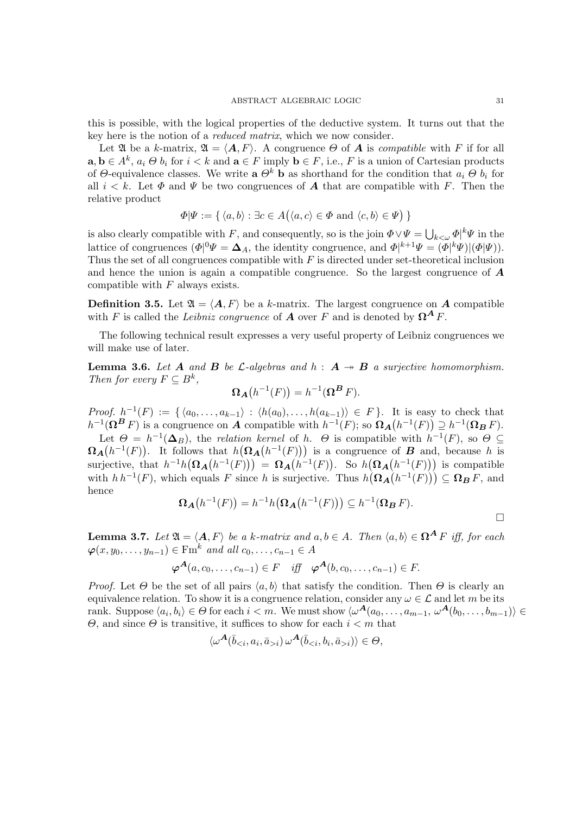this is possible, with the logical properties of the deductive system. It turns out that the key here is the notion of a reduced matrix, which we now consider.

Let  $\mathfrak A$  be a k-matrix,  $\mathfrak A = \langle A, F \rangle$ . A congruence  $\Theta$  of  $A$  is compatible with F if for all  $a, b \in A^k$ ,  $a_i \Theta b_i$  for  $i < k$  and  $a \in F$  imply  $b \in F$ , i.e., F is a union of Cartesian products of Θ-equivalence classes. We write  $\mathbf{a} \Theta^k \mathbf{b}$  as shorthand for the condition that  $a_i \Theta b_i$  for all  $i < k$ . Let  $\Phi$  and  $\Psi$  be two congruences of  $A$  that are compatible with F. Then the relative product

$$
\Phi|\Psi := \{ \langle a, b \rangle : \exists c \in A(\langle a, c \rangle \in \Phi \text{ and } \langle c, b \rangle \in \Psi) \}
$$

is also clearly compatible with F, and consequently, so is the join  $\Phi \vee \Psi = \bigcup_{k \leq \omega} \Phi^k \Psi$  in the lattice of congruences  $(\Phi |^0 \Psi = \mathbf{\Delta}_A)$ , the identity congruence, and  $\Phi |^{k+1} \Psi = (\Phi |^k \Psi)(\Phi | \Psi)$ . Thus the set of all congruences compatible with  $F$  is directed under set-theoretical inclusion and hence the union is again a compatible congruence. So the largest congruence of A compatible with  $F$  always exists.

**Definition 3.5.** Let  $\mathfrak{A} = \langle \mathbf{A}, \mathbf{F} \rangle$  be a k-matrix. The largest congruence on A compatible with F is called the Leibniz congruence of **A** over F and is denoted by  $\Omega^A F$ .

The following technical result expresses a very useful property of Leibniz congruences we will make use of later.

**Lemma 3.6.** Let A and B be L-algebras and  $h : A \rightarrow B$  a surjective homomorphism. Then for every  $F \subseteq B^k$ ,

$$
\Omega_{\boldsymbol{A}}(h^{-1}(F)) = h^{-1}(\Omega^{\boldsymbol{B}} F).
$$

Proof.  $h^{-1}(F) := \{ \langle a_0, \ldots, a_{k-1} \rangle : \langle h(a_0), \ldots, h(a_{k-1}) \rangle \in F \}.$  It is easy to check that  $h^{-1}(\mathbf{\Omega}^{\mathbf{B}} F)$  is a congruence on A compatible with  $h^{-1}(F)$ ; so  $\mathbf{\Omega}_{\mathbf{A}}(h^{-1}(F)) \supseteq h^{-1}(\mathbf{\Omega}_{\mathbf{B}} F)$ .

Let  $\Theta = h^{-1}(\mathbf{\Delta}_B)$ , the relation kernel of h.  $\Theta$  is compatible with  $h^{-1}(F)$ , so  $\Theta \subseteq$  $\Omega_{\mathbf{A}}(h^{-1}(F))$ . It follows that  $h(\Omega_{\mathbf{A}}(h^{-1}(F)))$  is a congruence of  $\mathbf{B}$  and, because h is surjective, that  $h^{-1}h(\Omega_A(h^{-1}(F))) = \Omega_A(h^{-1}(F))$ . So  $h(\Omega_A(h^{-1}(F)))$  is compatible with  $h h^{-1}(F)$ , which equals F since h is surjective. Thus  $h(\Omega_{A}(h^{-1}(F))) \subseteq \Omega_{B} F$ , and hence

$$
\Omega_{\mathbf{A}}(h^{-1}(F)) = h^{-1}h(\Omega_{\mathbf{A}}(h^{-1}(F))) \subseteq h^{-1}(\Omega_{\mathbf{B}} F).
$$

**Lemma 3.7.** Let  $\mathfrak{A} = \langle A, F \rangle$  be a k-matrix and  $a, b \in A$ . Then  $\langle a, b \rangle \in \Omega^A F$  iff, for each  $\varphi(x, y_0, \ldots, y_{n-1}) \in \text{Fm}^k$  and all  $c_0, \ldots, c_{n-1} \in A$ 

$$
\varphi^{\mathbf{A}}(a, c_0, \dots, c_{n-1}) \in F \quad \text{iff} \quad \varphi^{\mathbf{A}}(b, c_0, \dots, c_{n-1}) \in F.
$$

*Proof.* Let  $\Theta$  be the set of all pairs  $\langle a, b \rangle$  that satisfy the condition. Then  $\Theta$  is clearly an equivalence relation. To show it is a congruence relation, consider any  $\omega \in \mathcal{L}$  and let m be its rank. Suppose  $\langle a_i, b_i \rangle \in \Theta$  for each  $i < m$ . We must show  $\langle \omega^{\mathbf{A}}(a_0, \ldots, a_{m-1}, \omega^{\mathbf{A}}(b_0, \ldots, b_{m-1}) \rangle \in$ Θ, and since Θ is transitive, it suffices to show for each i < m that

$$
\langle \omega^{\mathbf{A}}(\bar{b}_{i}) \, \omega^{\mathbf{A}}(\bar{b}_{i}) \rangle \in \Theta,
$$

 $\Box$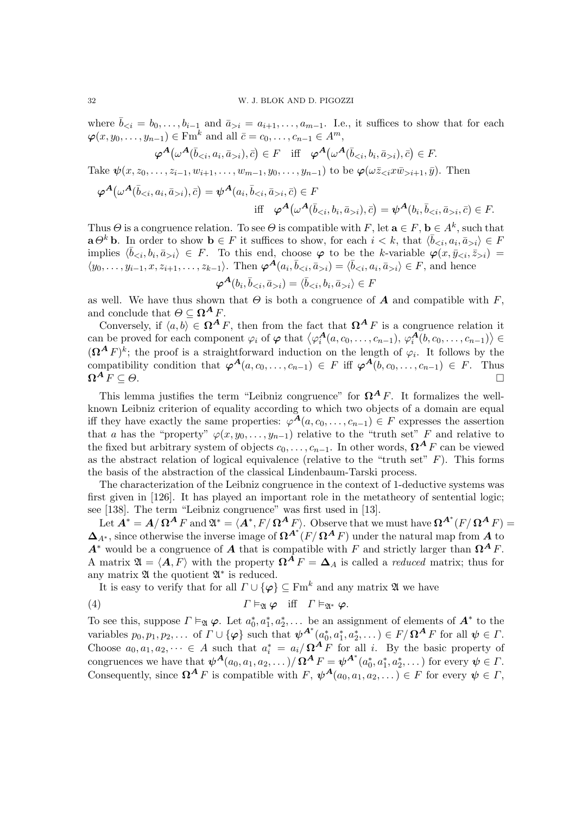where  $\bar{b}_{\leq i} = b_0, \ldots, b_{i-1}$  and  $\bar{a}_{\geq i} = a_{i+1}, \ldots, a_{m-1}$ . I.e., it suffices to show that for each  $\boldsymbol{\varphi}(x, y_0, \ldots, y_{n-1}) \in \mathrm{Fm}^k$  and all  $\bar{c} = c_0, \ldots, c_{n-1} \in A^m$ ,

$$
\varphi^{\mathbf{A}}(\omega^{\mathbf{A}}(\bar{b}_{\leq i}, a_{i}, \bar{a}_{>i}), \bar{c}) \in F \quad \text{iff} \quad \varphi^{\mathbf{A}}(\omega^{\mathbf{A}}(\bar{b}_{\leq i}, b_{i}, \bar{a}_{>i}), \bar{c}) \in F.
$$

Take  $\psi(x, z_0, \ldots, z_{i-1}, w_{i+1}, \ldots, w_{m-1}, y_0, \ldots, y_{n-1})$  to be  $\varphi(\omega \bar{z}_{i} x \bar{w}_{i+1}, \bar{y})$ . Then

$$
\varphi^{\mathbf{A}}(\omega^{\mathbf{A}}(\bar{b}_{i}), \bar{c}) = \psi^{\mathbf{A}}(a_{i}, \bar{b}_{i}, \bar{c}) \in F
$$
  
iff 
$$
\varphi^{\mathbf{A}}(\omega^{\mathbf{A}}(\bar{b}_{i}), \bar{c}) = \psi^{\mathbf{A}}(b_{i}, \bar{b}_{i}, \bar{c}) \in F.
$$

Thus  $\Theta$  is a congruence relation. To see  $\Theta$  is compatible with F, let  $\mathbf{a} \in F$ ,  $\mathbf{b} \in A^k$ , such that  $\mathbf{a} \Theta^k \mathbf{b}$ . In order to show  $\mathbf{b} \in F$  it suffices to show, for each  $i < k$ , that  $\langle \bar{b}_{\leq i}, a_i, \bar{a}_{>i} \rangle \in F$ implies  $\langle \bar{b}_{\leq i}, b_i, \bar{a}_{>i} \rangle \in F$ . To this end, choose  $\varphi$  to be the k-variable  $\varphi(x, \bar{y}_{\leq i}, \bar{z}_{>i}) =$  $\langle y_0, \ldots, y_{i-1}, x, z_{i+1}, \ldots, z_{k-1} \rangle$ . Then  $\boldsymbol{\varphi}^{\mathbf{A}}(a_i, \bar{b}_{i}) = \langle \bar{b}_{i} \rangle \in F$ , and hence

$$
\boldsymbol{\varphi^A(b_i, \bar{b}_{i})} = \langle \bar{b}_{i} \rangle \in F
$$

as well. We have thus shown that  $\Theta$  is both a congruence of  $\boldsymbol{A}$  and compatible with  $F$ , and conclude that  $\Theta \subseteq \Omega^A F$ .

Conversely, if  $\langle a, b \rangle \in \Omega^A F$ , then from the fact that  $\Omega^A F$  is a congruence relation it can be proved for each component  $\varphi_i$  of  $\varphi$  that  $\langle \varphi_i^{\mathbf{A}}(a, c_0, \ldots, c_{n-1}), \varphi_i^{\mathbf{A}}(b, c_0, \ldots, c_{n-1}) \rangle \in$  $({\Omega}^{\mathbf{A}} F)^k$ ; the proof is a straightforward induction on the length of  $\varphi_i$ . It follows by the compatibility condition that  $\varphi^{\mathbf{A}}(a, c_0, \ldots, c_{n-1}) \in F$  iff  $\varphi^{\mathbf{A}}(b, c_0, \ldots, c_{n-1}) \in F$ . Thus  $\Omega^{\mathbf{A}} F \subset \Theta$ .  $\Omega^A F \subseteq \Theta$ .

This lemma justifies the term "Leibniz congruence" for  $\Omega^A F$ . It formalizes the wellknown Leibniz criterion of equality according to which two objects of a domain are equal iff they have exactly the same properties:  $\varphi^{\mathcal{A}}(a, c_0, \ldots, c_{n-1}) \in F$  expresses the assertion that a has the "property"  $\varphi(x, y_0, \ldots, y_{n-1})$  relative to the "truth set" F and relative to the fixed but arbitrary system of objects  $c_0, \ldots, c_{n-1}$ . In other words,  $\Omega^A F$  can be viewed as the abstract relation of logical equivalence (relative to the "truth set"  $F$ ). This forms the basis of the abstraction of the classical Lindenbaum-Tarski process.

The characterization of the Leibniz congruence in the context of 1-deductive systems was first given in [126]. It has played an important role in the metatheory of sentential logic; see [138]. The term "Leibniz congruence" was first used in [13].

Let  $\mathbf{A}^* = \mathbf{A}/\mathbf{\Omega}^{\mathbf{A}} F$  and  $\mathfrak{A}^* = \langle \mathbf{A}^*, F/\mathbf{\Omega}^{\mathbf{A}} F \rangle$ . Observe that we must have  $\mathbf{\Omega}^{\mathbf{A}^*}(F/\mathbf{\Omega}^{\mathbf{A}} F) =$  $\mathbf{\Delta}_{A^*}$ , since otherwise the inverse image of  $\mathbf{\Omega}^{A^*}(F/\mathbf{\Omega}^A F)$  under the natural map from  $A$  to  $A^*$  would be a congruence of A that is compatible with F and strictly larger than  $\Omega^A F$ . A matrix  $\mathfrak{A} = \langle \mathbf{A}, F \rangle$  with the property  $\mathbf{\Omega}^{\mathbf{A}} F = \mathbf{\Delta}_{A}$  is called a *reduced* matrix; thus for any matrix  $\mathfrak A$  the quotient  $\mathfrak A^*$  is reduced.

It is easy to verify that for all  $\Gamma \cup \{\varphi\} \subseteq \text{Fm}^k$  and any matrix  $\mathfrak A$  we have

(4) 
$$
\Gamma \vDash_{\mathfrak{A}} \varphi \quad \text{iff} \quad \Gamma \vDash_{\mathfrak{A}^*} \varphi.
$$

To see this, suppose  $\Gamma \vDash_{\mathfrak{A}} \varphi$ . Let  $a_0^*, a_1^*, a_2^*, \ldots$  be an assignment of elements of  $\mathbf{A}^*$  to the variables  $p_0, p_1, p_2, \ldots$  of  $\Gamma \cup {\varphi}$  such that  $\psi^{A^*}(a_0^*, a_1^*, a_2^*, \ldots) \in F / \Omega^A F$  for all  $\psi \in \Gamma$ . Choose  $a_0, a_1, a_2, \dots \in A$  such that  $a_i^* = a_i/\Omega^A F$  for all i. By the basic property of congruences we have that  $\psi^{\mathbf{A}}(a_0, a_1, a_2, \dots) / \mathbf{\Omega}^{\mathbf{A}} F = \psi^{\mathbf{A}^*}(a_0^*, a_1^*, a_2^*, \dots)$  for every  $\psi \in \Gamma$ . Consequently, since  $\Omega^A F$  is compatible with  $F, \psi^A(a_0, a_1, a_2, ...) \in F$  for every  $\psi \in \Gamma$ ,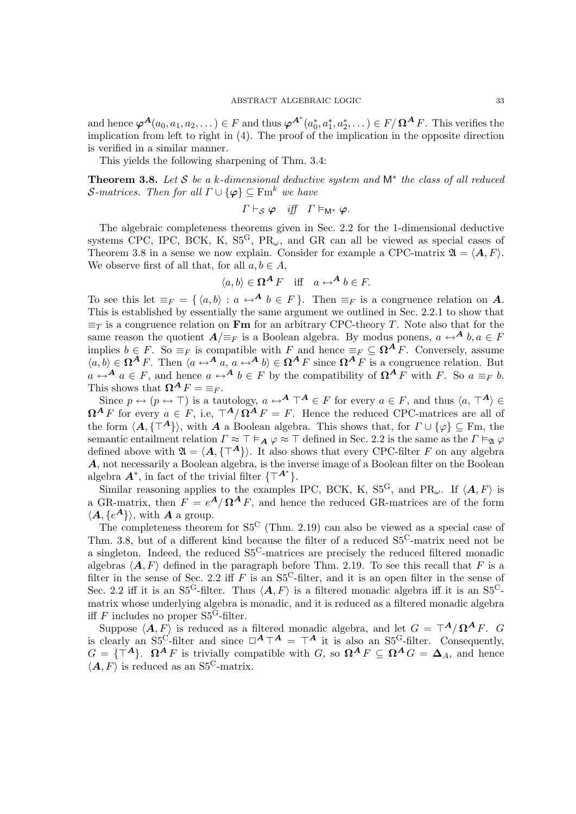and hence  $\boldsymbol{\varphi}^{\boldsymbol{A}}(a_0,a_1,a_2,\dots) \in F$  and thus  $\boldsymbol{\varphi}^{\boldsymbol{A^*}}(a_0^*,a_1^*,a_2^*,\dots) \in F/\boldsymbol{\Omega}^{\boldsymbol{A}} F$ . This verifies the implication from left to right in (4). The proof of the implication in the opposite direction is verified in a similar manner.

This yields the following sharpening of Thm. 3.4:

**Theorem 3.8.** Let S be a k-dimensional deductive system and  $M^*$  the class of all reduced *S*-matrices. Then for all  $\Gamma \cup \{\varphi\} \subseteq \text{Fm}^k$  we have

$$
\Gamma \vdash_{\mathcal{S}} \varphi \quad \text{iff} \quad \Gamma \vDash_{\mathsf{M}^*} \varphi.
$$

The algebraic completeness theorems given in Sec. 2.2 for the 1-dimensional deductive systems CPC, IPC, BCK, K,  $S5<sup>G</sup>$ , PR<sub>ω</sub>, and GR can all be viewed as special cases of Theorem 3.8 in a sense we now explain. Consider for example a CPC-matrix  $\mathfrak{A} = \langle \mathbf{A}, F \rangle$ . We observe first of all that, for all  $a, b \in A$ ,

$$
\langle a, b \rangle \in \Omega^A F \quad \text{iff} \quad a \leftrightarrow^A b \in F.
$$

To see this let  $\equiv_F = \{ \langle a, b \rangle : a \leftrightarrow^{\mathbf{A}} b \in F \}$ . Then  $\equiv_F$  is a congruence relation on  $\mathbf{A}$ . This is established by essentially the same argument we outlined in Sec. 2.2.1 to show that  $\equiv_T$  is a congruence relation on **Fm** for an arbitrary CPC-theory T. Note also that for the same reason the quotient  $A/\equiv_F$  is a Boolean algebra. By modus ponens,  $a \leftrightarrow^A b, a \in F$ implies  $b \in F$ . So  $\equiv_F$  is compatible with F and hence  $\equiv_F \subseteq \Omega^{\mathbf{A}}F$ . Conversely, assume  $\langle a, b \rangle \in \Omega^A F$ . Then  $\langle a \leftrightarrow^A a, a \leftrightarrow^A b \rangle \in \Omega^A F$  since  $\Omega^A F$  is a congruence relation. But  $a \leftrightarrow^{\mathbf{A}} a \in F$ , and hence  $a \leftrightarrow^{\mathbf{A}} b \in F$  by the compatibility of  $\Omega^{\mathbf{A}} F$  with F. So  $a \equiv_F b$ . This shows that  $\mathbf{\Omega}^{\mathbf{A}} F = \equiv_F$ .

Since  $p \leftrightarrow (p \leftrightarrow \top)$  is a tautology,  $a \leftrightarrow^{\mathbf{A}} \top^{\mathbf{A}} \in F$  for every  $a \in F$ , and thus  $\langle a, \top^{\mathbf{A}} \rangle \in$  $\Omega^A F$  for every  $a \in F$ , i.e,  $\top^A/\Omega^A F = F$ . Hence the reduced CPC-matrices are all of the form  $\langle A, \{A^{\dagger}\}\rangle$ , with A a Boolean algebra. This shows that, for  $\Gamma \cup {\varphi} \subseteq Fm$ , the semantic entailment relation  $\Gamma \approx \top \vDash_{\mathbf{A}} \varphi \approx \top$  defined in Sec. 2.2 is the same as the  $\Gamma \vDash_{\mathfrak{A}} \varphi$ defined above with  $\mathfrak{A} = \langle \mathbf{A}, \{ \top^{\mathbf{A}} \} \rangle$ . It also shows that every CPC-filter F on any algebra A, not necessarily a Boolean algebra, is the inverse image of a Boolean filter on the Boolean algebra  $\mathbf{A}^*$ , in fact of the trivial filter  $\{\top^{\mathbf{A}^*}\}.$ 

Similar reasoning applies to the examples IPC, BCK, K, S5<sup>G</sup>, and PR<sub>ω</sub>. If  $\langle \mathbf{A}, F \rangle$  is a GR-matrix, then  $F = e^{A}/\Omega^{A} F$ , and hence the reduced GR-matrices are of the form  $\langle A, \{e^{\mathbf{A}}\}\rangle$ , with **A** a group.

The completeness theorem for S5<sup>C</sup> (Thm. 2.19) can also be viewed as a special case of Thm. 3.8, but of a different kind because the filter of a reduced  $S_5^C$ -matrix need not be a singleton. Indeed, the reduced S5C-matrices are precisely the reduced filtered monadic algebras  $\langle \mathbf{A}, F \rangle$  defined in the paragraph before Thm. 2.19. To see this recall that F is a filter in the sense of Sec. 2.2 iff F is an  $S5<sup>C</sup>$ -filter, and it is an open filter in the sense of Sec. 2.2 iff it is an S5<sup>G</sup>-filter. Thus  $\langle \mathbf{A}, F \rangle$  is a filtered monadic algebra iff it is an S5<sup>C</sup>matrix whose underlying algebra is monadic, and it is reduced as a filtered monadic algebra iff F includes no proper  $S5<sup>G</sup>$ -filter.

Suppose  $\langle A, F \rangle$  is reduced as a filtered monadic algebra, and let  $G = \mathcal{T}^{\mathbf{A}} / \mathbf{\Omega}^{\mathbf{A}} F$ . G is clearly an  $S5^C$ -filter and since  $\Box^A \top^A = \top^A$  it is also an  $S5^C$ -filter. Consequently,  $G = {\mathsf{T}^{\mathbf{A}}}$ .  $\Omega^{\mathbf{A}} F$  is trivially compatible with  $G$ , so  $\Omega^{\mathbf{A}} F \subseteq \Omega^{\mathbf{A}} G = \Delta_A$ , and hence  $\langle A, F \rangle$  is reduced as an S5<sup>C</sup>-matrix.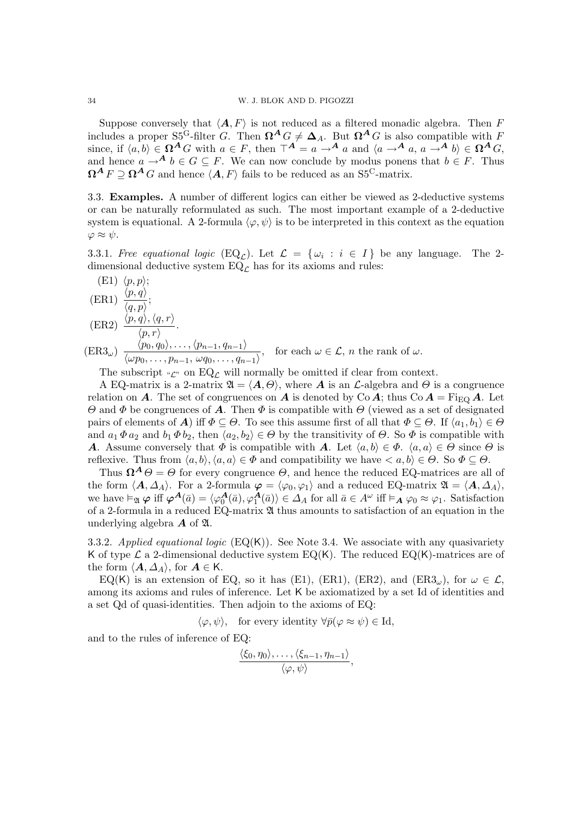Suppose conversely that  $\langle A, F \rangle$  is not reduced as a filtered monadic algebra. Then F includes a proper S5<sup>G</sup>-filter G. Then  $\Omega^A G \neq \Delta_A$ . But  $\Omega^A G$  is also compatible with F since, if  $\langle a, b \rangle \in \Omega^A G$  with  $a \in F$ , then  $\top^A = a \to^A a$  and  $\langle a \to^A a, a \to^A b \rangle \in \Omega^A G$ , and hence  $a \to^{\mathbf{A}} b \in G \subseteq F$ . We can now conclude by modus ponens that  $b \in F$ . Thus  $\mathbf{\Omega}^{\mathbf{A}} F \supseteq \mathbf{\Omega}^{\mathbf{A}} G$  and hence  $\langle \mathbf{A}, F \rangle$  fails to be reduced as an S5<sup>C</sup>-matrix.

3.3. Examples. A number of different logics can either be viewed as 2-deductive systems or can be naturally reformulated as such. The most important example of a 2-deductive system is equational. A 2-formula  $\langle \varphi, \psi \rangle$  is to be interpreted in this context as the equation  $\varphi \approx \psi$ .

3.3.1. Free equational logic  $(\text{EQ}_\mathcal{L})$ . Let  $\mathcal{L} = {\omega_i : i \in I}$  be any language. The 2dimensional deductive system  $EQ_{\mathcal{L}}$  has for its axioms and rules:

(E1) 
$$
\langle p, p \rangle
$$
;  
\n(ER1)  $\frac{\langle p, q \rangle}{\langle q, p \rangle}$ ;  
\n(ER2)  $\frac{\langle p, q \rangle, \langle q, r \rangle}{\langle p, r \rangle}$ .  
\n(ER3 <sub>$\omega$</sub> )  $\frac{\langle p_0, q_0 \rangle, \dots, \langle p_{n-1}, q_{n-1} \rangle}{\langle \omega p_0, \dots, p_{n-1}, \omega q_0, \dots, q_{n-1} \rangle}$ , for each  $\omega \in \mathcal{L}$ , n the rank of  $\omega$ .

The subscript  $\mathscr{L}$ " on EQ<sub>L</sub> will normally be omitted if clear from context.

A EQ-matrix is a 2-matrix  $\mathfrak{A} = \langle A, \Theta \rangle$ , where **A** is an L-algebra and  $\Theta$  is a congruence relation on A. The set of congruences on A is denoted by Co A; thus Co  $A = \text{Fi}_{\text{EQ}} A$ . Let Θ and Φ be congruences of A. Then Φ is compatible with Θ (viewed as a set of designated pairs of elements of **A**) iff  $\Phi \subseteq \Theta$ . To see this assume first of all that  $\Phi \subseteq \Theta$ . If  $\langle a_1, b_1 \rangle \in \Theta$ and  $a_1 \Phi a_2$  and  $b_1 \Phi b_2$ , then  $\langle a_2, b_2 \rangle \in \Theta$  by the transitivity of  $\Theta$ . So  $\Phi$  is compatible with **A.** Assume conversely that  $\Phi$  is compatible with **A**. Let  $\langle a, b \rangle \in \Phi$ .  $\langle a, a \rangle \in \Theta$  since  $\Theta$  is reflexive. Thus from  $\langle a, b \rangle, \langle a, a \rangle \in \Phi$  and compatibility we have  $\langle a, b \rangle \in \Theta$ . So  $\Phi \subseteq \Theta$ .

Thus  $\Omega^A \Theta = \Theta$  for every congruence  $\Theta$ , and hence the reduced EQ-matrices are all of the form  $\langle A, \Delta_A \rangle$ . For a 2-formula  $\varphi = \langle \varphi_0, \varphi_1 \rangle$  and a reduced EQ-matrix  $\mathfrak{A} = \langle A, \Delta_A \rangle$ , we have  $\vDash_{\mathfrak{A}} \varphi$  iff  $\varphi^{\mathbf{A}}(\bar{a}) = \langle \varphi_0^{\mathbf{A}}(\bar{a}), \varphi_1^{\mathbf{A}}(\bar{a}) \rangle \in \Delta_A$  for all  $\bar{a} \in A^{\omega}$  iff  $\vDash_{\mathbf{A}} \varphi_0 \approx \varphi_1$ . Satisfaction of a 2-formula in a reduced EQ-matrix A thus amounts to satisfaction of an equation in the underlying algebra  $\boldsymbol{A}$  of  $\boldsymbol{\mathfrak{A}}$ .

3.3.2. Applied equational logic  $(EQ(K))$ . See Note 3.4. We associate with any quasivariety K of type  $\mathcal L$  a 2-dimensional deductive system EQ(K). The reduced EQ(K)-matrices are of the form  $\langle A, \Delta_A \rangle$ , for  $A \in K$ .

EQ(K) is an extension of EQ, so it has (E1), (ER1), (ER2), and (ER3<sub>ω</sub>), for  $\omega \in \mathcal{L}$ , among its axioms and rules of inference. Let K be axiomatized by a set Id of identities and a set Qd of quasi-identities. Then adjoin to the axioms of EQ:

 $\langle \varphi, \psi \rangle$ , for every identity  $\forall \bar{p}(\varphi \approx \psi) \in \mathrm{Id}$ ,

and to the rules of inference of EQ:

$$
\frac{\langle \xi_0, \eta_0 \rangle, \ldots, \langle \xi_{n-1}, \eta_{n-1} \rangle}{\langle \varphi, \psi \rangle},
$$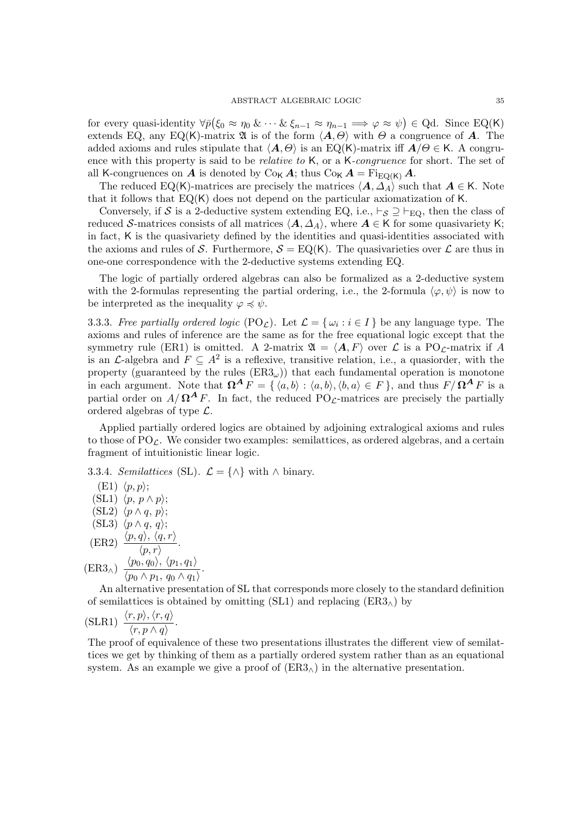for every quasi-identity  $\forall \bar{p}(\xi_0 \approx \eta_0 \& \cdots \& \xi_{n-1} \approx \eta_{n-1} \Longrightarrow \varphi \approx \psi) \in \text{Qd. Since Eq(K)}$ extends EQ, any EQ(K)-matrix  $\mathfrak A$  is of the form  $\langle A, \Theta \rangle$  with  $\Theta$  a congruence of A. The added axioms and rules stipulate that  $\langle A, \Theta \rangle$  is an EQ(K)-matrix iff  $A/\Theta \in K$ . A congruence with this property is said to be *relative to* K, or a K-congruence for short. The set of all K-congruences on A is denoted by  $C_{0K}A$ ; thus  $C_{0K}A = \text{Fi}_{E}\text{O}(K)A$ .

The reduced EQ(K)-matrices are precisely the matrices  $\langle A, \Delta_A \rangle$  such that  $A \in K$ . Note that it follows that EQ(K) does not depend on the particular axiomatization of K.

Conversely, if S is a 2-deductive system extending EQ, i.e.,  $\vdash_{\mathcal{S}} \supseteq \vdash_{\text{EQ}}$ , then the class of reduced S-matrices consists of all matrices  $\langle A, \Delta_A \rangle$ , where  $A \in K$  for some quasivariety K; in fact, K is the quasivariety defined by the identities and quasi-identities associated with the axioms and rules of S. Furthermore,  $S = EQ(K)$ . The quasivarieties over L are thus in one-one correspondence with the 2-deductive systems extending EQ.

The logic of partially ordered algebras can also be formalized as a 2-deductive system with the 2-formulas representing the partial ordering, i.e., the 2-formula  $\langle \varphi, \psi \rangle$  is now to be interpreted as the inequality  $\varphi \preccurlyeq \psi$ .

3.3.3. Free partially ordered logic  $(PO_{\mathcal{L}})$ . Let  $\mathcal{L} = {\{\omega_i : i \in I\}}$  be any language type. The axioms and rules of inference are the same as for the free equational logic except that the symmetry rule (ER1) is omitted. A 2-matrix  $\mathfrak{A} = \langle \mathbf{A}, F \rangle$  over  $\mathcal{L}$  is a PO<sub>L</sub>-matrix if A is an *L*-algebra and  $F \subseteq A^2$  is a reflexive, transitive relation, i.e., a quasiorder, with the property (guaranteed by the rules  $(ER3<sub>\omega</sub>)$ ) that each fundamental operation is monotone in each argument. Note that  $\Omega^A F = \{ \langle a, b \rangle : \langle a, b \rangle, \langle b, a \rangle \in F \}$ , and thus  $F/\Omega^A F$  is a partial order on  $A/\Omega^A F$ . In fact, the reduced PO<sub>L</sub>-matrices are precisely the partially ordered algebras of type L.

Applied partially ordered logics are obtained by adjoining extralogical axioms and rules to those of  $PO_{\mathcal{L}}$ . We consider two examples: semilattices, as ordered algebras, and a certain fragment of intuitionistic linear logic.

3.3.4. Semilattices (SL).  $\mathcal{L} = \{\wedge\}$  with  $\wedge$  binary.

 $(E1)$   $\langle p, p \rangle$ ;  $(SL1) \langle p, p \wedge p \rangle;$ (SL2)  $\langle p \wedge q, p \rangle$ ; (SL3)  $\langle p \wedge q, q \rangle$ ; (ER2)  $\frac{\langle p, q \rangle, \langle q, r \rangle}{\langle p, r \rangle}.$  $(\text{ER3}_{\wedge}) \frac{\langle p_0, q_0 \rangle, \langle p_1, q_1 \rangle}{\langle p_1, p_2 \rangle}$  $\frac{\langle p_0, q_0 \rangle, \langle p_1, q_1 \rangle}{\langle p_0 \wedge p_1, q_0 \wedge q_1 \rangle}.$ 

An alternative presentation of SL that corresponds more closely to the standard definition of semilattices is obtained by omitting (SL1) and replacing  $(ER3<sub>∧</sub>)$  by

(SLR1) 
$$
\frac{\langle r, p \rangle, \langle r, q \rangle}{\langle r, p \wedge q \rangle}
$$
.

The proof of equivalence of these two presentations illustrates the different view of semilattices we get by thinking of them as a partially ordered system rather than as an equational system. As an example we give a proof of  $(ER3<sub>\wedge</sub>)$  in the alternative presentation.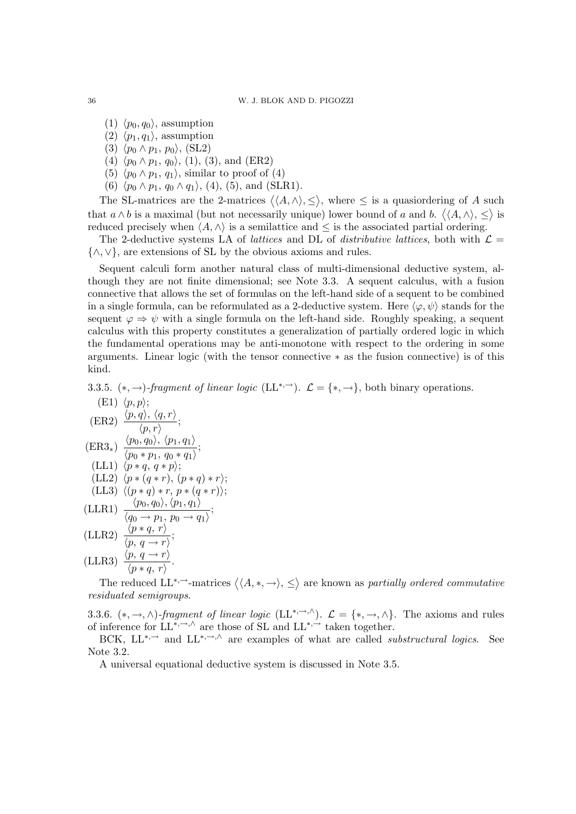- $(1)$   $\langle p_0, q_0 \rangle$ , assumption
- $(2)$   $\langle p_1, q_1 \rangle$ , assumption
- (3)  $\langle p_0 \wedge p_1, p_0 \rangle$ , (SL2)
- (4)  $\langle p_0 \wedge p_1, q_0 \rangle$ , (1), (3), and (ER2)
- (5)  $\langle p_0 \wedge p_1, q_1 \rangle$ , similar to proof of (4)
- (6)  $\langle p_0 \wedge p_1, q_0 \wedge q_1 \rangle$ , (4), (5), and (SLR1).

The SL-matrices are the 2-matrices  $\langle\langle A,\wedge\rangle,\leq\rangle$ , where  $\leq$  is a quasional ering of A such that  $a \wedge b$  is a maximal (but not necessarily unique) lower bound of a and b.  $\langle \langle A, \wedge \rangle, \leq \rangle$  is reduced precisely when  $\langle A, \wedge \rangle$  is a semilattice and  $\leq$  is the associated partial ordering.

The 2-deductive systems LA of *lattices* and DL of *distributive lattices*, both with  $\mathcal{L} =$ {∧,∨}, are extensions of SL by the obvious axioms and rules.

Sequent calculi form another natural class of multi-dimensional deductive system, although they are not finite dimensional; see Note 3.3. A sequent calculus, with a fusion connective that allows the set of formulas on the left-hand side of a sequent to be combined in a single formula, can be reformulated as a 2-deductive system. Here  $\langle \varphi, \psi \rangle$  stands for the sequent  $\varphi \Rightarrow \psi$  with a single formula on the left-hand side. Roughly speaking, a sequent calculus with this property constitutes a generalization of partially ordered logic in which the fundamental operations may be anti-monotone with respect to the ordering in some arguments. Linear logic (with the tensor connective ∗ as the fusion connective) is of this kind.

3.3.5.  $(*, \rightarrow)$ -fragment of linear logic  $(LL^{*,\rightarrow})$ .  $\mathcal{L} = \{*, \rightarrow\}$ , both binary operations.

(E1) 
$$
\langle p, p \rangle
$$
;  
\n(ER2)  $\frac{\langle p, q \rangle, \langle q, r \rangle}{\langle p, r \rangle}$ ;  
\n(ER3<sub>\*</sub>)  $\frac{\langle p_0, q_0 \rangle, \langle p_1, q_1 \rangle}{\langle p_0 * p_1, q_0 * q_1 \rangle}$ ;  
\n(LL1)  $\langle p * q, q * p \rangle$ ;  
\n(LL2)  $\langle p * (q * r), (p * q) * r \rangle$ ;  
\n(LL3)  $\langle (p * q) * r, p * (q * r) \rangle$ ;  
\n(LLR1)  $\frac{\langle p_0, q_0 \rangle, \langle p_1, q_1 \rangle}{\langle q_0 \rightarrow p_1, p_0 \rightarrow q_1 \rangle}$ ;  
\n(LLR2)  $\frac{\langle p * q, r \rangle}{\langle p, q \rightarrow r \rangle}$ ;  
\n(LLR3)  $\frac{\langle p, q \rightarrow r \rangle}{\langle p * q, r \rangle}$ .

The reduced  $LL^{*,-}$ -matrices  $\langle \langle A, *, \to \rangle, \leq \rangle$  are known as partially ordered commutative residuated semigroups.

3.3.6.  $(*, \rightarrow, \wedge)$ -fragment of linear logic  $(LL^{*, \rightarrow, \wedge})$ .  $\mathcal{L} = \{*, \rightarrow, \wedge\}$ . The axioms and rules of inference for  $LL^{*,\rightarrow,\wedge}$  are those of SL and  $LL^{*,\rightarrow}$  taken together.

BCK,  $LL^{*,-}$  and  $LL^{*,-},\Diamond$  are examples of what are called *substructural logics*. See Note 3.2.

A universal equational deductive system is discussed in Note 3.5.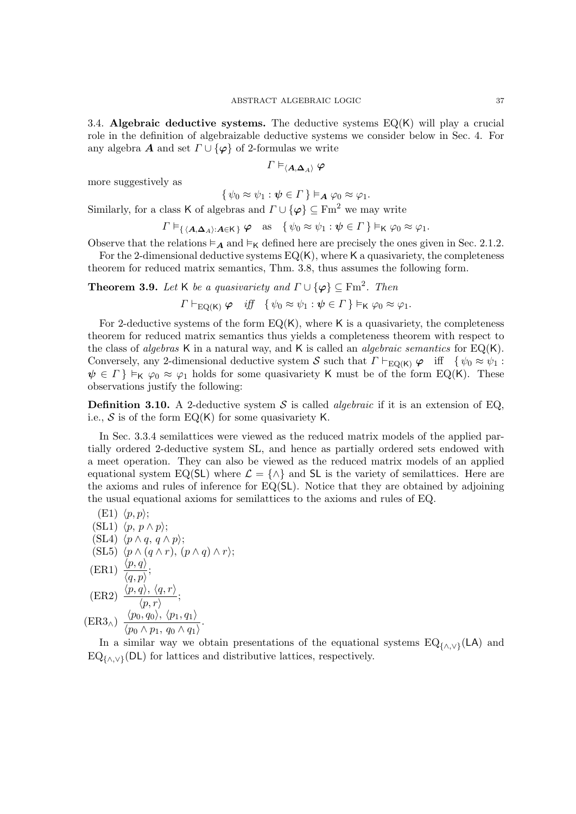3.4. Algebraic deductive systems. The deductive systems  $EQ(K)$  will play a crucial role in the definition of algebraizable deductive systems we consider below in Sec. 4. For any algebra **A** and set  $\Gamma \cup {\varphi}$  of 2-formulas we write

$$
\varGamma\vDash_{\langle\boldsymbol{A},\boldsymbol{\Delta}_A\rangle}\varphi
$$

more suggestively as

$$
\{\psi_0 \approx \psi_1 : \psi \in \Gamma\} \vDash_{\mathbf{A}} \varphi_0 \approx \varphi_1.
$$

Similarly, for a class K of algebras and  $\Gamma \cup {\varphi} \subseteq \text{Fm}^2$  we may write

$$
\Gamma \vDash_{\{ \langle A, \Delta_A \rangle : A \in \mathsf{K} \} } \varphi \quad \text{as} \quad \{ \psi_0 \approx \psi_1 : \psi \in \Gamma \} \vDash_{\mathsf{K}} \varphi_0 \approx \varphi_1.
$$

Observe that the relations  $\models_A$  and  $\models_K$  defined here are precisely the ones given in Sec. 2.1.2.

For the 2-dimensional deductive systems  $EQ(K)$ , where K a quasivariety, the completeness theorem for reduced matrix semantics, Thm. 3.8, thus assumes the following form.

**Theorem 3.9.** Let K be a quasivariety and  $\Gamma \cup {\varphi} \subseteq \text{Fm}^2$ . Then

 $\Gamma \vdash_{\text{EO}(K)} \varphi \quad \text{iff} \quad \{ \psi_0 \approx \psi_1 : \psi \in \Gamma \} \models_{\mathsf{K}} \varphi_0 \approx \varphi_1.$ 

For 2-deductive systems of the form  $EQ(K)$ , where K is a quasivariety, the completeness theorem for reduced matrix semantics thus yields a completeness theorem with respect to the class of *algebras*  $K$  in a natural way, and  $K$  is called an *algebraic semantics* for  $EQ(K)$ . Conversely, any 2-dimensional deductive system S such that  $\Gamma \vdash_{EQ(K)} \varphi$  iff  $\{\psi_0 \approx \psi_1 :$  $\psi \in \Gamma$   $\models$   $\kappa \varphi_0 \approx \varphi_1$  holds for some quasivariety K must be of the form EQ(K). These observations justify the following:

**Definition 3.10.** A 2-deductive system S is called *algebraic* if it is an extension of EQ, i.e.,  $S$  is of the form EQ(K) for some quasivariety K.

In Sec. 3.3.4 semilattices were viewed as the reduced matrix models of the applied partially ordered 2-deductive system SL, and hence as partially ordered sets endowed with a meet operation. They can also be viewed as the reduced matrix models of an applied equational system EQ(SL) where  $\mathcal{L} = \{\wedge\}$  and SL is the variety of semilattices. Here are the axioms and rules of inference for  $EQ(SL)$ . Notice that they are obtained by adjoining the usual equational axioms for semilattices to the axioms and rules of EQ.

(E1) 
$$
\langle p, p \rangle
$$
;  
\n(SL1)  $\langle p, p \wedge p \rangle$ ;  
\n(SL4)  $\langle p \wedge q, q \wedge p \rangle$ ;  
\n(SL5)  $\langle p \wedge (q \wedge r), (p \wedge q) \wedge r \rangle$ ;  
\n(ER1)  $\frac{\langle p, q \rangle}{\langle q, p \rangle}$ ;  
\n(ER2)  $\frac{\langle p, q \rangle, \langle q, r \rangle}{\langle p, r \rangle}$ ;  
\n(ER3<sub>∧</sub>)  $\frac{\langle p_0, q_0 \rangle, \langle p_1, q_1 \rangle}{\langle p_0 \wedge p_1, q_0 \wedge q_1 \rangle}$ .

In a similar way we obtain presentations of the equational systems  $EQ<sub>{\{\wedge,\vee\}}(LA)</sub>$  and  $EQ<sub>{\Lambda,\vee}</sub>$ (DL) for lattices and distributive lattices, respectively.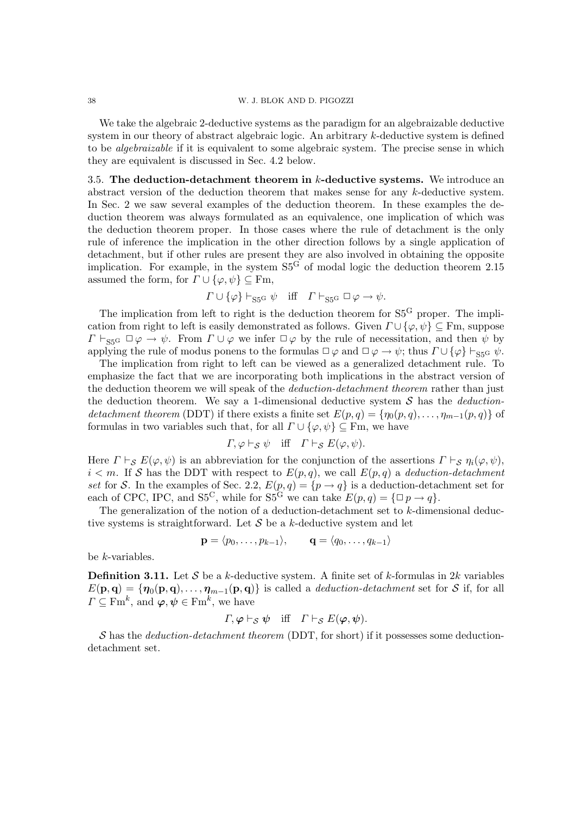We take the algebraic 2-deductive systems as the paradigm for an algebraizable deductive system in our theory of abstract algebraic logic. An arbitrary k-deductive system is defined to be algebraizable if it is equivalent to some algebraic system. The precise sense in which they are equivalent is discussed in Sec. 4.2 below.

3.5. The deduction-detachment theorem in  $k$ -deductive systems. We introduce an abstract version of the deduction theorem that makes sense for any k-deductive system. In Sec. 2 we saw several examples of the deduction theorem. In these examples the deduction theorem was always formulated as an equivalence, one implication of which was the deduction theorem proper. In those cases where the rule of detachment is the only rule of inference the implication in the other direction follows by a single application of detachment, but if other rules are present they are also involved in obtaining the opposite implication. For example, in the system  $S5<sup>G</sup>$  of modal logic the deduction theorem 2.15 assumed the form, for  $\Gamma \cup \{\varphi, \psi\} \subseteq \mathrm{Fm}$ ,

$$
\Gamma \cup \{\varphi\} \vdash_{\mathrm{S5^G}} \psi \quad \text{iff} \quad \Gamma \vdash_{\mathrm{S5^G}} \Box \varphi \to \psi.
$$

The implication from left to right is the deduction theorem for  $S5<sup>G</sup>$  proper. The implication from right to left is easily demonstrated as follows. Given  $\Gamma \cup {\varphi, \psi} \subseteq Fm$ , suppose  $\Gamma \vdash_{\text{SSG}} \Box \varphi \rightarrow \psi$ . From  $\Gamma \cup \varphi$  we infer  $\Box \varphi$  by the rule of necessitation, and then  $\psi$  by applying the rule of modus ponens to the formulas  $\Box \varphi$  and  $\Box \varphi \rightarrow \psi$ ; thus  $\Gamma \cup {\varphi}$   $\vdash_{\text{SSG}} \psi$ .

The implication from right to left can be viewed as a generalized detachment rule. To emphasize the fact that we are incorporating both implications in the abstract version of the deduction theorem we will speak of the *deduction-detachment theorem* rather than just the deduction theorem. We say a 1-dimensional deductive system  $S$  has the *deduction*detachment theorem (DDT) if there exists a finite set  $E(p,q) = \{\eta_0(p,q), \ldots, \eta_{m-1}(p,q)\}\$  of formulas in two variables such that, for all  $\Gamma \cup \{\varphi, \psi\} \subseteq \text{Fm}$ , we have

$$
\Gamma, \varphi \vdash_{\mathcal{S}} \psi
$$
 iff  $\Gamma \vdash_{\mathcal{S}} E(\varphi, \psi)$ .

Here  $\Gamma \vdash_S E(\varphi, \psi)$  is an abbreviation for the conjunction of the assertions  $\Gamma \vdash_S \eta_i(\varphi, \psi)$ ,  $i < m$ . If S has the DDT with respect to  $E(p,q)$ , we call  $E(p,q)$  a deduction-detachment set for S. In the examples of Sec. 2.2,  $E(p,q) = \{p \rightarrow q\}$  is a deduction-detachment set for each of CPC, IPC, and S5<sup>C</sup>, while for S5<sup>G</sup> we can take  $E(p,q) = {\square p \rightarrow q}.$ 

The generalization of the notion of a deduction-detachment set to  $k$ -dimensional deductive systems is straightforward. Let  $S$  be a k-deductive system and let

$$
\mathbf{p} = \langle p_0, \dots, p_{k-1} \rangle, \qquad \mathbf{q} = \langle q_0, \dots, q_{k-1} \rangle
$$

be k-variables.

**Definition 3.11.** Let S be a k-deductive system. A finite set of k-formulas in 2k variables  $E(\mathbf{p},\mathbf{q}) = \{\boldsymbol{\eta}_0(\mathbf{p},\mathbf{q}),\ldots,\boldsymbol{\eta}_{m-1}(\mathbf{p},\mathbf{q})\}$  is called a *deduction-detachment* set for S if, for all  $\Gamma \subseteq \mathrm{Fm}^k$ , and  $\boldsymbol{\varphi}, \boldsymbol{\psi} \in \mathrm{Fm}^k$ , we have

$$
\Gamma, \varphi \vdash_{\mathcal{S}} \psi
$$
 iff  $\Gamma \vdash_{\mathcal{S}} E(\varphi, \psi)$ .

 $\mathcal S$  has the *deduction-detachment theorem* (DDT, for short) if it possesses some deductiondetachment set.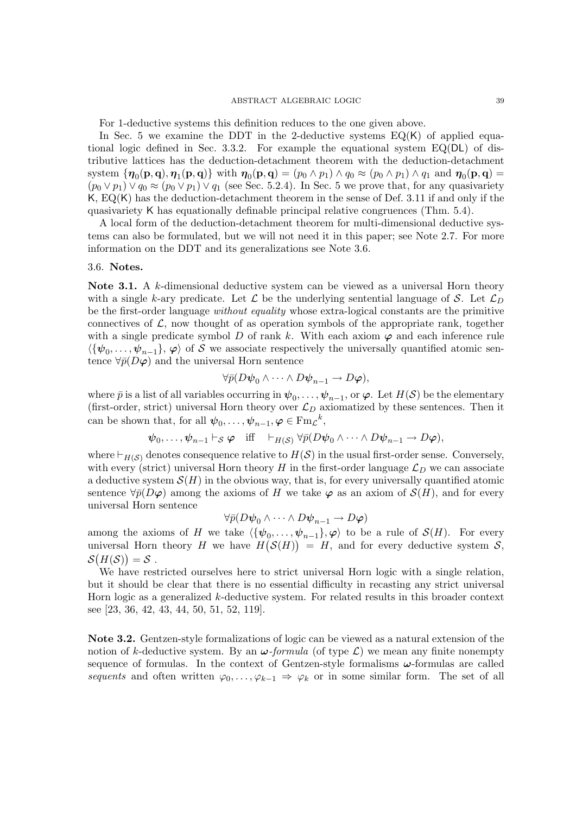#### ABSTRACT ALGEBRAIC LOGIC  $\hspace{2.5mm} 39$

For 1-deductive systems this definition reduces to the one given above.

In Sec. 5 we examine the DDT in the 2-deductive systems  $EQ(K)$  of applied equational logic defined in Sec. 3.3.2. For example the equational system  $EQ(DL)$  of distributive lattices has the deduction-detachment theorem with the deduction-detachment system  $\{\boldsymbol{\eta}_0(\mathbf{p},\mathbf{q}),\boldsymbol{\eta}_1(\mathbf{p},\mathbf{q})\}$  with  $\boldsymbol{\eta}_0(\mathbf{p},\mathbf{q}) = (p_0 \wedge p_1) \wedge q_0 \approx (p_0 \wedge p_1) \wedge q_1$  and  $\boldsymbol{\eta}_0(\mathbf{p},\mathbf{q}) =$  $(p_0 \vee p_1) \vee q_0 \approx (p_0 \vee p_1) \vee q_1$  (see Sec. 5.2.4). In Sec. 5 we prove that, for any quasivariety K, EQ(K) has the deduction-detachment theorem in the sense of Def. 3.11 if and only if the quasivariety K has equationally definable principal relative congruences (Thm. 5.4).

A local form of the deduction-detachment theorem for multi-dimensional deductive systems can also be formulated, but we will not need it in this paper; see Note 2.7. For more information on the DDT and its generalizations see Note 3.6.

#### 3.6. Notes.

Note 3.1. A k-dimensional deductive system can be viewed as a universal Horn theory with a single k-ary predicate. Let  $\mathcal L$  be the underlying sentential language of S. Let  $\mathcal L_D$ be the first-order language without equality whose extra-logical constants are the primitive connectives of  $\mathcal{L}$ , now thought of as operation symbols of the appropriate rank, together with a single predicate symbol D of rank k. With each axiom  $\varphi$  and each inference rule  $\langle {\{\psi_0, \ldots, \psi_{n-1}\}, \varphi \rangle}$  of S we associate respectively the universally quantified atomic sentence  $\forall \bar{p}(D\varphi)$  and the universal Horn sentence

$$
\forall \bar{p}(D\psi_0 \wedge \cdots \wedge D\psi_{n-1} \to D\varphi),
$$

where  $\bar{p}$  is a list of all variables occurring in  $\psi_0,\ldots,\psi_{n-1}$ , or  $\varphi$ . Let  $H(\mathcal{S})$  be the elementary (first-order, strict) universal Horn theory over  $\mathcal{L}_D$  axiomatized by these sentences. Then it can be shown that, for all  $\psi_0, \ldots, \psi_{n-1}, \varphi \in \text{Fm}_{\mathcal{L}}^k$ ,

$$
\psi_0, \ldots, \psi_{n-1} \vdash_S \varphi
$$
 iff  $\vdash_{H(S)} \forall \bar{p}(D\psi_0 \wedge \cdots \wedge D\psi_{n-1} \rightarrow D\varphi)$ ,

where  $\vdash_{H(S)}$  denotes consequence relative to  $H(S)$  in the usual first-order sense. Conversely, with every (strict) universal Horn theory H in the first-order language  $\mathcal{L}_D$  we can associate a deductive system  $\mathcal{S}(H)$  in the obvious way, that is, for every universally quantified atomic sentence  $\forall \bar{p}(D\varphi)$  among the axioms of H we take  $\varphi$  as an axiom of  $\mathcal{S}(H)$ , and for every universal Horn sentence

$$
\forall \bar{p}(D\psi_0 \wedge \cdots \wedge D\psi_{n-1} \to D\varphi)
$$

among the axioms of H we take  $\langle {\{\psi_0, \ldots, \psi_{n-1}\}, \varphi \rangle}$  to be a rule of  $\mathcal{S}(H)$ . For every universal Horn theory H we have  $H(S(H)) = H$ , and for every deductive system S,  $\mathcal{S}(H(\mathcal{S})) = \mathcal{S}$ .

We have restricted ourselves here to strict universal Horn logic with a single relation, but it should be clear that there is no essential difficulty in recasting any strict universal Horn logic as a generalized k-deductive system. For related results in this broader context see [23, 36, 42, 43, 44, 50, 51, 52, 119].

Note 3.2. Gentzen-style formalizations of logic can be viewed as a natural extension of the notion of k-deductive system. By an  $\omega$ -formula (of type  $\mathcal{L}$ ) we mean any finite nonempty sequence of formulas. In the context of Gentzen-style formalisms  $\omega$ -formulas are called sequents and often written  $\varphi_0, \ldots, \varphi_{k-1} \Rightarrow \varphi_k$  or in some similar form. The set of all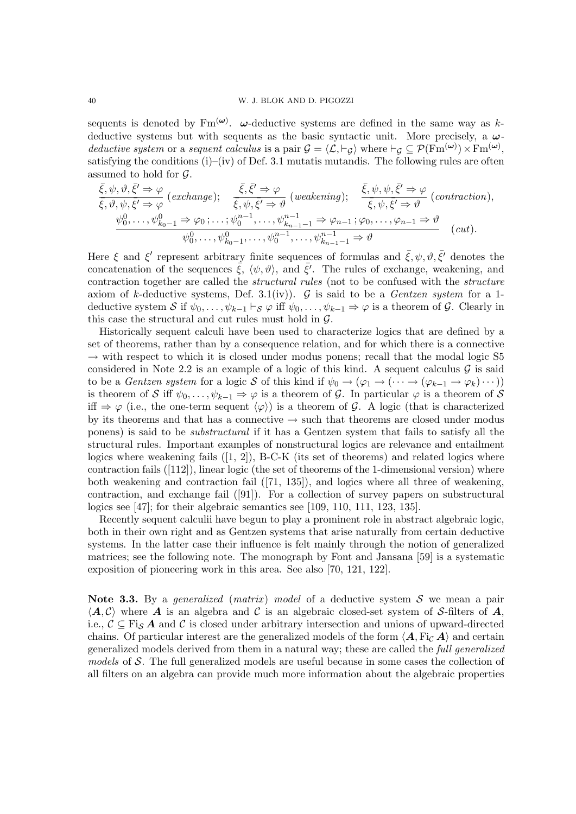sequents is denoted by  $\text{Fm}^{(\omega)}$ .  $\omega$ -deductive systems are defined in the same way as kdeductive systems but with sequents as the basic syntactic unit. More precisely, a  $\omega$ deductive system or a sequent calculus is a pair  $G = \langle \mathcal{L}, \vdash_{\mathcal{G}} \rangle$  where  $\vdash_{\mathcal{G}} \subseteq \mathcal{P}(\mathrm{Fm}^{(\boldsymbol{\omega})}) \times \mathrm{Fm}^{(\boldsymbol{\omega})}$ , satisfying the conditions  $(i)$ – $(iv)$  of Def. 3.1 mutatis mutandis. The following rules are often assumed to hold for  $\mathcal{G}.$ 

$$
\frac{\bar{\xi}, \psi, \vartheta, \bar{\xi'} \Rightarrow \varphi}{\bar{\xi}, \vartheta, \psi, \bar{\xi'} \Rightarrow \varphi} (exchange); \quad \frac{\bar{\xi}, \bar{\xi'} \Rightarrow \varphi}{\bar{\xi}, \psi, \bar{\xi'} \Rightarrow \vartheta} (weakening); \quad \frac{\bar{\xi}, \psi, \psi, \bar{\xi'} \Rightarrow \varphi}{\bar{\xi}, \psi, \bar{\xi'} \Rightarrow \vartheta} (contraction),
$$
\n
$$
\frac{\psi_0^0, \dots, \psi_{k_0-1}^0 \Rightarrow \varphi_0; \dots; \psi_0^{n-1}, \dots, \psi_{k_{n-1}-1}^{n-1} \Rightarrow \varphi_{n-1}; \varphi_0, \dots, \varphi_{n-1} \Rightarrow \vartheta}{\psi_0^0, \dots, \psi_{k_0-1}^0, \dots, \psi_0^{n-1}, \dots, \psi_{k_{n-1}-1}^{n-1} \Rightarrow \vartheta} (cut).
$$

Here  $\xi$  and  $\xi'$  represent arbitrary finite sequences of formulas and  $\bar{\xi}, \psi, \vartheta, \bar{\xi'}$  denotes the concatenation of the sequences  $\bar{\xi}$ ,  $\langle \psi, \vartheta \rangle$ , and  $\bar{\xi}'$ . The rules of exchange, weakening, and contraction together are called the structural rules (not to be confused with the structure axiom of k-deductive systems, Def. 3.1(iv)).  $\mathcal G$  is said to be a *Gentzen system* for a 1deductive system S if  $\psi_0, \ldots, \psi_{k-1} \vdash_S \varphi$  iff  $\psi_0, \ldots, \psi_{k-1} \Rightarrow \varphi$  is a theorem of G. Clearly in this case the structural and cut rules must hold in  $\mathcal{G}$ .

Historically sequent calculi have been used to characterize logics that are defined by a set of theorems, rather than by a consequence relation, and for which there is a connective  $\rightarrow$  with respect to which it is closed under modus ponens; recall that the modal logic S5 considered in Note 2.2 is an example of a logic of this kind. A sequent calculus  $\mathcal G$  is said to be a *Gentzen system* for a logic S of this kind if  $\psi_0 \to (\varphi_1 \to (\cdots \to (\varphi_{k-1} \to \varphi_k) \cdots))$ is theorem of S iff  $\psi_0, \ldots, \psi_{k-1} \Rightarrow \varphi$  is a theorem of G. In particular  $\varphi$  is a theorem of S iff  $\Rightarrow \varphi$  (i.e., the one-term sequent  $\langle \varphi \rangle$ ) is a theorem of G. A logic (that is characterized by its theorems and that has a connective  $\rightarrow$  such that theorems are closed under modus ponens) is said to be substructural if it has a Gentzen system that fails to satisfy all the structural rules. Important examples of nonstructural logics are relevance and entailment logics where weakening fails  $(1, 2)$ , B-C-K (its set of theorems) and related logics where contraction fails  $([112])$ , linear logic (the set of theorems of the 1-dimensional version) where both weakening and contraction fail ([71, 135]), and logics where all three of weakening, contraction, and exchange fail ([91]). For a collection of survey papers on substructural logics see [47]; for their algebraic semantics see [109, 110, 111, 123, 135].

Recently sequent calculii have begun to play a prominent role in abstract algebraic logic, both in their own right and as Gentzen systems that arise naturally from certain deductive systems. In the latter case their influence is felt mainly through the notion of generalized matrices; see the following note. The monograph by Font and Jansana [59] is a systematic exposition of pioneering work in this area. See also [70, 121, 122].

Note 3.3. By a generalized (matrix) model of a deductive system S we mean a pair  $\langle A, C \rangle$  where A is an algebra and C is an algebraic closed-set system of S-filters of A, i.e.,  $C \subseteq \text{Fig. } A$  and C is closed under arbitrary intersection and unions of upward-directed chains. Of particular interest are the generalized models of the form  $\langle \mathbf{A}, \mathbf{F} \mathbf{i}_{\mathcal{C}} | \mathbf{A} \rangle$  and certain generalized models derived from them in a natural way; these are called the full generalized models of S. The full generalized models are useful because in some cases the collection of all filters on an algebra can provide much more information about the algebraic properties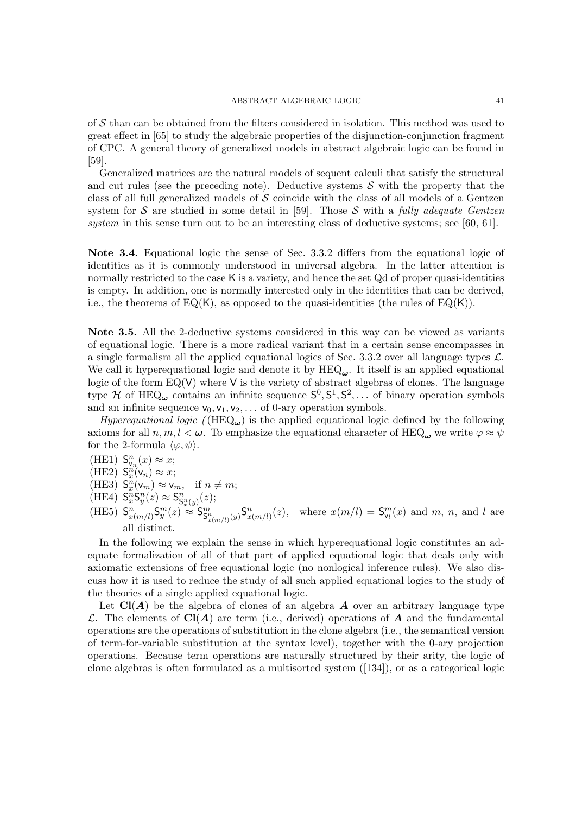of  $S$  than can be obtained from the filters considered in isolation. This method was used to great effect in [65] to study the algebraic properties of the disjunction-conjunction fragment of CPC. A general theory of generalized models in abstract algebraic logic can be found in [59].

Generalized matrices are the natural models of sequent calculi that satisfy the structural and cut rules (see the preceding note). Deductive systems  $S$  with the property that the class of all full generalized models of  $S$  coincide with the class of all models of a Gentzen system for S are studied in some detail in [59]. Those S with a fully adequate Gentzen system in this sense turn out to be an interesting class of deductive systems; see [60, 61].

Note 3.4. Equational logic the sense of Sec. 3.3.2 differs from the equational logic of identities as it is commonly understood in universal algebra. In the latter attention is normally restricted to the case  $\mathsf K$  is a variety, and hence the set  $\mathrm Qd$  of proper quasi-identities is empty. In addition, one is normally interested only in the identities that can be derived, i.e., the theorems of  $EQ(K)$ , as opposed to the quasi-identities (the rules of  $EQ(K)$ ).

Note 3.5. All the 2-deductive systems considered in this way can be viewed as variants of equational logic. There is a more radical variant that in a certain sense encompasses in a single formalism all the applied equational logics of Sec. 3.3.2 over all language types  $\mathcal{L}$ . We call it hyperequational logic and denote it by  $HEQ_{\omega}$ . It itself is an applied equational logic of the form  $EQ(V)$  where V is the variety of abstract algebras of clones. The language type  $H$  of HEQ<sub> $\omega$ </sub> contains an infinite sequence  $S^0, S^1, S^2, \ldots$  of binary operation symbols and an infinite sequence  $v_0, v_1, v_2, \ldots$  of 0-ary operation symbols.

*Hyperequational logic* ( $(HEQ_{\omega})$ ) is the applied equational logic defined by the following axioms for all  $n, m, l < \omega$ . To emphasize the equational character of HEQ<sub> $\omega$ </sub> we write  $\varphi \approx \psi$ for the 2-formula  $\langle \varphi, \psi \rangle$ .

- (HE1)  $S_{v_n}^n(x) \approx x;$
- (HE2)  $S_x^n(v_n) \approx x;$
- (HE3)  $S_x^n(v_m) \approx v_m$ , if  $n \neq m$ ;
- (HE4)  $S_x^nS_y^n(z) \approx S_{S_x^n(y)}^n(z);$
- (HE5)  $S_{x(m/l)}^n S_y^m(z) \propto S_{S_{x(m/l)}}^m S_{x(m/l)}^n(z)$ , where  $x(m/l) = S_{\nu_l}^m(x)$  and m, n, and l are all distinct.

In the following we explain the sense in which hyperequational logic constitutes an adequate formalization of all of that part of applied equational logic that deals only with axiomatic extensions of free equational logic (no nonlogical inference rules). We also discuss how it is used to reduce the study of all such applied equational logics to the study of the theories of a single applied equational logic.

Let  $Cl(A)$  be the algebra of clones of an algebra A over an arbitrary language type L. The elements of  $Cl(A)$  are term (i.e., derived) operations of A and the fundamental operations are the operations of substitution in the clone algebra (i.e., the semantical version of term-for-variable substitution at the syntax level), together with the 0-ary projection operations. Because term operations are naturally structured by their arity, the logic of clone algebras is often formulated as a multisorted system ([134]), or as a categorical logic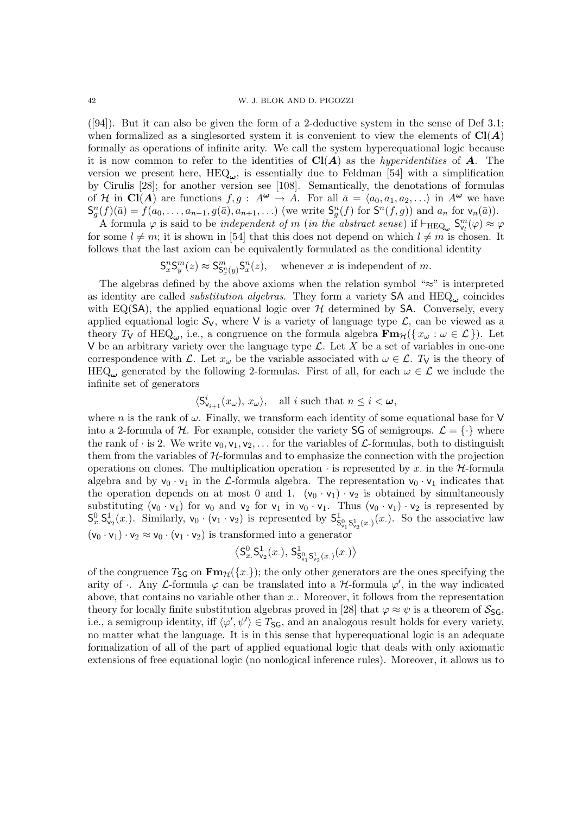([94]). But it can also be given the form of a 2-deductive system in the sense of Def 3.1; when formalized as a singlesorted system it is convenient to view the elements of  $Cl(A)$ formally as operations of infinite arity. We call the system hyperequational logic because it is now common to refer to the identities of  $Cl(A)$  as the *hyperidentities* of A. The version we present here,  $HEQ_{\omega}$ , is essentially due to Feldman [54] with a simplification by Cirulis [28]; for another version see [108]. Semantically, the denotations of formulas of H in Cl(A) are functions  $f, g : A^{\omega} \to A$ . For all  $\bar{a} = \langle a_0, a_1, a_2, \ldots \rangle$  in  $A^{\omega}$  we have  $\mathsf{S}_{g}^{n}(f)(\bar{a})=f(a_0,\ldots,a_{n-1},g(\bar{a}),a_{n+1},\ldots)$  (we write  $\mathsf{S}_{g}^{n}(f)$  for  $\mathsf{S}^{n}(f,g)$ ) and  $a_n$  for  $\mathsf{v}_n(\bar{a})$ ).

A formula  $\varphi$  is said to be *independent of m* (*in the abstract sense*) if  $\vdash_{\text{HEQ}_\omega} \mathsf{S}_{\mathsf{v}_l}^m(\varphi) \approx \varphi$ for some  $l \neq m$ ; it is shown in [54] that this does not depend on which  $l \neq m$  is chosen. It follows that the last axiom can be equivalently formulated as the conditional identity

> $\mathsf{S}^n_x \mathsf{S}^m_y(z) \approx \mathsf{S}^m_{\mathsf{S}^n_x(y)} \mathsf{S}^n_x$ whenever  $x$  is independent of  $m$ .

The algebras defined by the above axioms when the relation symbol " $\approx$ " is interpreted as identity are called *substitution algebras*. They form a variety  $SA$  and  $HEQ_{\omega}$  coincides with EQ(SA), the applied equational logic over  $H$  determined by SA. Conversely, every applied equational logic  $S_V$ , where V is a variety of language type  $\mathcal{L}$ , can be viewed as a theory  $T_V$  of HEQ<sub>ω</sub>, i.e., a congruence on the formula algebra  $\mathbf{Fm}_H(\lbrace x_\omega : \omega \in \mathcal{L} \rbrace)$ . Let V be an arbitrary variety over the language type  $\mathcal{L}$ . Let X be a set of variables in one-one correspondence with L. Let  $x_{\omega}$  be the variable associated with  $\omega \in \mathcal{L}$ . T<sub>V</sub> is the theory of HEQ<sub> $\omega$ </sub> generated by the following 2-formulas. First of all, for each  $\omega \in \mathcal{L}$  we include the infinite set of generators

$$
\langle S_{\mathsf{v}_{i+1}}^i(x_\omega), x_\omega \rangle, \quad \text{all } i \text{ such that } n \leq i < \omega,
$$

where n is the rank of  $\omega$ . Finally, we transform each identity of some equational base for V into a 2-formula of H. For example, consider the variety SG of semigroups.  $\mathcal{L} = \{\cdot\}$  where the rank of  $\cdot$  is 2. We write  $v_0, v_1, v_2, \ldots$  for the variables of  $\mathcal{L}$ -formulas, both to distinguish them from the variables of  $H$ -formulas and to emphasize the connection with the projection operations on clones. The multiplication operation  $\cdot$  is represented by x. in the  $H$ -formula algebra and by  $v_0 \cdot v_1$  in the L-formula algebra. The representation  $v_0 \cdot v_1$  indicates that the operation depends on at most 0 and 1.  $(v_0 \cdot v_1) \cdot v_2$  is obtained by simultaneously substituting  $(v_0 \cdot v_1)$  for  $v_0$  and  $v_2$  for  $v_1$  in  $v_0 \cdot v_1$ . Thus  $(v_0 \cdot v_1) \cdot v_2$  is represented by  $S_x^0$ ,  $S_{v_2}^1(x)$ . Similarly,  $v_0 \cdot (v_1 \cdot v_2)$  is represented by  $S_{S_{v_1}^0 S_{v_2}^1(x)}^1(x)$ . So the associative law  $(v_0 \cdot v_1) \cdot v_2 \approx v_0 \cdot (v_1 \cdot v_2)$  is transformed into a generator

$$
\left\langle \mathsf{S}^0_{x\cdot} \mathsf{S}^1_{\mathsf{v}_2}(x\cdot),\,\mathsf{S}^1_{\mathsf{S}^0_{\mathsf{v}_1}\mathsf{S}^1_{\mathsf{v}_2}(x\cdot)}(x\cdot)\right\rangle
$$

of the congruence  $T_{SG}$  on  $\mathbf{Fm}_{H}(\lbrace x.\rbrace)$ ; the only other generators are the ones specifying the arity of  $\cdot$ . Any *L*-formula  $\varphi$  can be translated into a *H*-formula  $\varphi'$ , in the way indicated above, that contains no variable other than  $x$ . Moreover, it follows from the representation theory for locally finite substitution algebras proved in [28] that  $\varphi \approx \psi$  is a theorem of  $S_{\text{SG}}$ , i.e., a semigroup identity, iff  $\langle \varphi', \psi' \rangle \in T_{\mathsf{SG}}$ , and an analogous result holds for every variety, no matter what the language. It is in this sense that hyperequational logic is an adequate formalization of all of the part of applied equational logic that deals with only axiomatic extensions of free equational logic (no nonlogical inference rules). Moreover, it allows us to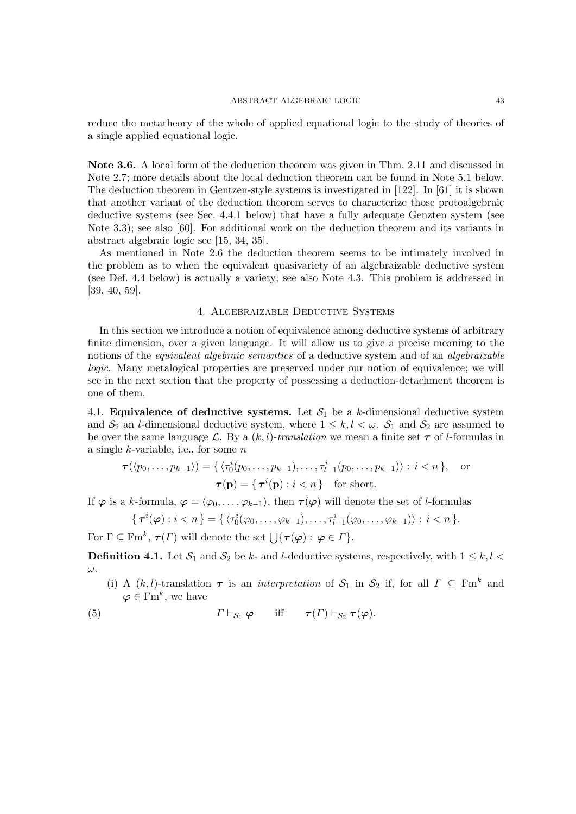reduce the metatheory of the whole of applied equational logic to the study of theories of a single applied equational logic.

Note 3.6. A local form of the deduction theorem was given in Thm. 2.11 and discussed in Note 2.7; more details about the local deduction theorem can be found in Note 5.1 below. The deduction theorem in Gentzen-style systems is investigated in [122]. In [61] it is shown that another variant of the deduction theorem serves to characterize those protoalgebraic deductive systems (see Sec. 4.4.1 below) that have a fully adequate Genzten system (see Note 3.3); see also [60]. For additional work on the deduction theorem and its variants in abstract algebraic logic see [15, 34, 35].

As mentioned in Note 2.6 the deduction theorem seems to be intimately involved in the problem as to when the equivalent quasivariety of an algebraizable deductive system (see Def. 4.4 below) is actually a variety; see also Note 4.3. This problem is addressed in [39, 40, 59].

# 4. Algebraizable Deductive Systems

In this section we introduce a notion of equivalence among deductive systems of arbitrary finite dimension, over a given language. It will allow us to give a precise meaning to the notions of the *equivalent algebraic semantics* of a deductive system and of an *algebraizable* logic. Many metalogical properties are preserved under our notion of equivalence; we will see in the next section that the property of possessing a deduction-detachment theorem is one of them.

4.1. Equivalence of deductive systems. Let  $S_1$  be a k-dimensional deductive system and  $S_2$  an *l*-dimensional deductive system, where  $1 \leq k, l < \omega$ .  $S_1$  and  $S_2$  are assumed to be over the same language L. By a  $(k, l)$ -translation we mean a finite set  $\tau$  of l-formulas in a single  $k$ -variable, i.e., for some  $n$ 

$$
\tau(\langle p_0, \ldots, p_{k-1} \rangle) = \{ \langle \tau_0^i(p_0, \ldots, p_{k-1}), \ldots, \tau_{l-1}^i(p_0, \ldots, p_{k-1}) \rangle : i < n \}, \quad \text{or}
$$
\n
$$
\tau(\mathbf{p}) = \{ \tau^i(\mathbf{p}) : i < n \}
$$
\nfor short.

If  $\varphi$  is a k-formula,  $\varphi = \langle \varphi_0, \ldots, \varphi_{k-1} \rangle$ , then  $\tau(\varphi)$  will denote the set of l-formulas

$$
\{\,\boldsymbol\tau^i(\boldsymbol\varphi): i < n\,\} = \{\,\langle \tau_0^i(\varphi_0,\ldots,\varphi_{k-1}),\ldots,\tau_{l-1}^i(\varphi_0,\ldots,\varphi_{k-1})\rangle : i < n\,\}.
$$

For  $\Gamma \subseteq \mathrm{Fm}^k$ ,  $\tau(\Gamma)$  will denote the set  $\bigcup \{\tau(\varphi): \varphi \in \Gamma\}.$ 

**Definition 4.1.** Let  $S_1$  and  $S_2$  be k- and l-deductive systems, respectively, with  $1 \leq k, l \leq k$ ω.

- (i) A  $(k, l)$ -translation  $\tau$  is an *interpretation* of  $S_1$  in  $S_2$  if, for all  $\Gamma \subseteq \text{Fm}^k$  and  $\boldsymbol{\varphi} \in \text{Fm}^k$ , we have
- (5)  $\Gamma \vdash_{\mathcal{S}_1} \varphi$  iff  $\tau(\Gamma) \vdash_{\mathcal{S}_2} \tau(\varphi)$ .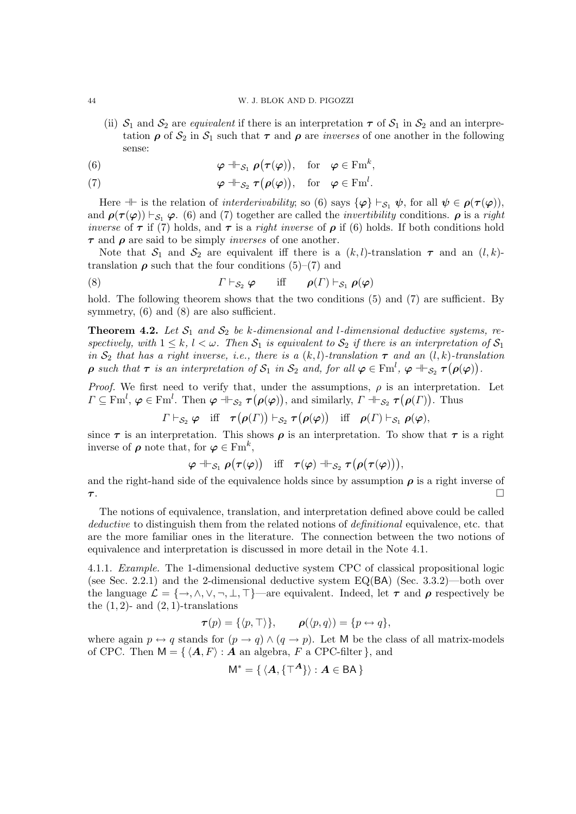#### 44 W. J. BLOK AND D. PIGOZZI

- (ii)  $S_1$  and  $S_2$  are *equivalent* if there is an interpretation  $\tau$  of  $S_1$  in  $S_2$  and an interpretation  $\rho$  of  $S_2$  in  $S_1$  such that  $\tau$  and  $\rho$  are *inverses* of one another in the following sense:
- (6)  $\varphi \dashv \vdash_{\mathcal{S}_1} \rho(\tau(\varphi)), \text{ for } \varphi \in \text{Fm}^k,$
- (7)  $\varphi \dashv \vdash_{\mathcal{S}_2} \tau(\rho(\varphi)), \text{ for } \varphi \in \mathrm{Fm}^l.$

Here  $\dashv$  is the relation of *interderivability*; so (6) says  $\{\varphi\} \vdash_{\mathcal{S}_1} \psi$ , for all  $\psi \in \rho(\tau(\varphi))$ , and  $\rho(\tau(\varphi)) \vdash_{\mathcal{S}_1} \varphi$ . (6) and (7) together are called the *invertibility* conditions.  $\rho$  is a right inverse of  $\tau$  if (7) holds, and  $\tau$  is a right inverse of  $\rho$  if (6) holds. If both conditions hold  $\tau$  and  $\rho$  are said to be simply *inverses* of one another.

Note that  $S_1$  and  $S_2$  are equivalent iff there is a  $(k, l)$ -translation  $\tau$  and an  $(l, k)$ translation  $\rho$  such that the four conditions (5)–(7) and

(8) 
$$
\Gamma \vdash_{\mathcal{S}_2} \varphi
$$
 iff  $\rho(\Gamma) \vdash_{\mathcal{S}_1} \rho(\varphi)$ 

hold. The following theorem shows that the two conditions (5) and (7) are sufficient. By symmetry,  $(6)$  and  $(8)$  are also sufficient.

**Theorem 4.2.** Let  $S_1$  and  $S_2$  be k-dimensional and l-dimensional deductive systems, respectively, with  $1 \leq k, l < \omega$ . Then  $S_1$  is equivalent to  $S_2$  if there is an interpretation of  $S_1$ in  $S_2$  that has a right inverse, i.e., there is a  $(k, l)$ -translation  $\tau$  and an  $(l, k)$ -translation  $\rho$  such that  $\tau$  is an interpretation of  $\mathcal{S}_1$  in  $\mathcal{S}_2$  and, for all  $\varphi \in \text{Fm}^l$ ,  $\varphi \Vdash_{\mathcal{S}_2} \tau(\rho(\varphi))$ .

*Proof.* We first need to verify that, under the assumptions,  $\rho$  is an interpretation. Let  $\Gamma\subseteq\mathrm{Fm}^l,\,\bm{\varphi}\in\mathrm{Fm}^l.$  Then  $\bm{\varphi}\dashv_{\mathcal{S}_2}\bm{\tau}\big(\bm{\rho}(\bm{\varphi})\big),$  and similarly,  $\Gamma\dashv_{\mathcal{S}_2}\bm{\tau}\big(\bm{\rho}(\Gamma)\big).$  Thus

 $\Gamma \vdash_{\mathcal{S}_2} \varphi \quad \text{iff} \quad \tau(\pmb{\rho}(\Gamma)) \vdash_{\mathcal{S}_2} \tau(\pmb{\rho}(\varphi)) \quad \text{iff} \quad \pmb{\rho}(\Gamma) \vdash_{\mathcal{S}_1} \pmb{\rho}(\varphi),$ 

since  $\tau$  is an interpretation. This shows  $\rho$  is an interpretation. To show that  $\tau$  is a right inverse of  $\rho$  note that, for  $\varphi \in \text{Fm}^k$ ,

$$
\varphi \dashv \vdash_{\mathcal{S}_1} \rho(\tau(\varphi)) \quad \text{iff} \quad \tau(\varphi) \dashv \vdash_{\mathcal{S}_2} \tau(\rho(\tau(\varphi))),
$$

and the right-hand side of the equivalence holds since by assumption  $\rho$  is a right inverse of  $\tau$ .

The notions of equivalence, translation, and interpretation defined above could be called deductive to distinguish them from the related notions of *definitional* equivalence, etc. that are the more familiar ones in the literature. The connection between the two notions of equivalence and interpretation is discussed in more detail in the Note 4.1.

4.1.1. Example. The 1-dimensional deductive system CPC of classical propositional logic (see Sec. 2.2.1) and the 2-dimensional deductive system EQ(BA) (Sec. 3.3.2)—both over the language  $\mathcal{L} = \{\rightarrow, \land, \lor, \neg, \bot, \top\}$ —are equivalent. Indeed, let  $\tau$  and  $\rho$  respectively be the  $(1, 2)$ - and  $(2, 1)$ -translations

$$
\boldsymbol{\tau}(p) = \{ \langle p, \top \rangle \}, \qquad \boldsymbol{\rho}(\langle p, q \rangle) = \{ p \leftrightarrow q \},
$$

where again  $p \leftrightarrow q$  stands for  $(p \rightarrow q) \land (q \rightarrow p)$ . Let M be the class of all matrix-models of CPC. Then  $M = \{ \langle A, F \rangle : A$  an algebra, F a CPC-filter }, and

$$
\mathsf{M}^* = \{ \langle A, \{\top^A\} \rangle : A \in \mathsf{BA} \}
$$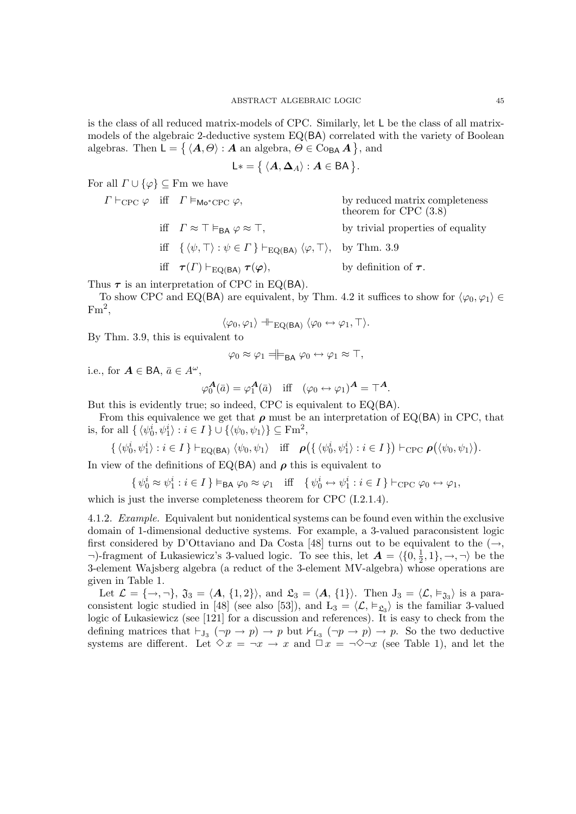is the class of all reduced matrix-models of CPC. Similarly, let L be the class of all matrixmodels of the algebraic 2-deductive system EQ(BA) correlated with the variety of Boolean algebras. Then  $\mathsf{L} = \{ \langle A, \Theta \rangle : A \text{ an algebra}, \Theta \in \text{Co}_{\mathsf{BA}} A \},\$ and

$$
\mathsf{L}*= \{\langle \mathbf{A}, \mathbf{\Delta}_A \rangle : \mathbf{A} \in \mathsf{BA} \}.
$$

For all  $\Gamma \cup \{\varphi\} \subseteq \mathrm{Fm}$  we have

 $\Gamma \vdash_{\text{CPC}} \varphi$  iff  $\Gamma \vDash_{\text{Mo}^* \text{CPC}} \varphi$ , by reduced matrix completeness theorem for CPC (3.8) iff  $\Gamma \approx \top \vDash_{BA} \varphi \approx \top$ , by trivial properties of equality iff  $\{\langle \psi, \top \rangle : \psi \in \Gamma \} \vdash_{EQ(BA)} \langle \varphi, \top \rangle$ , by Thm. 3.9 iff  $\tau(\Gamma) \vdash_{\text{EO}(BA)} \tau(\varphi)$ , by definition of  $\tau$ .

Thus  $\tau$  is an interpretation of CPC in EQ(BA).

To show CPC and EQ(BA) are equivalent, by Thm. 4.2 it suffices to show for  $\langle \varphi_0, \varphi_1 \rangle \in$  $\mathrm{Fm}^2,$ 

$$
\langle \varphi_0, \varphi_1 \rangle \dashv \vdash_{\mathrm{EQ}(\mathrm{BA})} \langle \varphi_0 \leftrightarrow \varphi_1, \top \rangle.
$$

By Thm. 3.9, this is equivalent to

$$
\varphi_0 \approx \varphi_1 \equiv \models_{\mathsf{BA}} \varphi_0 \leftrightarrow \varphi_1 \approx \top,
$$

i.e., for  $\mathbf{A} \in \mathsf{BA}, \, \bar{a} \in A^{\omega}$ ,

$$
\varphi_0^{\mathbf{A}}(\bar{a}) = \varphi_1^{\mathbf{A}}(\bar{a}) \quad \text{iff} \quad (\varphi_0 \leftrightarrow \varphi_1)^{\mathbf{A}} = \top^{\mathbf{A}}.
$$

But this is evidently true; so indeed, CPC is equivalent to EQ(BA).

From this equivalence we get that  $\rho$  must be an interpretation of EQ(BA) in CPC, that is, for all  $\{ \langle \psi_0^i, \psi_1^i \rangle : i \in I \} \cup \{ \langle \psi_0, \psi_1 \rangle \} \subseteq \text{Fm}^2$ ,

 $\{\langle \psi_0^i, \psi_1^i \rangle : i \in I \} \vdash_{\text{EQ(BA)}} \langle \psi_0, \psi_1 \rangle \quad \text{iff} \quad \rho(\{\langle \psi_0^i, \psi_1^i \rangle : i \in I \}) \vdash_{\text{CPC}} \rho(\langle \psi_0, \psi_1 \rangle).$ 

In view of the definitions of EQ(BA) and  $\rho$  this is equivalent to

$$
\{\psi_0^i \approx \psi_1^i : i \in I\} \vDash_{\mathsf{BA}} \varphi_0 \approx \varphi_1 \quad \text{iff} \quad \{\psi_0^i \leftrightarrow \psi_1^i : i \in I\} \vdash_{\mathsf{CPC}} \varphi_0 \leftrightarrow \varphi_1,
$$

which is just the inverse completeness theorem for CPC  $(1.2.1.4)$ .

4.1.2. Example. Equivalent but nonidentical systems can be found even within the exclusive domain of 1-dimensional deductive systems. For example, a 3-valued paraconsistent logic first considered by D'Ottaviano and Da Costa [48] turns out to be equivalent to the  $(\rightarrow,$  $\neg$ -fragment of Lukasiewicz's 3-valued logic. To see this, let  $\mathbf{A} = \langle \{0, \frac{1}{2}, \frac{1}{2}, \ldots, \frac{1}{n}\} \rangle$  $\frac{1}{2}, 1\}, \rightarrow, \neg\rangle$  be the 3-element Wajsberg algebra (a reduct of the 3-element MV-algebra) whose operations are given in Table 1.

Let  $\mathcal{L} = \{\rightarrow, \neg\}$ ,  $\mathfrak{J}_3 = \langle \mathbf{A}, \{1, 2\}\rangle$ , and  $\mathfrak{L}_3 = \langle \mathbf{A}, \{1\}\rangle$ . Then  $J_3 = \langle \mathcal{L}, \vDash_{\mathfrak{J}_3} \rangle$  is a paraconsistent logic studied in [48] (see also [53]), and  $L_3 = \langle \mathcal{L}, \vDash_{\mathfrak{L}_3} \rangle$  is the familiar 3-valued logic of Lukasiewicz (see [121] for a discussion and references). It is easy to check from the defining matrices that  $\vdash_{J_3} (\neg p \rightarrow p) \rightarrow p$  but  $\nvdash_{L_3} (\neg p \rightarrow p) \rightarrow p$ . So the two deductive systems are different. Let  $\Diamond x = \neg x \rightarrow x$  and  $\Box x = \neg \Diamond \neg x$  (see Table 1), and let the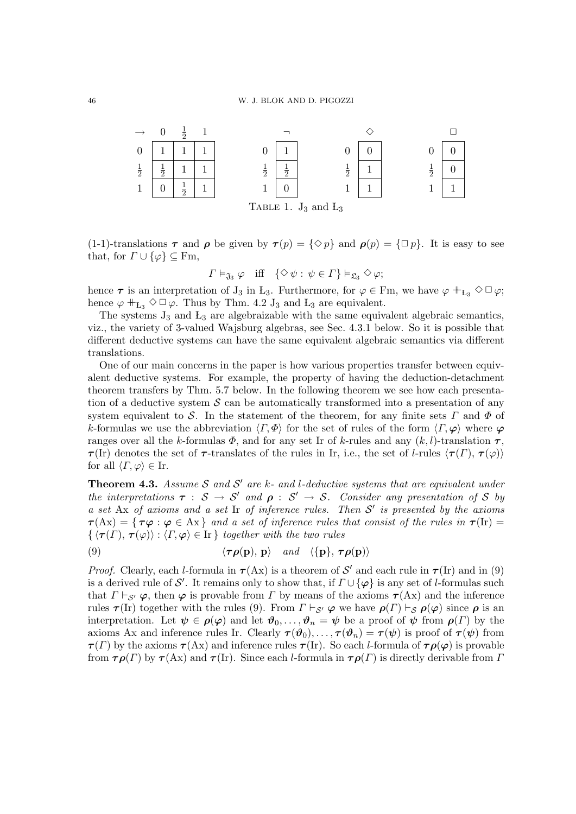

(1-1)-translations  $\tau$  and  $\rho$  be given by  $\tau(p) = {\Diamond p}$  and  $\rho(p) = {\Box p}$ . It is easy to see that, for  $\Gamma \cup \{\varphi\} \subseteq \mathrm{Fm}$ ,

$$
\Gamma \vDash_{\mathfrak{J}_3} \varphi
$$
 iff  $\{\diamond \psi : \psi \in \Gamma\} \vDash_{\mathfrak{L}_3} \diamond \varphi;$ 

hence  $\tau$  is an interpretation of  $J_3$  in  $L_3$ . Furthermore, for  $\varphi \in \text{Fm}$ , we have  $\varphi \, \#_{L_3} \Diamond \Box \varphi$ ; hence  $\varphi$  +  $_{\text{L}_3}$   $\diamond$   $\Box$   $\varphi$ . Thus by Thm. 4.2 J<sub>3</sub> and L<sub>3</sub> are equivalent.

The systems  $J_3$  and  $L_3$  are algebraizable with the same equivalent algebraic semantics, viz., the variety of 3-valued Wajsburg algebras, see Sec. 4.3.1 below. So it is possible that different deductive systems can have the same equivalent algebraic semantics via different translations.

One of our main concerns in the paper is how various properties transfer between equivalent deductive systems. For example, the property of having the deduction-detachment theorem transfers by Thm. 5.7 below. In the following theorem we see how each presentation of a deductive system  $\mathcal S$  can be automatically transformed into a presentation of any system equivalent to S. In the statement of the theorem, for any finite sets  $\Gamma$  and  $\Phi$  of k-formulas we use the abbreviation  $\langle \Gamma, \Phi \rangle$  for the set of rules of the form  $\langle \Gamma, \varphi \rangle$  where  $\varphi$ ranges over all the k-formulas  $\Phi$ , and for any set Ir of k-rules and any  $(k, l)$ -translation  $\tau$ ,  $\tau$ (Ir) denotes the set of  $\tau$ -translates of the rules in Ir, i.e., the set of l-rules  $\langle \tau(I), \tau(\varphi) \rangle$ for all  $\langle \Gamma, \varphi \rangle \in \text{I}_r$ .

**Theorem 4.3.** Assume S and S' are k- and l-deductive systems that are equivalent under the interpretations  $\tau : S \to S'$  and  $\rho : S' \to S$ . Consider any presentation of S by a set Ax of axioms and a set Ir of inference rules. Then  $S'$  is presented by the axioms  $\tau(\mathbf{A}\mathbf{x}) = {\tau\varphi : \varphi \in \mathbf{A}\mathbf{x}}$  and a set of inference rules that consist of the rules in  $\tau(\mathbf{I}\mathbf{r}) =$  $\{\langle \tau(\Gamma), \tau(\varphi) \rangle : \langle \Gamma, \varphi \rangle \in \mathbb{I} \}$  together with the two rules

(9) 
$$
\langle \tau \rho(\mathbf{p}), \mathbf{p} \rangle
$$
 and  $\langle {\mathbf{p}}, \tau \rho(\mathbf{p}) \rangle$ 

*Proof.* Clearly, each *l*-formula in  $\tau$ (Ax) is a theorem of S' and each rule in  $\tau$ (Ir) and in (9) is a derived rule of S'. It remains only to show that, if  $\Gamma \cup {\varphi}$  is any set of l-formulas such that  $\Gamma \vdash_{\mathcal{S}'} \varphi$ , then  $\varphi$  is provable from  $\Gamma$  by means of the axioms  $\tau(Ax)$  and the inference rules  $\tau$ (Ir) together with the rules (9). From  $\Gamma \vdash_{\mathcal{S}'} \varphi$  we have  $\rho(\Gamma) \vdash_{\mathcal{S}} \rho(\varphi)$  since  $\rho$  is an interpretation. Let  $\psi \in \rho(\varphi)$  and let  $\vartheta_0, \ldots, \vartheta_n = \psi$  be a proof of  $\psi$  from  $\rho(\Gamma)$  by the axioms Ax and inference rules Ir. Clearly  $\tau(\vartheta_0), \ldots, \tau(\vartheta_n) = \tau(\psi)$  is proof of  $\tau(\psi)$  from  $\tau(\Gamma)$  by the axioms  $\tau(\text{Ax})$  and inference rules  $\tau(\text{Ir})$ . So each *l*-formula of  $\tau \rho(\varphi)$  is provable from  $\tau \rho(\Gamma)$  by  $\tau$ (Ax) and  $\tau$ (Ir). Since each *l*-formula in  $\tau \rho(\Gamma)$  is directly derivable from  $\Gamma$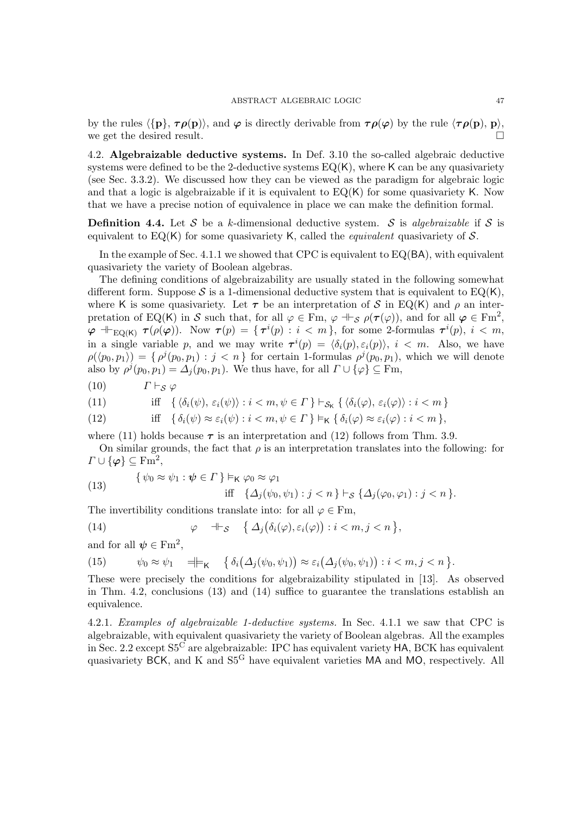by the rules  $\langle \{p\}, \tau \rho(p)\rangle$ , and  $\varphi$  is directly derivable from  $\tau \rho(\varphi)$  by the rule  $\langle \tau \rho(p), p\rangle$ , we get the desired result.  $\Box$ 

4.2. Algebraizable deductive systems. In Def. 3.10 the so-called algebraic deductive systems were defined to be the 2-deductive systems  $EQ(K)$ , where K can be any quasivariety (see Sec. 3.3.2). We discussed how they can be viewed as the paradigm for algebraic logic and that a logic is algebraizable if it is equivalent to  $EQ(K)$  for some quasivariety K. Now that we have a precise notion of equivalence in place we can make the definition formal.

**Definition 4.4.** Let S be a k-dimensional deductive system. S is algebraizable if S is equivalent to  $EQ(K)$  for some quasivariety K, called the *equivalent* quasivariety of S.

In the example of Sec. 4.1.1 we showed that CPC is equivalent to  $EQ(BA)$ , with equivalent quasivariety the variety of Boolean algebras.

The defining conditions of algebraizability are usually stated in the following somewhat different form. Suppose S is a 1-dimensional deductive system that is equivalent to  $EQ(K)$ , where K is some quasivariety. Let  $\tau$  be an interpretation of S in EQ(K) and  $\rho$  an interpretation of EQ(K) in S such that, for all  $\varphi \in \text{Fm}$ ,  $\varphi \dashv_{\mathcal{S}} \rho(\tau(\varphi))$ , and for all  $\varphi \in \text{Fm}^2$ ,  $\varphi \dashv_{\text{EQ}(K)} \tau(\rho(\varphi)).$  Now  $\tau(p) = {\{\tau^i(p) : i < m\}}$ , for some 2-formulas  $\tau^i(p), i < m$ , in a single variable p, and we may write  $\tau^{i}(p) = \langle \delta_{i}(p), \varepsilon_{i}(p) \rangle$ ,  $i < m$ . Also, we have  $\rho(\langle p_0, p_1 \rangle) = \{ \rho^j(p_0, p_1) : j < n \}$  for certain 1-formulas  $\rho^j(p_0, p_1)$ , which we will denote also by  $\rho^{j}(p_0, p_1) = \Delta_j(p_0, p_1)$ . We thus have, for all  $\Gamma \cup {\varphi} \subseteq \mathrm{Fm}$ ,

(10)  $\Gamma \vdash_S \varphi$ 

(11) 
$$
\text{iff} \quad \{ \langle \delta_i(\psi), \varepsilon_i(\psi) \rangle : i < m, \psi \in \Gamma \} \vdash_{\mathcal{S}_{\mathsf{K}}} \{ \langle \delta_i(\varphi), \varepsilon_i(\varphi) \rangle : i < m \}
$$

(12) 
$$
\text{iff} \quad \{ \delta_i(\psi) \approx \varepsilon_i(\psi) : i < m, \psi \in \Gamma \} \vDash_{\mathsf{K}} \{ \delta_i(\varphi) \approx \varepsilon_i(\varphi) : i < m \},
$$

where (11) holds because  $\tau$  is an interpretation and (12) follows from Thm. 3.9.

On similar grounds, the fact that  $\rho$  is an interpretation translates into the following: for  $\Gamma \cup \{\varphi\} \subseteq \mathrm{Fm}^2,$ 

(13) 
$$
\{\psi_0 \approx \psi_1 : \psi \in \Gamma\} \vDash_{\mathsf{K}} \varphi_0 \approx \varphi_1
$$
  
iff 
$$
\{\Delta_j(\psi_0, \psi_1) : j < n\} \vDash_{\mathcal{S}} \{\Delta_j(\varphi_0, \varphi_1) : j < n\}.
$$

The invertibility conditions translate into: for all  $\varphi \in \mathbb{F}_m$ ,

(14) 
$$
\varphi \quad \mathsf{H} \mathsf{S} \quad \left\{ \Delta_j \big( \delta_i(\varphi), \varepsilon_i(\varphi) \big) : i < m, j < n \right\},
$$

and for all  $\psi \in \text{Fm}^2$ ,

(15) 
$$
\psi_0 \approx \psi_1 \quad \exists \models_K \quad \{ \delta_i(\Delta_j(\psi_0, \psi_1)) \approx \varepsilon_i(\Delta_j(\psi_0, \psi_1)) : i < m, j < n \}.
$$

These were precisely the conditions for algebraizability stipulated in [13]. As observed in Thm. 4.2, conclusions (13) and (14) suffice to guarantee the translations establish an equivalence.

4.2.1. Examples of algebraizable 1-deductive systems. In Sec. 4.1.1 we saw that CPC is algebraizable, with equivalent quasivariety the variety of Boolean algebras. All the examples in Sec. 2.2 except S5<sup>C</sup> are algebraizable: IPC has equivalent variety HA, BCK has equivalent quasivariety BCK, and K and S5<sup>G</sup> have equivalent varieties MA and MO, respectively. All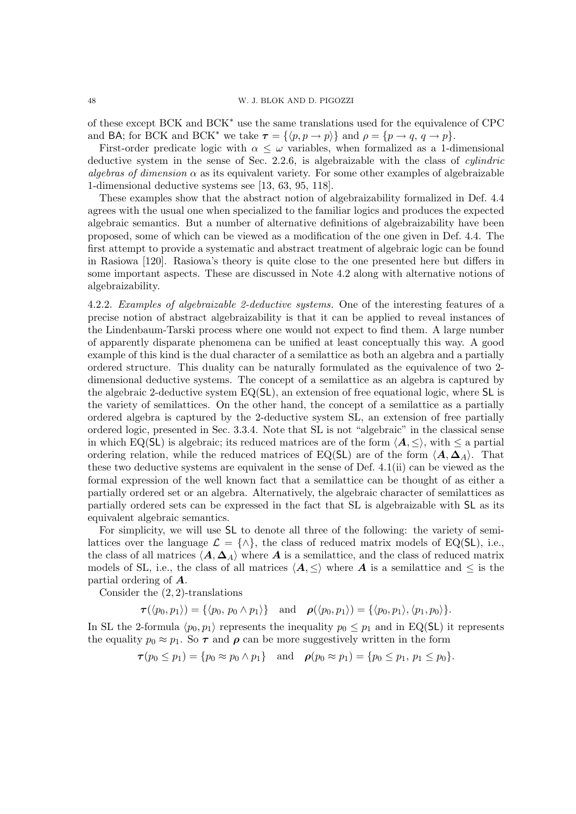of these except BCK and BCK<sup>∗</sup> use the same translations used for the equivalence of CPC and BA; for BCK and BCK<sup>\*</sup> we take  $\tau = \{ \langle p, p \to p \rangle \}$  and  $\rho = \{ p \to q, q \to p \}.$ 

First-order predicate logic with  $\alpha \leq \omega$  variables, when formalized as a 1-dimensional deductive system in the sense of Sec. 2.2.6, is algebraizable with the class of cylindric algebras of dimension  $\alpha$  as its equivalent variety. For some other examples of algebraizable 1-dimensional deductive systems see [13, 63, 95, 118].

These examples show that the abstract notion of algebraizability formalized in Def. 4.4 agrees with the usual one when specialized to the familiar logics and produces the expected algebraic semantics. But a number of alternative definitions of algebraizability have been proposed, some of which can be viewed as a modification of the one given in Def. 4.4. The first attempt to provide a systematic and abstract treatment of algebraic logic can be found in Rasiowa [120]. Rasiowa's theory is quite close to the one presented here but differs in some important aspects. These are discussed in Note 4.2 along with alternative notions of algebraizability.

4.2.2. Examples of algebraizable 2-deductive systems. One of the interesting features of a precise notion of abstract algebraizability is that it can be applied to reveal instances of the Lindenbaum-Tarski process where one would not expect to find them. A large number of apparently disparate phenomena can be unified at least conceptually this way. A good example of this kind is the dual character of a semilattice as both an algebra and a partially ordered structure. This duality can be naturally formulated as the equivalence of two 2 dimensional deductive systems. The concept of a semilattice as an algebra is captured by the algebraic 2-deductive system EQ(SL), an extension of free equational logic, where SL is the variety of semilattices. On the other hand, the concept of a semilattice as a partially ordered algebra is captured by the 2-deductive system SL, an extension of free partially ordered logic, presented in Sec. 3.3.4. Note that SL is not "algebraic" in the classical sense in which EQ(SL) is algebraic; its reduced matrices are of the form  $\langle A, \langle \rangle$ , with  $\langle \rangle$  a partial ordering relation, while the reduced matrices of EQ(SL) are of the form  $\langle A, \Delta_A \rangle$ . That these two deductive systems are equivalent in the sense of Def. 4.1(ii) can be viewed as the formal expression of the well known fact that a semilattice can be thought of as either a partially ordered set or an algebra. Alternatively, the algebraic character of semilattices as partially ordered sets can be expressed in the fact that SL is algebraizable with SL as its equivalent algebraic semantics.

For simplicity, we will use SL to denote all three of the following: the variety of semilattices over the language  $\mathcal{L} = \{\wedge\}$ , the class of reduced matrix models of EQ(SL), i.e., the class of all matrices  $\langle A, \Delta_A \rangle$  where A is a semilattice, and the class of reduced matrix models of SL, i.e., the class of all matrices  $\langle A, \leq \rangle$  where A is a semilattice and  $\leq$  is the partial ordering of A.

Consider the  $(2, 2)$ -translations

$$
\boldsymbol{\tau}(\langle p_0,p_1\rangle)=\{\langle p_0,\,p_0\wedge p_1\rangle\}\quad\text{and}\quad\boldsymbol{\rho}(\langle p_0,p_1\rangle)=\{\langle p_0,p_1\rangle,\langle p_1,p_0\rangle\}.
$$

In SL the 2-formula  $\langle p_0, p_1 \rangle$  represents the inequality  $p_0 \leq p_1$  and in EQ(SL) it represents the equality  $p_0 \approx p_1$ . So  $\tau$  and  $\rho$  can be more suggestively written in the form

 $\tau(p_0 \leq p_1) = \{p_0 \approx p_0 \land p_1\}$  and  $\rho(p_0 \approx p_1) = \{p_0 \leq p_1, p_1 \leq p_0\}.$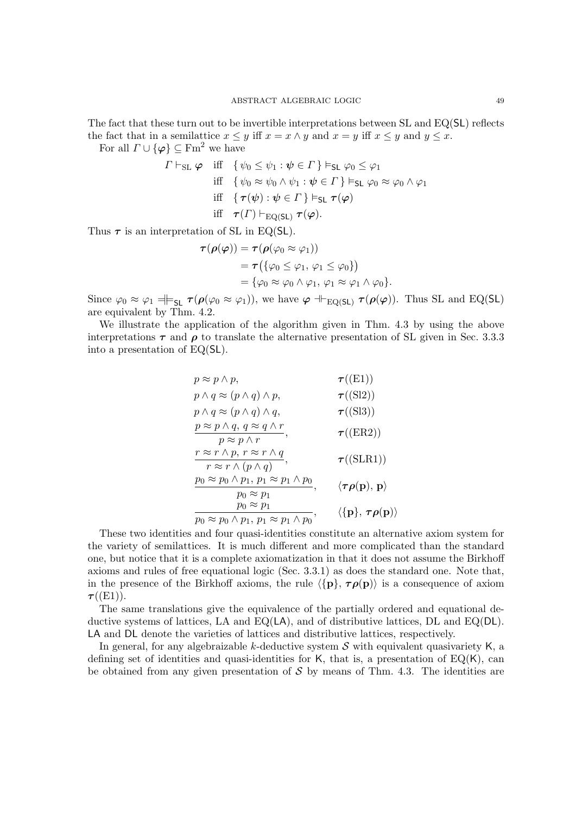The fact that these turn out to be invertible interpretations between SL and EQ(SL) reflects the fact that in a semilattice  $x \leq y$  iff  $x = x \wedge y$  and  $x = y$  iff  $x \leq y$  and  $y \leq x$ .

For all  $\Gamma \cup {\varphi} \subset \text{Fm}^2$  we have

$$
\Gamma \vdash_{\text{SL}} \varphi \quad \text{iff} \quad \{ \psi_0 \le \psi_1 : \psi \in \Gamma \} \vDash_{\text{SL}} \varphi_0 \le \varphi_1
$$
\n
$$
\text{iff} \quad \{ \psi_0 \approx \psi_0 \land \psi_1 : \psi \in \Gamma \} \vDash_{\text{SL}} \varphi_0 \approx \varphi_0 \land \varphi_1
$$
\n
$$
\text{iff} \quad \{ \tau(\psi) : \psi \in \Gamma \} \vDash_{\text{SL}} \tau(\varphi)
$$
\n
$$
\text{iff} \quad \tau(\Gamma) \vdash_{\text{EQ(SL)}} \tau(\varphi).
$$

Thus  $\tau$  is an interpretation of SL in EQ(SL).

$$
\begin{aligned} \boldsymbol{\tau}(\boldsymbol{\rho}(\boldsymbol{\varphi}))&=\boldsymbol{\tau}(\boldsymbol{\rho}(\varphi_0\approx\varphi_1))\\ &=\boldsymbol{\tau}\big(\{\varphi_0\leq\varphi_1,\,\varphi_1\leq\varphi_0\}\big)\\ &=\{\varphi_0\approx\varphi_0\wedge\varphi_1,\,\varphi_1\approx\varphi_1\wedge\varphi_0\}. \end{aligned}
$$

Since  $\varphi_0 \approx \varphi_1 \equiv \models_{\mathsf{SL}} \tau(\rho(\varphi_0 \approx \varphi_1))$ , we have  $\varphi \Vdash_{\mathrm{EQ}(\mathsf{SL})} \tau(\rho(\varphi))$ . Thus SL and EQ(SL) are equivalent by Thm. 4.2.

We illustrate the application of the algorithm given in Thm. 4.3 by using the above interpretations  $\tau$  and  $\rho$  to translate the alternative presentation of SL given in Sec. 3.3.3 into a presentation of EQ(SL).

$$
p \approx p \land p, \qquad \tau((E1))
$$
  
\n
$$
p \land q \approx (p \land q) \land p, \qquad \tau((S12))
$$
  
\n
$$
p \land q \approx (p \land q) \land q, \qquad \tau((S13))
$$
  
\n
$$
\frac{p \approx p \land q, q \approx q \land r}{p \approx p \land r}, \qquad \tau((ER2))
$$
  
\n
$$
\frac{r \approx r \land p, r \approx r \land q}{r \approx r \land (p \land q)}, \qquad \tau((SLR1))
$$
  
\n
$$
\frac{p_0 \approx p_0 \land p_1, p_1 \approx p_1 \land p_0}{p_0 \approx p_1}, \qquad \langle \tau \rho(\mathbf{p}), \mathbf{p} \rangle
$$
  
\n
$$
\frac{p_0 \approx p_1}{p_0 \approx p_1}
$$
  
\n
$$
\frac{p_0 \approx p_1}{p_0 \approx p_1 \land p_0}, \qquad \langle \{\mathbf{p}\}, \tau \rho(\mathbf{p}) \rangle
$$

These two identities and four quasi-identities constitute an alternative axiom system for the variety of semilattices. It is much different and more complicated than the standard one, but notice that it is a complete axiomatization in that it does not assume the Birkhoff axioms and rules of free equational logic (Sec. 3.3.1) as does the standard one. Note that, in the presence of the Birkhoff axioms, the rule  $\langle \{p\}, \tau \rho(p)\rangle$  is a consequence of axiom  $\tau({\rm (E1)})$ .

The same translations give the equivalence of the partially ordered and equational deductive systems of lattices, LA and  $EQ(LA)$ , and of distributive lattices, DL and  $EQ(DL)$ . LA and DL denote the varieties of lattices and distributive lattices, respectively.

In general, for any algebraizable k-deductive system  $S$  with equivalent quasivariety K, a defining set of identities and quasi-identities for K, that is, a presentation of  $EQ(K)$ , can be obtained from any given presentation of  $\mathcal S$  by means of Thm. 4.3. The identities are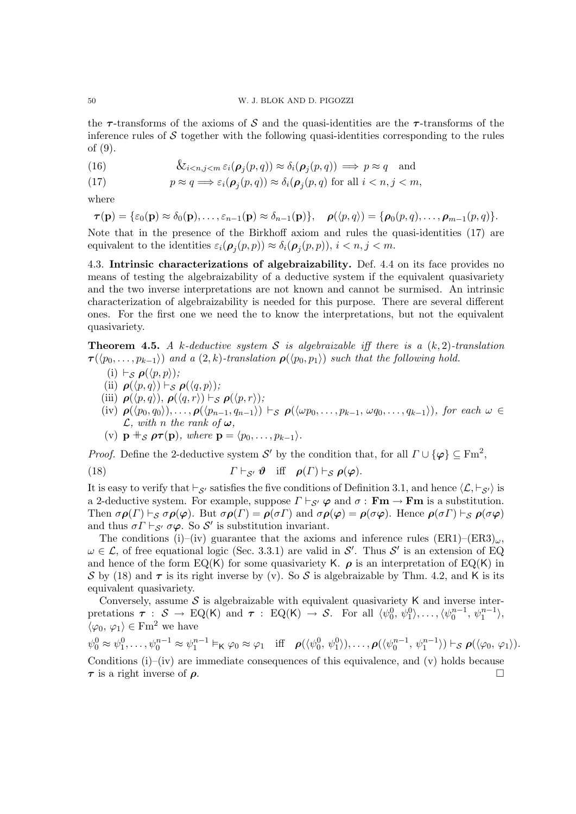the  $\tau$ -transforms of the axioms of S and the quasi-identities are the  $\tau$ -transforms of the inference rules of  $\mathcal S$  together with the following quasi-identities corresponding to the rules of (9).

(16) 
$$
\&_{i < n, j < m} \varepsilon_i(\boldsymbol{\rho}_j(p, q)) \approx \delta_i(\boldsymbol{\rho}_j(p, q)) \implies p \approx q \quad \text{and}
$$

(17) 
$$
p \approx q \Longrightarrow \varepsilon_i(\boldsymbol{\rho}_j(p,q)) \approx \delta_i(\boldsymbol{\rho}_j(p,q) \text{ for all } i < n, j < m,
$$

where

$$
\boldsymbol{\tau}(\mathbf{p}) = \{\varepsilon_0(\mathbf{p}) \approx \delta_0(\mathbf{p}), \ldots, \varepsilon_{n-1}(\mathbf{p}) \approx \delta_{n-1}(\mathbf{p})\}, \quad \boldsymbol{\rho}(\langle p, q \rangle) = \{\boldsymbol{\rho}_0(p, q), \ldots, \boldsymbol{\rho}_{m-1}(p, q)\}.
$$

Note that in the presence of the Birkhoff axiom and rules the quasi-identities (17) are equivalent to the identities  $\varepsilon_i(\boldsymbol{\rho}_j(p,p)) \approx \delta_i(\boldsymbol{\rho}_j(p,p)), i \lt n, j \lt m$ .

4.3. Intrinsic characterizations of algebraizability. Def. 4.4 on its face provides no means of testing the algebraizability of a deductive system if the equivalent quasivariety and the two inverse interpretations are not known and cannot be surmised. An intrinsic characterization of algebraizability is needed for this purpose. There are several different ones. For the first one we need the to know the interpretations, but not the equivalent quasivariety.

**Theorem 4.5.** A k-deductive system S is algebraizable iff there is a  $(k, 2)$ -translation  $\tau(\langle p_0, \ldots, p_{k-1} \rangle)$  and a  $(2, k)$ -translation  $\rho(\langle p_0, p_1 \rangle)$  such that the following hold.

- (i)  $\vdash_{\mathcal{S}} \rho(\langle p, p \rangle);$
- (ii)  $\rho(\langle p, q \rangle) \vdash_S \rho(\langle q, p \rangle);$
- (iii)  $\rho(\langle p, q \rangle), \rho(\langle q, r \rangle) \vdash_{\mathcal{S}} \rho(\langle p, r \rangle);$
- (iv)  $\rho(\langle p_0, q_0 \rangle), \ldots, \rho(\langle p_{n-1}, q_{n-1} \rangle) \vdash_S \rho(\langle \omega p_0, \ldots, p_{k-1}, \omega q_0, \ldots, q_{k-1} \rangle),$  for each  $\omega \in$  $\mathcal{L},$  with n the rank of  $\boldsymbol{\omega},$

(v)  $\mathbf{p}$  +  $\mathbf{s}$   $\rho \tau(\mathbf{p})$ , where  $\mathbf{p} = \langle p_0, \ldots, p_{k-1} \rangle$ .

*Proof.* Define the 2-deductive system S' by the condition that, for all  $\Gamma \cup {\varphi} \subseteq \mathrm{Fm}^2$ ,

(18) 
$$
\Gamma \vdash_{\mathcal{S}'} \mathbf{\vartheta} \quad \text{iff} \quad \rho(\Gamma) \vdash_{\mathcal{S}} \rho(\varphi).
$$

It is easy to verify that  $\vdash_{\mathcal{S}'}$  satisfies the five conditions of Definition 3.1, and hence  $\langle \mathcal{L}, \vdash_{\mathcal{S}'} \rangle$  is a 2-deductive system. For example, suppose  $\Gamma \vdash_{S'} \varphi$  and  $\sigma : \mathbf{Fm} \to \mathbf{Fm}$  is a substitution. Then  $\sigma \rho(\Gamma) \vdash_S \sigma \rho(\varphi)$ . But  $\sigma \rho(\Gamma) = \rho(\sigma \Gamma)$  and  $\sigma \rho(\varphi) = \rho(\sigma \varphi)$ . Hence  $\rho(\sigma \Gamma) \vdash_S \rho(\sigma \varphi)$ and thus  $\sigma \Gamma \vdash_{\mathcal{S}'} \sigma \varphi$ . So  $\mathcal{S}'$  is substitution invariant.

The conditions (i)–(iv) guarantee that the axioms and inference rules  $(ER1)$ – $(ER3)_{\omega}$ ,  $\omega \in \mathcal{L}$ , of free equational logic (Sec. 3.3.1) are valid in S'. Thus S' is an extension of EQ and hence of the form  $EQ(K)$  for some quasivariety K.  $\rho$  is an interpretation of  $EQ(K)$  in S by (18) and  $\tau$  is its right inverse by (v). So S is algebraizable by Thm. 4.2, and K is its equivalent quasivariety.

Conversely, assume  $S$  is algebraizable with equivalent quasivariety K and inverse interpretations  $\tau : \mathcal{S} \to \mathrm{EQ}(\mathsf{K})$  and  $\tau : \mathrm{EQ}(\mathsf{K}) \to \mathcal{S}$ . For all  $\langle \psi_0^0, \psi_1^0 \rangle, \ldots, \langle \psi_0^{n-1}, \psi_1^{n-1} \rangle$ ,  $\bar{\langle} \varphi_0, \varphi_1 \rangle \in \mathrm{Fm}^2$  we have

 $\psi_0^0 \approx \psi_1^0, \ldots, \psi_0^{n-1} \approx \psi_1^{n-1} \vDash_{\mathsf{K}} \varphi_0 \approx \varphi_1 \quad \text{iff} \quad \boldsymbol{\rho}(\langle \psi_0^0, \psi_1^0 \rangle), \ldots, \boldsymbol{\rho}(\langle \psi_0^{n-1}, \psi_1^{n-1} \rangle) \vdash_{\mathcal{S}} \boldsymbol{\rho}(\langle \varphi_0, \varphi_1 \rangle).$ Conditions (i)–(iv) are immediate consequences of this equivalence, and (v) holds because  $\tau$  is a right inverse of  $\rho$ .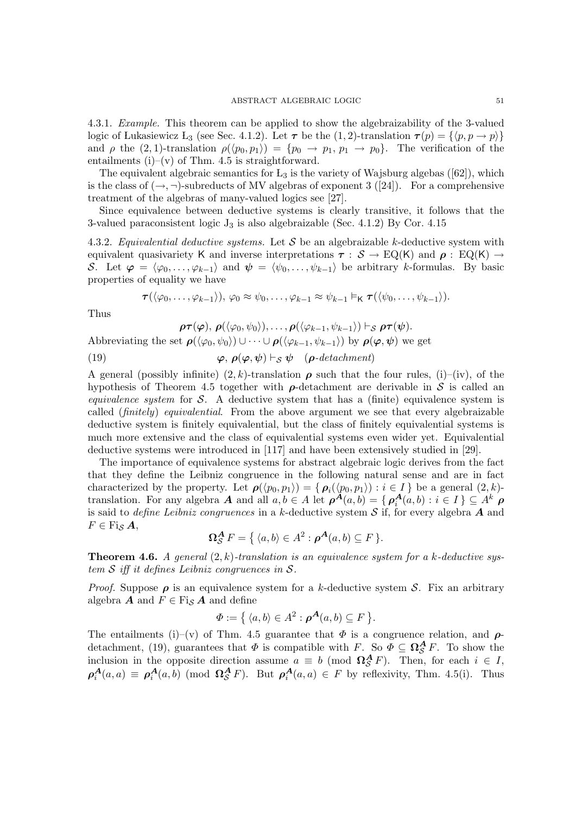4.3.1. Example. This theorem can be applied to show the algebraizability of the 3-valued logic of Lukasiewicz L<sub>3</sub> (see Sec. 4.1.2). Let  $\tau$  be the (1, 2)-translation  $\tau(p) = \{\langle p, p \to p \rangle\}$ and  $\rho$  the (2, 1)-translation  $\rho(\langle p_0, p_1 \rangle) = \{p_0 \to p_1, p_1 \to p_0\}$ . The verification of the entailments  $(i)$ – $(v)$  of Thm. 4.5 is straightforward.

The equivalent algebraic semantics for  $L_3$  is the variety of Wajsburg algebas ([62]), which is the class of  $(\rightarrow, \neg)$ -subreducts of MV algebras of exponent 3 ([24]). For a comprehensive treatment of the algebras of many-valued logics see [27].

Since equivalence between deductive systems is clearly transitive, it follows that the 3-valued paraconsistent logic  $J_3$  is also algebraizable (Sec. 4.1.2) By Cor. 4.15

4.3.2. Equivalential deductive systems. Let S be an algebraizable k-deductive system with equivalent quasivariety K and inverse interpretations  $\tau : S \to EQ(K)$  and  $\rho : EQ(K) \to$ S. Let  $\varphi = \langle \varphi_0, \ldots, \varphi_{k-1} \rangle$  and  $\psi = \langle \psi_0, \ldots, \psi_{k-1} \rangle$  be arbitrary k-formulas. By basic properties of equality we have

$$
\tau(\langle \varphi_0,\ldots,\varphi_{k-1}\rangle),\,\varphi_0\approx\psi_0,\ldots,\varphi_{k-1}\approx\psi_{k-1}\vDash_{\mathsf{K}}\tau(\langle \psi_0,\ldots,\psi_{k-1}\rangle).
$$

Thus

 $\rho \tau(\varphi), \, \rho(\langle \varphi_0, \psi_0 \rangle), \ldots, \rho(\langle \varphi_{k-1}, \psi_{k-1} \rangle) \vdash_S \rho \tau(\psi).$ 

Abbreviating the set  $\rho(\langle \varphi_0, \psi_0 \rangle) \cup \cdots \cup \rho(\langle \varphi_{k-1}, \psi_{k-1} \rangle)$  by  $\rho(\varphi, \psi)$  we get

(19)  $\varphi, \rho(\varphi, \psi) \vdash_S \psi \quad (\rho \text{-}detachment)$ 

A general (possibly infinite)  $(2, k)$ -translation  $\rho$  such that the four rules, (i)–(iv), of the hypothesis of Theorem 4.5 together with  $\rho$ -detachment are derivable in S is called an *equivalence system* for  $S$ . A deductive system that has a (finite) equivalence system is called (finitely) equivalential. From the above argument we see that every algebraizable deductive system is finitely equivalential, but the class of finitely equivalential systems is much more extensive and the class of equivalential systems even wider yet. Equivalential deductive systems were introduced in [117] and have been extensively studied in [29].

The importance of equivalence systems for abstract algebraic logic derives from the fact that they define the Leibniz congruence in the following natural sense and are in fact characterized by the property. Let  $\rho(\langle p_0, p_1 \rangle) = \{ \rho_i(\langle p_0, p_1 \rangle) : i \in I \}$  be a general  $(2, k)$ translation. For any algebra  $A$  and all  $a, b \in A$  let  $\rho^{A}(a, b) = \{ \rho_i^{A}(a, b) : i \in I \} \subseteq A^k$   $\rho$ is said to *define Leibniz congruences* in a k-deductive system  $S$  if, for every algebra  $A$  and  $F \in \text{Fi}_{\mathcal{S}} A$ ,

$$
\Omega_{\mathcal{S}}^{\mathbf{A}} F = \{ \langle a, b \rangle \in A^2 : \boldsymbol{\rho}^{\mathbf{A}}(a, b) \subseteq F \}.
$$

**Theorem 4.6.** A general  $(2, k)$ -translation is an equivalence system for a k-deductive system  $S$  iff it defines Leibniz congruences in  $S$ .

*Proof.* Suppose  $\rho$  is an equivalence system for a k-deductive system S. Fix an arbitrary algebra **A** and  $F \in \text{Fi}_S A$  and define

$$
\Phi := \{ \langle a, b \rangle \in A^2 : \boldsymbol{\rho}^{\boldsymbol{A}}(a, b) \subseteq F \}.
$$

The entailments (i)–(v) of Thm. 4.5 guarantee that  $\Phi$  is a congruence relation, and  $\rho$ detachment, (19), guarantees that  $\Phi$  is compatible with F. So  $\Phi \subseteq \Omega_S^A F$ . To show the inclusion in the opposite direction assume  $a \equiv b \pmod{\Omega_{\mathcal{S}}^{\mathbf{A}} F}$ . Then, for each  $i \in I$ ,  $\rho_i^{\mathbf{A}}(a,a) \equiv \rho_i^{\mathbf{A}}(a,b) \pmod{\Omega_{\mathcal{S}}^{\mathbf{A}}} F$ . But  $\rho_i^{\mathbf{A}}(a,a) \in F$  by reflexivity, Thm. 4.5(i). Thus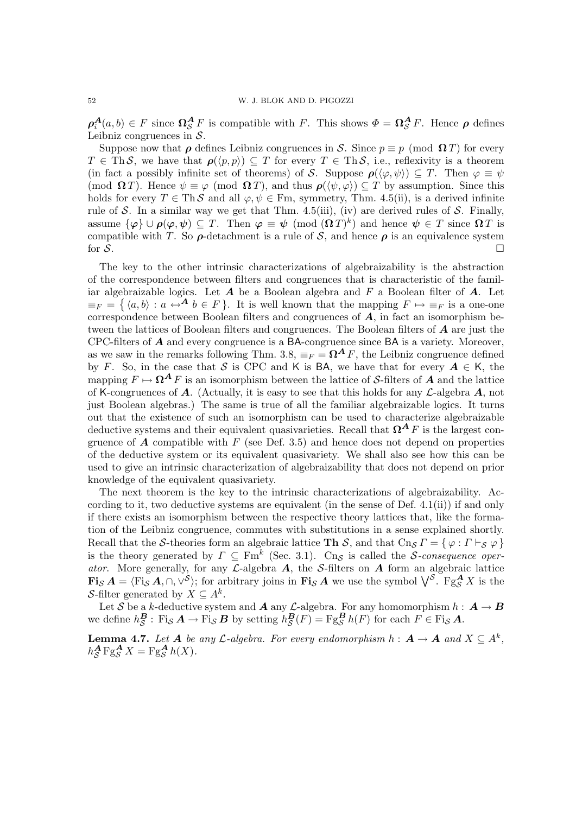$\rho_i^A(a,b) \in F$  since  $\Omega_S^A F$  is compatible with F. This shows  $\Phi = \Omega_S^A F$ . Hence  $\rho$  defines Leibniz congruences in  $S$ .

Suppose now that  $\rho$  defines Leibniz congruences in S. Since  $p \equiv p \pmod{\Omega T}$  for every  $T \in ThS$ , we have that  $\rho(\langle p, p \rangle) \subseteq T$  for every  $T \in ThS$ , i.e., reflexivity is a theorem (in fact a possibly infinite set of theorems) of S. Suppose  $\rho(\langle \varphi, \psi \rangle) \subseteq T$ . Then  $\varphi \equiv \psi$ (mod  $\Omega T$ ). Hence  $\psi \equiv \varphi \pmod{\Omega T}$ , and thus  $\rho(\langle \psi, \varphi \rangle) \subseteq T$  by assumption. Since this holds for every  $T \in \text{Th} \mathcal{S}$  and all  $\varphi, \psi \in \text{Fm}$ , symmetry, Thm. 4.5(ii), is a derived infinite rule of S. In a similar way we get that Thm. 4.5(iii), (iv) are derived rules of S. Finally, assume  $\{\varphi\} \cup \rho(\varphi, \psi) \subseteq T$ . Then  $\varphi \equiv \psi \pmod{(\Omega T)^k}$  and hence  $\psi \in T$  since  $\Omega T$  is compatible with T. So  $\rho$ -detachment is a rule of S, and hence  $\rho$  is an equivalence system for  $\mathcal{S}$ .

The key to the other intrinsic characterizations of algebraizability is the abstraction of the correspondence between filters and congruences that is characteristic of the familiar algebraizable logics. Let  $A$  be a Boolean algebra and  $F$  a Boolean filter of  $A$ . Let  $\equiv_F = \{ \langle a, b \rangle : a \leftrightarrow^{\mathbf{A}} b \in F \}.$  It is well known that the mapping  $F \mapsto \equiv_F$  is a one-one correspondence between Boolean filters and congruences of  $\vec{A}$ , in fact an isomorphism between the lattices of Boolean filters and congruences. The Boolean filters of A are just the CPC-filters of  $\boldsymbol{A}$  and every congruence is a BA-congruence since BA is a variety. Moreover, as we saw in the remarks following Thm. 3.8,  $\equiv_F = \mathbf{\Omega}^A F$ , the Leibniz congruence defined by F. So, in the case that S is CPC and K is BA, we have that for every  $A \in K$ , the mapping  $F \mapsto \Omega^A F$  is an isomorphism between the lattice of S-filters of A and the lattice of K-congruences of  $\bf{A}$ . (Actually, it is easy to see that this holds for any  $\bf{L}$ -algebra  $\bf{A}$ , not just Boolean algebras.) The same is true of all the familiar algebraizable logics. It turns out that the existence of such an isomorphism can be used to characterize algebraizable deductive systems and their equivalent quasivarieties. Recall that  $\Omega^A F$  is the largest congruence of  $\boldsymbol{A}$  compatible with  $F$  (see Def. 3.5) and hence does not depend on properties of the deductive system or its equivalent quasivariety. We shall also see how this can be used to give an intrinsic characterization of algebraizability that does not depend on prior knowledge of the equivalent quasivariety.

The next theorem is the key to the intrinsic characterizations of algebraizability. According to it, two deductive systems are equivalent (in the sense of Def.  $4.1(ii)$ ) if and only if there exists an isomorphism between the respective theory lattices that, like the formation of the Leibniz congruence, commutes with substitutions in a sense explained shortly. Recall that the S-theories form an algebraic lattice Th S, and that  $\text{Ch}_{\mathcal{S}} \Gamma = \{ \varphi : \Gamma \vdash_{\mathcal{S}} \varphi \}$ is the theory generated by  $\Gamma \subseteq \text{Fm}^k$  (Sec. 3.1). Cn<sub>S</sub> is called the *S*-consequence operator. More generally, for any  $\mathcal{L}\text{-algebra }A$ , the S-filters on A form an algebraic lattice  $\mathbf{Fi}_{\mathcal{S}}\boldsymbol{A} = \langle \mathrm{Fi}_{\mathcal{S}}\boldsymbol{A}, \cap, \vee^{\mathcal{S}} \rangle$ ; for arbitrary joins in  $\mathbf{Fi}_{\mathcal{S}}\boldsymbol{A}$  we use the symbol  $\bigvee^{\mathcal{S}}$ .  $\mathrm{Fg}_{\mathcal{S}}^{\boldsymbol{A}}\boldsymbol{X}$  is the S-filter generated by  $X \subseteq A^k$ .

Let  $S$  be a k-deductive system and  $A$  any  $\mathcal{L}$ -algebra. For any homomorphism  $h: A \to B$ we define  $h_{\mathcal{S}}^{\mathbf{B}}$ : Fi<sub>S</sub>  $\mathbf{A} \to$  Fi<sub>S</sub>  $\mathbf{B}$  by setting  $h_{\mathcal{S}}^{\mathbf{B}}(F) =$  Fg $_{\mathcal{S}}^{\mathbf{B}}h(F)$  for each  $F \in$  Fi<sub>S</sub>  $\mathbf{A}$ .

**Lemma 4.7.** Let  $A$  be any  $\mathcal{L}$ -algebra. For every endomorphism  $h: A \to A$  and  $X \subseteq A^k$ ,  $h_{\mathcal{S}}^{\mathbf{A}} \mathbf{F} \mathbf{g}_{\mathcal{S}}^{\mathbf{A}} X = \mathbf{F} \mathbf{g}_{\mathcal{S}}^{\mathbf{A}} h(X).$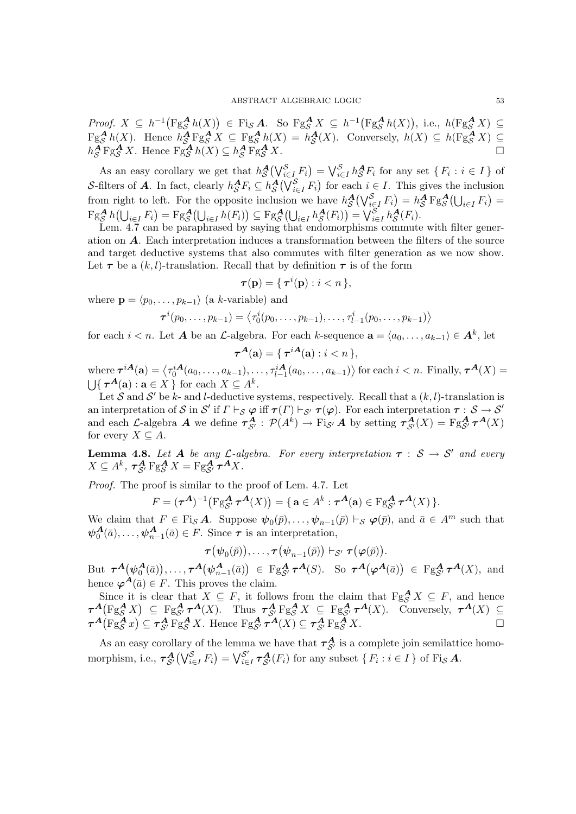*Proof.*  $X \subseteq h^{-1}(\text{Fg}_{\mathcal{S}}^{\mathbf{A}}h(X)) \in \text{Fig}_{\mathbf{A}}^{\mathbf{A}}$ . So  $\text{Fg}_{\mathcal{S}}^{\mathbf{A}}X \subseteq h^{-1}(\text{Fg}_{\mathcal{S}}^{\mathbf{A}}h(X)),$  i.e.,  $h(\text{Fg}_{\mathcal{S}}^{\mathbf{A}}X) \subseteq$  $\operatorname{Fg}_{\mathcal{S}}^{\mathbf{A}} h(X)$ . Hence  $h_{\mathcal{S}}^{\mathbf{A}} \operatorname{Fg}_{\mathcal{S}}^{\mathbf{A}} X \subseteq \operatorname{Fg}_{\mathcal{S}}^{\mathbf{A}} h(X) = h_{\mathcal{S}}^{\mathbf{A}}(X)$ . Conversely,  $h(X) \subseteq h(\operatorname{Fg}_{\mathcal{S}}^{\mathbf{A}} X) \subseteq$  $h_S^A$ Fg<sub>S</sub><sup>A</sup> X. Hence Fg<sub>S</sub><sup>A</sup>  $h(X) \subseteq h_S^A$  Fg<sub>S</sub><sup>A</sup> X.

As an easy corollary we get that  $h_{\mathcal{S}}^{\mathbf{A}}(\bigvee_{i\in I}^{\mathcal{S}} F_i) = \bigvee_{i\in I}^{\mathcal{S}} h_{\mathcal{S}}^{\mathbf{A}} F_i$  for any set  $\{F_i : i \in I\}$  of S-filters of A. In fact, clearly  $h_S^A F_i \subseteq h_S^A(\bigvee_{i \in I}^S F_i)$  for each  $i \in I$ . This gives the inclusion from right to left. For the opposite inclusion we have  $h_{\mathcal{S}}^{\mathbf{A}}(\bigvee_{i\in I}^{\mathcal{S}} F_i) = h_{\mathcal{S}}^{\mathbf{A}} F g_{\mathcal{S}}^{\mathbf{A}}(\bigcup_{i\in I} F_i) =$  $\operatorname{Fg}_{\mathcal{S}}^{\mathbf{A}} h(\bigcup_{i \in I} F_i) = \operatorname{Fg}_{\mathcal{S}}^{\mathbf{A}} (\bigcup_{i \in I} h(F_i)) \subseteq \operatorname{Fg}_{\mathcal{S}}^{\mathbf{A}} (\bigcup_{i \in I} h_{\mathcal{S}}^{\mathbf{A}}(F_i)) = \bigvee_{i \in I}^{\mathcal{S}} h_{\mathcal{S}}^{\mathbf{A}}(F_i).$ 

Lem. 4.7 can be paraphrased by saying that endomorphisms commute with filter generation on A. Each interpretation induces a transformation between the filters of the source and target deductive systems that also commutes with filter generation as we now show. Let  $\tau$  be a  $(k, l)$ -translation. Recall that by definition  $\tau$  is of the form

$$
\boldsymbol{\tau}(\mathbf{p}) = \{ \, \boldsymbol{\tau}^i(\mathbf{p}) : i < n \, \},
$$

where  $\mathbf{p} = \langle p_0, \ldots, p_{k-1} \rangle$  (a k-variable) and

$$
\boldsymbol{\tau}^{i}(p_0,\ldots,p_{k-1})=\langle \tau_0^{i}(p_0,\ldots,p_{k-1}),\ldots,\tau_{l-1}^{i}(p_0,\ldots,p_{k-1})\rangle
$$

for each  $i < n$ . Let **A** be an *L*-algebra. For each k-sequence  $\mathbf{a} = \langle a_0, \ldots, a_{k-1} \rangle \in \mathbf{A}^k$ , let

$$
\boldsymbol{\tau}^{\boldsymbol{A}}(\mathbf{a}) = \{ \boldsymbol{\tau}^{i\boldsymbol{A}}(\mathbf{a}) : i < n \},
$$

where  $\boldsymbol{\tau}^{i\boldsymbol{A}}(\mathbf{a}) = \left\langle \tau_0^{i\boldsymbol{A}}(a_0,\ldots,a_{k-1}),\ldots,\tau_{l-1}^{i\boldsymbol{A}}(a_0,\ldots,a_{k-1})\right\rangle$  for each  $i < n$ . Finally,  $\boldsymbol{\tau}^{\boldsymbol{A}}(X) =$  $\bigcup \{ \tau^A(\mathbf{a}) : \mathbf{a} \in X \}$  for each  $X \subseteq A^k$ .

Let S and S' be k- and l-deductive systems, respectively. Recall that a  $(k, l)$ -translation is an interpretation of S in S' if  $\Gamma \vdash_{\mathcal{S}} \varphi$  iff  $\tau(\Gamma) \vdash_{\mathcal{S}'} \tau(\varphi)$ . For each interpretation  $\tau : \mathcal{S} \to \mathcal{S}'$ and each L-algebra A we define  $\tau_{S'}^A$ :  $\mathcal{P}(A^k) \to \text{Fi}_{S'} A$  by setting  $\tau_{S'}^A(X) = \text{Fg}_{S'}^A \tau^A(X)$ for every  $X \subseteq A$ .

**Lemma 4.8.** Let A be any L-algebra. For every interpretation  $\tau : S \to S'$  and every  $X \subseteq A^k$ ,  $\tau_{\mathcal{S}'}^{\mathbf{A}} \mathrm{Fg}_{\mathcal{S}}^{\mathbf{A}} X = \mathrm{Fg}_{\mathcal{S}'}^{\mathbf{A}} \tau^{\mathbf{A}} X$ .

Proof. The proof is similar to the proof of Lem. 4.7. Let

$$
F = (\tau^{\mathbf{A}})^{-1} (\operatorname{Fg}_{\mathcal{S}'}^{\mathbf{A}} \tau^{\mathbf{A}}(X)) = \{ \mathbf{a} \in A^k : \tau^{\mathbf{A}}(\mathbf{a}) \in \operatorname{Fg}_{\mathcal{S}'}^{\mathbf{A}} \tau^{\mathbf{A}}(X) \}.
$$

We claim that  $F \in \text{Fi}_{\mathcal{S}} A$ . Suppose  $\psi_0(\bar{p}), \dots, \psi_{n-1}(\bar{p}) \vdash_{\mathcal{S}} \varphi(\bar{p}),$  and  $\bar{a} \in A^m$  such that  $\psi_0^{\mathbf{A}}(\bar{a}), \ldots, \psi_{n-1}^{\mathbf{A}}(\bar{a}) \in F$ . Since  $\tau$  is an interpretation,

 $\boldsymbol{\tau}\big(\boldsymbol{\psi}_0(\bar{p})\big),\ldots,\boldsymbol{\tau}\big(\boldsymbol{\psi}_{n-1}(\bar{p})\big) \vdash_{\mathcal{S}'} \boldsymbol{\tau}\big(\boldsymbol{\varphi}(\bar{p})\big).$ 

But  $\tau^{\mathcal{A}}(\psi_0^{\mathcal{A}}(\bar{a})), \ldots, \tau^{\mathcal{A}}(\psi_{n-1}^{\mathcal{A}}(\bar{a})) \in \text{Fg}_{\mathcal{S}'}^{\mathcal{A}} \tau^{\mathcal{A}}(S)$ . So  $\tau^{\mathcal{A}}(\varphi^{\mathcal{A}}(\bar{a})) \in \text{Fg}_{\mathcal{S}'}^{\mathcal{A}} \tau^{\mathcal{A}}(X)$ , and hence  $\varphi^{\hat{A}}(\bar{a}) \in F$ . This proves the claim.

Since it is clear that  $X \subseteq F$ , it follows from the claim that  $Fg_{\mathcal{S}}^{\mathbf{A}} X \subseteq F$ , and hence  $\tau^{\mathbf{A}}(\mathrm{Fg}_{\mathcal{S}}^{\mathbf{A}}X) \subseteq \mathrm{Fg}_{\mathcal{S}'}^{\mathbf{A}}\tau^{\mathbf{A}}(X)$ . Thus  $\tau_{\mathcal{S}'}^{\mathbf{A}}\mathrm{Fg}_{\mathcal{S}}^{\mathbf{A}}X \subseteq \mathrm{Fg}_{\mathcal{S}'}^{\mathbf{A}}\tau^{\mathbf{A}}(X)$ . Conversely,  $\tau^{\mathbf{A}}(X) \subseteq$  $\tau^A(\text{Fg}_{\mathcal{S}}^{\mathcal{A}} x) \subseteq \tau_{\mathcal{S}'}^{\mathcal{A}} \text{Fg}_{\mathcal{S}}^{\mathcal{A}} X$ . Hence  $\text{Fg}_{\mathcal{S}'}^{\mathcal{A}} \tau^{\mathcal{A}}(X) \subseteq \tau_{\mathcal{S}'}^{\mathcal{A}} \text{Fg}_{\mathcal{S}}^{\mathcal{A}} X$ .

As an easy corollary of the lemma we have that  $\tau_{S'}^A$  is a complete join semilattice homomorphism, i.e.,  $\tau_{\mathcal{S}'}^{\mathcal{A}}(\bigvee_{i\in I}^{\mathcal{S}} F_i) = \bigvee_{i\in I}^{\mathcal{S}'}$  $\mathcal{S}'_{i\in I}$   $\tau_{\mathcal{S}'}^{\mathbf{A}}(F_i)$  for any subset  $\{F_i : i \in I\}$  of Fi<sub>S</sub>  $\mathbf{A}$ .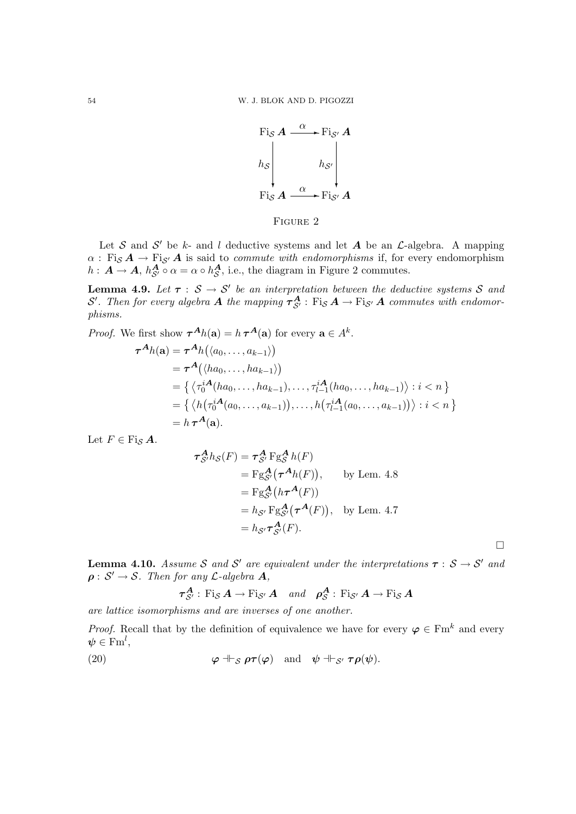

FIGURE 2

Let S and S' be k- and l deductive systems and let A be an  $\mathcal{L}\text{-algebra.}$  A mapping  $\alpha$ : Fi<sub>S</sub>  $A \rightarrow$  Fi<sub>S'</sub> A is said to *commute with endomorphisms* if, for every endomorphism  $h: \mathbf{A} \to \mathbf{A}, h_{\mathcal{S}'}^{\mathbf{A}} \circ \alpha = \alpha \circ h_{\mathcal{S}}^{\mathbf{A}},$  i.e., the diagram in Figure 2 commutes.

**Lemma 4.9.** Let  $\tau : \mathcal{S} \to \mathcal{S}'$  be an interpretation between the deductive systems S and S'. Then for every algebra  $A$  the mapping  $\tau_{S'}^A$  :  $\mathrm{Fi}_S A \rightarrow \mathrm{Fi}_{S'} A$  commutes with endomorphisms.

*Proof.* We first show  $\tau^{A}h(\mathbf{a}) = h \tau^{A}(\mathbf{a})$  for every  $\mathbf{a} \in A^{k}$ .

$$
\tau^{A}h(\mathbf{a}) = \tau^{A}h(\langle a_{0},...,a_{k-1} \rangle)
$$
  
=  $\tau^{A}(\langle ha_{0},...,ha_{k-1} \rangle)$   
=  $\{\langle \tau_{0}^{iA}(ha_{0},...,ha_{k-1}),..., \tau_{l-1}^{iA}(ha_{0},...,ha_{k-1}) \rangle : i < n \}$   
=  $\{\langle h(\tau_{0}^{iA}(a_{0},...,a_{k-1})),..., h(\tau_{l-1}^{iA}(a_{0},...,a_{k-1})) \rangle : i < n \}$   
=  $h \tau^{A}(\mathbf{a}).$ 

Let  $F \in \text{Fi}_S A$ .

$$
\tau_{S'}^{A} h_{S}(F) = \tau_{S'}^{A} F g_{S}^{A} h(F)
$$
  
=  $F g_{S'}^{A} (\tau^{A} h(F)),$  by Lem. 4.8  
=  $F g_{S'}^{A} (h \tau^{A}(F))$   
=  $h_{S'} F g_{S'}^{A} (\tau^{A}(F)),$  by Lem. 4.7  
=  $h_{S'} \tau_{S'}^{A}(F).$ 

 $\Box$ 

**Lemma 4.10.** Assume S and S' are equivalent under the interpretations  $\tau : S \rightarrow S'$  and  $\rho: S' \to S$ . Then for any L-algebra  $A$ , A

$$
\tau_{S'}^{A} : \text{Fi}_{S} A \rightarrow \text{Fi}_{S'} A \quad \text{and} \quad \rho_{S}^{A} : \text{Fi}_{S'} A \rightarrow \text{Fi}_{S} A
$$

are lattice isomorphisms and are inverses of one another.

*Proof.* Recall that by the definition of equivalence we have for every  $\varphi \in \text{Fm}^k$  and every  $\boldsymbol{\psi} \in \mathrm{Fm}^l,$ 

(20) 
$$
\varphi \dashv_{\mathcal{S}} \rho \tau(\varphi)
$$
 and  $\psi \dashv_{\mathcal{S'}} \tau \rho(\psi)$ .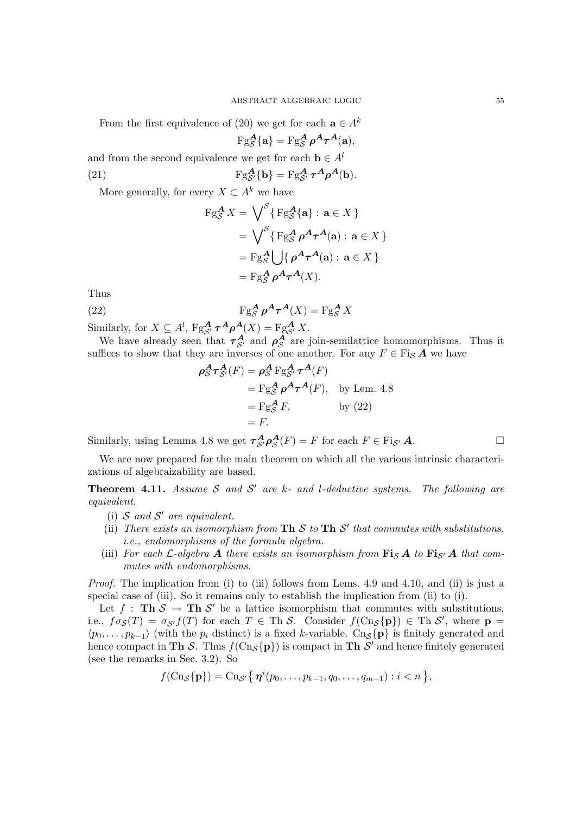From the first equivalence of (20) we get for each  $\mathbf{a} \in A^k$  $\text{Fg}_{\mathcal{S}}^{\mathbf{A}}\{\mathbf{a}\} = \text{Fg}_{\mathcal{S}}^{\mathbf{A}}\boldsymbol{\rho}^{\mathbf{A}}\boldsymbol{\tau}^{\mathbf{A}}(\mathbf{a}),$ 

and from the second equivalence we get for each  $\mathbf{b} \in A^l$ (21)  $Fg_{\mathcal{S}'}^{\mathbf{A}}\{\mathbf{b}\} = Fg_{\mathcal{S}'}^{\mathbf{A}} \tau^{\mathbf{A}} \rho^{\mathbf{A}}(\mathbf{b}).$ 

More generally, for every  $X \subset A^k$  we have

$$
\begin{aligned} \operatorname{Fg}_{\mathcal{S}}^{\mathbf{A}} X &= \bigvee^{\mathcal{S}} \{ \operatorname{Fg}_{\mathcal{S}}^{\mathbf{A}} \{ \mathbf{a} \} : \mathbf{a} \in X \} \\ &= \bigvee^{\mathcal{S}} \{ \operatorname{Fg}_{\mathcal{S}}^{\mathbf{A}} \rho^{\mathbf{A}} \tau^{\mathbf{A}}(\mathbf{a}) : \mathbf{a} \in X \} \\ &= \operatorname{Fg}_{\mathcal{S}}^{\mathbf{A}} \bigcup \{ \rho^{\mathbf{A}} \tau^{\mathbf{A}}(\mathbf{a}) : \mathbf{a} \in X \} \\ &= \operatorname{Fg}_{\mathcal{S}}^{\mathbf{A}} \rho^{\mathbf{A}} \tau^{\mathbf{A}}(X). \end{aligned}
$$

Thus

(22) 
$$
\operatorname{Fg}_{\mathcal{S}}^{\mathcal{A}} \rho^{\mathcal{A}} \tau^{\mathcal{A}}(X) = \operatorname{Fg}_{\mathcal{S}}^{\mathcal{A}} X
$$

Similarly, for  $X \subseteq A^l$ ,  $\text{Fg}_{\mathcal{S}'}^{\mathbf{A}} \tau^{\mathbf{A}} \rho^{\mathbf{A}}(X) = \text{Fg}_{\mathcal{S}'}^{\mathbf{A}} X$ .

We have already seen that  $\tau_{S'}^A$  and  $\rho_S^A$  are join-semilattice homomorphisms. Thus it suffices to show that they are inverses of one another. For any  $F \in \text{Fig } A$  we have

$$
\rho_S^A \tau_{S'}^A(F) = \rho_S^A F g_{S'}^A \tau^A(F)
$$
  
=  $F g_S^A \rho^A \tau^A(F)$ , by Lem. 4.8  
=  $F g_S^A F$ , by (22)  
= F.

Similarly, using Lemma 4.8 we get  $\tau_{\mathcal{S}'}^A \rho_{\mathcal{S}}^A(F) = F$  for each  $F \in \text{Fi}_{\mathcal{S}'} A$ .

We are now prepared for the main theorem on which all the various intrinsic characterizations of algebraizability are based.

**Theorem 4.11.** Assume S and S' are k- and l-deductive systems. The following are equivalent.

- (i)  $S$  and  $S'$  are equivalent.
- (ii) There exists an isomorphism from Th  $S$  to Th  $S'$  that commutes with substitutions, i.e., endomorphisms of the formula algebra.
- (iii) For each  $\mathcal{L}$ -algebra A there exists an isomorphism from  $\mathbf{Fi}_{\mathcal{S}}$  A to  $\mathbf{Fi}_{\mathcal{S}'}$  A that commutes with endomorphisms.

Proof. The implication from (i) to (iii) follows from Lems. 4.9 and 4.10, and (ii) is just a special case of (iii). So it remains only to establish the implication from (ii) to (i).

Let  $f : \textbf{Th} \& \rightarrow \textbf{Th} \&$  be a lattice isomorphism that commutes with substitutions, i.e.,  $f\sigma_{\mathcal{S}}(T) = \sigma_{\mathcal{S}'}f(T)$  for each  $T \in \text{Th } \mathcal{S}$ . Consider  $f(\text{Cn}_{\mathcal{S}}\{\mathbf{p}\}) \in \text{Th } \mathcal{S}'$ , where  $\mathbf{p} =$  $\langle p_0, \ldots, p_{k-1} \rangle$  (with the  $p_i$  distinct) is a fixed k-variable. Cn<sub>S</sub>{**p**} is finitely generated and hence compact in Th S. Thus  $f(\text{Cn}_{\mathcal{S}}\{\mathbf{p}\})$  is compact in Th S' and hence finitely generated (see the remarks in Sec. 3.2). So

 $f(\text{Cn}_\mathcal{S}\{\mathbf{p}\}) = \text{Cn}_{\mathcal{S}'}\{\,\boldsymbol{\eta}^i(p_0,\ldots,p_{k-1},q_0,\ldots,q_{m-1}): i < n\,\},$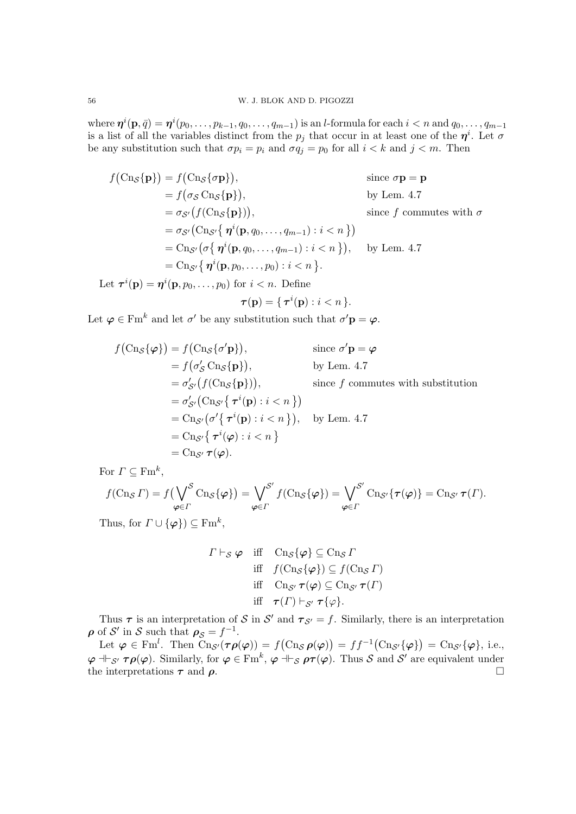where  $\bm{\eta}^i(\mathbf{p},\bar{q})=\bm{\eta}^i(p_0,\ldots,p_{k-1},q_0,\ldots,q_{m-1})$  is an *l*-formula for each  $i < n$  and  $q_0,\ldots,q_{m-1}$ is a list of all the variables distinct from the  $p_j$  that occur in at least one of the  $\eta^i$ . Let  $\sigma$ be any substitution such that  $\sigma p_i = p_i$  and  $\sigma q_j = p_0$  for all  $i < k$  and  $j < m$ . Then

$$
f(\text{Cn}_{\mathcal{S}}\{\mathbf{p}\}) = f(\text{Cn}_{\mathcal{S}}\{\sigma\mathbf{p}\}), \qquad \text{since } \sigma\mathbf{p} = \mathbf{p}
$$
  
\n
$$
= f(\sigma_{\mathcal{S}}\text{Cn}_{\mathcal{S}}\{\mathbf{p}\}), \qquad \text{by Lem. 4.7}
$$
  
\n
$$
= \sigma_{\mathcal{S}'}(f(\text{Cn}_{\mathcal{S}}\{\mathbf{p}\})), \qquad \text{since } f \text{ commutes with } \sigma
$$
  
\n
$$
= \sigma_{\mathcal{S}'}(\text{Cn}_{\mathcal{S}'}\{\eta^{i}(\mathbf{p}, q_{0}, \dots, q_{m-1}) : i < n\})
$$
  
\n
$$
= \text{Cn}_{\mathcal{S}'}(\sigma\{\eta^{i}(\mathbf{p}, q_{0}, \dots, q_{m-1}) : i < n\}), \qquad \text{by Lem. 4.7}
$$
  
\n
$$
= \text{Cn}_{\mathcal{S}'}\{\eta^{i}(\mathbf{p}, p_{0}, \dots, p_{0}) : i < n\}.
$$

Let  $\tau^{i}(\mathbf{p}) = \eta^{i}(\mathbf{p}, p_0, \dots, p_0)$  for  $i < n$ . Define

$$
\boldsymbol{\tau}(\mathbf{p}) = \{ \, \boldsymbol{\tau}^i(\mathbf{p}) : i < n \, \}.
$$

Let  $\varphi \in \text{Fm}^k$  and let  $\sigma'$  be any substitution such that  $\sigma' \mathbf{p} = \varphi$ .

$$
f(\text{Cn}_{\mathcal{S}}\{\varphi\}) = f(\text{Cn}_{\mathcal{S}}\{\sigma'\mathbf{p}\}), \qquad \text{since } \sigma'\mathbf{p} = \varphi
$$
  
\n
$$
= f(\sigma'_{\mathcal{S}}\text{Cn}_{\mathcal{S}}\{\mathbf{p}\}), \qquad \text{by Lem. 4.7}
$$
  
\n
$$
= \sigma'_{\mathcal{S}'}(f(\text{Cn}_{\mathcal{S}}\{\mathbf{p}\})), \qquad \text{since } f \text{ commutes with substitution}
$$
  
\n
$$
= \sigma'_{\mathcal{S}'}(\text{Cn}_{\mathcal{S}'}\{\tau^i(\mathbf{p}): i < n\})
$$
  
\n
$$
= \text{Cn}_{\mathcal{S}'}(\sigma'\{\tau^i(\mathbf{p}): i < n\}), \qquad \text{by Lem. 4.7}
$$
  
\n
$$
= \text{Cn}_{\mathcal{S}'}\{\tau^i(\varphi): i < n\}
$$
  
\n
$$
= \text{Cn}_{\mathcal{S}'}\tau(\varphi).
$$

For  $\Gamma \subseteq \mathrm{Fm}^k$ ,

$$
f(\mathrm{Cn}_{\mathcal{S}} \Gamma) = f\left(\bigvee_{\varphi \in \Gamma} \mathcal{S} \mathrm{Cn}_{\mathcal{S}}\{\varphi\}\right) = \bigvee_{\varphi \in \Gamma} \mathcal{S}' f(\mathrm{Cn}_{\mathcal{S}}\{\varphi\}) = \bigvee_{\varphi \in \Gamma} \mathcal{S}' \mathrm{Cn}_{\mathcal{S}'}\{\tau(\varphi)\} = \mathrm{Cn}_{\mathcal{S}'} \tau(\Gamma).
$$

Thus, for  $\Gamma \cup \{\varphi\}$ )  $\subseteq \text{Fm}^k$ ,

$$
\Gamma \vdash_{\mathcal{S}} \varphi \quad \text{iff} \quad \text{Cn}_{\mathcal{S}}\{\varphi\} \subseteq \text{Cn}_{\mathcal{S}} \Gamma
$$
\n
$$
\text{iff} \quad f(\text{Cn}_{\mathcal{S}}\{\varphi\}) \subseteq f(\text{Cn}_{\mathcal{S}} \Gamma)
$$
\n
$$
\text{iff} \quad \text{Cn}_{\mathcal{S}'} \tau(\varphi) \subseteq \text{Cn}_{\mathcal{S}'} \tau(\Gamma)
$$
\n
$$
\text{iff} \quad \tau(\Gamma) \vdash_{\mathcal{S}'} \tau\{\varphi\}.
$$

Thus  $\tau$  is an interpretation of S in S' and  $\tau_{S'} = f$ . Similarly, there is an interpretation  $\rho$  of S' in S such that  $\rho_S = f^{-1}$ .

Let  $\varphi \in \text{Fm}^l$ . Then  $\text{Cn}_{\mathcal{S}'}(\tau \rho(\varphi)) = f(\text{Cn}_{\mathcal{S}} \rho(\varphi)) = ff^{-1}(\text{Cn}_{\mathcal{S}'}\{\varphi\}) = \text{Cn}_{\mathcal{S}'}\{\varphi\}$ , i.e.,  $\varphi \dashv_{\mathcal{S}'} \tau \rho(\varphi)$ . Similarly, for  $\varphi \in \mathrm{Fm}^k$ ,  $\varphi \dashv_{\mathcal{S}} \rho \tau(\varphi)$ . Thus  $\mathcal S$  and  $\mathcal S'$  are equivalent under the interpretations  $\tau$  and  $\rho$ .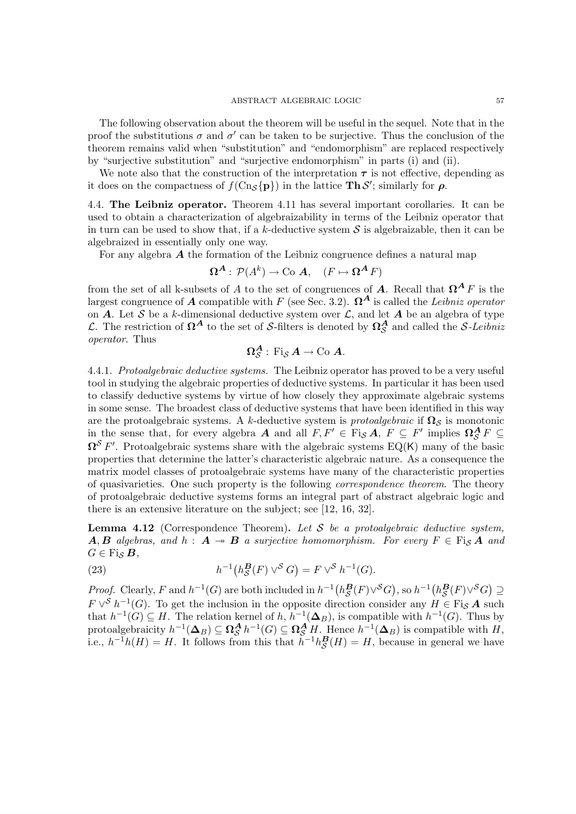#### ${\large\bf ABSTRACT\ ALGEBRAIC\ LOGIC} {\large\bf 57}$

The following observation about the theorem will be useful in the sequel. Note that in the proof the substitutions  $\sigma$  and  $\sigma'$  can be taken to be surjective. Thus the conclusion of the theorem remains valid when "substitution" and "endomorphism" are replaced respectively by "surjective substitution" and "surjective endomorphism" in parts (i) and (ii).

We note also that the construction of the interpretation  $\tau$  is not effective, depending as it does on the compactness of  $f(\text{Cn}_{\mathcal{S}}\{\mathbf{p}\})$  in the lattice **Th** $\mathcal{S}'$ ; similarly for  $\rho$ .

4.4. The Leibniz operator. Theorem 4.11 has several important corollaries. It can be used to obtain a characterization of algebraizability in terms of the Leibniz operator that in turn can be used to show that, if a k-deductive system  $S$  is algebraizable, then it can be algebraized in essentially only one way.

For any algebra  $\boldsymbol{A}$  the formation of the Leibniz congruence defines a natural map

$$
\Omega^{\mathbf{A}}:\mathcal{P}(A^k)\to\mathbf{Co} \mathbf{A}, \quad (F\mapsto \mathbf{\Omega}^{\mathbf{A}} F)
$$

from the set of all k-subsets of A to the set of congruences of A. Recall that  $\Omega^A F$  is the largest congruence of A compatible with F (see Sec. 3.2).  $\Omega^A$  is called the Leibniz operator on  $\overrightarrow{A}$ . Let  $\overrightarrow{S}$  be a k-dimensional deductive system over  $\overrightarrow{L}$ , and let  $\overrightarrow{A}$  be an algebra of type L. The restriction of  $\Omega^A$  to the set of S-filters is denoted by  $\Omega^A_{\mathcal{S}}$  and called the S-Leibniz operator. Thus

$$
\Omega^{\mathcal{A}}_{\mathcal{S}}\,\colon \mathrm{Fi}_{\mathcal{S}}\,\mathcal{A}\rightarrow \mathrm{Co} \,\,\mathcal{A}.
$$

4.4.1. Protoalgebraic deductive systems. The Leibniz operator has proved to be a very useful tool in studying the algebraic properties of deductive systems. In particular it has been used to classify deductive systems by virtue of how closely they approximate algebraic systems in some sense. The broadest class of deductive systems that have been identified in this way are the protoalgebraic systems. A k-deductive system is *protoalgebraic* if  $\Omega_{\mathcal{S}}$  is monotonic in the sense that, for every algebra A and all  $F, F' \in \text{Fi}_{\mathcal{S}} A$ ,  $F \subseteq F'$  implies  $\Omega_{\mathcal{S}}^A F \subseteq$  $\Omega^{\mathcal{S}} F'$ . Protoalgebraic systems share with the algebraic systems EQ(K) many of the basic properties that determine the latter's characteristic algebraic nature. As a consequence the matrix model classes of protoalgebraic systems have many of the characteristic properties of quasivarieties. One such property is the following correspondence theorem. The theory of protoalgebraic deductive systems forms an integral part of abstract algebraic logic and there is an extensive literature on the subject; see [12, 16, 32].

**Lemma 4.12** (Correspondence Theorem). Let S be a protoalgebraic deductive system, **A, B** algebras, and  $h : A \rightarrow B$  a surjective homomorphism. For every  $F \in \text{Fig } A$  and  $G \in \mathrm{Fi}_{\mathcal{S}} B$ ,

(23) 
$$
h^{-1}(h_{\mathcal{S}}^{B}(F) \vee^{\mathcal{S}} G) = F \vee^{\mathcal{S}} h^{-1}(G).
$$

*Proof.* Clearly, F and  $h^{-1}(G)$  are both included in  $h^{-1}(h_{\mathcal{S}}^{\mathbf{B}}(F)\vee^{\mathcal{S}}G)$ , so  $h^{-1}(h_{\mathcal{S}}^{\mathbf{B}}(F)\vee^{\mathcal{S}}G) \supseteq$  $F \vee^S h^{-1}(G)$ . To get the inclusion in the opposite direction consider any  $H \in \text{Fig } A$  such that  $h^{-1}(G) \subseteq H$ . The relation kernel of h,  $h^{-1}(\mathbf{\Delta}_B)$ , is compatible with  $h^{-1}(G)$ . Thus by protoalgebraicity  $h^{-1}(\mathbf{\Delta}_B) \subseteq \Omega_{\mathcal{S}}^{\mathbf{A}} h^{-1}(G) \subseteq \Omega_{\mathcal{S}}^{\mathbf{A}} H$ . Hence  $h^{-1}(\mathbf{\Delta}_B)$  is compatible with  $H$ , i.e.,  $h^{-1}h(H) = H$ . It follows from this that  $h^{-1}h_{\mathcal{S}}^{\mathbf{B}}(H) = H$ , because in general we have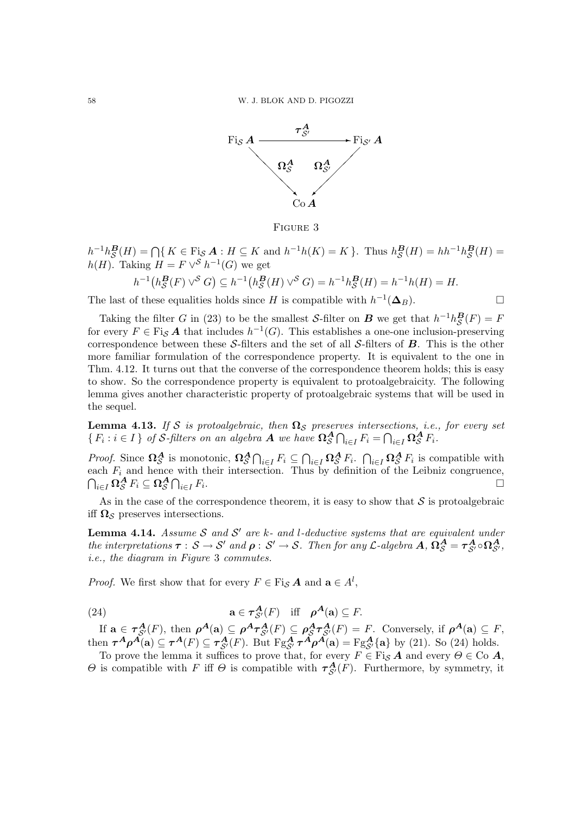

Figure 3

 $h^{-1}h_{\mathcal{S}}^{\mathbf{B}}(H) = \bigcap \{ K \in \text{Fig. } A : H \subseteq K \text{ and } h^{-1}h(K) = K \}.$  Thus  $h_{\mathcal{S}}^{\mathbf{B}}(H) = hh^{-1}h_{\mathcal{S}}^{\mathbf{B}}(H) =$  $h(H)$ . Taking  $H = F \vee^S h^{-1}(G)$  we get

$$
h^{-1}(h_{\mathcal{S}}^{B}(F) \vee^{\mathcal{S}} G) \subseteq h^{-1}(h_{\mathcal{S}}^{B}(H) \vee^{\mathcal{S}} G) = h^{-1}h_{\mathcal{S}}^{B}(H) = h^{-1}h(H) = H.
$$

The last of these equalities holds since H is compatible with  $h^{-1}(\Delta_B)$ .

Taking the filter G in (23) to be the smallest S-filter on B we get that  $h^{-1}h_{\mathcal{S}}^{\mathbf{B}}(F) = F$ for every  $F \in \text{Fi}_{\mathcal{S}}\mathcal{A}$  that includes  $h^{-1}(G)$ . This establishes a one-one inclusion-preserving correspondence between these S-filters and the set of all S-filters of  $\bf{B}$ . This is the other more familiar formulation of the correspondence property. It is equivalent to the one in Thm. 4.12. It turns out that the converse of the correspondence theorem holds; this is easy to show. So the correspondence property is equivalent to protoalgebraicity. The following lemma gives another characteristic property of protoalgebraic systems that will be used in the sequel.

**Lemma 4.13.** If S is protoalgebraic, then  $\Omega_{\mathcal{S}}$  preserves intersections, i.e., for every set  $\{F_i : i \in I\}$  of S-filters on an algebra A we have  $\Omega^A_S \bigcap_{i \in I} F_i = \bigcap_{i \in I} \Omega^A_S F_i$ .

*Proof.* Since  $\Omega_{\mathcal{S}}^{\mathbf{A}}$  is monotonic,  $\Omega_{\mathcal{S}}^{\mathbf{A}} \cap_{i \in I} F_i \subseteq \bigcap_{i \in I} \Omega_{\mathcal{S}}^{\mathbf{A}} F_i$ .  $\bigcap_{i \in I} \Omega_{\mathcal{S}}^{\mathbf{A}} F_i$  is compatible with each  $F_i$  and hence with their intersection. Thus by definition of the Leibniz congruence,  $\bigcap_{i\in I}\mathbf{\Omega}_\mathcal{S}^\mathbf{A} F_i\subseteq \mathbf{\Omega}_\mathcal{S}^\mathbf{A}\bigcap_{i\in I}F_i$ .

As in the case of the correspondence theorem, it is easy to show that  $S$  is protoalgebraic iff  $\Omega_{\mathcal{S}}$  preserves intersections.

**Lemma 4.14.** Assume S and S' are k- and l-deductive systems that are equivalent under the interpretations  $\tau : S \to S'$  and  $\rho : S' \to S$ . Then for any L-algebra  $A, \Omega_S^A = \tau_{S'}^A \circ \Omega_{S'}^A$ , i.e., the diagram in Figure 3 commutes.

*Proof.* We first show that for every  $F \in \text{Fig } A$  and  $\mathbf{a} \in A^l$ ,

(24) 
$$
\mathbf{a} \in \tau_{\mathcal{S}'}^{\mathbf{A}}(F) \quad \text{iff} \quad \boldsymbol{\rho}^{\mathbf{A}}(\mathbf{a}) \subseteq F.
$$

If  $\mathbf{a} \in \tau_{\mathcal{S}'}^{\mathbf{A}}(F)$ , then  $\rho^{\mathbf{A}}(\mathbf{a}) \subseteq \rho^{\mathbf{A}} \tau_{\mathcal{S}'}^{\mathbf{A}}(F) \subseteq \rho_{\mathcal{S}}^{\mathbf{A}} \tau_{\mathcal{S}'}^{\mathbf{A}}(F) = F$ . Conversely, if  $\rho^{\mathbf{A}}(\mathbf{a}) \subseteq F$ , then  $\tau^A \rho^A(\mathbf{a}) \subseteq \tau^A(F) \subseteq \tau^A_{\mathcal{S}'}(F)$ . But  $Fg^A_{\mathcal{S}'} \tau^A \rho^A(\mathbf{a}) = Fg^A_{\mathcal{S}'}\{\mathbf{a}\}\$  by (21). So (24) holds.

To prove the lemma it suffices to prove that, for every  $F \in \text{Fi}_{\mathcal{S}}\textit{A}$  and every  $\Theta \in \text{Co} \textit{A}$ ,  $\Theta$  is compatible with F iff  $\Theta$  is compatible with  $\tau_{\mathcal{S}}^{\mathbf{A}}(F)$ . Furthermore, by symmetry, it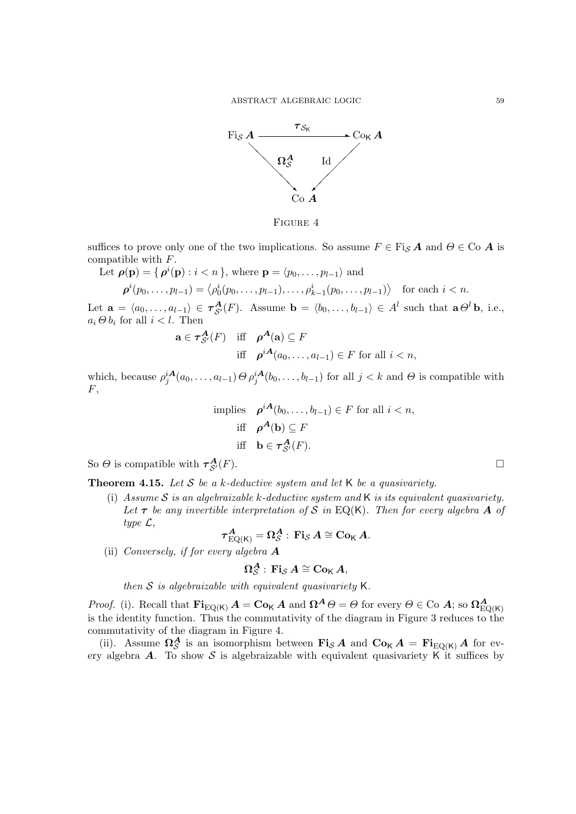${\large\bf ABSTRACT\ ALGEBRAIC\ LOGIC} {\large\bf 59}$ 



Figure 4

suffices to prove only one of the two implications. So assume  $F \in \text{Fi}_{\mathcal{S}}\textbf{A}$  and  $\Theta \in \text{Co}$  **A** is compatible with F.

Let 
$$
\rho(\mathbf{p}) = \{ \rho^i(\mathbf{p}) : i < n \}
$$
, where  $\mathbf{p} = \langle p_0, \dots, p_{l-1} \rangle$  and  
\n
$$
\rho^i(p_0, \dots, p_{l-1}) = \langle \rho_0^i(p_0, \dots, p_{l-1}), \dots, \rho_{k-1}^i(p_0, \dots, p_{l-1}) \rangle \text{ for each } i < n.
$$

Let  $\mathbf{a} = \langle a_0, \ldots, a_{l-1} \rangle \in \tau_{\mathcal{S}'}^{\mathbf{A}}(F)$ . Assume  $\mathbf{b} = \langle b_0, \ldots, b_{l-1} \rangle \in A^l$  such that  $\mathbf{a} \Theta^l \mathbf{b}$ , i.e.,  $a_i \Theta b_i$  for all  $i < l$ . Then

$$
\mathbf{a} \in \tau_{\mathcal{S}'}^{\mathbf{A}}(F) \quad \text{iff} \quad \rho^{\mathbf{A}}(\mathbf{a}) \subseteq F
$$
  
iff 
$$
\rho^{i\mathbf{A}}(a_0, \dots, a_{l-1}) \in F \text{ for all } i < n,
$$

which, because  $\rho_j^{iA}(a_0,\ldots,a_{l-1})\Theta\rho_j^{iA}(b_0,\ldots,b_{l-1})$  for all  $j < k$  and  $\Theta$  is compatible with  $F,$ 

implies 
$$
\rho^{iA}(b_0, ..., b_{l-1}) \in F
$$
 for all  $i < n$ ,  
iff  $\rho^{A}(\mathbf{b}) \subseteq F$   
iff  $\mathbf{b} \in \tau_{\mathcal{S}'}^{A}(F)$ .

So  $\Theta$  is compatible with  $\tau_{S'}^{\mathbf{A}}$  $\mathcal{A}_{\mathcal{S}'}(F).$ 

**Theorem 4.15.** Let S be a k-deductive system and let K be a quasivariety.

(i) Assume S is an algebraizable k-deductive system and K is its equivalent quasivariety. Let  $\tau$  be any invertible interpretation of S in EQ(K). Then for every algebra A of type  $\mathcal{L},$ 

$$
\boldsymbol{\tau}_{\mathrm{EQ}(\mathsf{K})}^{\boldsymbol{A}}=\boldsymbol{\Omega}_{\mathcal{S}}^{\boldsymbol{A}}:\,\mathbf{Fi}_{\mathcal{S}}\,\boldsymbol{A}\cong\mathbf{Co}_{\mathsf{K}}\,\boldsymbol{A}.
$$

(ii) Conversely, if for every algebra  $\boldsymbol{A}$ 

$$
\Omega^{\boldsymbol{A}}_{\mathcal{S}}\,\colon \mathbf{Fi}_{\mathcal{S}}\,\boldsymbol{A}\cong \mathbf{Co}_{\mathsf{K}}\,\boldsymbol{A},
$$

then  $S$  is algebraizable with equivalent quasivariety  $K$ .

*Proof.* (i). Recall that  $\mathbf{Fi}_{EQ(K)}A = \mathbf{Co}_K A$  and  $\mathbf{\Omega}^A \Theta = \Theta$  for every  $\Theta \in \text{Co } A$ ; so  $\Omega^A_{EQ(K)}$ is the identity function. Thus the commutativity of the diagram in Figure 3 reduces to the commutativity of the diagram in Figure 4.

(ii). Assume  $\Omega_{\mathcal{S}}^{\mathcal{A}}$  is an isomorphism between  $\mathrm{Fi}_{\mathcal{S}}\mathcal{A}$  and  $\mathrm{Co}_{\mathsf{K}}\mathcal{A} = \mathrm{Fi}_{\mathrm{EQ}(\mathsf{K})}\mathcal{A}$  for every algebra  $A$ . To show  $S$  is algebraizable with equivalent quasivariety K it suffices by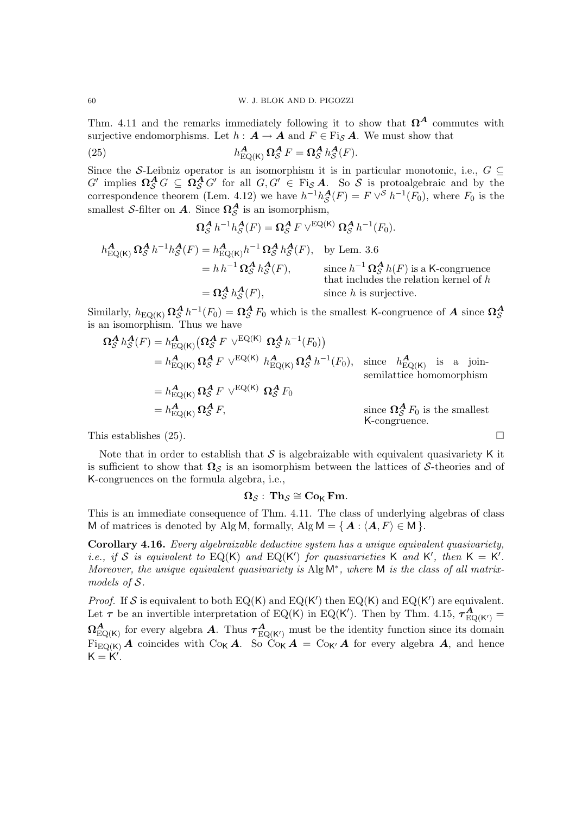Thm. 4.11 and the remarks immediately following it to show that  $\Omega^A$  commutes with surjective endomorphisms. Let  $h : A \to A$  and  $F \in \text{Fig } A$ . We must show that

(25) 
$$
h_{\text{EQ}(K)}^{\mathbf{A}} \Omega_{\mathcal{S}}^{\mathbf{A}} F = \Omega_{\mathcal{S}}^{\mathbf{A}} h_{\mathcal{S}}^{\mathbf{A}}(F).
$$

Since the S-Leibniz operator is an isomorphism it is in particular monotonic, i.e.,  $G \subseteq$  $G'$  implies  $\Omega_S^A G \subseteq \Omega_S^A G'$  for all  $G, G' \in \text{Fi}_{S} A$ . So S is protoalgebraic and by the correspondence theorem (Lem. 4.12) we have  $h^{-1}h_{\mathcal{S}}^{A}(F) = F \vee^{\mathcal{S}} h^{-1}(F_0)$ , where  $F_0$  is the smallest S-filter on A. Since  $\Omega_{\mathcal{S}}^{\mathcal{A}}$  is an isomorphism,

$$
\Omega_{\mathcal{S}}^{\mathbf{A}} h^{-1} h_{\mathcal{S}}^{\mathbf{A}}(F) = \Omega_{\mathcal{S}}^{\mathbf{A}} F \vee^{EQ(\mathsf{K})} \Omega_{\mathcal{S}}^{\mathbf{A}} h^{-1}(F_0).
$$

$$
h_{\text{EQ}(K)}^{\mathbf{A}} \Omega_{\mathcal{S}}^{\mathbf{A}} h^{-1} h_{\mathcal{S}}^{\mathbf{A}}(F) = h_{\text{EQ}(K)}^{\mathbf{A}} h^{-1} \Omega_{\mathcal{S}}^{\mathbf{A}} h_{\mathcal{S}}^{\mathbf{A}}(F), \quad \text{by Lem. 3.6}
$$
  
=  $h h^{-1} \Omega_{\mathcal{S}}^{\mathbf{A}} h_{\mathcal{S}}^{\mathbf{A}}(F), \quad \text{since } h^{-1} \Omega_{\mathcal{S}}^{\mathbf{A}} h(F) \text{ is a K-congruence that includes the relation kernel of } h$   
=  $\Omega_{\mathcal{S}}^{\mathbf{A}} h_{\mathcal{S}}^{\mathbf{A}}(F), \quad \text{since } h \text{ is surjective.}$ 

Similarly,  $h_{\text{EQ}(K)} \Omega_S^A h^{-1}(F_0) = \Omega_S^A F_0$  which is the smallest K-congruence of A since  $\Omega_S^A$ is an isomorphism. Thus we have

$$
\Omega_{\mathcal{S}}^{A} h_{\mathcal{S}}^{A}(F) = h_{\text{EQ}(K)}^{A} \left( \Omega_{\mathcal{S}}^{A} F \vee^{\text{EQ}(K)} \Omega_{\mathcal{S}}^{A} h^{-1}(F_{0}) \right)
$$
\n
$$
= h_{\text{EQ}(K)}^{A} \Omega_{\mathcal{S}}^{A} F \vee^{\text{EQ}(K)} h_{\text{EQ}(K)}^{A} \Omega_{\mathcal{S}}^{A} h^{-1}(F_{0}), \text{ since } h_{\text{EQ}(K)}^{A} \text{ is a join-\nsemilattice homomorphism}
$$
\n
$$
= h_{\text{EQ}(K)}^{A} \Omega_{\mathcal{S}}^{A} F \vee^{\text{EQ}(K)} \Omega_{\mathcal{S}}^{A} F_{0}
$$
\n
$$
= h_{\text{EQ}(K)}^{A} \Omega_{\mathcal{S}}^{A} F, \text{ since } \Omega_{\mathcal{S}}^{A} F_{0} \text{ is the smallest K-congruence.}
$$

This establishes (25).  $\Box$ 

Note that in order to establish that  $S$  is algebraizable with equivalent quasivariety K it is sufficient to show that  $\Omega_{\mathcal{S}}$  is an isomorphism between the lattices of S-theories and of K-congruences on the formula algebra, i.e.,

$$
\Omega_{\mathcal{S}}: \; \mathbf{Th}_{\mathcal{S}} \cong \mathbf{Co}_{\mathsf{K}} \; \mathbf{Fm}.
$$

This is an immediate consequence of Thm. 4.11. The class of underlying algebras of class M of matrices is denoted by Alg M, formally, Alg  $M = \{A : \langle A, F \rangle \in M \}.$ 

Corollary 4.16. Every algebraizable deductive system has a unique equivalent quasivariety, *i.e.*, if S is equivalent to EQ(K) and EQ(K') for quasivarieties K and K', then  $K = K'$ . Moreover, the unique equivalent quasivariety is Alg M<sup>\*</sup>, where M is the class of all matrixmodels of S.

*Proof.* If S is equivalent to both  $EQ(K)$  and  $EQ(K')$  then  $EQ(K)$  and  $EQ(K')$  are equivalent. Let  $\tau$  be an invertible interpretation of EQ(K) in EQ(K'). Then by Thm. 4.15,  $\tau_{\rm EQ(K')}^{\bf A}$  $\Omega_{\mathrm{EQ(K)}}^{\mathbf{A}}$  for every algebra  $\mathbf{A}$ . Thus  $\tau_{\mathrm{EQ(K')}}^{\mathbf{A}}$  must be the identity function since its domain  $\overrightarrow{\text{Figo(K)}}$  A coincides with  $\text{Co}_{\mathsf{K}} A$ . So  $\overrightarrow{\text{Co}_{\mathsf{K}}} A = \text{Co}_{\mathsf{K}'} A$  for every algebra A, and hence  $K = K'$ .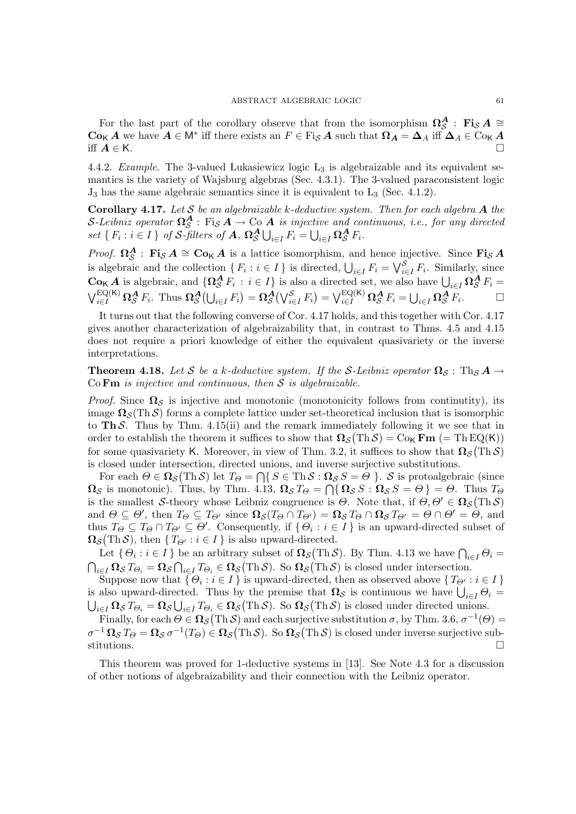For the last part of the corollary observe that from the isomorphism  $\Omega_{\mathcal{S}}^{\mathcal{A}}$ : Fi<sub>S</sub> A ≅  $\text{Co}_{\mathsf{K}}A$  we have  $A \in \mathsf{M}^*$  iff there exists an  $F \in \text{Fi}_{\mathcal{S}}A$  such that  $\Omega_A = \Delta_A$  iff  $\Delta_A \in \text{Co}_{\mathsf{K}}A$ iff  $A \in K$ .

4.4.2. Example. The 3-valued Lukasiewicz logic  $L_3$  is algebraizable and its equivalent semantics is the variety of Wajsburg algebras (Sec. 4.3.1). The 3-valued paraconsistent logic  $J_3$  has the same algebraic semantics since it is equivalent to  $L_3$  (Sec. 4.1.2).

Corollary 4.17. Let  $S$  be an algebraizable k-deductive system. Then for each algebra  $A$  the S-Leibniz operator  $\Omega_{\mathcal{S}}^{\mathbf{A}}$ : Fi<sub>S</sub>  $A \to$  Co  $A$  is injective and continuous, i.e., for any directed set  $\{F_i : i \in I\}$  of S-filters of  $A$ ,  $\Omega_{\mathcal{S}}^{\mathbf{A}} \bigcup_{i \in I} F_i = \bigcup_{i \in I} \Omega_{\mathcal{S}}^{\mathbf{A}} F_i$ .

*Proof.*  $\Omega_{\mathcal{S}}^{\mathbf{A}}$ : Fi<sub>S</sub>  $\mathbf{A} \cong \mathbf{C}\mathbf{o}_{\mathsf{K}}\mathbf{A}$  is a lattice isomorphism, and hence injective. Since Fi<sub>S</sub>  $\mathbf{A}$ is algebraic and the collection  $\{F_i : i \in I\}$  is directed,  $\bigcup_{i \in I} F_i = \bigvee_{i \in I}^{\mathcal{S}} F_i$ . Similarly, since  $\mathbf{Co}_{\mathsf{K}}\mathbf{A}$  is algebraic, and  $\{\mathbf{\Omega}_{\mathcal{S}}^{\mathbf{A}} F_i : i \in I\}$  is also a directed set, we also have  $\bigcup_{i \in I} \mathbf{\Omega}_{\mathcal{S}}^{\mathbf{A}} F_i =$  $\bigvee_{i\in I}^{\text{EQ}(\mathsf{K})}\Omega_{\mathcal{S}}^{\mathbf{A}} F_i$ . Thus  $\Omega_{\mathcal{S}}^{\mathbf{A}}(\bigcup_{i\in I} F_i) = \Omega_{\mathcal{S}}^{\mathbf{A}}(\bigvee_{i\in I}^{\mathcal{S}} F_i) = \bigvee_{i\in I}^{\text{EQ}(\mathsf{K})}\Omega_{\mathcal{S}}^{\mathbf{A}} F_i = \bigcup_{i\in I} \Omega_{\mathcal{S}}^{\mathbf{A}} F_i$ .

It turns out that the following converse of Cor. 4.17 holds, and this together with Cor. 4.17 gives another characterization of algebraizability that, in contrast to Thms. 4.5 and 4.15 does not require a priori knowledge of either the equivalent quasivariety or the inverse interpretations.

**Theorem 4.18.** Let S be a k-deductive system. If the S-Leibniz operator  $\Omega_S$ : Th<sub>S</sub> A  $\rightarrow$  $Co \, \mathbf{Fm}$  is injective and continuous, then S is algebraizable.

*Proof.* Since  $\Omega<sub>S</sub>$  is injective and monotonic (monotonicity follows from continutity), its image  $\Omega_{\mathcal{S}}(Th\mathcal{S})$  forms a complete lattice under set-theoretical inclusion that is isomorphic to **Th** S. Thus by Thm. 4.15(ii) and the remark immediately following it we see that in order to establish the theorem it suffices to show that  $\Omega_{\mathcal{S}}(Th \mathcal{S}) = \mathrm{C}_{0K} \mathbf{Fm}$  (= Th EQ(K)) for some quasivariety K. Moreover, in view of Thm. 3.2, it suffices to show that  $\Omega_{\mathcal{S}}(Th\mathcal{S})$ is closed under intersection, directed unions, and inverse surjective substitutions.

For each  $\Theta \in \Omega_{\mathcal{S}}(\text{Th}\,\mathcal{S})$  let  $T_{\Theta} = \bigcap \{S \in \text{Th}\,\mathcal{S} : \Omega_{\mathcal{S}}S = \Theta \}$ .  $\mathcal{S}$  is protoalgebraic (since  $\Omega_{\mathcal{S}}$  is monotonic). Thus, by Thm. 4.13,  $\Omega_{\mathcal{S}} T_{\Theta} = \bigcap \{ \Omega_{\mathcal{S}} S : \Omega_{\mathcal{S}} S = \Theta \} = \Theta$ . Thus  $T_{\Theta}$ is the smallest S-theory whose Leibniz congruence is  $\Theta$ . Note that, if  $\Theta, \Theta' \in \Omega_{\mathcal{S}}(Th\mathcal{S})$ and  $\Theta \subseteq \Theta'$ , then  $T_{\Theta} \subseteq T_{\Theta'}$  since  $\Omega_{\mathcal{S}}(T_{\Theta} \cap T_{\Theta'}) = \Omega_{\mathcal{S}} T_{\Theta} \cap \Omega_{\mathcal{S}} T_{\Theta'} = \Theta \cap \Theta' = \Theta'$ , and thus  $T_{\Theta} \subseteq T_{\Theta} \cap T_{\Theta'} \subseteq \Theta'$ . Consequently, if  $\{\Theta_i : i \in I\}$  is an upward-directed subset of  $\Omega_{\mathcal{S}}(\text{Th}\,\mathcal{S}),$  then  $\{T_{\Theta'} : i \in I\}$  is also upward-directed.

Let  $\{\Theta_i : i \in I\}$  be an arbitrary subset of  $\Omega_{\mathcal{S}}(\text{Th }\mathcal{S})$ . By Thm. 4.13 we have  $\bigcap_{i \in I} \Theta_i =$  $\bigcap_{i\in I}\Omega_{\mathcal{S}} T_{\Theta_i} = \Omega_{\mathcal{S}}\bigcap_{i\in I} T_{\Theta_i} \in \Omega_{\mathcal{S}} (\text{Th}\,\mathcal{S})$ . So  $\Omega_{\mathcal{S}} (\text{Th}\,\mathcal{S})$  is closed under intersection.

Suppose now that  $\{ \Theta_i : i \in I \}$  is upward-directed, then as observed above  $\{ T_{\Theta'} : i \in I \}$ is also upward-directed. Thus by the premise that  $\Omega_{\mathcal{S}}$  is continuous we have  $\bigcup_{i\in I}\Theta_i =$  $\bigcup_{i\in I}\Omega_{\mathcal{S}} T_{\Theta_i} = \Omega_{\mathcal{S}} \bigcup_{i\in I} T_{\Theta_i} \in \Omega_{\mathcal{S}} (\text{Th}\,\mathcal{S}).$  So  $\Omega_{\mathcal{S}} (\text{Th}\,\mathcal{S})$  is closed under directed unions.

Finally, for each  $\Theta \in \Omega_{\mathcal{S}}(\text{Th}\,\mathcal{S})$  and each surjective substitution  $\sigma$ , by Thm. 3.6,  $\sigma^{-1}(\Theta) =$  $\sigma^{-1}\,\Omega_\mathcal{S}\,T_\Theta=\Omega_\mathcal{S}\,\sigma^{-1}(T_\Theta)\in\Omega_\mathcal{S}(\text{Th}\,\mathcal{S})$ . So  $\Omega_\mathcal{S}(\text{Th}\,\mathcal{S})$  is closed under inverse surjective substitutions.  $\Box$ 

This theorem was proved for 1-deductive systems in [13]. See Note 4.3 for a discussion of other notions of algebraizability and their connection with the Leibniz operator.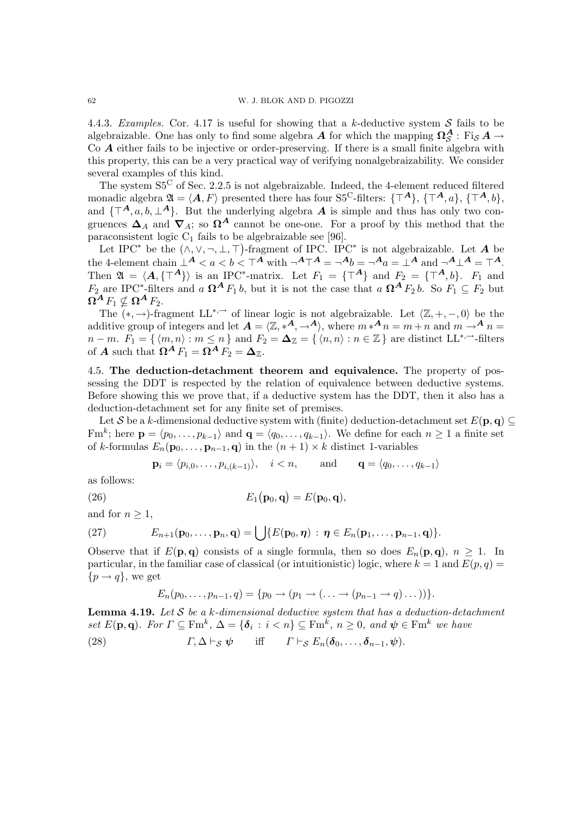4.4.3. Examples. Cor. 4.17 is useful for showing that a k-deductive system  $S$  fails to be algebraizable. One has only to find some algebra  $A$  for which the mapping  $\Omega_S^A$  : Fi<sub>S</sub>  $A \to$ Co A either fails to be injective or order-preserving. If there is a small finite algebra with this property, this can be a very practical way of verifying nonalgebraizability. We consider several examples of this kind.

The system S5<sup>C</sup> of Sec. 2.2.5 is not algebraizable. Indeed, the 4-element reduced filtered monadic algebra  $\mathfrak{A} = \langle A, F \rangle$  presented there has four S5<sup>C</sup>-filters:  $\{ \top^A \}, \{ \top^A, a \}, \{ \top^A, b \},$ and  $\{\top^A, a, b, \bot^A\}$ . But the underlying algebra A is simple and thus has only two congruences  $\Delta_A$  and  $\nabla_A$ ; so  $\Omega^A$  cannot be one-one. For a proof by this method that the paraconsistent logic  $C_1$  fails to be algebraizable see [96].

Let IPC<sup>\*</sup> be the  $(\wedge, \vee, \neg, \bot, \top)$ -fragment of IPC. IPC<sup>\*</sup> is not algebraizable. Let A be the 4-element chain  $\perp^A < a < b < \top^A$  with  $\neg^A \top^A = \neg^A b = \neg^A a = \perp^A$  and  $\neg^A \perp^A = \top^A$ . Then  $\mathfrak{A} = \langle \mathbf{A}, {\{\top^A}\}\rangle$  is an IPC<sup>\*</sup>-matrix. Let  $F_1 = {\{\top^A\}}$  and  $F_2 = {\{\top^A, b\}}$ .  $F_1$  and  $F_2$  are IPC<sup>\*</sup>-filters and a  $\Omega^A F_1 b$ , but it is not the case that a  $\Omega^A F_2 b$ . So  $F_1 \subseteq F_2$  but  $\mathbf{\Omega}^{\mathbf{A}} F_1 \nsubseteq \mathbf{\Omega}^{\mathbf{A}} F_2.$ 

The  $(*, \rightarrow)$ -fragment LL<sup>\*,→</sup> of linear logic is not algebraizable. Let  $\langle \mathbb{Z}, +, -, 0 \rangle$  be the additive group of integers and let  $A = \langle \mathbb{Z}, *^A, \to^A \rangle$ , where  $m *^A n = m + n$  and  $m \to^A n =$  $n - m$ .  $F_1 = \{ \langle m, n \rangle : m \leq n \}$  and  $F_2 = \Delta_{\mathbb{Z}} = \{ \langle n, n \rangle : n \in \mathbb{Z} \}$  are distinct  $LL^{*,\rightarrow}$ -filters of **A** such that  $\Omega^A F_1 = \Omega^A F_2 = \Delta_{\mathbb{Z}}$ .

4.5. The deduction-detachment theorem and equivalence. The property of possessing the DDT is respected by the relation of equivalence between deductive systems. Before showing this we prove that, if a deductive system has the DDT, then it also has a deduction-detachment set for any finite set of premises.

Let S be a k-dimensional deductive system with (finite) deduction-detachment set  $E(\mathbf{p}, \mathbf{q}) \subseteq$ Fm<sup>k</sup>; here  $\mathbf{p} = \langle p_0, \ldots, p_{k-1} \rangle$  and  $\mathbf{q} = \langle q_0, \ldots, q_{k-1} \rangle$ . We define for each  $n \geq 1$  a finite set of k-formulas  $E_n(\mathbf{p}_0,\ldots,\mathbf{p}_{n-1},\mathbf{q})$  in the  $(n+1)\times k$  distinct 1-variables

$$
\mathbf{p}_i = \langle p_{i,0}, \dots, p_{i,(k-1)} \rangle, \quad i < n, \quad \text{and} \quad \mathbf{q} = \langle q_0, \dots, q_{k-1} \rangle
$$

as follows:

(26) 
$$
E_1(\mathbf{p}_0, \mathbf{q}) = E(\mathbf{p}_0, \mathbf{q}),
$$

and for  $n \geq 1$ ,

(27) 
$$
E_{n+1}(\mathbf{p}_0,\ldots,\mathbf{p}_n,\mathbf{q})=\bigcup\{E(\mathbf{p}_0,\boldsymbol{\eta})\,:\,\boldsymbol{\eta}\in E_n(\mathbf{p}_1,\ldots,\mathbf{p}_{n-1},\mathbf{q})\}.
$$

Observe that if  $E(\mathbf{p}, \mathbf{q})$  consists of a single formula, then so does  $E_n(\mathbf{p}, \mathbf{q})$ ,  $n \geq 1$ . In particular, in the familiar case of classical (or intuitionistic) logic, where  $k = 1$  and  $E(p, q) =$  ${p \rightarrow q}$ , we get

$$
E_n(p_0,\ldots,p_{n-1},q) = \{p_0 \to (p_1 \to (\ldots \to (p_{n-1} \to q) \ldots))\}.
$$

**Lemma 4.19.** Let  $S$  be a  $k$ -dimensional deductive system that has a deduction-detachment set  $E(\mathbf{p}, \mathbf{q})$ . For  $\Gamma \subseteq \text{Fm}^k$ ,  $\Delta = {\delta_i : i < n} \subseteq \text{Fm}^k$ ,  $n \geq 0$ , and  $\psi \in \text{Fm}^k$  we have (28)  $\Gamma, \Delta \vdash_S \psi$  iff  $\Gamma \vdash_S E_n(\delta_0, \ldots, \delta_{n-1}, \psi).$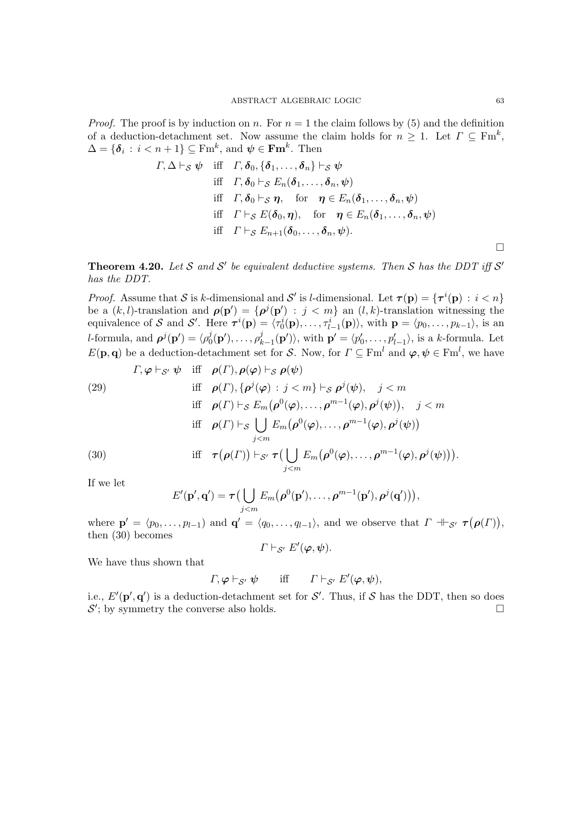*Proof.* The proof is by induction on n. For  $n = 1$  the claim follows by (5) and the definition of a deduction-detachment set. Now assume the claim holds for  $n \geq 1$ . Let  $\Gamma \subseteq \text{Fm}^k$ ,  $\Delta = \{\boldsymbol{\delta}_i : i < n+1\} \subseteq \mathrm{Fm}^k$ , and  $\boldsymbol{\psi} \in \mathbf{Fm}^k$ . Then

$$
\Gamma, \Delta \vdash_{\mathcal{S}} \psi \quad \text{iff} \quad \Gamma, \delta_0, \{\delta_1, \ldots, \delta_n\} \vdash_{\mathcal{S}} \psi
$$
\n
$$
\text{iff} \quad \Gamma, \delta_0 \vdash_{\mathcal{S}} E_n(\delta_1, \ldots, \delta_n, \psi)
$$
\n
$$
\text{iff} \quad \Gamma, \delta_0 \vdash_{\mathcal{S}} \eta, \quad \text{for} \quad \eta \in E_n(\delta_1, \ldots, \delta_n, \psi)
$$
\n
$$
\text{iff} \quad \Gamma \vdash_{\mathcal{S}} E(\delta_0, \eta), \quad \text{for} \quad \eta \in E_n(\delta_1, \ldots, \delta_n, \psi)
$$
\n
$$
\text{iff} \quad \Gamma \vdash_{\mathcal{S}} E_{n+1}(\delta_0, \ldots, \delta_n, \psi).
$$

**Theorem 4.20.** Let S and S' be equivalent deductive systems. Then S has the DDT iff S' has the DDT.

*Proof.* Assume that S is k-dimensional and S' is l-dimensional. Let  $\tau(\mathbf{p}) = {\tau^{i}(\mathbf{p}) : i < n}$ be a  $(k, l)$ -translation and  $\rho(\mathbf{p}') = {\rho^j(\mathbf{p}')} : j < m$  an  $(l, k)$ -translation witnessing the equivalence of S and S'. Here  $\tau^{i}(\mathbf{p}) = \langle \tau_0^{i}(\mathbf{p}), \ldots, \tau_{l-1}^{i}(\mathbf{p}) \rangle$ , with  $\mathbf{p} = \langle p_0, \ldots, p_{k-1} \rangle$ , is an *l*-formula, and  $\boldsymbol{\rho}^j(\mathbf{p}') = \langle \rho_0^j \rangle$  $\beta_0^j(\mathbf{p}'),\ldots,\rho_k^j$  $\langle p'_{k-1}(\mathbf{p}')\rangle$ , with  $\mathbf{p}' = \langle p'_0, \ldots, p'_{l-1}\rangle$ , is a k-formula. Let  $E(\mathbf{p}, \mathbf{q})$  be a deduction-detachment set for S. Now, for  $\Gamma \subseteq \mathrm{Fm}^l$  and  $\boldsymbol{\varphi}, \boldsymbol{\psi} \in \mathrm{Fm}^l$ , we have

(29)  
\n
$$
\text{If} \quad \rho(\Gamma), \rho(\varphi) \vdash_{\mathcal{S}} \rho(\psi)
$$
\n
$$
\text{if} \quad \rho(\Gamma), \{\rho^j(\varphi) : j < m\} \vdash_{\mathcal{S}} \rho^j(\psi), \quad j < m
$$
\n
$$
\text{if} \quad \rho(\Gamma) \vdash_{\mathcal{S}} E_m(\rho^0(\varphi), \dots, \rho^{m-1}(\varphi), \rho^j(\psi)), \quad j < m
$$
\n
$$
\text{if} \quad \rho(\Gamma) \vdash_{\mathcal{S}} \bigcup_{j < m} E_m(\rho^0(\varphi), \dots, \rho^{m-1}(\varphi), \rho^j(\psi))
$$
\n
$$
\text{if} \quad \tau(\rho(\Gamma)) \vdash_{\mathcal{S}'} \tau(\bigcup_{j < m} E_m(\rho^0(\varphi), \dots, \rho^{m-1}(\varphi), \rho^j(\psi))).
$$

If we let

$$
E'(\mathbf{p}',\mathbf{q}') = \boldsymbol{\tau} \big(\bigcup_{j
$$

where  $\mathbf{p}' = \langle p_0, \ldots, p_{l-1} \rangle$  and  $\mathbf{q}' = \langle q_0, \ldots, q_{l-1} \rangle$ , and we observe that  $\Gamma \dashv_{\mathcal{S}'} \tau(\rho(\Gamma)),$ then (30) becomes

$$
\Gamma\vdash_{\mathcal{S}'} E'(\varphi,\psi).
$$

We have thus shown that

$$
\Gamma, \varphi \vdash_{\mathcal{S}'} \psi
$$
 iff  $\Gamma \vdash_{\mathcal{S}'} E'(\varphi, \psi)$ ,

i.e.,  $E'(\mathbf{p}', \mathbf{q}')$  is a deduction-detachment set for S'. Thus, if S has the DDT, then so does  $\mathcal{S}'$ ; by symmetry the converse also holds.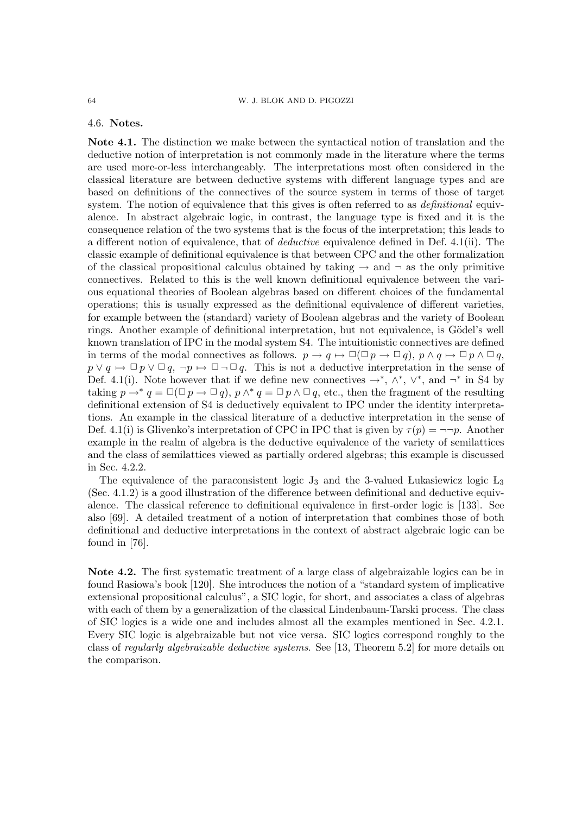4.6. Notes.

Note 4.1. The distinction we make between the syntactical notion of translation and the deductive notion of interpretation is not commonly made in the literature where the terms are used more-or-less interchangeably. The interpretations most often considered in the classical literature are between deductive systems with different language types and are based on definitions of the connectives of the source system in terms of those of target system. The notion of equivalence that this gives is often referred to as *definitional* equivalence. In abstract algebraic logic, in contrast, the language type is fixed and it is the consequence relation of the two systems that is the focus of the interpretation; this leads to a different notion of equivalence, that of deductive equivalence defined in Def. 4.1(ii). The classic example of definitional equivalence is that between CPC and the other formalization of the classical propositional calculus obtained by taking  $\rightarrow$  and  $\neg$  as the only primitive connectives. Related to this is the well known definitional equivalence between the various equational theories of Boolean algebras based on different choices of the fundamental operations; this is usually expressed as the definitional equivalence of different varieties, for example between the (standard) variety of Boolean algebras and the variety of Boolean rings. Another example of definitional interpretation, but not equivalence, is Gödel's well known translation of IPC in the modal system S4. The intuitionistic connectives are defined in terms of the modal connectives as follows.  $p \to q \mapsto \Box(\Box p \to \Box q)$ ,  $p \land q \mapsto \Box p \land \Box q$ ,  $p \vee q \mapsto \Box p \vee \Box q$ ,  $\neg p \mapsto \Box \neg \Box q$ . This is not a deductive interpretation in the sense of Def. 4.1(i). Note however that if we define new connectives  $\rightarrow^*, \wedge^*, \vee^*,$  and  $\neg^*$  in S4 by taking  $p \to^* q = \Box(\Box p \to \Box q)$ ,  $p \wedge^* q = \Box p \wedge \Box q$ , etc., then the fragment of the resulting definitional extension of S4 is deductively equivalent to IPC under the identity interpretations. An example in the classical literature of a deductive interpretation in the sense of Def. 4.1(i) is Glivenko's interpretation of CPC in IPC that is given by  $\tau(p) = \neg \neg p$ . Another example in the realm of algebra is the deductive equivalence of the variety of semilattices and the class of semilattices viewed as partially ordered algebras; this example is discussed in Sec. 4.2.2.

The equivalence of the paraconsistent logic  $J_3$  and the 3-valued Lukasiewicz logic  $L_3$ (Sec.  $4.1.2$ ) is a good illustration of the difference between definitional and deductive equivalence. The classical reference to definitional equivalence in first-order logic is [133]. See also [69]. A detailed treatment of a notion of interpretation that combines those of both definitional and deductive interpretations in the context of abstract algebraic logic can be found in [76].

Note 4.2. The first systematic treatment of a large class of algebraizable logics can be in found Rasiowa's book [120]. She introduces the notion of a "standard system of implicative extensional propositional calculus", a SIC logic, for short, and associates a class of algebras with each of them by a generalization of the classical Lindenbaum-Tarski process. The class of SIC logics is a wide one and includes almost all the examples mentioned in Sec. 4.2.1. Every SIC logic is algebraizable but not vice versa. SIC logics correspond roughly to the class of regularly algebraizable deductive systems. See [13, Theorem 5.2] for more details on the comparison.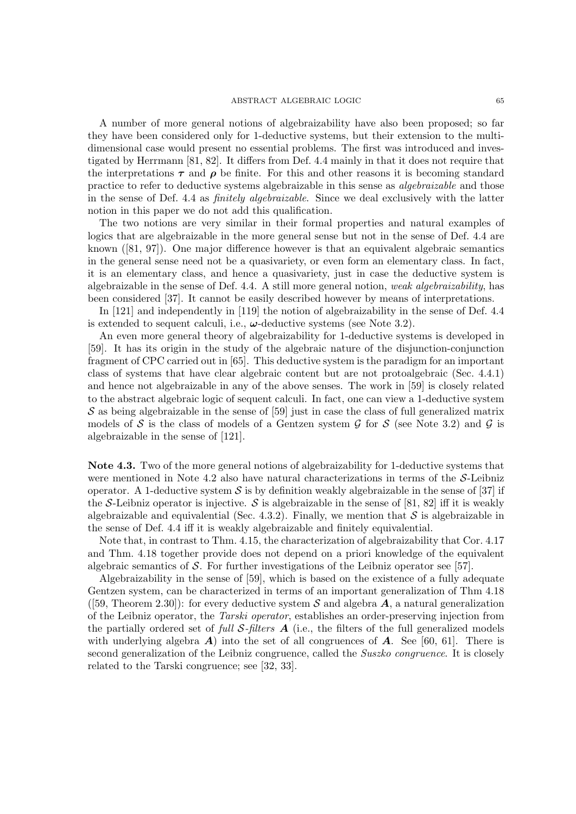#### ABSTRACT ALGEBRAIC LOGIC 65

A number of more general notions of algebraizability have also been proposed; so far they have been considered only for 1-deductive systems, but their extension to the multidimensional case would present no essential problems. The first was introduced and investigated by Herrmann [81, 82]. It differs from Def. 4.4 mainly in that it does not require that the interpretations  $\tau$  and  $\rho$  be finite. For this and other reasons it is becoming standard practice to refer to deductive systems algebraizable in this sense as algebraizable and those in the sense of Def. 4.4 as finitely algebraizable. Since we deal exclusively with the latter notion in this paper we do not add this qualification.

The two notions are very similar in their formal properties and natural examples of logics that are algebraizable in the more general sense but not in the sense of Def. 4.4 are known ([81, 97]). One major difference however is that an equivalent algebraic semantics in the general sense need not be a quasivariety, or even form an elementary class. In fact, it is an elementary class, and hence a quasivariety, just in case the deductive system is algebraizable in the sense of Def. 4.4. A still more general notion, weak algebraizability, has been considered [37]. It cannot be easily described however by means of interpretations.

In [121] and independently in [119] the notion of algebraizability in the sense of Def. 4.4 is extended to sequent calculi, i.e.,  $\omega$ -deductive systems (see Note 3.2).

An even more general theory of algebraizability for 1-deductive systems is developed in [59]. It has its origin in the study of the algebraic nature of the disjunction-conjunction fragment of CPC carried out in [65]. This deductive system is the paradigm for an important class of systems that have clear algebraic content but are not protoalgebraic (Sec. 4.4.1) and hence not algebraizable in any of the above senses. The work in [59] is closely related to the abstract algebraic logic of sequent calculi. In fact, one can view a 1-deductive system  $S$  as being algebraizable in the sense of [59] just in case the class of full generalized matrix models of S is the class of models of a Gentzen system G for S (see Note 3.2) and G is algebraizable in the sense of [121].

Note 4.3. Two of the more general notions of algebraizability for 1-deductive systems that were mentioned in Note 4.2 also have natural characterizations in terms of the  $S$ -Leibniz operator. A 1-deductive system  $\mathcal S$  is by definition weakly algebraizable in the sense of [37] if the S-Leibniz operator is injective. S is algebraizable in the sense of [81, 82] iff it is weakly algebraizable and equivalential (Sec. 4.3.2). Finally, we mention that  $\mathcal S$  is algebraizable in the sense of Def. 4.4 iff it is weakly algebraizable and finitely equivalential.

Note that, in contrast to Thm. 4.15, the characterization of algebraizability that Cor. 4.17 and Thm. 4.18 together provide does not depend on a priori knowledge of the equivalent algebraic semantics of S. For further investigations of the Leibniz operator see [57].

Algebraizability in the sense of [59], which is based on the existence of a fully adequate Gentzen system, can be characterized in terms of an important generalization of Thm 4.18 ([59, Theorem 2.30]): for every deductive system S and algebra  $\mathcal{A}$ , a natural generalization of the Leibniz operator, the Tarski operator, establishes an order-preserving injection from the partially ordered set of full  $\mathcal{S}\text{-filters}$  A (i.e., the filters of the full generalized models with underlying algebra  $\bf{A}$ ) into the set of all congruences of  $\bf{A}$ . See [60, 61]. There is second generalization of the Leibniz congruence, called the Suszko congruence. It is closely related to the Tarski congruence; see [32, 33].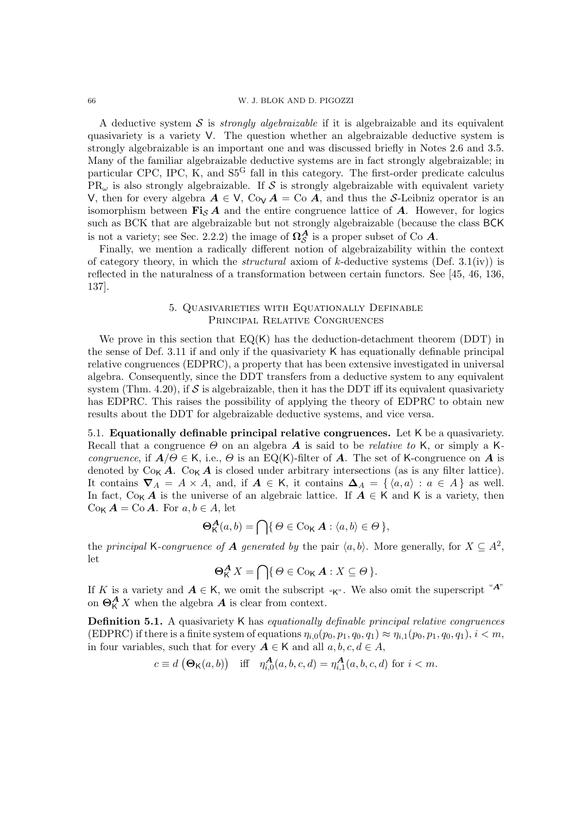### 66 W. J. BLOK AND D. PIGOZZI

A deductive system S is *strongly algebraizable* if it is algebraizable and its equivalent quasivariety is a variety V. The question whether an algebraizable deductive system is strongly algebraizable is an important one and was discussed briefly in Notes 2.6 and 3.5. Many of the familiar algebraizable deductive systems are in fact strongly algebraizable; in particular CPC, IPC, K, and  $S5<sup>G</sup>$  fall in this category. The first-order predicate calculus  $PR_{\omega}$  is also strongly algebraizable. If S is strongly algebraizable with equivalent variety V, then for every algebra  $A \in V$ , Co<sub>V</sub>  $A = \text{Co } A$ , and thus the S-Leibniz operator is an isomorphism between  $\mathbf{Fi}_{S} \mathbf{A}$  and the entire congruence lattice of  $\mathbf{A}$ . However, for logics such as BCK that are algebraizable but not strongly algebraizable (because the class BCK is not a variety; see Sec. 2.2.2) the image of  $\Omega_{\mathcal{S}}^{\mathcal{A}}$  is a proper subset of Co  $A$ .

Finally, we mention a radically different notion of algebraizability within the context of category theory, in which the *structural* axiom of k-deductive systems (Def. 3.1(iv)) is reflected in the naturalness of a transformation between certain functors. See [45, 46, 136, 137].

# 5. Quasivarieties with Equationally Definable Principal Relative Congruences

We prove in this section that  $EQ(K)$  has the deduction-detachment theorem (DDT) in the sense of Def. 3.11 if and only if the quasivariety K has equationally definable principal relative congruences (EDPRC), a property that has been extensive investigated in universal algebra. Consequently, since the DDT transfers from a deductive system to any equivalent system (Thm. 4.20), if  $S$  is algebraizable, then it has the DDT iff its equivalent quasivariety has EDPRC. This raises the possibility of applying the theory of EDPRC to obtain new results about the DDT for algebraizable deductive systems, and vice versa.

5.1. Equationally definable principal relative congruences. Let K be a quasivariety. Recall that a congruence  $\Theta$  on an algebra  $\boldsymbol{A}$  is said to be *relative to* K, or simply a K*congruence*, if  $A/\Theta \in K$ , i.e.,  $\Theta$  is an EQ(K)-filter of A. The set of K-congruence on A is denoted by  $C_{0K} A$ .  $C_{0K} A$  is closed under arbitrary intersections (as is any filter lattice). It contains  $\nabla_A = A \times A$ , and, if  $A \in K$ , it contains  $\Delta_A = \{ \langle a, a \rangle : a \in A \}$  as well. In fact,  $C_{\alpha}A$  is the universe of an algebraic lattice. If  $A \in K$  and K is a variety, then  $\text{Co}_{\mathsf{K}}\mathbf{A} = \text{Co}\,\mathbf{A}$ . For  $a, b \in A$ , let

$$
\Theta_{\mathsf{K}}^{\mathbf{A}}(a,b) = \bigcap \{ \Theta \in \text{Cov}_{\mathsf{K}} \mathbf{A} : \langle a,b \rangle \in \Theta \},
$$

the principal K-congruence of A generated by the pair  $\langle a, b \rangle$ . More generally, for  $X \subseteq A^2$ , let

$$
\Theta_K^{\mathbf{A}} X = \bigcap \{ \Theta \in \text{Co}_K \mathbf{A} : X \subseteq \Theta \}.
$$

If K is a variety and  $A \in K$ , we omit the subscript "K". We also omit the superscript "A" on  $\Theta_{\mathsf{K}}^{\mathbf{A}} X$  when the algebra  $\mathbf{A}$  is clear from context.

Definition 5.1. A quasivariety K has equationally definable principal relative congruences (EDPRC) if there is a finite system of equations  $\eta_{i,0}(p_0, p_1, q_0, q_1) \approx \eta_{i,1}(p_0, p_1, q_0, q_1), i < m$ , in four variables, such that for every  $A \in K$  and all  $a, b, c, d \in A$ ,

$$
c \equiv d \left( \Theta_{\mathsf{K}}(a, b) \right) \quad \text{iff} \quad \eta_{i,0}^{\mathbf{A}}(a, b, c, d) = \eta_{i,1}^{\mathbf{A}}(a, b, c, d) \text{ for } i < m.
$$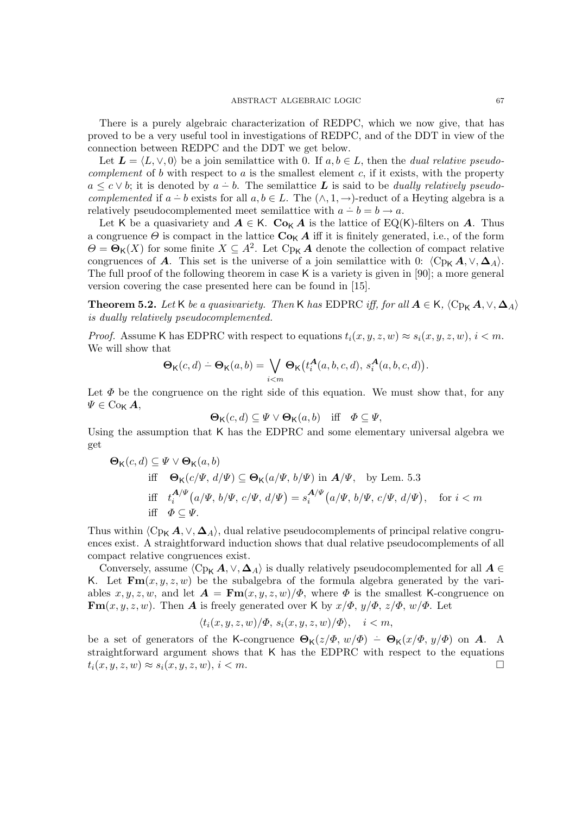There is a purely algebraic characterization of REDPC, which we now give, that has proved to be a very useful tool in investigations of REDPC, and of the DDT in view of the connection between REDPC and the DDT we get below.

Let  $\mathbf{L} = \langle L, \vee, 0 \rangle$  be a join semilattice with 0. If  $a, b \in L$ , then the *dual relative pseudocomplement* of b with respect to  $a$  is the smallest element  $c$ , if it exists, with the property  $a \leq c \vee b$ ; it is denoted by  $a - b$ . The semilattice L is said to be *dually relatively pseudo*complemented if  $a - b$  exists for all  $a, b \in L$ . The  $(\wedge, 1, \rightarrow)$ -reduct of a Heyting algebra is a relatively pseudocomplemented meet semilattice with  $a - b = b \rightarrow a$ .

Let K be a quasivariety and  $A \in K$ . Co<sub>K</sub> A is the lattice of EQ(K)-filters on A. Thus a congruence  $\Theta$  is compact in the lattice  $\mathbf{Co}_{\mathsf{K}}\mathbf{A}$  iff it is finitely generated, i.e., of the form  $\Theta = \mathbf{\Theta}_{\mathsf{K}}(X)$  for some finite  $X \subseteq A^2$ . Let  $Cp_{\mathsf{K}}A$  denote the collection of compact relative congruences of A. This set is the universe of a join semilattice with 0:  $\langle C_{p_k} A, \vee, \Delta_A \rangle$ . The full proof of the following theorem in case K is a variety is given in [90]; a more general version covering the case presented here can be found in [15].

**Theorem 5.2.** Let K be a quasivariety. Then K has EDPRC iff, for all  $A \in K$ ,  $\langle C_{P_{K}} A, \vee, \Delta_{A} \rangle$ is dually relatively pseudocomplemented.

*Proof.* Assume K has EDPRC with respect to equations  $t_i(x, y, z, w) \approx s_i(x, y, z, w), i < m$ . We will show that

$$
\Theta_{\mathsf{K}}(c,d) - \Theta_{\mathsf{K}}(a,b) = \bigvee_{i \leq m} \Theta_{\mathsf{K}}\big(t_i^{\mathbf{A}}(a,b,c,d), s_i^{\mathbf{A}}(a,b,c,d)\big).
$$

Let  $\Phi$  be the congruence on the right side of this equation. We must show that, for any  $\Psi \in \mathrm{Co}_{\mathsf{K}}\,\boldsymbol{A},$ 

$$
\mathbf{\Theta}_{\mathsf{K}}(c,d) \subseteq \Psi \vee \mathbf{\Theta}_{\mathsf{K}}(a,b) \quad \text{iff} \quad \Phi \subseteq \Psi,
$$

Using the assumption that K has the EDPRC and some elementary universal algebra we get

$$
\Theta_{\mathsf{K}}(c,d) \subseteq \Psi \lor \Theta_{\mathsf{K}}(a,b)
$$
  
iff 
$$
\Theta_{\mathsf{K}}(c/\Psi, d/\Psi) \subseteq \Theta_{\mathsf{K}}(a/\Psi, b/\Psi) \text{ in } A/\Psi, \text{ by Lem. 5.3}
$$
  
iff 
$$
t_i^{A/\Psi}(a/\Psi, b/\Psi, c/\Psi, d/\Psi) = s_i^{A/\Psi}(a/\Psi, b/\Psi, c/\Psi, d/\Psi), \text{ for } i < m
$$
  
iff  $\Phi \subseteq \Psi$ .

Thus within  $\langle Cp_{\mathsf K} A, \vee, \Delta_A \rangle$ , dual relative pseudocomplements of principal relative congruences exist. A straightforward induction shows that dual relative pseudocomplements of all compact relative congruences exist.

Conversely, assume  $\langle Cp_K \, A, \vee, \Delta_A \rangle$  is dually relatively pseudocomplemented for all  $A \in$ K. Let  $\mathbf{Fm}(x, y, z, w)$  be the subalgebra of the formula algebra generated by the variables  $x, y, z, w$ , and let  $\mathbf{A} = \mathbf{Fm}(x, y, z, w)/\Phi$ , where  $\Phi$  is the smallest K-congruence on  $\mathbf{Fm}(x, y, z, w)$ . Then **A** is freely generated over K by  $x/\Phi$ ,  $y/\Phi$ ,  $z/\Phi$ ,  $w/\Phi$ . Let

$$
\langle t_i(x, y, z, w)/\Phi, s_i(x, y, z, w)/\Phi \rangle, \quad i < m,
$$

be a set of generators of the K-congruence  $\Theta_{\mathsf{K}}(z/\Phi, w/\Phi) - \Theta_{\mathsf{K}}(x/\Phi, y/\Phi)$  on A. A. straightforward argument shows that K has the EDPRC with respect to the equations  $t_i(x, y, z, w) \approx s_i(x, y, z, w), i < m.$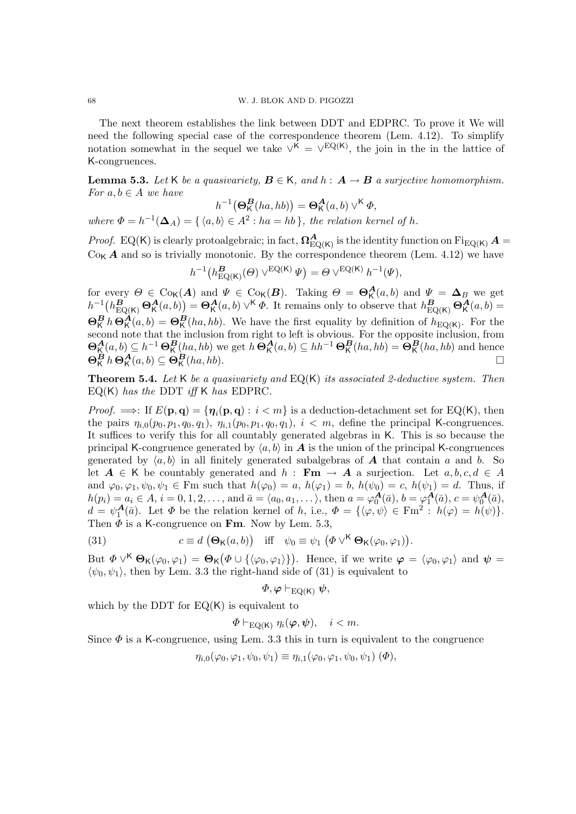The next theorem establishes the link between DDT and EDPRC. To prove it We will need the following special case of the correspondence theorem (Lem. 4.12). To simplify notation somewhat in the sequel we take  $\vee^{K} = \vee^{EQ(K)}$ , the join in the in the lattice of K-congruences.

**Lemma 5.3.** Let K be a quasivariety,  $B \in K$ , and  $h : A \rightarrow B$  a surjective homomorphism. For  $a, b \in A$  we have

$$
h^{-1}(\mathbf{\Theta}_{\mathsf{K}}^{\mathbf{B}}(ha,hb)) = \mathbf{\Theta}_{\mathsf{K}}^{\mathbf{A}}(a,b) \vee^{\mathsf{K}} \Phi,
$$

where  $\Phi = h^{-1}(\Delta_A) = \{ \langle a, b \rangle \in A^2 : ha = hb \}$ , the relation kernel of h.

*Proof.* EQ(K) is clearly protoalgebraic; in fact,  $\Omega_{EQ(K)}^A$  is the identity function on  $\text{Fi}_{EQ(K)} A =$  $C_{\alpha}A$  and so is trivially monotonic. By the correspondence theorem (Lem. 4.12) we have

$$
h^{-1}(h_{\mathrm{EQ(K)}}^{\mathbf{B}}(\Theta) \vee^{\mathrm{EQ(K)}} \Psi) = \Theta \vee^{\mathrm{EQ(K)}} h^{-1}(\Psi),
$$

for every  $\Theta \in \text{Co}_{\mathsf{K}}(\mathbf{A})$  and  $\Psi \in \text{Co}_{\mathsf{K}}(\mathbf{B})$ . Taking  $\Theta = \Theta_{\mathsf{K}}^{\mathbf{A}}(a, b)$  and  $\Psi = \mathbf{\Delta}_B$  we get  $h^{-1}(h_{\text{EQ}(K)}^{\mathbf{B}} \Theta_{\mathsf{K}}^{\mathbf{A}}(a, b)) = \Theta_{\mathsf{K}}^{\mathbf{A}}(a, b) \vee^{\mathsf{K}} \Phi$ . It remains only to observe that  $h_{\text{EQ}(K)}^{\mathbf{B}} \Theta_{\mathsf{K}}^{\mathbf{A}}(a, b) =$  $\Theta_{\mathsf{K}}^{\mathbf{B}} h \Theta_{\mathsf{K}}^{\mathbf{A}}(a,b) = \Theta_{\mathsf{K}}^{\mathbf{B}}(ha, hb)$ . We have the first equality by definition of  $h_{\text{EQ(K)}}$ . For the  $\mathbf{B}_{\mathsf{K}}$  is  $\mathbf{B}_{\mathsf{K}}(u, v) = \mathbf{B}_{\mathsf{K}}(u, u, uv)$ . We have the first equality by definition of  $n_{\text{EQ(K)}}$ . For the second note that the inclusion from right to left is obvious. For the opposite inclusion, from  $\Theta_{\mathsf{K}}^{\mathbf{A}}(a,b) \subseteq h^{-1} \Theta_{\mathsf{K}}^{\mathbf{B}}(ha, hb)$  we get  $h \Theta_{\mathsf{K}}^{\mathbf{A}}(a,b) \subseteq hh^{-1} \Theta_{\mathsf{K}}^{\mathbf{B}}(ha, hb) = \Theta_{\mathsf{K}}^{\mathbf{B}}(ha, hb)$  and hence  $\Theta_{\mathsf{K}}^{\mathbf{B}} h \, \Theta_{\mathsf{K}}^{\mathbf{A}}(a,b) \subseteq \Theta_{\mathsf{K}}^{\mathbf{B}}(ha, hb).$ 

**Theorem 5.4.** Let  $K$  be a quasivariety and  $EQ(K)$  its associated 2-deductive system. Then  $EQ(K)$  has the DDT iff K has EDPRC.

*Proof.*  $\implies$ : If  $E(\mathbf{p}, \mathbf{q}) = {\eta_i(\mathbf{p}, \mathbf{q}) : i < m}$  is a deduction-detachment set for EQ(K), then the pairs  $\eta_{i,0}(p_0, p_1, q_0, q_1), \eta_{i,1}(p_0, p_1, q_0, q_1), i < m$ , define the principal K-congruences. It suffices to verify this for all countably generated algebras in K. This is so because the principal K-congruence generated by  $\langle a, b \rangle$  in A is the union of the principal K-congruences generated by  $\langle a, b \rangle$  in all finitely generated subalgebras of **A** that contain a and b. So let  $A \in K$  be countably generated and  $h : \mathbf{Fm} \to A$  a surjection. Let  $a, b, c, d \in A$ and  $\varphi_0, \varphi_1, \psi_0, \psi_1 \in \mathbb{F}$ m such that  $h(\varphi_0) = a, h(\varphi_1) = b, h(\psi_0) = c, h(\psi_1) = d$ . Thus, if  $h(p_i) = a_i \in A, i = 0, 1, 2, \ldots$ , and  $\bar{a} = \langle a_0, a_1, \ldots \rangle$ , then  $a = \varphi_0^{\mathbf{A}}(\bar{a}), b = \varphi_1^{\mathbf{A}}(\bar{a}), c = \psi_0^{\mathbf{A}}(\bar{a}),$  $d = \psi_1^{\mathbf{A}}(\bar{a})$ . Let  $\Phi$  be the relation kernel of h, i.e.,  $\Phi = {\langle \varphi, \psi \rangle \in \mathbb{F}m^2 : h(\varphi) = h(\psi) \rangle}$ . Then  $\Phi$  is a K-congruence on **Fm**. Now by Lem. 5.3,

(31) 
$$
c \equiv d \left( \Theta_{\mathsf{K}}(a, b) \right) \quad \text{iff} \quad \psi_0 \equiv \psi_1 \left( \Phi \vee^{\mathsf{K}} \Theta_{\mathsf{K}}(\varphi_0, \varphi_1) \right).
$$

But  $\Phi \vee^{\mathsf{K}} \Theta_{\mathsf{K}}(\varphi_0, \varphi_1) = \Theta_{\mathsf{K}}(\Phi \cup {\{\langle \varphi_0, \varphi_1 \rangle\}}).$  Hence, if we write  $\varphi = {\langle \varphi_0, \varphi_1 \rangle}$  and  $\psi =$  $\langle \psi_0, \psi_1 \rangle$ , then by Lem. 3.3 the right-hand side of (31) is equivalent to

$$
\varPhi, \varphi \vdash_{\mathrm{EQ}(\mathsf{K})} \psi,
$$

which by the DDT for  $EQ(K)$  is equivalent to

 $\Phi \vdash_{\text{EQ}(\mathsf{K})} \eta_i(\varphi, \psi), \quad i < m.$ 

Since  $\Phi$  is a K-congruence, using Lem. 3.3 this in turn is equivalent to the congruence

$$
\eta_{i,0}(\varphi_0,\varphi_1,\psi_0,\psi_1)\equiv \eta_{i,1}(\varphi_0,\varphi_1,\psi_0,\psi_1) \; (\varPhi),
$$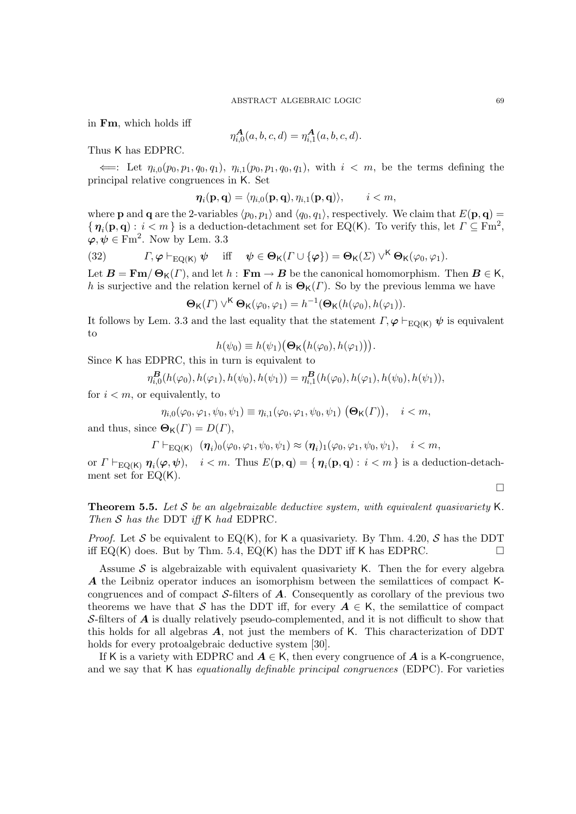in Fm, which holds iff

$$
\eta_{i,0}^{\mathbf{A}}(a,b,c,d) = \eta_{i,1}^{\mathbf{A}}(a,b,c,d).
$$

Thus K has EDPRC.

 $\Leftarrow$ : Let  $\eta_{i,0}(p_0, p_1, q_0, q_1), \eta_{i,1}(p_0, p_1, q_0, q_1),$  with  $i < m$ , be the terms defining the principal relative congruences in K. Set

$$
\boldsymbol{\eta}_i(\mathbf{p},\mathbf{q}) = \langle \eta_{i,0}(\mathbf{p},\mathbf{q}), \eta_{i,1}(\mathbf{p},\mathbf{q}) \rangle, \qquad i < m,
$$

where **p** and **q** are the 2-variables  $\langle p_0, p_1 \rangle$  and  $\langle q_0, q_1 \rangle$ , respectively. We claim that  $E(\mathbf{p}, \mathbf{q}) =$  $\{\eta_i(\mathbf{p},\mathbf{q}): i < m\}$  is a deduction-detachment set for EQ(K). To verify this, let  $\Gamma \subseteq \mathrm{Fm}^2$ ,  $\varphi, \psi \in \text{Fm}^2$ . Now by Lem. 3.3

(32) 
$$
\Gamma, \varphi \vdash_{EQ(K)} \psi \quad \text{iff} \quad \psi \in \Theta_K(\Gamma \cup \{\varphi\}) = \Theta_K(\Sigma) \vee^K \Theta_K(\varphi_0, \varphi_1).
$$

Let  $\mathbf{B} = \mathbf{Fm} / \mathbf{\Theta}_{\mathsf{K}}(\Gamma)$ , and let  $h : \mathbf{Fm} \to \mathbf{B}$  be the canonical homomorphism. Then  $\mathbf{B} \in \mathsf{K}$ , h is surjective and the relation kernel of h is  $\Theta_{\mathsf{K}}(\Gamma)$ . So by the previous lemma we have

$$
\Theta_{\mathsf{K}}(\Gamma) \vee^{\mathsf{K}} \Theta_{\mathsf{K}}(\varphi_0, \varphi_1) = h^{-1}(\Theta_{\mathsf{K}}(h(\varphi_0), h(\varphi_1)).
$$

It follows by Lem. 3.3 and the last equality that the statement  $\Gamma, \varphi \vdash_{\text{EO}(K)} \psi$  is equivalent to

$$
h(\psi_0) \equiv h(\psi_1) (\mathbf{\Theta}_{\mathsf{K}}(h(\varphi_0), h(\varphi_1))).
$$

Since K has EDPRC, this in turn is equivalent to

$$
\eta_{i,0}^{\mathbf{B}}(h(\varphi_0), h(\varphi_1), h(\psi_0), h(\psi_1)) = \eta_{i,1}^{\mathbf{B}}(h(\varphi_0), h(\varphi_1), h(\psi_0), h(\psi_1)),
$$

for  $i < m$ , or equivalently, to

$$
\eta_{i,0}(\varphi_0,\varphi_1,\psi_0,\psi_1)\equiv \eta_{i,1}(\varphi_0,\varphi_1,\psi_0,\psi_1) \left(\mathbf{\Theta}_\mathsf{K}(\boldsymbol{\varGamma})\right), \quad i < m,
$$

and thus, since  $\Theta_{\mathsf{K}}(\Gamma) = D(\Gamma),$ 

$$
\Gamma\vdash_{\mathrm{EQ}(\mathsf{K})}(\boldsymbol{\eta}_i)_0(\varphi_0,\varphi_1,\psi_0,\psi_1)\approx(\boldsymbol{\eta}_i)_1(\varphi_0,\varphi_1,\psi_0,\psi_1),\quad i
$$

or  $\Gamma \vdash_{\mathrm{EQ}(\mathsf{K})} \bm{\eta}_i(\bm{\varphi}, \bm{\psi}), \quad i < m.$  Thus  $E(\mathbf{p}, \mathbf{q}) = \{ \, \bm{\eta}_i(\mathbf{p}, \mathbf{q}) : \, i < m \, \}$  is a deduction-detachment set for  $EQ(K)$ .

 $\Box$ 

**Theorem 5.5.** Let S be an algebraizable deductive system, with equivalent quasivariety K. Then  $S$  has the DDT iff K had EDPRC.

*Proof.* Let S be equivalent to  $EQ(K)$ , for K a quasivariety. By Thm. 4.20, S has the DDT iff EQ(K) does. But by Thm. 5.4, EQ(K) has the DDT iff K has EDPRC.

Assume S is algebraizable with equivalent quasivariety K. Then the for every algebra A the Leibniz operator induces an isomorphism between the semilattices of compact Kcongruences and of compact  $S$ -filters of  $A$ . Consequently as corollary of the previous two theorems we have that S has the DDT iff, for every  $A \in K$ , the semilattice of compact S-filters of  $\vec{A}$  is dually relatively pseudo-complemented, and it is not difficult to show that this holds for all algebras  $\vec{A}$ , not just the members of K. This characterization of DDT holds for every protoalgebraic deductive system [30].

If K is a variety with EDPRC and  $A \in K$ , then every congruence of A is a K-congruence, and we say that  $K$  has *equationally definable principal congruences* (EDPC). For varieties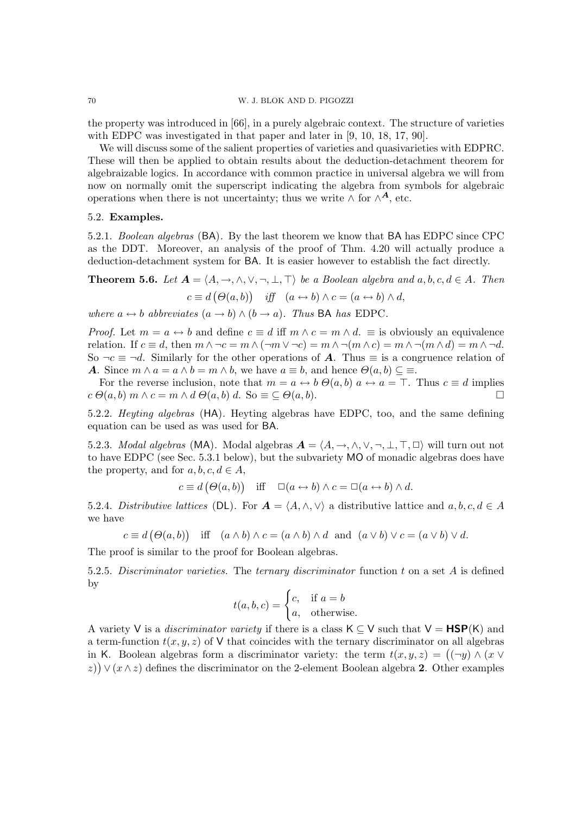the property was introduced in [66], in a purely algebraic context. The structure of varieties with EDPC was investigated in that paper and later in  $[9, 10, 18, 17, 90]$ .

We will discuss some of the salient properties of varieties and quasivarieties with EDPRC. These will then be applied to obtain results about the deduction-detachment theorem for algebraizable logics. In accordance with common practice in universal algebra we will from now on normally omit the superscript indicating the algebra from symbols for algebraic operations when there is not uncertainty; thus we write  $\wedge$  for  $\wedge^{\mathbf{A}}$ , etc.

# 5.2. Examples.

5.2.1. Boolean algebras (BA). By the last theorem we know that BA has EDPC since CPC as the DDT. Moreover, an analysis of the proof of Thm. 4.20 will actually produce a deduction-detachment system for BA. It is easier however to establish the fact directly.

**Theorem 5.6.** Let 
$$
\mathbf{A} = \langle A, \rightarrow, \land, \lor, \neg, \bot, \top \rangle
$$
 be a Boolean algebra and  $a, b, c, d \in A$ . Then  

$$
c \equiv d \left( \Theta(a, b) \right) \quad \text{iff} \quad (a \leftrightarrow b) \land c = (a \leftrightarrow b) \land d,
$$

where  $a \leftrightarrow b$  abbreviates  $(a \to b) \land (b \to a)$ . Thus BA has EDPC.

*Proof.* Let  $m = a \leftrightarrow b$  and define  $c \equiv d$  iff  $m \wedge c = m \wedge d$ .  $\equiv$  is obviously an equivalence relation. If  $c \equiv d$ , then  $m \wedge \neg c = m \wedge (\neg m \vee \neg c) = m \wedge \neg (m \wedge c) = m \wedge \neg (m \wedge d) = m \wedge \neg d$ . So  $\neg c \equiv \neg d$ . Similarly for the other operations of **A**. Thus  $\equiv$  is a congruence relation of **A.** Since  $m \wedge a = a \wedge b = m \wedge b$ , we have  $a \equiv b$ , and hence  $\Theta(a, b) \subseteq \Xi$ .

For the reverse inclusion, note that  $m = a \leftrightarrow b \Theta(a, b)$   $a \leftrightarrow a = \top$ . Thus  $c \equiv d$  implies  $c \Theta(a, b)$  m  $\wedge c = m \wedge d \Theta(a, b) d$ . So  $\equiv \subseteq \Theta(a, b)$ .

5.2.2. Heyting algebras (HA). Heyting algebras have EDPC, too, and the same defining equation can be used as was used for BA.

5.2.3. Modal algebras (MA). Modal algebras  $A = \langle A, \rightarrow, \wedge, \vee, \neg, \bot, \top, \Box \rangle$  will turn out not to have EDPC (see Sec. 5.3.1 below), but the subvariety MO of monadic algebras does have the property, and for  $a, b, c, d \in A$ ,

$$
c \equiv d(\Theta(a, b))
$$
 iff  $\Box(a \leftrightarrow b) \land c = \Box(a \leftrightarrow b) \land d$ .

5.2.4. Distributive lattices (DL). For  $\mathbf{A} = \langle A, \wedge, \vee \rangle$  a distributive lattice and  $a, b, c, d \in A$ we have

$$
c \equiv d\big(\Theta(a,b)\big) \quad \text{iff} \quad (a \wedge b) \wedge c = (a \wedge b) \wedge d \quad \text{and} \quad (a \vee b) \vee c = (a \vee b) \vee d.
$$

The proof is similar to the proof for Boolean algebras.

5.2.5. Discriminator varieties. The ternary discriminator function t on a set A is defined by

$$
t(a, b, c) = \begin{cases} c, & \text{if } a = b \\ a, & \text{otherwise.} \end{cases}
$$

A variety V is a *discriminator variety* if there is a class  $K \subset V$  such that  $V = \textbf{HSP}(K)$  and a term-function  $t(x, y, z)$  of V that coincides with the ternary discriminator on all algebras in K. Boolean algebras form a discriminator variety: the term  $t(x, y, z) = ((\neg y) \wedge (x \vee z))$ z))  $\vee$  ( $x \wedge z$ ) defines the discriminator on the 2-element Boolean algebra 2. Other examples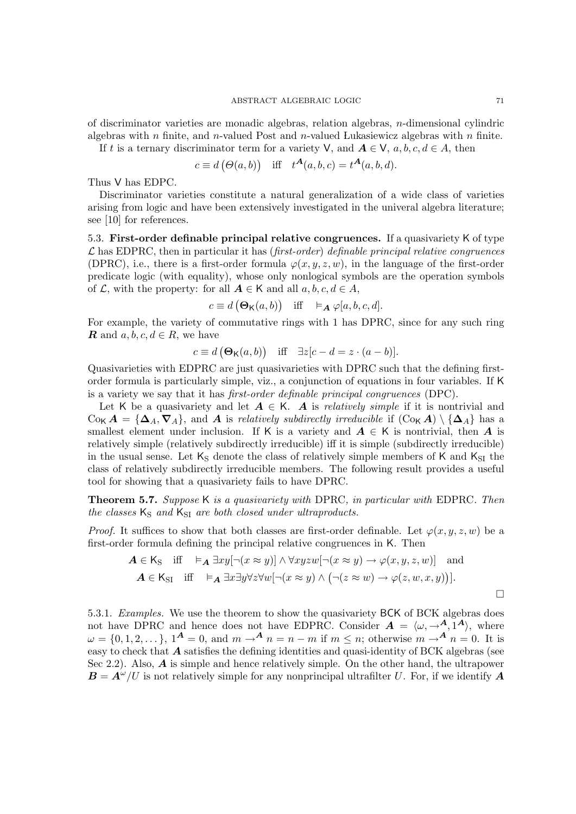of discriminator varieties are monadic algebras, relation algebras, n-dimensional cylindric algebras with  $n$  finite, and  $n$ -valued Post and  $n$ -valued Lukasiewicz algebras with  $n$  finite. If t is a ternary discriminator term for a variety V, and  $A \in V$ ,  $a, b, c, d \in A$ , then

$$
c \equiv d(\Theta(a, b))
$$
 iff  $t^{\mathbf{A}}(a, b, c) = t^{\mathbf{A}}(a, b, d)$ .

Thus V has EDPC.

Discriminator varieties constitute a natural generalization of a wide class of varieties arising from logic and have been extensively investigated in the univeral algebra literature; see [10] for references.

5.3. First-order definable principal relative congruences. If a quasivariety K of type  $\mathcal L$  has EDPRC, then in particular it has (first-order) definable principal relative congruences (DPRC), i.e., there is a first-order formula  $\varphi(x, y, z, w)$ , in the language of the first-order predicate logic (with equality), whose only nonlogical symbols are the operation symbols of  $\mathcal L$ , with the property: for all  $A \in K$  and all  $a, b, c, d \in A$ ,

$$
c \equiv d\left(\mathbf{\Theta}_{\mathsf{K}}(a,b)\right) \quad \text{iff} \quad \vDash_{\mathbf{A}} \varphi[a,b,c,d].
$$

For example, the variety of commutative rings with 1 has DPRC, since for any such ring **R** and  $a, b, c, d \in R$ , we have

$$
c \equiv d\left(\mathbf{\Theta}_{\mathsf{K}}(a,b)\right) \quad \text{iff} \quad \exists z[c-d=z\cdot(a-b)].
$$

Quasivarieties with EDPRC are just quasivarieties with DPRC such that the defining firstorder formula is particularly simple, viz., a conjunction of equations in four variables. If K is a variety we say that it has first-order definable principal congruences (DPC).

Let K be a quasivariety and let  $A \in K$ . A is *relatively simple* if it is nontrivial and  $C_{\alpha}$   $A = {\Delta_A, \nabla_A}$ , and A is relatively subdirectly irreducible if  $(C_{\alpha} A) \setminus {\Delta_A}$  has a smallest element under inclusion. If K is a variety and  $A \in K$  is nontrivial, then A is relatively simple (relatively subdirectly irreducible) iff it is simple (subdirectly irreducible) in the usual sense. Let  $K_S$  denote the class of relatively simple members of K and  $K_{SI}$  the class of relatively subdirectly irreducible members. The following result provides a useful tool for showing that a quasivariety fails to have DPRC.

Theorem 5.7. Suppose K is a quasivariety with DPRC, in particular with EDPRC. Then the classes  $K_S$  and  $K_{SI}$  are both closed under ultraproducts.

*Proof.* It suffices to show that both classes are first-order definable. Let  $\varphi(x, y, z, w)$  be a first-order formula defining the principal relative congruences in K. Then

$$
\mathbf{A} \in \mathsf{K}_{\mathsf{S}} \quad \text{iff} \quad \vDash_{\mathbf{A}} \exists xy [\neg(x \approx y)] \land \forall xyzw [\neg(x \approx y) \rightarrow \varphi(x, y, z, w)] \quad \text{and}
$$
\n
$$
\mathbf{A} \in \mathsf{K}_{\mathsf{S}} \quad \text{iff} \quad \vDash_{\mathbf{A}} \exists x \exists y \forall z \forall w [\neg(x \approx y) \land (\neg(z \approx w) \rightarrow \varphi(z, w, x, y))].
$$

5.3.1. Examples. We use the theorem to show the quasivariety BCK of BCK algebras does not have DPRC and hence does not have EDPRC. Consider  $A = \langle \omega, \rightarrow A, 1^A \rangle$ , where  $\omega = \{0, 1, 2, \dots\}, 1^{\mathbf{A}} = 0$ , and  $m \to^{\mathbf{A}} n = n - m$  if  $m \leq n$ ; otherwise  $m \to^{\mathbf{A}} n = 0$ . It is easy to check that  $\vec{A}$  satisfies the defining identities and quasi-identity of BCK algebras (see Sec 2.2). Also, A is simple and hence relatively simple. On the other hand, the ultrapower  $\mathbf{B} = \mathbf{A}^{\omega}/U$  is not relatively simple for any nonprincipal ultrafilter U. For, if we identify  $\mathbf{A}$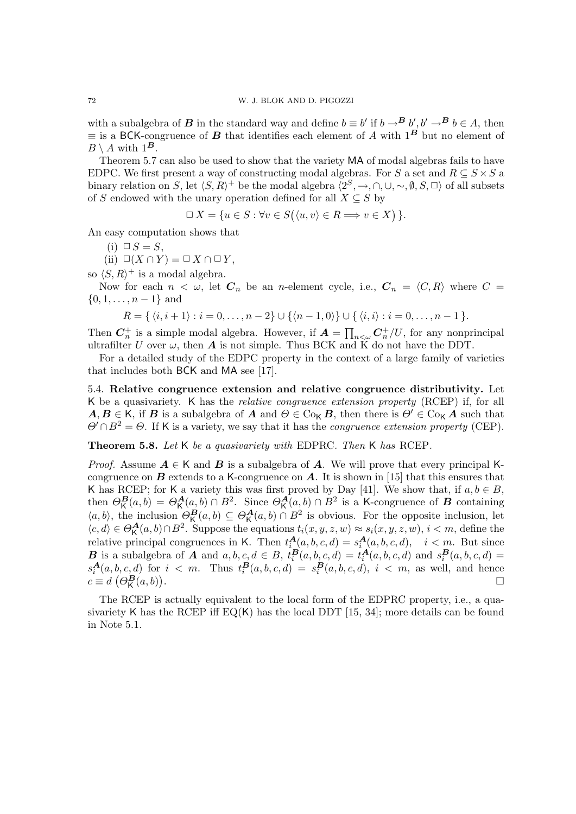with a subalgebra of **B** in the standard way and define  $b \equiv b'$  if  $b \rightarrow^B b'$ ,  $b' \rightarrow^B b \in A$ , then  $\equiv$  is a BCK-congruence of **B** that identifies each element of A with 1<sup>B</sup> but no element of  $B \setminus A$  with  $1^B$ .

Theorem 5.7 can also be used to show that the variety MA of modal algebras fails to have EDPC. We first present a way of constructing modal algebras. For S a set and  $R \subseteq S \times S$  a binary relation on S, let  $\langle S, R \rangle^+$  be the modal algebra  $\langle 2^S, \to, \cap, \cup, \sim, \emptyset, S, \square \rangle$  of all subsets of S endowed with the unary operation defined for all  $X \subseteq S$  by

$$
\Box X = \{ u \in S : \forall v \in S(\langle u, v \rangle \in R \Longrightarrow v \in X) \}.
$$

An easy computation shows that

$$
(i) \ \Box S = S,
$$

(ii) 
$$
\Box(X \cap Y) = \Box X \cap \Box Y,
$$

so  $\langle S, R \rangle^+$  is a modal algebra.

Now for each  $n < \omega$ , let  $C_n$  be an *n*-element cycle, i.e.,  $C_n = \langle C, R \rangle$  where  $C =$  $\{0, 1, \ldots, n-1\}$  and

$$
R = \{ \langle i, i+1 \rangle : i = 0, \ldots, n-2 \} \cup \{ \langle n-1, 0 \rangle \} \cup \{ \langle i, i \rangle : i = 0, \ldots, n-1 \}.
$$

Then  $C_n^+$  is a simple modal algebra. However, if  $A = \prod_{n<\omega} C_n^+/U$ , for any nonprincipal ultrafilter U over  $\omega$ , then **A** is not simple. Thus BCK and K do not have the DDT.

For a detailed study of the EDPC property in the context of a large family of varieties that includes both BCK and MA see [17].

5.4. Relative congruence extension and relative congruence distributivity. Let K be a quasivariety. K has the relative congruence extension property (RCEP) if, for all  $A, B \in K$ , if B is a subalgebra of A and  $\Theta \in \mathrm{Co}_{K} B$ , then there is  $\Theta' \in \mathrm{Co}_{K} A$  such that  $\Theta' \cap B^2 = \Theta$ . If K is a variety, we say that it has the *congruence extension property* (CEP).

Theorem 5.8. Let K be a quasivariety with EDPRC. Then K has RCEP.

*Proof.* Assume  $A \in K$  and B is a subalgebra of A. We will prove that every principal Kcongruence on  $\bf{B}$  extends to a K-congruence on  $\bf{A}$ . It is shown in [15] that this ensures that K has RCEP; for K a variety this was first proved by Day [41]. We show that, if  $a, b \in B$ , then  $\Theta_{\mathsf{K}}^{\mathbf{B}}(a,b) = \Theta_{\mathsf{K}}^{\mathbf{A}}(a,b) \cap B^2$ . Since  $\Theta_{\mathsf{K}}^{\mathbf{A}}(a,b) \cap B^2$  is a K-congruence of  $\mathbf{B}$  containing  $\langle a,b\rangle$ , the inclusion  $\Theta_{\mathsf{K}}^{\mathbf{B}}(a,b)\subseteq \Theta_{\mathsf{K}}^{\mathbf{A}}(a,b)\cap B^2$  is obvious. For the opposite inclusion, let  $\langle c, d \rangle \in \Theta_{\mathsf{K}}^{\mathbf{A}}(a, b) \cap B^2$ . Suppose the equations  $t_i(x, y, z, w) \approx s_i(x, y, z, w), i < m$ , define the relative principal congruences in K. Then  $t_i^{\mathbf{A}}(a, b, c, d) = s_i^{\mathbf{A}}(a, b, c, d), \quad i < m$ . But since **B** is a subalgebra of **A** and  $a, b, c, d \in B$ ,  $t_i^B(a, b, c, d) = t_i^A(a, b, c, d)$  and  $s_i^B(a, b, c, d) =$  $s_i^{\mathbf{A}}(a, b, c, d)$  for  $i < m$ . Thus  $t_i^{\mathbf{B}}(a, b, c, d) = s_i^{\mathbf{B}}(a, b, c, d)$ ,  $i < m$ , as well, and hence  $c \equiv d \left( \Theta_{\mathsf{K}}^{\mathbf{B}}(a,b) \right)$ .

The RCEP is actually equivalent to the local form of the EDPRC property, i.e., a quasivariety K has the RCEP iff  $EQ(K)$  has the local DDT [15, 34]; more details can be found in Note 5.1.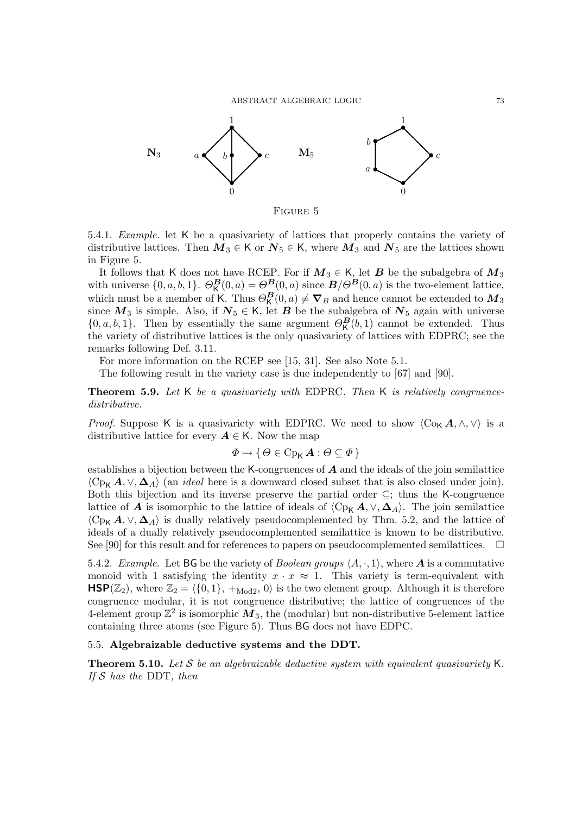ABSTRACT ALGEBRAIC LOGIC 73



FIGURE 5

5.4.1. Example. let K be a quasivariety of lattices that properly contains the variety of distributive lattices. Then  $M_3 \in K$  or  $N_5 \in K$ , where  $M_3$  and  $N_5$  are the lattices shown in Figure 5.

It follows that K does not have RCEP. For if  $M_3 \in K$ , let B be the subalgebra of  $M_3$ with universe  $\{0, a, b, 1\}$ .  $\Theta_{\mathsf{K}}^{\mathbf{B}}(0, a) = \Theta_{\mathsf{S}}^{\mathbf{B}}(0, a)$  since  $\mathbf{B}/\Theta^{\mathbf{B}}(0, a)$  is the two-element lattice, which must be a member of K. Thus  $\Theta_{\mathsf{K}}^{B}(0,a) \neq \nabla_{B}$  and hence cannot be extended to  $\mathbf{M}_{3}$ since  $M_3$  is simple. Also, if  $N_5 \in K$ , let B be the subalgebra of  $N_5$  again with universe  $\{0, a, b, 1\}$ . Then by essentially the same argument  $\Theta_{\mathsf{K}}^{\mathbf{B}}(b, 1)$  cannot be extended. Thus the variety of distributive lattices is the only quasivariety of lattices with EDPRC; see the remarks following Def. 3.11.

For more information on the RCEP see [15, 31]. See also Note 5.1.

The following result in the variety case is due independently to [67] and [90].

**Theorem 5.9.** Let K be a quasivariety with EDPRC. Then K is relatively congruencedistributive.

*Proof.* Suppose K is a quasivariety with EDPRC. We need to show  $\langle C_{\alpha} \mathbf{A}, \wedge, \vee \rangle$  is a distributive lattice for every  $A \in K$ . Now the map

$$
\varPhi \mapsto \set{\varTheta \in \operatorname{Cp}_\mathsf{K} \bm{A} : \varTheta \subseteq \varPhi}
$$

establishes a bijection between the K-congruences of  $A$  and the ideals of the join semilattice  $\langle C_{P_K} A, \vee, \Delta_A \rangle$  (an *ideal* here is a downward closed subset that is also closed under join). Both this bijection and its inverse preserve the partial order  $\subseteq$ ; thus the K-congruence lattice of **A** is isomorphic to the lattice of ideals of  $\langle C_{P<sub>K</sub>} A, \vee, \Delta_A \rangle$ . The join semilattice  $\langle C_{P_{\mathbf{K}}} A, \vee, \Delta_A \rangle$  is dually relatively pseudocomplemented by Thm. 5.2, and the lattice of ideals of a dually relatively pseudocomplemented semilattice is known to be distributive. See [90] for this result and for references to papers on pseudocomplemented semilattices.  $\Box$ 

5.4.2. Example. Let BG be the variety of Boolean groups  $\langle A, \cdot, 1 \rangle$ , where A is a commutative monoid with 1 satisfying the identity  $x \cdot x \approx 1$ . This variety is term-equivalent with  $\mathsf{HSP}(\mathbb{Z}_2)$ , where  $\mathbb{Z}_2 = \{ \{0, 1\}, +_{\text{Mod}2}, 0 \}$  is the two element group. Although it is therefore congruence modular, it is not congruence distributive; the lattice of congruences of the 4-element group  $\mathbb{Z}^2$  is isomorphic  $\tilde{M_3}$ , the (modular) but non-distributive 5-element lattice containing three atoms (see Figure 5). Thus BG does not have EDPC.

## 5.5. Algebraizable deductive systems and the DDT.

**Theorem 5.10.** Let S be an algebraizable deductive system with equivalent quasivariety K. If  $S$  has the DDT, then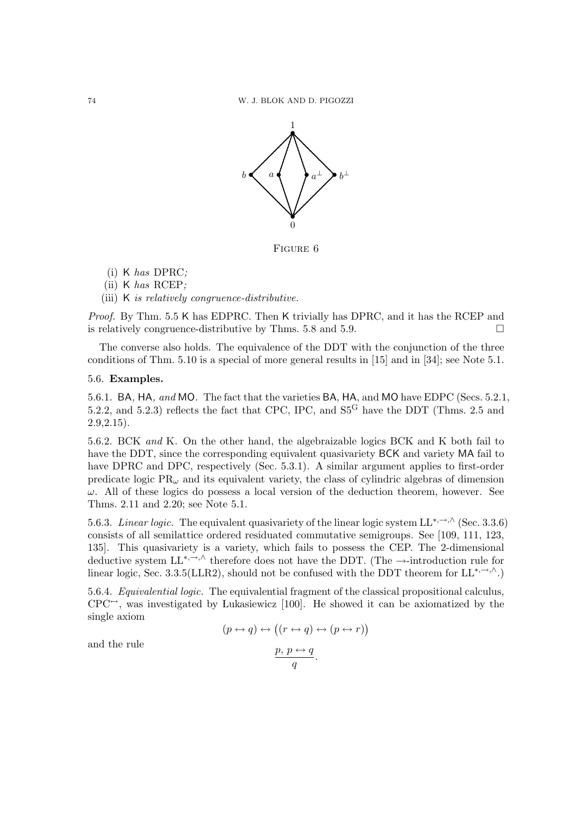

Figure 6

(i) K has DPRC;

(ii) K has RCEP;

(iii) K is relatively congruence-distributive.

Proof. By Thm. 5.5 K has EDPRC. Then K trivially has DPRC, and it has the RCEP and is relatively congruence-distributive by Thms. 5.8 and 5.9.  $\Box$ 

The converse also holds. The equivalence of the DDT with the conjunction of the three conditions of Thm. 5.10 is a special of more general results in [15] and in [34]; see Note 5.1.

## 5.6. Examples.

5.6.1. BA, HA, and MO. The fact that the varieties BA, HA, and MO have EDPC (Secs. 5.2.1, 5.2.2, and 5.2.3) reflects the fact that CPC, IPC, and  $S5<sup>G</sup>$  have the DDT (Thms. 2.5 and 2.9,2.15).

5.6.2. BCK and K. On the other hand, the algebraizable logics BCK and K both fail to have the DDT, since the corresponding equivalent quasivariety BCK and variety MA fail to have DPRC and DPC, respectively (Sec. 5.3.1). A similar argument applies to first-order predicate logic  $PR_{\omega}$  and its equivalent variety, the class of cylindric algebras of dimension  $\omega$ . All of these logics do possess a local version of the deduction theorem, however. See Thms. 2.11 and 2.20; see Note 5.1.

5.6.3. Linear logic. The equivalent quasivariety of the linear logic system  $LL^{*,\rightarrow,\wedge}$  (Sec. 3.3.6) consists of all semilattice ordered residuated commutative semigroups. See [109, 111, 123, 135]. This quasivariety is a variety, which fails to possess the CEP. The 2-dimensional deductive system LL<sup>\*,→,∧</sup> therefore does not have the DDT. (The →-introduction rule for linear logic, Sec. 3.3.5(LLR2), should not be confused with the DDT theorem for  $LL^{*,\rightarrow,\wedge}$ .)

5.6.4. Equivalential logic. The equivalential fragment of the classical propositional calculus,  $CPC^{\leftrightarrow}$ , was investigated by Lukasiewicz [100]. He showed it can be axiomatized by the single axiom

$$
(p \leftrightarrow q) \leftrightarrow ((r \leftrightarrow q) \leftrightarrow (p \leftrightarrow r))
$$

$$
\frac{p, p \leftrightarrow q}{q}.
$$

and the rule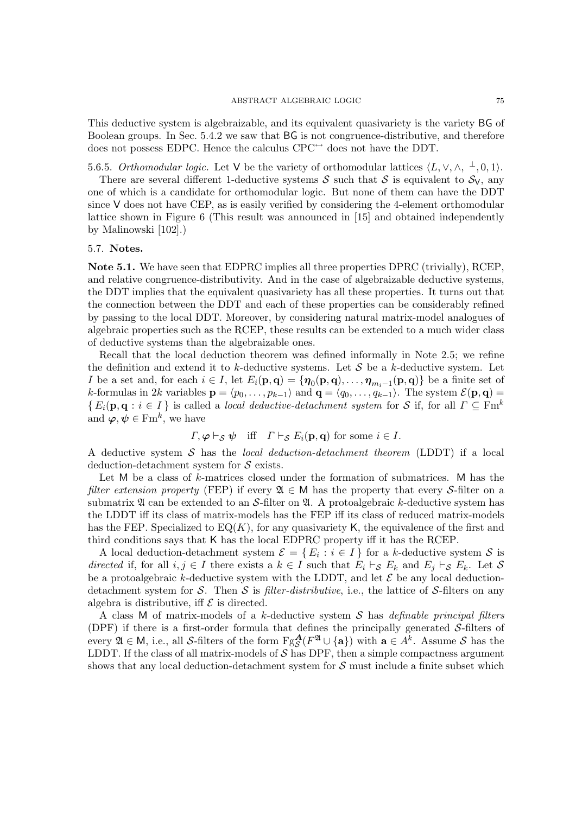This deductive system is algebraizable, and its equivalent quasivariety is the variety BG of Boolean groups. In Sec. 5.4.2 we saw that BG is not congruence-distributive, and therefore does not possess EDPC. Hence the calculus  $CPC^{\leftrightarrow}$  does not have the DDT.

5.6.5. Orthomodular logic. Let V be the variety of orthomodular lattices  $\langle L, \vee, \wedge, \perp, 0, 1 \rangle$ .

There are several different 1-deductive systems S such that S is equivalent to  $S_V$ , any one of which is a candidate for orthomodular logic. But none of them can have the DDT since V does not have CEP, as is easily verified by considering the 4-element orthomodular lattice shown in Figure 6 (This result was announced in [15] and obtained independently by Malinowski [102].)

# 5.7. Notes.

Note 5.1. We have seen that EDPRC implies all three properties DPRC (trivially), RCEP, and relative congruence-distributivity. And in the case of algebraizable deductive systems, the DDT implies that the equivalent quasivariety has all these properties. It turns out that the connection between the DDT and each of these properties can be considerably refined by passing to the local DDT. Moreover, by considering natural matrix-model analogues of algebraic properties such as the RCEP, these results can be extended to a much wider class of deductive systems than the algebraizable ones.

Recall that the local deduction theorem was defined informally in Note 2.5; we refine the definition and extend it to k-deductive systems. Let  $\mathcal S$  be a k-deductive system. Let I be a set and, for each  $i \in I$ , let  $E_i(\mathbf{p}, \mathbf{q}) = \{ \boldsymbol{\eta}_0(\mathbf{p}, \mathbf{q}), \dots, \boldsymbol{\eta}_{m_i-1}(\mathbf{p}, \mathbf{q}) \}$  be a finite set of k-formulas in 2k variables  $\mathbf{p} = \langle p_0, \ldots, p_{k-1} \rangle$  and  $\mathbf{q} = \langle q_0, \ldots, q_{k-1} \rangle$ . The system  $\mathcal{E}(\mathbf{p}, \mathbf{q}) =$  ${E_i(\mathbf{p},\mathbf{q}:i\in I)}$  is called a *local deductive-detachment system* for S if, for all  $\Gamma\subseteq\text{Fm}^k$ and  $\boldsymbol{\varphi}, \boldsymbol{\psi} \in \mathrm{Fm}^k$ , we have

$$
\Gamma, \varphi \vdash_{\mathcal{S}} \psi
$$
 iff  $\Gamma \vdash_{\mathcal{S}} E_i(\mathbf{p}, \mathbf{q})$  for some  $i \in I$ .

A deductive system S has the local deduction-detachment theorem (LDDT) if a local deduction-detachment system for S exists.

Let M be a class of k-matrices closed under the formation of submatrices. M has the filter extension property (FEP) if every  $\mathfrak{A} \in \mathsf{M}$  has the property that every S-filter on a submatrix  $\mathfrak A$  can be extended to an S-filter on  $\mathfrak A$ . A protoalgebraic k-deductive system has the LDDT iff its class of matrix-models has the FEP iff its class of reduced matrix-models has the FEP. Specialized to  $EQ(K)$ , for any quasivariety K, the equivalence of the first and third conditions says that K has the local EDPRC property iff it has the RCEP.

A local deduction-detachment system  $\mathcal{E} = \{E_i : i \in I\}$  for a k-deductive system S is directed if, for all  $i, j \in I$  there exists a  $k \in I$  such that  $E_i \vdash_S E_k$  and  $E_j \vdash_S E_k$ . Let S be a protoalgebraic k-deductive system with the LDDT, and let  $\mathcal E$  be any local deductiondetachment system for S. Then S is filter-distributive, i.e., the lattice of S-filters on any algebra is distributive, iff  $\mathcal E$  is directed.

A class M of matrix-models of a k-deductive system S has definable principal filters (DPF) if there is a first-order formula that defines the principally generated  $S$ -filters of every  $\mathfrak{A} \in \mathsf{M}$ , i.e., all S-filters of the form  $\text{Fg}_{\mathcal{S}}^{\mathbf{A}}(F^{\mathfrak{A}} \cup \{a\})$  with  $\mathbf{a} \in A^k$ . Assume S has the LDDT. If the class of all matrix-models of  $S$  has DPF, then a simple compactness argument shows that any local deduction-detachment system for  $\mathcal S$  must include a finite subset which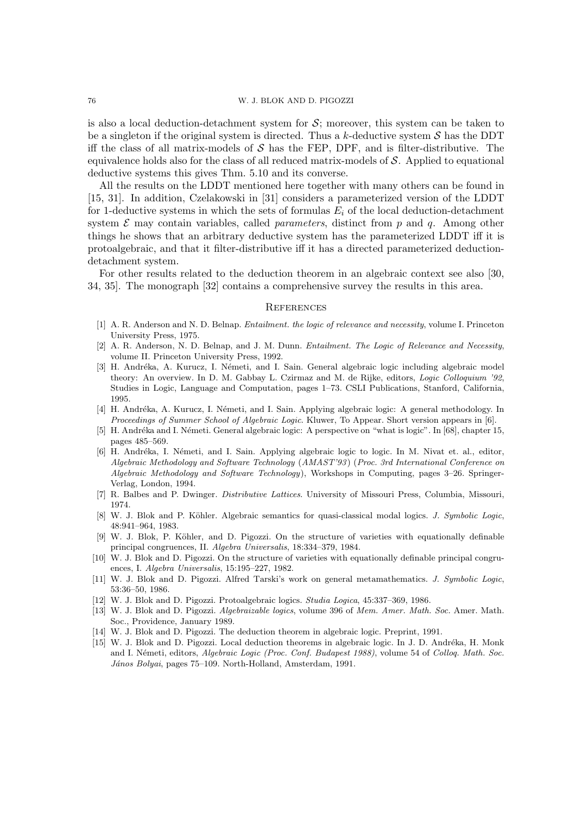# 76 W. J. BLOK AND D. PIGOZZI

is also a local deduction-detachment system for  $S$ ; moreover, this system can be taken to be a singleton if the original system is directed. Thus a k-deductive system  $S$  has the DDT iff the class of all matrix-models of  $S$  has the FEP, DPF, and is filter-distributive. The equivalence holds also for the class of all reduced matrix-models of S. Applied to equational deductive systems this gives Thm. 5.10 and its converse.

All the results on the LDDT mentioned here together with many others can be found in [15, 31]. In addition, Czelakowski in [31] considers a parameterized version of the LDDT for 1-deductive systems in which the sets of formulas  $E_i$  of the local deduction-detachment system  $\mathcal E$  may contain variables, called *parameters*, distinct from p and q. Among other things he shows that an arbitrary deductive system has the parameterized LDDT iff it is protoalgebraic, and that it filter-distributive iff it has a directed parameterized deductiondetachment system.

For other results related to the deduction theorem in an algebraic context see also [30, 34, 35]. The monograph [32] contains a comprehensive survey the results in this area.

#### **REFERENCES**

- [1] A. R. Anderson and N. D. Belnap. Entailment. the logic of relevance and necessity, volume I. Princeton University Press, 1975.
- [2] A. R. Anderson, N. D. Belnap, and J. M. Dunn. *Entailment. The Logic of Relevance and Necessity*, volume II. Princeton University Press, 1992.
- [3] H. Andréka, A. Kurucz, I. Németi, and I. Sain. General algebraic logic including algebraic model theory: An overview. In D. M. Gabbay L. Czirmaz and M. de Rijke, editors, Logic Colloquium '92, Studies in Logic, Language and Computation, pages 1–73. CSLI Publications, Stanford, California, 1995.
- [4] H. Andréka, A. Kurucz, I. Németi, and I. Sain. Applying algebraic logic: A general methodology. In Proceedings of Summer School of Algebraic Logic. Kluwer, To Appear. Short version appears in [6].
- [5] H. Andréka and I. Németi. General algebraic logic: A perspective on "what is logic". In [68], chapter 15, pages 485–569.
- [6] H. Andréka, I. Németi, and I. Sain. Applying algebraic logic to logic. In M. Nivat et. al., editor, Algebraic Methodology and Software Technology (AMAST'93) (Proc. 3rd International Conference on Algebraic Methodology and Software Technology), Workshops in Computing, pages 3–26. Springer-Verlag, London, 1994.
- [7] R. Balbes and P. Dwinger. Distributive Lattices. University of Missouri Press, Columbia, Missouri, 1974.
- [8] W. J. Blok and P. Köhler. Algebraic semantics for quasi-classical modal logics. J. Symbolic Logic, 48:941–964, 1983.
- [9] W. J. Blok, P. K¨ohler, and D. Pigozzi. On the structure of varieties with equationally definable principal congruences, II. Algebra Universalis, 18:334–379, 1984.
- [10] W. J. Blok and D. Pigozzi. On the structure of varieties with equationally definable principal congruences, I. Algebra Universalis, 15:195–227, 1982.
- [11] W. J. Blok and D. Pigozzi. Alfred Tarski's work on general metamathematics. J. Symbolic Logic, 53:36–50, 1986.
- [12] W. J. Blok and D. Pigozzi. Protoalgebraic logics. Studia Logica, 45:337–369, 1986.
- [13] W. J. Blok and D. Pigozzi. Algebraizable logics, volume 396 of Mem. Amer. Math. Soc. Amer. Math. Soc., Providence, January 1989.
- [14] W. J. Blok and D. Pigozzi. The deduction theorem in algebraic logic. Preprint, 1991.
- [15] W. J. Blok and D. Pigozzi. Local deduction theorems in algebraic logic. In J. D. Andréka, H. Monk and I. Németi, editors, Algebraic Logic (Proc. Conf. Budapest 1988), volume 54 of Colloq. Math. Soc. János Bolyai, pages 75-109. North-Holland, Amsterdam, 1991.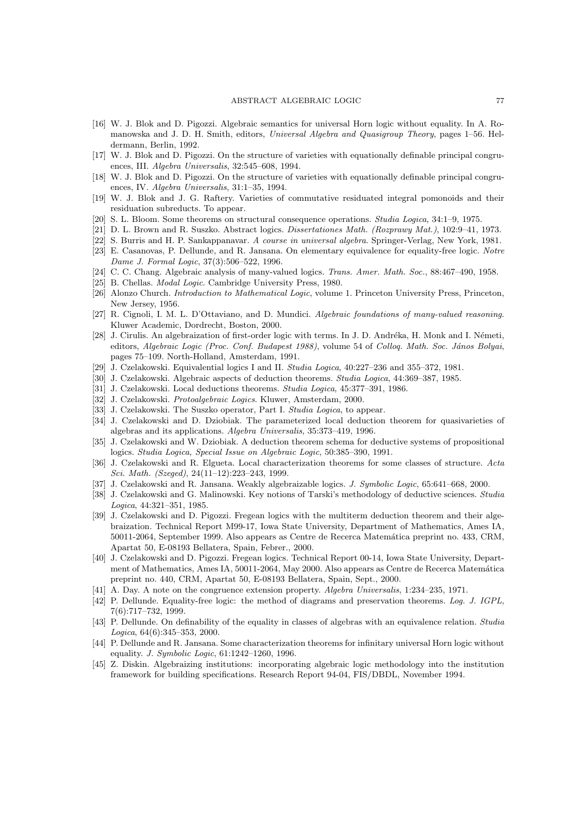- [16] W. J. Blok and D. Pigozzi. Algebraic semantics for universal Horn logic without equality. In A. Romanowska and J. D. H. Smith, editors, Universal Algebra and Quasigroup Theory, pages 1–56. Heldermann, Berlin, 1992.
- [17] W. J. Blok and D. Pigozzi. On the structure of varieties with equationally definable principal congruences, III. Algebra Universalis, 32:545–608, 1994.
- [18] W. J. Blok and D. Pigozzi. On the structure of varieties with equationally definable principal congruences, IV. Algebra Universalis, 31:1–35, 1994.
- [19] W. J. Blok and J. G. Raftery. Varieties of commutative residuated integral pomonoids and their residuation subreducts. To appear.
- [20] S. L. Bloom. Some theorems on structural consequence operations. Studia Logica, 34:1–9, 1975.
- [21] D. L. Brown and R. Suszko. Abstract logics. Dissertationes Math. (Rozprawy Mat.), 102:9–41, 1973.
- [22] S. Burris and H. P. Sankappanavar. A course in universal algebra. Springer-Verlag, New York, 1981.
- [23] E. Casanovas, P. Dellunde, and R. Jansana. On elementary equivalence for equality-free logic. Notre Dame J. Formal Logic, 37(3):506–522, 1996.
- [24] C. C. Chang. Algebraic analysis of many-valued logics. Trans. Amer. Math. Soc., 88:467–490, 1958.
- [25] B. Chellas. *Modal Logic*. Cambridge University Press, 1980.
- [26] Alonzo Church. *Introduction to Mathematical Logic*, volume 1. Princeton University Press, Princeton, New Jersey, 1956.
- [27] R. Cignoli, I. M. L. D'Ottaviano, and D. Mundici. Algebraic foundations of many-valued reasoning. Kluwer Academic, Dordrecht, Boston, 2000.
- [28] J. Cirulis. An algebraization of first-order logic with terms. In J. D. Andréka, H. Monk and I. Németi, editors, Algebraic Logic (Proc. Conf. Budapest 1988), volume 54 of Colloq. Math. Soc. János Bolyai, pages 75–109. North-Holland, Amsterdam, 1991.
- [29] J. Czelakowski. Equivalential logics I and II. Studia Logica, 40:227–236 and 355–372, 1981.
- [30] J. Czelakowski. Algebraic aspects of deduction theorems. *Studia Logica*, 44:369-387, 1985.
- [31] J. Czelakowski. Local deductions theorems. Studia Logica, 45:377–391, 1986.
- [32] J. Czelakowski. Protoalgebraic Logics. Kluwer, Amsterdam, 2000.
- [33] J. Czelakowski. The Suszko operator, Part I. Studia Logica, to appear.
- [34] J. Czelakowski and D. Dziobiak. The parameterized local deduction theorem for quasivarieties of algebras and its applications. Algebra Universalis, 35:373–419, 1996.
- [35] J. Czelakowski and W. Dziobiak. A deduction theorem schema for deductive systems of propositional logics. Studia Logica, Special Issue on Algebraic Logic, 50:385–390, 1991.
- [36] J. Czelakowski and R. Elgueta. Local characterization theorems for some classes of structure. Acta Sci. Math. (Szeged), 24(11–12):223–243, 1999.
- [37] J. Czelakowski and R. Jansana. Weakly algebraizable logics. J. Symbolic Logic, 65:641-668, 2000.
- [38] J. Czelakowski and G. Malinowski. Key notions of Tarski's methodology of deductive sciences. Studia Logica, 44:321–351, 1985.
- [39] J. Czelakowski and D. Pigozzi. Fregean logics with the multiterm deduction theorem and their algebraization. Technical Report M99-17, Iowa State University, Department of Mathematics, Ames IA, 50011-2064, September 1999. Also appears as Centre de Recerca Matem´atica preprint no. 433, CRM, Apartat 50, E-08193 Bellatera, Spain, Febrer., 2000.
- [40] J. Czelakowski and D. Pigozzi. Fregean logics. Technical Report 00-14, Iowa State University, Department of Mathematics, Ames IA, 50011-2064, May 2000. Also appears as Centre de Recerca Matemática preprint no. 440, CRM, Apartat 50, E-08193 Bellatera, Spain, Sept., 2000.
- [41] A. Day. A note on the congruence extension property. Algebra Universalis, 1:234–235, 1971.
- [42] P. Dellunde. Equality-free logic: the method of diagrams and preservation theorems. Log. J. IGPL, 7(6):717–732, 1999.
- [43] P. Dellunde. On definability of the equality in classes of algebras with an equivalence relation. Studia Logica, 64(6):345–353, 2000.
- [44] P. Dellunde and R. Jansana. Some characterization theorems for infinitary universal Horn logic without equality. J. Symbolic Logic, 61:1242–1260, 1996.
- [45] Z. Diskin. Algebraizing institutions: incorporating algebraic logic methodology into the institution framework for building specifications. Research Report 94-04, FIS/DBDL, November 1994.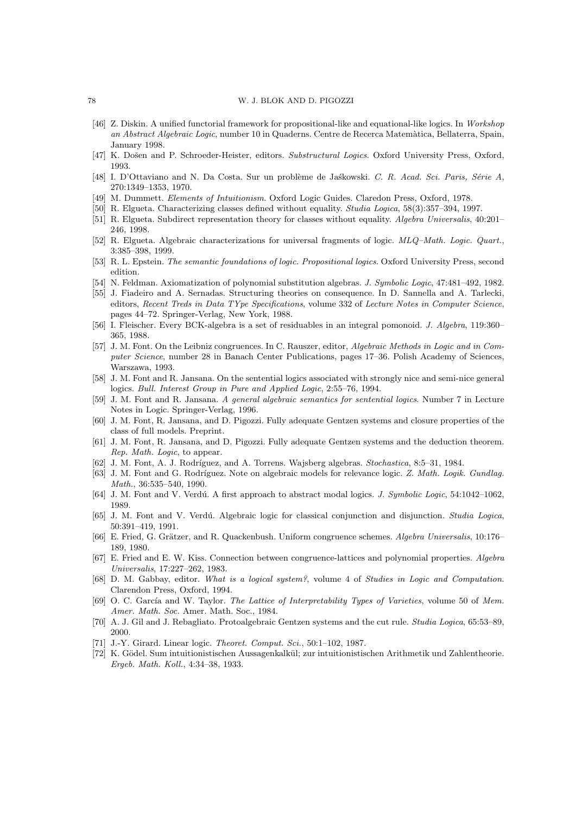#### 78 W. J. BLOK AND D. PIGOZZI

- [46] Z. Diskin. A unified functorial framework for propositional-like and equational-like logics. In Workshop an Abstract Algebraic Logic, number 10 in Quaderns. Centre de Recerca Matem`atica, Bellaterra, Spain, January 1998.
- [47] K. Došen and P. Schroeder-Heister, editors. Substructural Logics. Oxford University Press, Oxford, 1993.
- [48] I. D'Ottaviano and N. Da Costa. Sur un problème de Jaskowski. C. R. Acad. Sci. Paris, Série A, 270:1349–1353, 1970.
- [49] M. Dummett. Elements of Intuitionism. Oxford Logic Guides. Claredon Press, Oxford, 1978.
- [50] R. Elgueta. Characterizing classes defined without equality. Studia Logica, 58(3):357–394, 1997.
- [51] R. Elgueta. Subdirect representation theory for classes without equality. Algebra Universalis, 40:201– 246, 1998.
- [52] R. Elgueta. Algebraic characterizations for universal fragments of logic. MLQ–Math. Logic. Quart., 3:385–398, 1999.
- [53] R. L. Epstein. The semantic foundations of logic. Propositional logics. Oxford University Press, second edition.
- [54] N. Feldman. Axiomatization of polynomial substitution algebras. J. Symbolic Logic, 47:481–492, 1982.
- [55] J. Fiadeiro and A. Sernadas. Structuring theories on consequence. In D. Sannella and A. Tarlecki, editors, Recent Treds in Data TYpe Specifications, volume 332 of Lecture Notes in Computer Science, pages 44–72. Springer-Verlag, New York, 1988.
- [56] I. Fleischer. Every BCK-algebra is a set of residuables in an integral pomonoid. J. Algebra, 119:360– 365, 1988.
- [57] J. M. Font. On the Leibniz congruences. In C. Rauszer, editor, Algebraic Methods in Logic and in Computer Science, number 28 in Banach Center Publications, pages 17–36. Polish Academy of Sciences, Warszawa, 1993.
- [58] J. M. Font and R. Jansana. On the sentential logics associated with strongly nice and semi-nice general logics. Bull. Interest Group in Pure and Applied Logic, 2:55–76, 1994.
- [59] J. M. Font and R. Jansana. A general algebraic semantics for sentential logics. Number 7 in Lecture Notes in Logic. Springer-Verlag, 1996.
- [60] J. M. Font, R. Jansana, and D. Pigozzi. Fully adequate Gentzen systems and closure properties of the class of full models. Preprint.
- [61] J. M. Font, R. Jansana, and D. Pigozzi. Fully adequate Gentzen systems and the deduction theorem. Rep. Math. Logic, to appear.
- [62] J. M. Font, A. J. Rodríguez, and A. Torrens. Wajsberg algebras. Stochastica, 8:5–31, 1984.
- [63] J. M. Font and G. Rodríguez. Note on algebraic models for relevance logic. Z. Math. Logik. Gundlag. Math., 36:535–540, 1990.
- [64] J. M. Font and V. Verdú. A first approach to abstract modal logics. *J. Symbolic Logic*, 54:1042–1062, 1989.
- [65] J. M. Font and V. Verdú. Algebraic logic for classical conjunction and disjunction. Studia Logica, 50:391–419, 1991.
- [66] E. Fried, G. Grätzer, and R. Quackenbush. Uniform congruence schemes. Algebra Universalis, 10:176– 189, 1980.
- [67] E. Fried and E. W. Kiss. Connection between congruence-lattices and polynomial properties. Algebra Universalis, 17:227–262, 1983.
- [68] D. M. Gabbay, editor. What is a logical system?, volume 4 of Studies in Logic and Computation. Clarendon Press, Oxford, 1994.
- [69] O. C. García and W. Taylor. The Lattice of Interpretability Types of Varieties, volume 50 of Mem. Amer. Math. Soc. Amer. Math. Soc., 1984.
- [70] A. J. Gil and J. Rebagliato. Protoalgebraic Gentzen systems and the cut rule. Studia Logica, 65:53–89, 2000.
- [71] J.-Y. Girard. Linear logic. *Theoret. Comput. Sci.*, 50:1–102, 1987.
- [72] K. Gödel. Sum intuitionistischen Aussagenkalkül; zur intuitionistischen Arithmetik und Zahlentheorie. Ergeb. Math. Koll., 4:34–38, 1933.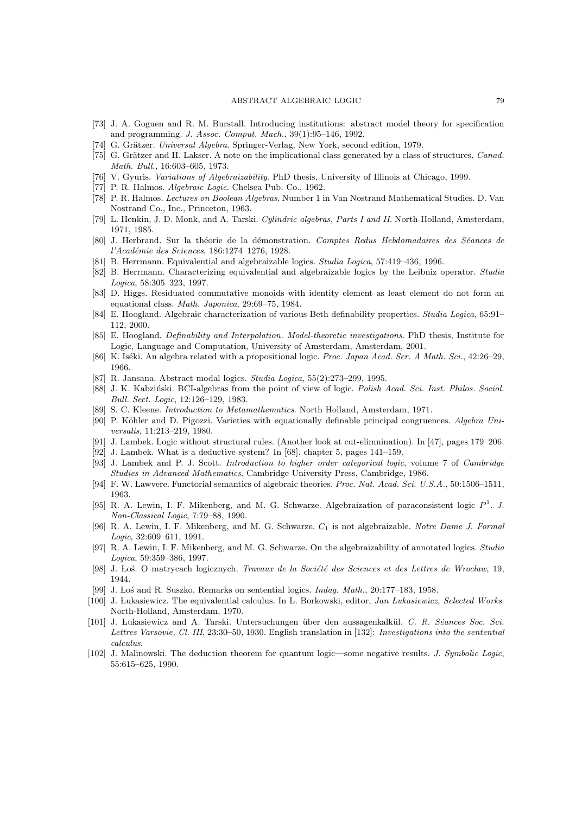- [73] J. A. Goguen and R. M. Burstall. Introducing institutions: abstract model theory for specification and programming. J. Assoc. Comput. Mach., 39(1):95–146, 1992.
- [74] G. Grätzer. Universal Algebra. Springer-Verlag, New York, second edition, 1979.
- [75] G. Grätzer and H. Lakser. A note on the implicational class generated by a class of structures. Canad. Math. Bull., 16:603–605, 1973.
- [76] V. Gyuris. Variations of Algebraizability. PhD thesis, University of Illinois at Chicago, 1999.
- [77] P. R. Halmos. Algebraic Logic. Chelsea Pub. Co., 1962.
- [78] P. R. Halmos. Lectures on Boolean Algebras. Number 1 in Van Nostrand Mathematical Studies. D. Van Nostrand Co., Inc., Princeton, 1963.
- [79] L. Henkin, J. D. Monk, and A. Tarski. Cylindric algebras, Parts I and II. North-Holland, Amsterdam, 1971, 1985.
- [80] J. Herbrand. Sur la théorie de la démonstration. Comptes Redus Hebdomadaires des Séances de l'Académie des Sciences, 186:1274-1276, 1928.
- [81] B. Herrmann. Equivalential and algebraizable logics. Studia Logica, 57:419–436, 1996.
- [82] B. Herrmann. Characterizing equivalential and algebraizable logics by the Leibniz operator. Studia Logica, 58:305–323, 1997.
- [83] D. Higgs. Residuated commutative monoids with identity element as least element do not form an equational class. Math. Japonica, 29:69–75, 1984.
- [84] E. Hoogland. Algebraic characterization of various Beth definability properties. Studia Logica, 65:91– 112, 2000.
- [85] E. Hoogland. Definability and Interpolation. Model-theoretic investigations. PhD thesis, Institute for Logic, Language and Computation, University of Amsterdam, Amsterdam, 2001.
- [86] K. Iséki. An algebra related with a propositional logic. Proc. Japan Acad. Ser. A Math. Sci., 42:26–29, 1966.
- [87] R. Jansana. Abstract modal logics. Studia Logica, 55(2):273–299, 1995.
- [88] J. K. Kabziński. BCI-algebras from the point of view of logic. Polish Acad. Sci. Inst. Philos. Sociol. Bull. Sect. Logic, 12:126–129, 1983.
- [89] S. C. Kleene. Introduction to Metamathematics. North Holland, Amsterdam, 1971.
- [90] P. Köhler and D. Pigozzi. Varieties with equationally definable principal congruences. Algebra Universalis, 11:213–219, 1980.
- [91] J. Lambek. Logic without structural rules. (Another look at cut-elimnination). In [47], pages 179–206.
- [92] J. Lambek. What is a deductive system? In [68], chapter 5, pages 141–159.
- [93] J. Lambek and P. J. Scott. Introduction to higher order categorical logic, volume 7 of Cambridge Studies in Advanced Mathematics. Cambridge University Press, Cambridge, 1986.
- [94] F. W. Lawvere. Functorial semantics of algebraic theories. Proc. Nat. Acad. Sci. U.S.A., 50:1506–1511, 1963.
- [95] R. A. Lewin, I. F. Mikenberg, and M. G. Schwarze. Algebraization of paraconsistent logic  $P<sup>1</sup>$ . J. Non-Classical Logic, 7:79–88, 1990.
- [96] R. A. Lewin, I. F. Mikenberg, and M. G. Schwarze.  $C_1$  is not algebraizable. Notre Dame J. Formal Logic, 32:609–611, 1991.
- [97] R. A. Lewin, I. F. Mikenberg, and M. G. Schwarze. On the algebraizability of annotated logics. Studia Logica, 59:359–386, 1997.
- [98] J. Los. O matrycach logicznych. Travaux de la Société des Sciences et des Lettres de Wrocław, 19, 1944.
- [99] J. Lo´s and R. Suszko. Remarks on sentential logics. Indag. Math., 20:177–183, 1958.
- [100] J. Lukasiewicz. The equivalential calculus. In L. Borkowski, editor, Jan Lukasiewicz, Selected Works. North-Holland, Amsterdam, 1970.
- [101] J. Lukasiewicz and A. Tarski. Untersuchungen über den aussagenkalkül. C. R. Séances Soc. Sci. Lettres Varsovie, Cl. III, 23:30–50, 1930. English translation in [132]: Investigations into the sentential calculus.
- [102] J. Malinowski. The deduction theorem for quantum logic—some negative results. J. Symbolic Logic, 55:615–625, 1990.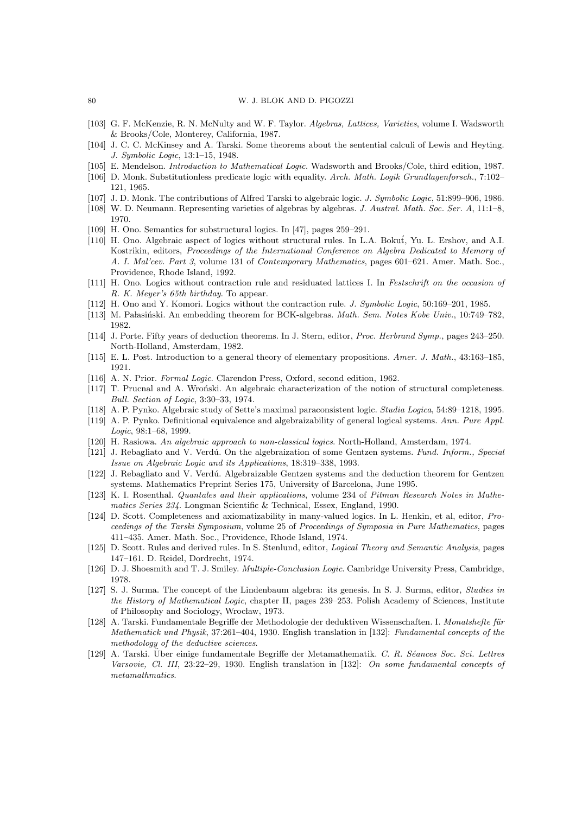#### 80 W. J. BLOK AND D. PIGOZZI

- [103] G. F. McKenzie, R. N. McNulty and W. F. Taylor. Algebras, Lattices, Varieties, volume I. Wadsworth & Brooks/Cole, Monterey, California, 1987.
- [104] J. C. C. McKinsey and A. Tarski. Some theorems about the sentential calculi of Lewis and Heyting. J. Symbolic Logic, 13:1–15, 1948.
- [105] E. Mendelson. Introduction to Mathematical Logic. Wadsworth and Brooks/Cole, third edition, 1987.
- [106] D. Monk. Substitutionless predicate logic with equality. Arch. Math. Logik Grundlagenforsch., 7:102– 121, 1965.
- [107] J. D. Monk. The contributions of Alfred Tarski to algebraic logic. J. Symbolic Logic, 51:899–906, 1986.
- [108] W. D. Neumann. Representing varieties of algebras by algebras. J. Austral. Math. Soc. Ser. A, 11:1–8, 1970.
- [109] H. Ono. Semantics for substructural logics. In [47], pages 259–291.
- [110] H. Ono. Algebraic aspect of logics without structural rules. In L.A. Boku´t, Yu. L. Ershov, and A.I. Kostrikin, editors, Proceedings of the International Conference on Algebra Dedicated to Memory of A. I. Mal'cev. Part 3, volume 131 of Contemporary Mathematics, pages 601–621. Amer. Math. Soc., Providence, Rhode Island, 1992.
- [111] H. Ono. Logics without contraction rule and residuated lattices I. In Festschrift on the occasion of R. K. Meyer's 65th birthday. To appear.
- [112] H. Ono and Y. Komori. Logics without the contraction rule. J. Symbolic Logic, 50:169–201, 1985.
- [113] M. Pałasiński. An embedding theorem for BCK-algebras. Math. Sem. Notes Kobe Univ., 10:749–782, 1982.
- [114] J. Porte. Fifty years of deduction theorems. In J. Stern, editor, Proc. Herbrand Symp., pages 243–250. North-Holland, Amsterdam, 1982.
- [115] E. L. Post. Introduction to a general theory of elementary propositions. Amer. J. Math., 43:163–185, 1921.
- [116] A. N. Prior. Formal Logic. Clarendon Press, Oxford, second edition, 1962.
- [117] T. Prucnal and A. Wroński. An algebraic characterization of the notion of structural completeness. Bull. Section of Logic, 3:30–33, 1974.
- [118] A. P. Pynko. Algebraic study of Sette's maximal paraconsistent logic. Studia Logica, 54:89–1218, 1995.
- [119] A. P. Pynko. Definitional equivalence and algebraizability of general logical systems. Ann. Pure Appl. Logic, 98:1–68, 1999.
- [120] H. Rasiowa. An algebraic approach to non-classical logics. North-Holland, Amsterdam, 1974.
- [121] J. Rebagliato and V. Verdú. On the algebraization of some Gentzen systems. Fund. Inform., Special Issue on Algebraic Logic and its Applications, 18:319–338, 1993.
- [122] J. Rebagliato and V. Verdú. Algebraizable Gentzen systems and the deduction theorem for Gentzen systems. Mathematics Preprint Series 175, University of Barcelona, June 1995.
- [123] K. I. Rosenthal. Quantales and their applications, volume 234 of Pitman Research Notes in Mathematics Series 234. Longman Scientific & Technical, Essex, England, 1990.
- [124] D. Scott. Completeness and axiomatizability in many-valued logics. In L. Henkin, et al, editor, Proceedings of the Tarski Symposium, volume 25 of Proceedings of Symposia in Pure Mathematics, pages 411–435. Amer. Math. Soc., Providence, Rhode Island, 1974.
- [125] D. Scott. Rules and derived rules. In S. Stenlund, editor, Logical Theory and Semantic Analysis, pages 147–161. D. Reidel, Dordrecht, 1974.
- [126] D. J. Shoesmith and T. J. Smiley. Multiple-Conclusion Logic. Cambridge University Press, Cambridge, 1978.
- [127] S. J. Surma. The concept of the Lindenbaum algebra: its genesis. In S. J. Surma, editor, Studies in the History of Mathematical Logic, chapter II, pages 239–253. Polish Academy of Sciences, Institute of Philosophy and Sociology, Wrocław, 1973.
- [128] A. Tarski. Fundamentale Begriffe der Methodologie der deduktiven Wissenschaften. I. Monatshefte für Mathematick und Physik, 37:261–404, 1930. English translation in [132]: Fundamental concepts of the methodology of the deductive sciences.
- [129] A. Tarski. Über einige fundamentale Begriffe der Metamathematik. C. R. Séances Soc. Sci. Lettres Varsovie, Cl. III, 23:22–29, 1930. English translation in [132]: On some fundamental concepts of metamathmatics.